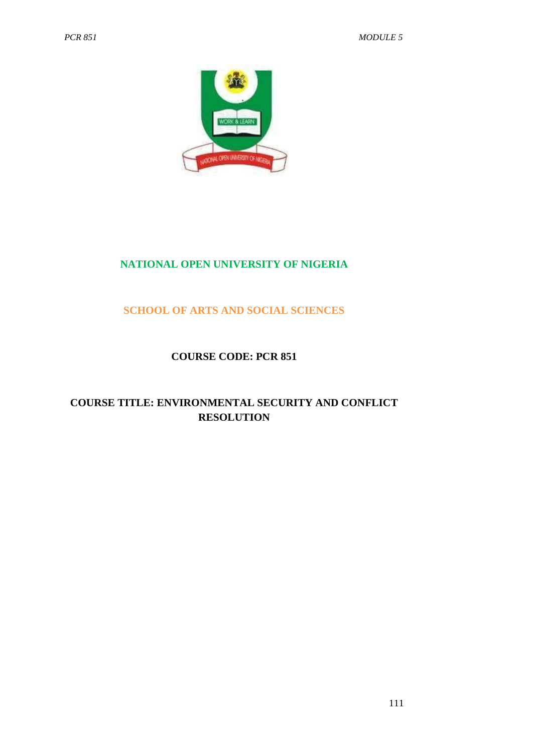

# **NATIONAL OPEN UNIVERSITY OF NIGERIA**

## **SCHOOL OF ARTS AND SOCIAL SCIENCES**

#### **COURSE CODE: PCR 851**

## **COURSE TITLE: ENVIRONMENTAL SECURITY AND CONFLICT RESOLUTION**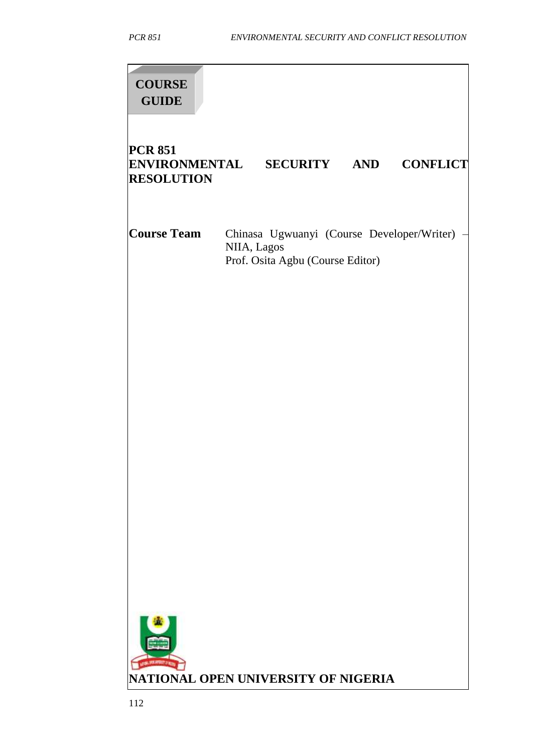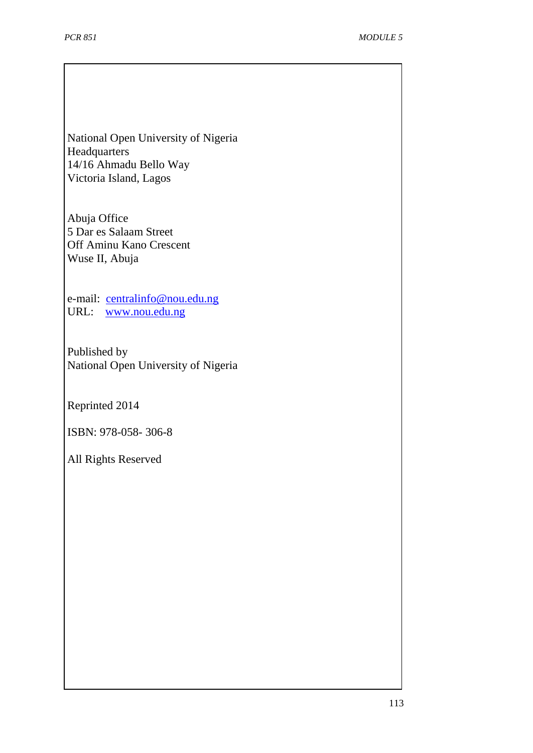National Open University of Nigeria **Headquarters** 14/16 Ahmadu Bello Way Victoria Island, Lagos

Abuja Office 5 Dar es Salaam Street Off Aminu Kano Crescent Wuse II, Abuja

e-mail: [centralinfo@nou.edu.ng](mailto:centralinfo@nou.edu.ng) URL: [www.nou.edu.ng](http://www.nou.edu.ng/)

Published by National Open University of Nigeria

Reprinted 2014

ISBN: 978-058- 306-8

All Rights Reserved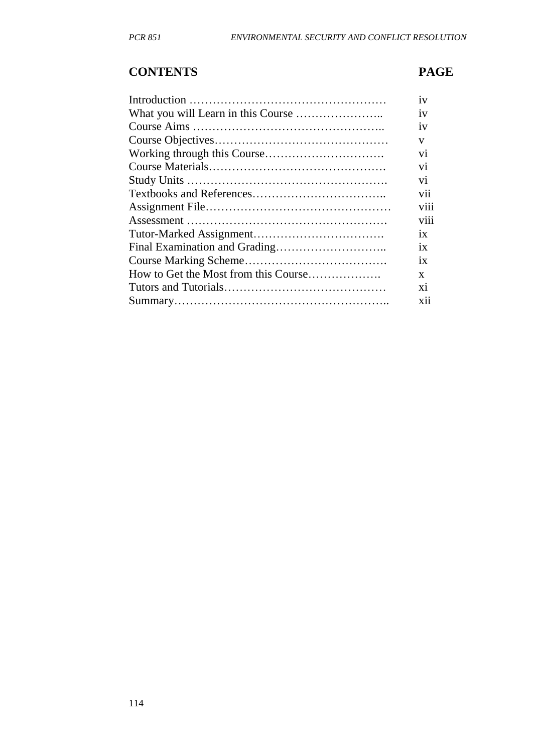# **CONTENTS PAGE**

| 1V           |
|--------------|
| 1V           |
| 1V           |
| V            |
| Vİ.          |
| Vİ           |
| vi           |
| Vİİ          |
| V111         |
| V111         |
| 1X           |
| 1X           |
| 1X           |
| $\mathbf{x}$ |
| X1           |
| X11          |
|              |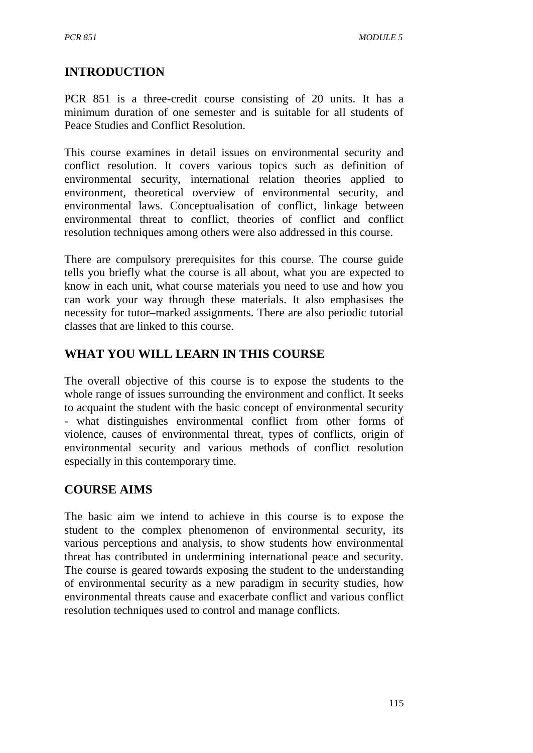# **INTRODUCTION**

PCR 851 is a three-credit course consisting of 20 units. It has a minimum duration of one semester and is suitable for all students of Peace Studies and Conflict Resolution.

This course examines in detail issues on environmental security and conflict resolution. It covers various topics such as definition of environmental security, international relation theories applied to environment, theoretical overview of environmental security, and environmental laws. Conceptualisation of conflict, linkage between environmental threat to conflict, theories of conflict and conflict resolution techniques among others were also addressed in this course.

There are compulsory prerequisites for this course. The course guide tells you briefly what the course is all about, what you are expected to know in each unit, what course materials you need to use and how you can work your way through these materials. It also emphasises the necessity for tutor–marked assignments. There are also periodic tutorial classes that are linked to this course.

# **WHAT YOU WILL LEARN IN THIS COURSE**

The overall objective of this course is to expose the students to the whole range of issues surrounding the environment and conflict. It seeks to acquaint the student with the basic concept of environmental security - what distinguishes environmental conflict from other forms of violence, causes of environmental threat, types of conflicts, origin of environmental security and various methods of conflict resolution especially in this contemporary time.

## **COURSE AIMS**

The basic aim we intend to achieve in this course is to expose the student to the complex phenomenon of environmental security, its various perceptions and analysis, to show students how environmental threat has contributed in undermining international peace and security. The course is geared towards exposing the student to the understanding of environmental security as a new paradigm in security studies, how environmental threats cause and exacerbate conflict and various conflict resolution techniques used to control and manage conflicts.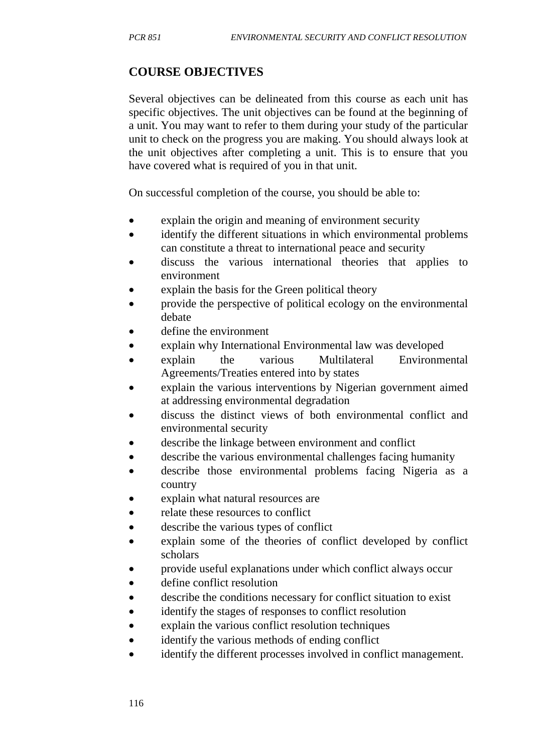# **COURSE OBJECTIVES**

Several objectives can be delineated from this course as each unit has specific objectives. The unit objectives can be found at the beginning of a unit. You may want to refer to them during your study of the particular unit to check on the progress you are making. You should always look at the unit objectives after completing a unit. This is to ensure that you have covered what is required of you in that unit.

On successful completion of the course, you should be able to:

- explain the origin and meaning of environment security
- identify the different situations in which environmental problems can constitute a threat to international peace and security
- discuss the various international theories that applies to environment
- explain the basis for the Green political theory
- provide the perspective of political ecology on the environmental debate
- define the environment
- explain why International Environmental law was developed
- explain the various Multilateral Environmental Agreements/Treaties entered into by states
- explain the various interventions by Nigerian government aimed at addressing environmental degradation
- discuss the distinct views of both environmental conflict and environmental security
- describe the linkage between environment and conflict
- describe the various environmental challenges facing humanity
- describe those environmental problems facing Nigeria as a country
- explain what natural resources are
- relate these resources to conflict
- describe the various types of conflict
- explain some of the theories of conflict developed by conflict scholars
- provide useful explanations under which conflict always occur
- define conflict resolution
- describe the conditions necessary for conflict situation to exist
- identify the stages of responses to conflict resolution
- explain the various conflict resolution techniques
- identify the various methods of ending conflict
- identify the different processes involved in conflict management.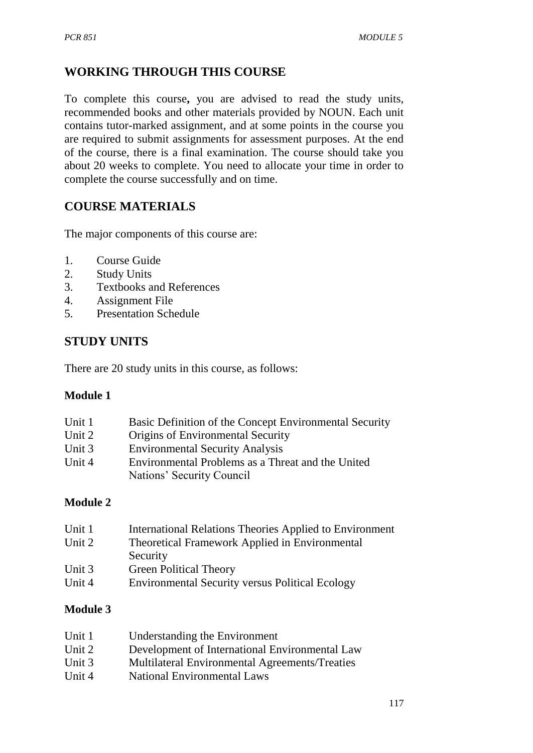# **WORKING THROUGH THIS COURSE**

To complete this course**,** you are advised to read the study units, recommended books and other materials provided by NOUN. Each unit contains tutor-marked assignment, and at some points in the course you are required to submit assignments for assessment purposes. At the end of the course, there is a final examination. The course should take you about 20 weeks to complete. You need to allocate your time in order to complete the course successfully and on time.

## **COURSE MATERIALS**

The major components of this course are:

- 1. Course Guide
- 2. Study Units
- 3. Textbooks and References
- 4. Assignment File
- 5. Presentation Schedule

## **STUDY UNITS**

There are 20 study units in this course, as follows:

#### **Module 1**

| Unit 1 | Basic Definition of the Concept Environmental Security |
|--------|--------------------------------------------------------|
| Unit 2 | Origins of Environmental Security                      |
| Unit 3 | <b>Environmental Security Analysis</b>                 |
| Unit 4 | Environmental Problems as a Threat and the United      |
|        | Nations' Security Council                              |

#### **Module 2**

| Unit 1 | <b>International Relations Theories Applied to Environment</b> |
|--------|----------------------------------------------------------------|
| Unit 2 | Theoretical Framework Applied in Environmental                 |
|        | Security                                                       |
| Unit 3 | <b>Green Political Theory</b>                                  |
| Unit 4 | <b>Environmental Security versus Political Ecology</b>         |
|        |                                                                |

#### **Module 3**

| Unit 1 | Understanding the Environment                  |
|--------|------------------------------------------------|
| Unit 2 | Development of International Environmental Law |
| Unit 3 | Multilateral Environmental Agreements/Treaties |
| Unit 4 | <b>National Environmental Laws</b>             |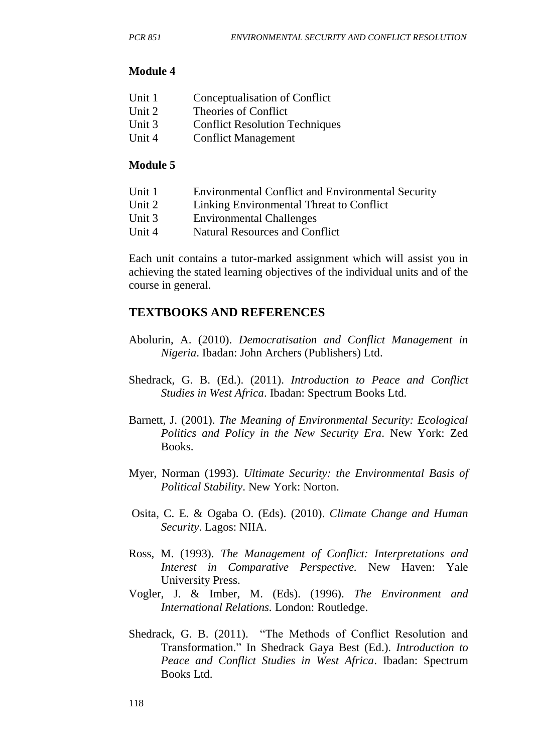#### **Module 4**

| Unit 1 | Conceptualisation of Conflict         |
|--------|---------------------------------------|
| Unit 2 | Theories of Conflict                  |
| Unit 3 | <b>Conflict Resolution Techniques</b> |
| Unit 4 | <b>Conflict Management</b>            |

#### **Module 5**

- Unit 1 Environmental Conflict and Environmental Security
- Unit 2 Linking Environmental Threat to Conflict
- Unit 3 Environmental Challenges
- Unit 4 Natural Resources and Conflict

Each unit contains a tutor-marked assignment which will assist you in achieving the stated learning objectives of the individual units and of the course in general.

## **TEXTBOOKS AND REFERENCES**

- Abolurin, A. (2010). *Democratisation and Conflict Management in Nigeria*. Ibadan: John Archers (Publishers) Ltd.
- Shedrack, G. B. (Ed.). (2011). *Introduction to Peace and Conflict Studies in West Africa*. Ibadan: Spectrum Books Ltd.
- Barnett, J. (2001). *The Meaning of Environmental Security: Ecological Politics and Policy in the New Security Era*. New York: Zed Books.
- Myer, Norman (1993). *Ultimate Security: the Environmental Basis of Political Stability*. New York: Norton.
- Osita, C. E. & Ogaba O. (Eds). (2010). *Climate Change and Human Security*. Lagos: NIIA.
- Ross, M. (1993). *The Management of Conflict: Interpretations and Interest in Comparative Perspective.* New Haven: Yale University Press.
- Vogler, J. & Imber, M. (Eds). (1996). *The Environment and International Relations.* London: Routledge.
- Shedrack, G. B. (2011). "The Methods of Conflict Resolution and Transformation." In Shedrack Gaya Best (Ed.). *Introduction to Peace and Conflict Studies in West Africa*. Ibadan: Spectrum Books Ltd.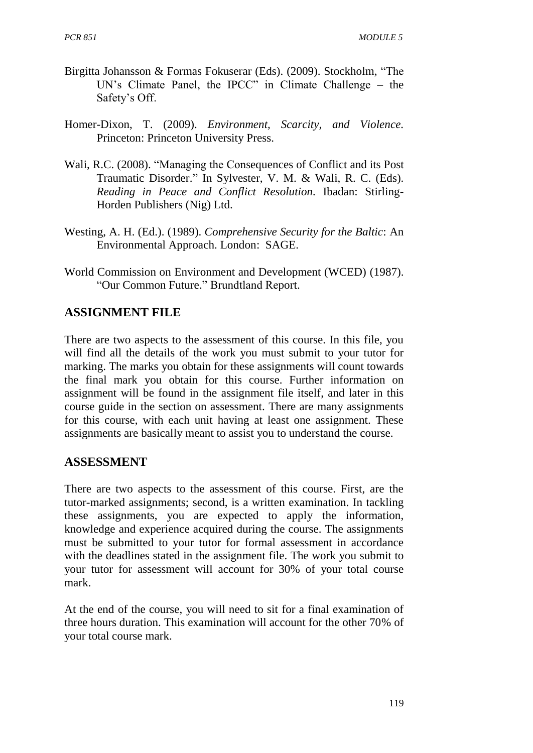- Birgitta Johansson & Formas Fokuserar (Eds). (2009). Stockholm, "The UN's Climate Panel, the IPCC" in Climate Challenge – the Safety's Off.
- Homer-Dixon, T. (2009). *Environment, Scarcity, and Violence.* Princeton: Princeton University Press.
- Wali, R.C. (2008). "Managing the Consequences of Conflict and its Post Traumatic Disorder." In Sylvester, V. M. & Wali, R. C. (Eds). *Reading in Peace and Conflict Resolution.* Ibadan: Stirling-Horden Publishers (Nig) Ltd.
- Westing, A. H. (Ed.). (1989). *Comprehensive Security for the Baltic*: An Environmental Approach. London: SAGE.
- World Commission on Environment and Development (WCED) (1987). "Our Common Future." Brundtland Report.

## **ASSIGNMENT FILE**

There are two aspects to the assessment of this course. In this file, you will find all the details of the work you must submit to your tutor for marking. The marks you obtain for these assignments will count towards the final mark you obtain for this course. Further information on assignment will be found in the assignment file itself, and later in this course guide in the section on assessment. There are many assignments for this course, with each unit having at least one assignment. These assignments are basically meant to assist you to understand the course.

#### **ASSESSMENT**

There are two aspects to the assessment of this course. First, are the tutor-marked assignments; second, is a written examination. In tackling these assignments, you are expected to apply the information, knowledge and experience acquired during the course. The assignments must be submitted to your tutor for formal assessment in accordance with the deadlines stated in the assignment file. The work you submit to your tutor for assessment will account for 30% of your total course mark.

At the end of the course, you will need to sit for a final examination of three hours duration. This examination will account for the other 70% of your total course mark.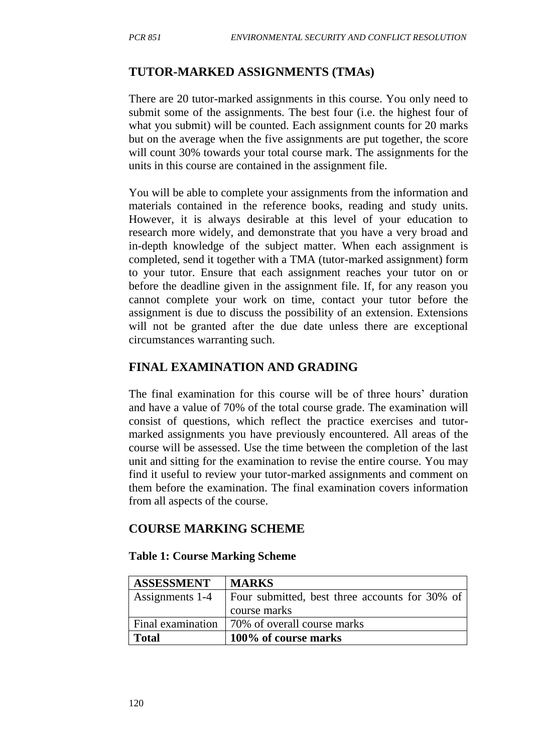## **TUTOR-MARKED ASSIGNMENTS (TMAs)**

There are 20 tutor-marked assignments in this course. You only need to submit some of the assignments. The best four (i.e. the highest four of what you submit) will be counted. Each assignment counts for 20 marks but on the average when the five assignments are put together, the score will count 30% towards your total course mark. The assignments for the units in this course are contained in the assignment file.

You will be able to complete your assignments from the information and materials contained in the reference books, reading and study units. However, it is always desirable at this level of your education to research more widely, and demonstrate that you have a very broad and in-depth knowledge of the subject matter. When each assignment is completed, send it together with a TMA (tutor-marked assignment) form to your tutor. Ensure that each assignment reaches your tutor on or before the deadline given in the assignment file. If, for any reason you cannot complete your work on time, contact your tutor before the assignment is due to discuss the possibility of an extension. Extensions will not be granted after the due date unless there are exceptional circumstances warranting such.

## **FINAL EXAMINATION AND GRADING**

The final examination for this course will be of three hours' duration and have a value of 70% of the total course grade. The examination will consist of questions, which reflect the practice exercises and tutormarked assignments you have previously encountered. All areas of the course will be assessed. Use the time between the completion of the last unit and sitting for the examination to revise the entire course. You may find it useful to review your tutor-marked assignments and comment on them before the examination. The final examination covers information from all aspects of the course.

#### **COURSE MARKING SCHEME**

#### **Table 1: Course Marking Scheme**

| <b>ASSESSMENT</b> | <b>MARKS</b>                                    |
|-------------------|-------------------------------------------------|
| Assignments 1-4   | Four submitted, best three accounts for 30% of  |
|                   | course marks                                    |
|                   | Final examination   70% of overall course marks |
| <b>Total</b>      | 100% of course marks                            |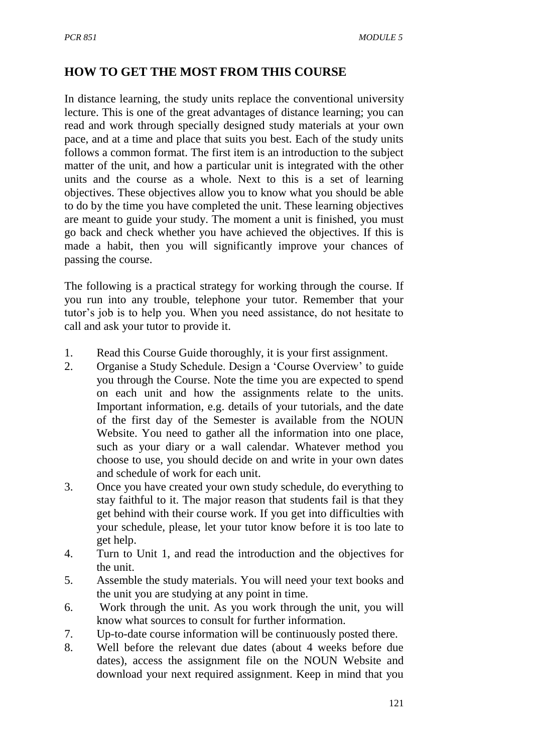## **HOW TO GET THE MOST FROM THIS COURSE**

In distance learning, the study units replace the conventional university lecture. This is one of the great advantages of distance learning; you can read and work through specially designed study materials at your own pace, and at a time and place that suits you best. Each of the study units follows a common format. The first item is an introduction to the subject matter of the unit, and how a particular unit is integrated with the other units and the course as a whole. Next to this is a set of learning objectives. These objectives allow you to know what you should be able to do by the time you have completed the unit. These learning objectives are meant to guide your study. The moment a unit is finished, you must go back and check whether you have achieved the objectives. If this is made a habit, then you will significantly improve your chances of passing the course.

The following is a practical strategy for working through the course. If you run into any trouble, telephone your tutor. Remember that your tutor's job is to help you. When you need assistance, do not hesitate to call and ask your tutor to provide it.

- 1. Read this Course Guide thoroughly, it is your first assignment.
- 2. Organise a Study Schedule. Design a 'Course Overview' to guide you through the Course. Note the time you are expected to spend on each unit and how the assignments relate to the units. Important information, e.g. details of your tutorials, and the date of the first day of the Semester is available from the NOUN Website. You need to gather all the information into one place, such as your diary or a wall calendar. Whatever method you choose to use, you should decide on and write in your own dates and schedule of work for each unit.
- 3. Once you have created your own study schedule, do everything to stay faithful to it. The major reason that students fail is that they get behind with their course work. If you get into difficulties with your schedule, please, let your tutor know before it is too late to get help.
- 4. Turn to Unit 1, and read the introduction and the objectives for the unit.
- 5. Assemble the study materials. You will need your text books and the unit you are studying at any point in time.
- 6. Work through the unit. As you work through the unit, you will know what sources to consult for further information.
- 7. Up-to-date course information will be continuously posted there.
- 8. Well before the relevant due dates (about 4 weeks before due dates), access the assignment file on the NOUN Website and download your next required assignment. Keep in mind that you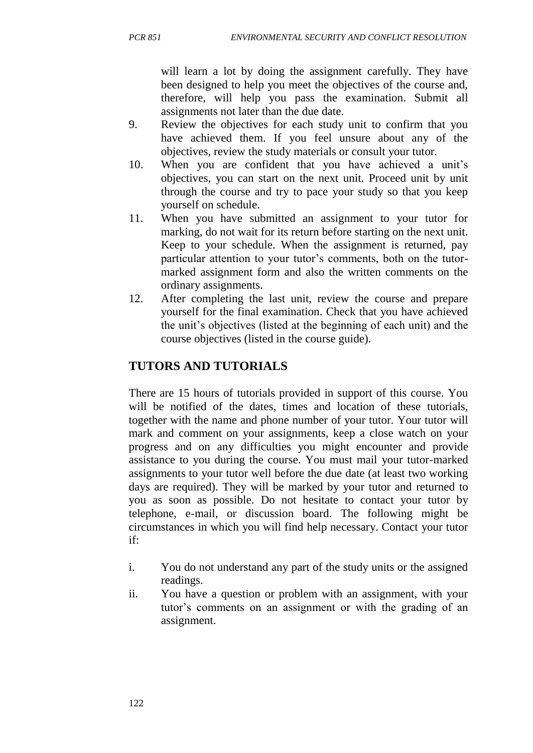will learn a lot by doing the assignment carefully. They have been designed to help you meet the objectives of the course and, therefore, will help you pass the examination. Submit all assignments not later than the due date.

- 9. Review the objectives for each study unit to confirm that you have achieved them. If you feel unsure about any of the objectives, review the study materials or consult your tutor.
- 10. When you are confident that you have achieved a unit's objectives, you can start on the next unit. Proceed unit by unit through the course and try to pace your study so that you keep yourself on schedule.
- 11. When you have submitted an assignment to your tutor for marking, do not wait for its return before starting on the next unit. Keep to your schedule. When the assignment is returned, pay particular attention to your tutor's comments, both on the tutormarked assignment form and also the written comments on the ordinary assignments.
- 12. After completing the last unit, review the course and prepare yourself for the final examination. Check that you have achieved the unit's objectives (listed at the beginning of each unit) and the course objectives (listed in the course guide).

# **TUTORS AND TUTORIALS**

There are 15 hours of tutorials provided in support of this course. You will be notified of the dates, times and location of these tutorials, together with the name and phone number of your tutor. Your tutor will mark and comment on your assignments, keep a close watch on your progress and on any difficulties you might encounter and provide assistance to you during the course. You must mail your tutor-marked assignments to your tutor well before the due date (at least two working days are required). They will be marked by your tutor and returned to you as soon as possible. Do not hesitate to contact your tutor by telephone, e-mail, or discussion board. The following might be circumstances in which you will find help necessary. Contact your tutor if:

- i. You do not understand any part of the study units or the assigned readings.
- ii. You have a question or problem with an assignment, with your tutor's comments on an assignment or with the grading of an assignment.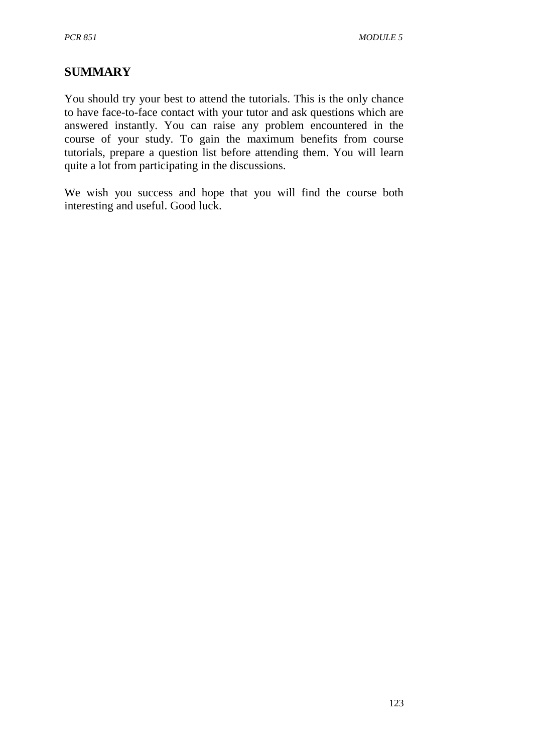# **SUMMARY**

You should try your best to attend the tutorials. This is the only chance to have face-to-face contact with your tutor and ask questions which are answered instantly. You can raise any problem encountered in the course of your study. To gain the maximum benefits from course tutorials, prepare a question list before attending them. You will learn quite a lot from participating in the discussions.

We wish you success and hope that you will find the course both interesting and useful. Good luck.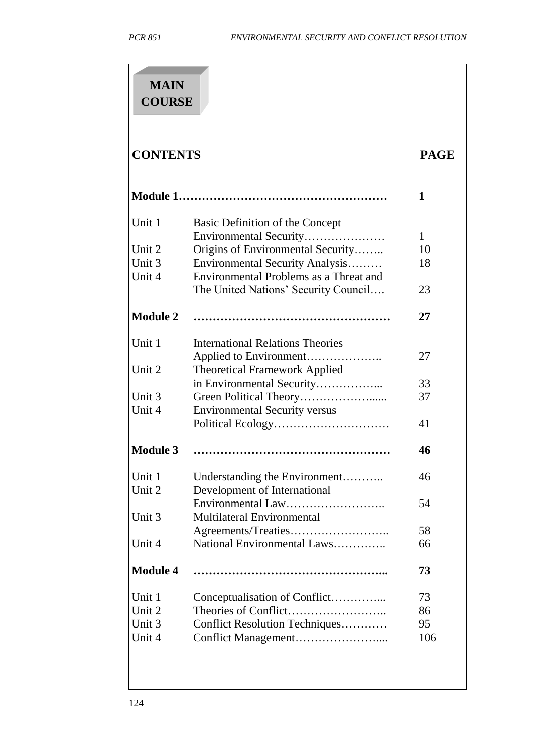| <b>MAIN</b><br><b>COURSE</b> |                                                                                                                                                                                                                                                                                                                                                                                                                                                                                                                                                                                                                                                                                                                                           |  |  |
|------------------------------|-------------------------------------------------------------------------------------------------------------------------------------------------------------------------------------------------------------------------------------------------------------------------------------------------------------------------------------------------------------------------------------------------------------------------------------------------------------------------------------------------------------------------------------------------------------------------------------------------------------------------------------------------------------------------------------------------------------------------------------------|--|--|
| <b>CONTENTS</b>              | <b>PAGE</b><br>1<br>Basic Definition of the Concept<br>Environmental Security<br>1<br>Origins of Environmental Security<br>10<br>Environmental Security Analysis<br>18<br>Environmental Problems as a Threat and<br>The United Nations' Security Council<br>23<br>27<br><b>International Relations Theories</b><br>27<br><b>Theoretical Framework Applied</b><br>in Environmental Security<br>33<br>37<br><b>Environmental Security versus</b><br>41<br>46<br>46<br>Understanding the Environment<br>Development of International<br>54<br>Multilateral Environmental<br>Agreements/Treaties<br>58<br>National Environmental Laws<br>66<br>73<br>Conceptualisation of Conflict<br>73<br>86<br>Conflict Resolution Techniques<br>95<br>106 |  |  |
|                              |                                                                                                                                                                                                                                                                                                                                                                                                                                                                                                                                                                                                                                                                                                                                           |  |  |
| Unit 1                       |                                                                                                                                                                                                                                                                                                                                                                                                                                                                                                                                                                                                                                                                                                                                           |  |  |
|                              |                                                                                                                                                                                                                                                                                                                                                                                                                                                                                                                                                                                                                                                                                                                                           |  |  |
| Unit 2                       |                                                                                                                                                                                                                                                                                                                                                                                                                                                                                                                                                                                                                                                                                                                                           |  |  |
| Unit 3                       |                                                                                                                                                                                                                                                                                                                                                                                                                                                                                                                                                                                                                                                                                                                                           |  |  |
| Unit 4                       |                                                                                                                                                                                                                                                                                                                                                                                                                                                                                                                                                                                                                                                                                                                                           |  |  |
|                              |                                                                                                                                                                                                                                                                                                                                                                                                                                                                                                                                                                                                                                                                                                                                           |  |  |
| <b>Module 2</b>              |                                                                                                                                                                                                                                                                                                                                                                                                                                                                                                                                                                                                                                                                                                                                           |  |  |
| Unit 1                       |                                                                                                                                                                                                                                                                                                                                                                                                                                                                                                                                                                                                                                                                                                                                           |  |  |
|                              |                                                                                                                                                                                                                                                                                                                                                                                                                                                                                                                                                                                                                                                                                                                                           |  |  |
| Unit 2                       |                                                                                                                                                                                                                                                                                                                                                                                                                                                                                                                                                                                                                                                                                                                                           |  |  |
|                              |                                                                                                                                                                                                                                                                                                                                                                                                                                                                                                                                                                                                                                                                                                                                           |  |  |
| Unit 3                       |                                                                                                                                                                                                                                                                                                                                                                                                                                                                                                                                                                                                                                                                                                                                           |  |  |
| Unit 4                       |                                                                                                                                                                                                                                                                                                                                                                                                                                                                                                                                                                                                                                                                                                                                           |  |  |
|                              |                                                                                                                                                                                                                                                                                                                                                                                                                                                                                                                                                                                                                                                                                                                                           |  |  |
| <b>Module 3</b>              |                                                                                                                                                                                                                                                                                                                                                                                                                                                                                                                                                                                                                                                                                                                                           |  |  |
| Unit 1                       |                                                                                                                                                                                                                                                                                                                                                                                                                                                                                                                                                                                                                                                                                                                                           |  |  |
| Unit 2                       |                                                                                                                                                                                                                                                                                                                                                                                                                                                                                                                                                                                                                                                                                                                                           |  |  |
|                              |                                                                                                                                                                                                                                                                                                                                                                                                                                                                                                                                                                                                                                                                                                                                           |  |  |
| Unit 3                       |                                                                                                                                                                                                                                                                                                                                                                                                                                                                                                                                                                                                                                                                                                                                           |  |  |
|                              |                                                                                                                                                                                                                                                                                                                                                                                                                                                                                                                                                                                                                                                                                                                                           |  |  |
| Unit 4                       |                                                                                                                                                                                                                                                                                                                                                                                                                                                                                                                                                                                                                                                                                                                                           |  |  |
| <b>Module 4</b>              |                                                                                                                                                                                                                                                                                                                                                                                                                                                                                                                                                                                                                                                                                                                                           |  |  |
| Unit 1                       |                                                                                                                                                                                                                                                                                                                                                                                                                                                                                                                                                                                                                                                                                                                                           |  |  |
| Unit 2                       |                                                                                                                                                                                                                                                                                                                                                                                                                                                                                                                                                                                                                                                                                                                                           |  |  |
| Unit 3                       |                                                                                                                                                                                                                                                                                                                                                                                                                                                                                                                                                                                                                                                                                                                                           |  |  |
| Unit 4                       |                                                                                                                                                                                                                                                                                                                                                                                                                                                                                                                                                                                                                                                                                                                                           |  |  |
|                              |                                                                                                                                                                                                                                                                                                                                                                                                                                                                                                                                                                                                                                                                                                                                           |  |  |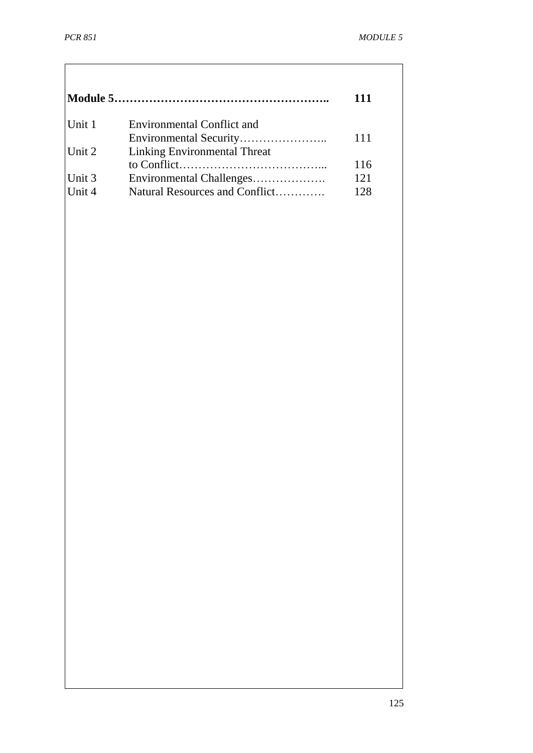|        |                                   | 111 |
|--------|-----------------------------------|-----|
| Unit 1 | <b>Environmental Conflict and</b> |     |
|        |                                   | 111 |
| Unit 2 | Linking Environmental Threat      |     |
|        |                                   | 116 |
| Unit 3 | Environmental Challenges          | 121 |
| Unit 4 | Natural Resources and Conflict    | 128 |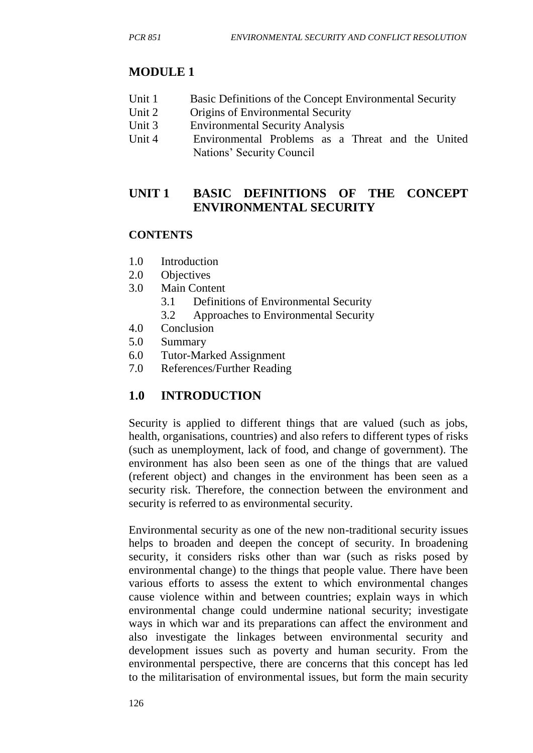# **MODULE 1**

- Unit 1 Basic Definitions of the Concept Environmental Security
- Unit 2 Origins of Environmental Security
- Unit 3 Environmental Security Analysis
- Unit 4 Environmental Problems as a Threat and the United Nations' Security Council

# **UNIT 1 BASIC DEFINITIONS OF THE CONCEPT ENVIRONMENTAL SECURITY**

## **CONTENTS**

- 1.0 Introduction
- 2.0 Objectives
- 3.0 Main Content
	- 3.1 Definitions of Environmental Security
	- 3.2 Approaches to Environmental Security
- 4.0 Conclusion
- 5.0 Summary
- 6.0 Tutor-Marked Assignment
- 7.0 References/Further Reading

# **1.0 INTRODUCTION**

Security is applied to different things that are valued (such as jobs, health, organisations, countries) and also refers to different types of risks (such as unemployment, lack of food, and change of government). The environment has also been seen as one of the things that are valued (referent object) and changes in the environment has been seen as a security risk. Therefore, the connection between the environment and security is referred to as environmental security.

Environmental security as one of the new non-traditional security issues helps to broaden and deepen the concept of security. In broadening security, it considers risks other than war (such as risks posed by environmental change) to the things that people value. There have been various efforts to assess the extent to which environmental changes cause violence within and between countries; explain ways in which environmental change could undermine national security; investigate ways in which war and its preparations can affect the environment and also investigate the linkages between environmental security and development issues such as poverty and human security. From the environmental perspective, there are concerns that this concept has led to the militarisation of environmental issues, but form the main security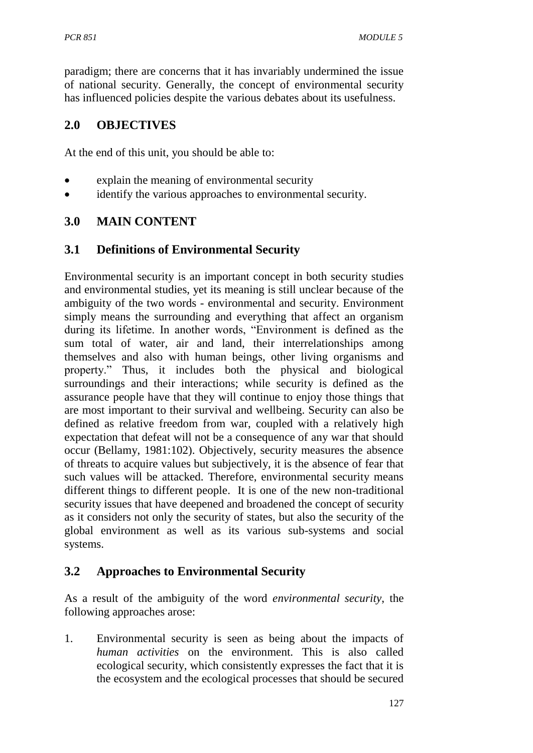paradigm; there are concerns that it has invariably undermined the issue of national security. Generally, the concept of environmental security has influenced policies despite the various debates about its usefulness.

# **2.0 OBJECTIVES**

At the end of this unit, you should be able to:

- explain the meaning of environmental security
- identify the various approaches to environmental security.

## **3.0 MAIN CONTENT**

## **3.1 Definitions of Environmental Security**

Environmental security is an important concept in both security studies and environmental studies, yet its meaning is still unclear because of the ambiguity of the two words - environmental and security. Environment simply means the surrounding and everything that affect an organism during its lifetime. In another words, "Environment is defined as the sum total of water, air and land, their interrelationships among themselves and also with human beings, other living organisms and property." Thus, it includes both the physical and biological surroundings and their interactions; while security is defined as the assurance people have that they will continue to enjoy those things that are most important to their survival and wellbeing. Security can also be defined as relative freedom from war, coupled with a relatively high expectation that defeat will not be a consequence of any war that should occur (Bellamy, 1981:102). Objectively, security measures the absence of threats to acquire values but subjectively, it is the absence of fear that such values will be attacked. Therefore, environmental security means different things to different people. It is one of the new non-traditional security issues that have deepened and broadened the concept of security as it considers not only the security of states, but also the security of the global environment as well as its various sub-systems and social systems.

# **3.2 Approaches to Environmental Security**

As a result of the ambiguity of the word *environmental security*, the following approaches arose:

1. Environmental security is seen as being about the impacts of *human activities* on the environment. This is also called ecological security, which consistently expresses the fact that it is the ecosystem and the ecological processes that should be secured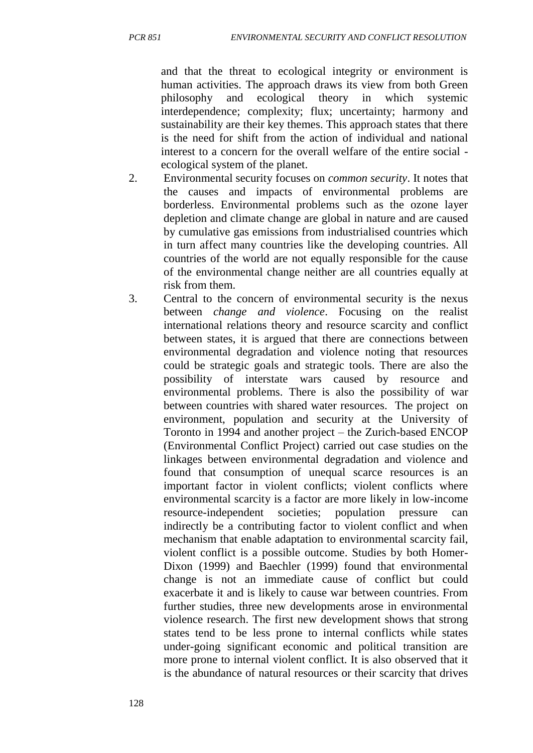and that the threat to ecological integrity or environment is human activities. The approach draws its view from both Green philosophy and ecological theory in which systemic interdependence; complexity; flux; uncertainty; harmony and sustainability are their key themes. This approach states that there is the need for shift from the action of individual and national interest to a concern for the overall welfare of the entire social ecological system of the planet.

- 2. Environmental security focuses on *common security*. It notes that the causes and impacts of environmental problems are borderless. Environmental problems such as the ozone layer depletion and climate change are global in nature and are caused by cumulative gas emissions from industrialised countries which in turn affect many countries like the developing countries. All countries of the world are not equally responsible for the cause of the environmental change neither are all countries equally at risk from them.
- 3. Central to the concern of environmental security is the nexus between *change and violence*. Focusing on the realist international relations theory and resource scarcity and conflict between states, it is argued that there are connections between environmental degradation and violence noting that resources could be strategic goals and strategic tools. There are also the possibility of interstate wars caused by resource and environmental problems. There is also the possibility of war between countries with shared water resources. The project on environment, population and security at the University of Toronto in 1994 and another project – the Zurich-based ENCOP (Environmental Conflict Project) carried out case studies on the linkages between environmental degradation and violence and found that consumption of unequal scarce resources is an important factor in violent conflicts; violent conflicts where environmental scarcity is a factor are more likely in low-income resource-independent societies; population pressure can indirectly be a contributing factor to violent conflict and when mechanism that enable adaptation to environmental scarcity fail, violent conflict is a possible outcome. Studies by both Homer-Dixon (1999) and Baechler (1999) found that environmental change is not an immediate cause of conflict but could exacerbate it and is likely to cause war between countries. From further studies, three new developments arose in environmental violence research. The first new development shows that strong states tend to be less prone to internal conflicts while states under-going significant economic and political transition are more prone to internal violent conflict. It is also observed that it is the abundance of natural resources or their scarcity that drives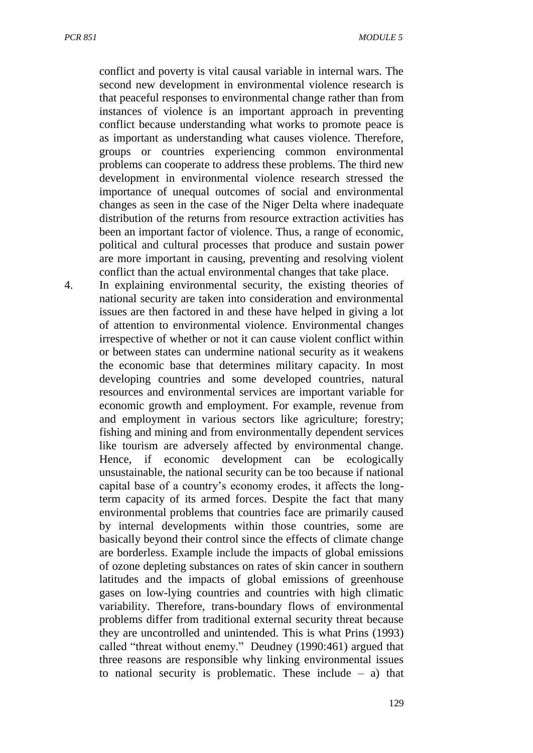conflict and poverty is vital causal variable in internal wars. The second new development in environmental violence research is that peaceful responses to environmental change rather than from instances of violence is an important approach in preventing conflict because understanding what works to promote peace is as important as understanding what causes violence. Therefore, groups or countries experiencing common environmental problems can cooperate to address these problems. The third new development in environmental violence research stressed the importance of unequal outcomes of social and environmental changes as seen in the case of the Niger Delta where inadequate distribution of the returns from resource extraction activities has been an important factor of violence. Thus, a range of economic, political and cultural processes that produce and sustain power are more important in causing, preventing and resolving violent conflict than the actual environmental changes that take place.

4. In explaining environmental security, the existing theories of national security are taken into consideration and environmental issues are then factored in and these have helped in giving a lot of attention to environmental violence. Environmental changes irrespective of whether or not it can cause violent conflict within or between states can undermine national security as it weakens the economic base that determines military capacity. In most developing countries and some developed countries, natural resources and environmental services are important variable for economic growth and employment. For example, revenue from and employment in various sectors like agriculture; forestry; fishing and mining and from environmentally dependent services like tourism are adversely affected by environmental change. Hence, if economic development can be ecologically unsustainable, the national security can be too because if national capital base of a country's economy erodes, it affects the longterm capacity of its armed forces. Despite the fact that many environmental problems that countries face are primarily caused by internal developments within those countries, some are basically beyond their control since the effects of climate change are borderless. Example include the impacts of global emissions of ozone depleting substances on rates of skin cancer in southern latitudes and the impacts of global emissions of greenhouse gases on low-lying countries and countries with high climatic variability. Therefore, trans-boundary flows of environmental problems differ from traditional external security threat because they are uncontrolled and unintended. This is what Prins (1993) called "threat without enemy." Deudney (1990:461) argued that three reasons are responsible why linking environmental issues to national security is problematic. These include  $-$  a) that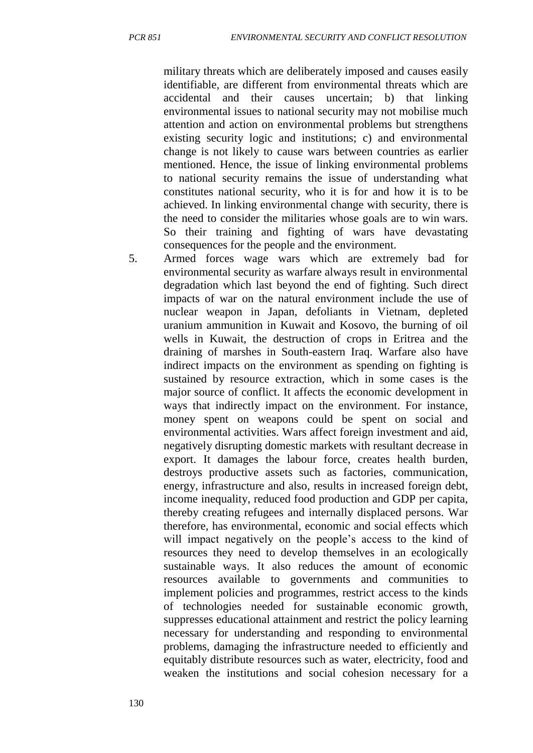military threats which are deliberately imposed and causes easily identifiable, are different from environmental threats which are accidental and their causes uncertain; b) that linking environmental issues to national security may not mobilise much attention and action on environmental problems but strengthens existing security logic and institutions; c) and environmental change is not likely to cause wars between countries as earlier mentioned. Hence, the issue of linking environmental problems to national security remains the issue of understanding what constitutes national security, who it is for and how it is to be achieved. In linking environmental change with security, there is the need to consider the militaries whose goals are to win wars. So their training and fighting of wars have devastating consequences for the people and the environment.

5. Armed forces wage wars which are extremely bad for environmental security as warfare always result in environmental degradation which last beyond the end of fighting. Such direct impacts of war on the natural environment include the use of nuclear weapon in Japan, defoliants in Vietnam, depleted uranium ammunition in Kuwait and Kosovo, the burning of oil wells in Kuwait, the destruction of crops in Eritrea and the draining of marshes in South-eastern Iraq. Warfare also have indirect impacts on the environment as spending on fighting is sustained by resource extraction, which in some cases is the major source of conflict. It affects the economic development in ways that indirectly impact on the environment. For instance, money spent on weapons could be spent on social and environmental activities. Wars affect foreign investment and aid, negatively disrupting domestic markets with resultant decrease in export. It damages the labour force, creates health burden, destroys productive assets such as factories, communication, energy, infrastructure and also, results in increased foreign debt, income inequality, reduced food production and GDP per capita, thereby creating refugees and internally displaced persons. War therefore, has environmental, economic and social effects which will impact negatively on the people's access to the kind of resources they need to develop themselves in an ecologically sustainable ways. It also reduces the amount of economic resources available to governments and communities to implement policies and programmes, restrict access to the kinds of technologies needed for sustainable economic growth, suppresses educational attainment and restrict the policy learning necessary for understanding and responding to environmental problems, damaging the infrastructure needed to efficiently and equitably distribute resources such as water, electricity, food and weaken the institutions and social cohesion necessary for a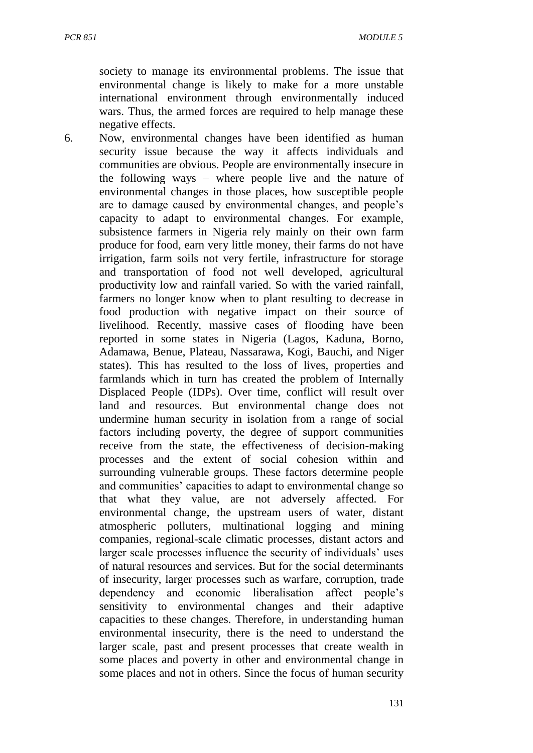society to manage its environmental problems. The issue that environmental change is likely to make for a more unstable international environment through environmentally induced wars. Thus, the armed forces are required to help manage these negative effects.

6. Now, environmental changes have been identified as human security issue because the way it affects individuals and communities are obvious. People are environmentally insecure in the following ways – where people live and the nature of environmental changes in those places, how susceptible people are to damage caused by environmental changes, and people's capacity to adapt to environmental changes. For example, subsistence farmers in Nigeria rely mainly on their own farm produce for food, earn very little money, their farms do not have irrigation, farm soils not very fertile, infrastructure for storage and transportation of food not well developed, agricultural productivity low and rainfall varied. So with the varied rainfall, farmers no longer know when to plant resulting to decrease in food production with negative impact on their source of livelihood. Recently, massive cases of flooding have been reported in some states in Nigeria (Lagos, Kaduna, Borno, Adamawa, Benue, Plateau, Nassarawa, Kogi, Bauchi, and Niger states). This has resulted to the loss of lives, properties and farmlands which in turn has created the problem of Internally Displaced People (IDPs). Over time, conflict will result over land and resources. But environmental change does not undermine human security in isolation from a range of social factors including poverty, the degree of support communities receive from the state, the effectiveness of decision-making processes and the extent of social cohesion within and surrounding vulnerable groups. These factors determine people and communities' capacities to adapt to environmental change so that what they value, are not adversely affected. For environmental change, the upstream users of water, distant atmospheric polluters, multinational logging and mining companies, regional-scale climatic processes, distant actors and larger scale processes influence the security of individuals' uses of natural resources and services. But for the social determinants of insecurity, larger processes such as warfare, corruption, trade dependency and economic liberalisation affect people's sensitivity to environmental changes and their adaptive capacities to these changes. Therefore, in understanding human environmental insecurity, there is the need to understand the larger scale, past and present processes that create wealth in some places and poverty in other and environmental change in some places and not in others. Since the focus of human security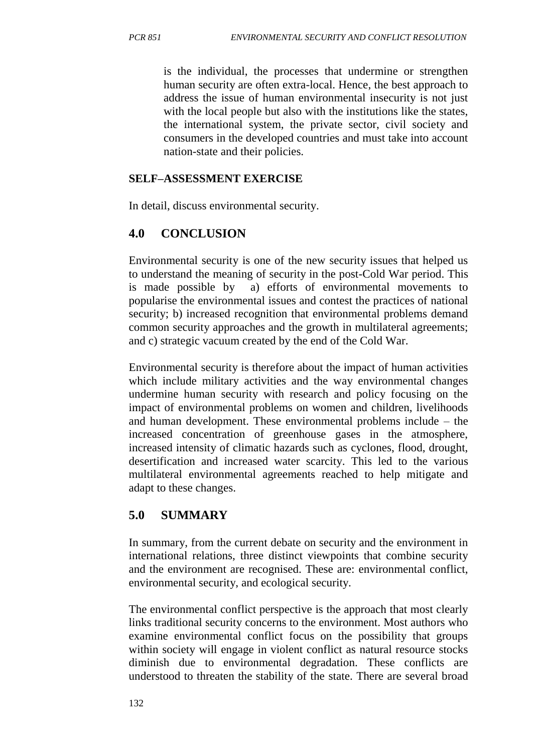is the individual, the processes that undermine or strengthen human security are often extra-local. Hence, the best approach to address the issue of human environmental insecurity is not just with the local people but also with the institutions like the states, the international system, the private sector, civil society and consumers in the developed countries and must take into account nation-state and their policies.

#### **SELF–ASSESSMENT EXERCISE**

In detail, discuss environmental security.

# **4.0 CONCLUSION**

Environmental security is one of the new security issues that helped us to understand the meaning of security in the post-Cold War period. This is made possible by a) efforts of environmental movements to popularise the environmental issues and contest the practices of national security; b) increased recognition that environmental problems demand common security approaches and the growth in multilateral agreements; and c) strategic vacuum created by the end of the Cold War.

Environmental security is therefore about the impact of human activities which include military activities and the way environmental changes undermine human security with research and policy focusing on the impact of environmental problems on women and children, livelihoods and human development. These environmental problems include – the increased concentration of greenhouse gases in the atmosphere, increased intensity of climatic hazards such as cyclones, flood, drought, desertification and increased water scarcity. This led to the various multilateral environmental agreements reached to help mitigate and adapt to these changes.

# **5.0 SUMMARY**

In summary, from the current debate on security and the environment in international relations, three distinct viewpoints that combine security and the environment are recognised. These are: environmental conflict, environmental security, and ecological security.

The environmental conflict perspective is the approach that most clearly links traditional security concerns to the environment. Most authors who examine environmental conflict focus on the possibility that groups within society will engage in violent conflict as natural resource stocks diminish due to environmental degradation. These conflicts are understood to threaten the stability of the state. There are several broad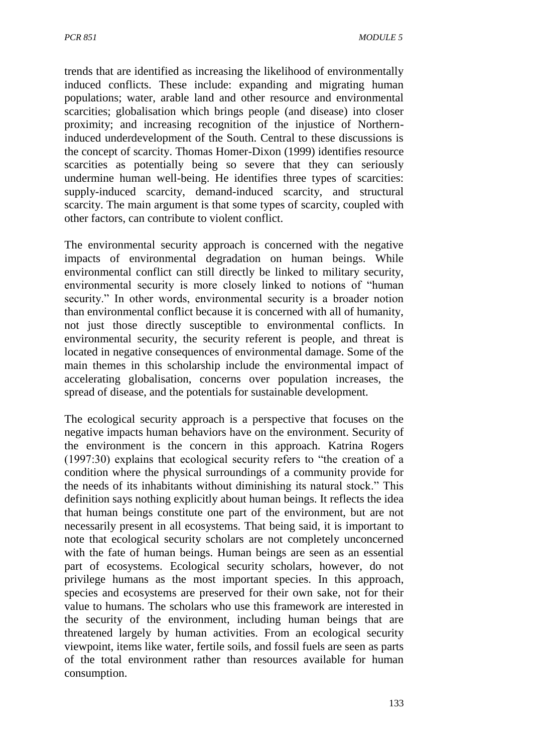trends that are identified as increasing the likelihood of environmentally induced conflicts. These include: expanding and migrating human populations; water, arable land and other resource and environmental scarcities; globalisation which brings people (and disease) into closer proximity; and increasing recognition of the injustice of Northerninduced underdevelopment of the South. Central to these discussions is the concept of scarcity. Thomas Homer-Dixon (1999) identifies resource scarcities as potentially being so severe that they can seriously undermine human well-being. He identifies three types of scarcities: supply-induced scarcity, demand-induced scarcity, and structural scarcity. The main argument is that some types of scarcity, coupled with other factors, can contribute to violent conflict.

The environmental security approach is concerned with the negative impacts of environmental degradation on human beings. While environmental conflict can still directly be linked to military security, environmental security is more closely linked to notions of "human security." In other words, environmental security is a broader notion than environmental conflict because it is concerned with all of humanity, not just those directly susceptible to environmental conflicts. In environmental security, the security referent is people, and threat is located in negative consequences of environmental damage. Some of the main themes in this scholarship include the environmental impact of accelerating globalisation, concerns over population increases, the spread of disease, and the potentials for sustainable development.

The ecological security approach is a perspective that focuses on the negative impacts human behaviors have on the environment. Security of the environment is the concern in this approach. Katrina Rogers (1997:30) explains that ecological security refers to "the creation of a condition where the physical surroundings of a community provide for the needs of its inhabitants without diminishing its natural stock." This definition says nothing explicitly about human beings. It reflects the idea that human beings constitute one part of the environment, but are not necessarily present in all ecosystems. That being said, it is important to note that ecological security scholars are not completely unconcerned with the fate of human beings. Human beings are seen as an essential part of ecosystems. Ecological security scholars, however, do not privilege humans as the most important species. In this approach, species and ecosystems are preserved for their own sake, not for their value to humans. The scholars who use this framework are interested in the security of the environment, including human beings that are threatened largely by human activities. From an ecological security viewpoint, items like water, fertile soils, and fossil fuels are seen as parts of the total environment rather than resources available for human consumption.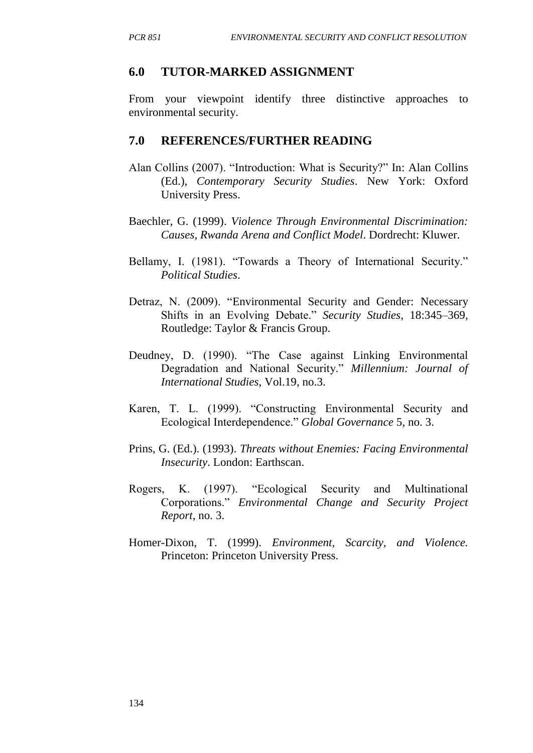### **6.0 TUTOR-MARKED ASSIGNMENT**

From your viewpoint identify three distinctive approaches to environmental security.

## **7.0 REFERENCES/FURTHER READING**

- Alan Collins (2007). "Introduction: What is Security?" In: Alan Collins (Ed.), *Contemporary Security Studies*. New York: Oxford University Press.
- Baechler, G. (1999). *Violence Through Environmental Discrimination: Causes, Rwanda Arena and Conflict Model*. Dordrecht: Kluwer.
- Bellamy, I. (1981). "Towards a Theory of International Security." *Political Studies*.
- Detraz, N. (2009). "Environmental Security and Gender: Necessary Shifts in an Evolving Debate." *Security Studies*, 18:345–369, Routledge: Taylor & Francis Group.
- Deudney, D. (1990). "The Case against Linking Environmental Degradation and National Security." *Millennium: Journal of International Studies*, Vol.19, no.3.
- Karen, T. L. (1999). "Constructing Environmental Security and Ecological Interdependence." *Global Governance* 5, no. 3.
- Prins, G. (Ed.). (1993). *Threats without Enemies: Facing Environmental Insecurity*. London: Earthscan.
- Rogers, K. (1997). "Ecological Security and Multinational Corporations." *Environmental Change and Security Project Report*, no. 3.
- Homer-Dixon, T. (1999). *Environment, Scarcity, and Violence.*  Princeton: Princeton University Press.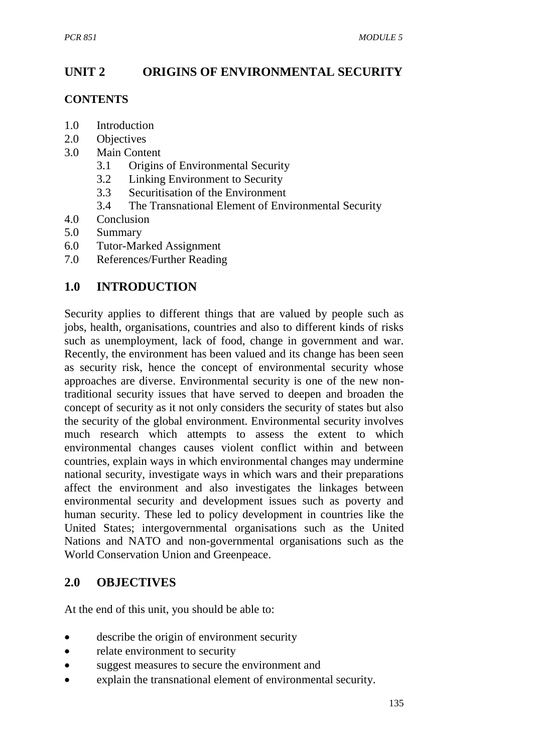# **UNIT 2 ORIGINS OF ENVIRONMENTAL SECURITY**

## **CONTENTS**

- 1.0 Introduction
- 2.0 Objectives
- 3.0 Main Content
	- 3.1 Origins of Environmental Security
	- 3.2 Linking Environment to Security
	- 3.3 Securitisation of the Environment
	- 3.4 The Transnational Element of Environmental Security
- 4.0 Conclusion
- 5.0 Summary
- 6.0 Tutor-Marked Assignment
- 7.0 References/Further Reading

# **1.0 INTRODUCTION**

Security applies to different things that are valued by people such as jobs, health, organisations, countries and also to different kinds of risks such as unemployment, lack of food, change in government and war. Recently, the environment has been valued and its change has been seen as security risk, hence the concept of environmental security whose approaches are diverse. Environmental security is one of the new nontraditional security issues that have served to deepen and broaden the concept of security as it not only considers the security of states but also the security of the global environment. Environmental security involves much research which attempts to assess the extent to which environmental changes causes violent conflict within and between countries, explain ways in which environmental changes may undermine national security, investigate ways in which wars and their preparations affect the environment and also investigates the linkages between environmental security and development issues such as poverty and human security. These led to policy development in countries like the United States; intergovernmental organisations such as the United Nations and NATO and non-governmental organisations such as the World Conservation Union and Greenpeace.

# **2.0 OBJECTIVES**

At the end of this unit, you should be able to:

- describe the origin of environment security
- relate environment to security
- suggest measures to secure the environment and
- explain the transnational element of environmental security.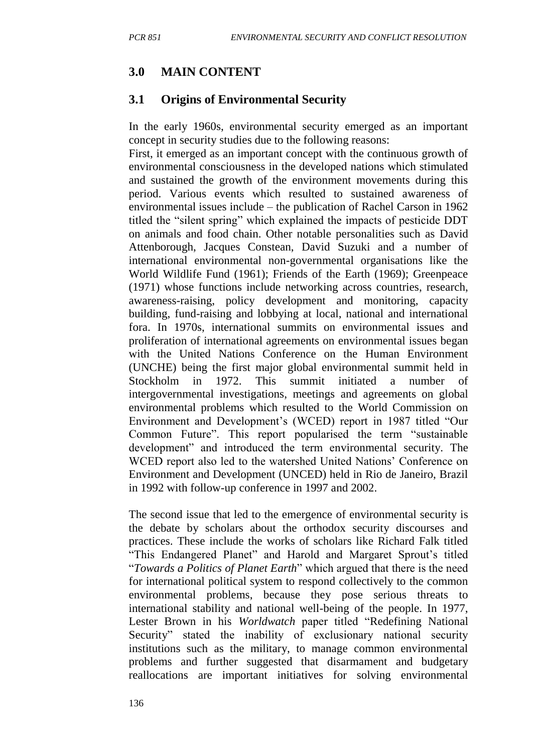# **3.0 MAIN CONTENT**

# **3.1 Origins of Environmental Security**

In the early 1960s, environmental security emerged as an important concept in security studies due to the following reasons:

First, it emerged as an important concept with the continuous growth of environmental consciousness in the developed nations which stimulated and sustained the growth of the environment movements during this period. Various events which resulted to sustained awareness of environmental issues include – the publication of Rachel Carson in 1962 titled the "silent spring" which explained the impacts of pesticide DDT on animals and food chain. Other notable personalities such as David Attenborough, Jacques Constean, David Suzuki and a number of international environmental non-governmental organisations like the World Wildlife Fund (1961); Friends of the Earth (1969); Greenpeace (1971) whose functions include networking across countries, research, awareness-raising, policy development and monitoring, capacity building, fund-raising and lobbying at local, national and international fora. In 1970s, international summits on environmental issues and proliferation of international agreements on environmental issues began with the United Nations Conference on the Human Environment (UNCHE) being the first major global environmental summit held in Stockholm in 1972. This summit initiated a number of intergovernmental investigations, meetings and agreements on global environmental problems which resulted to the World Commission on Environment and Development's (WCED) report in 1987 titled "Our Common Future". This report popularised the term "sustainable development" and introduced the term environmental security. The WCED report also led to the watershed United Nations' Conference on Environment and Development (UNCED) held in Rio de Janeiro, Brazil in 1992 with follow-up conference in 1997 and 2002.

The second issue that led to the emergence of environmental security is the debate by scholars about the orthodox security discourses and practices. These include the works of scholars like Richard Falk titled "This Endangered Planet" and Harold and Margaret Sprout's titled "*Towards a Politics of Planet Earth*" which argued that there is the need for international political system to respond collectively to the common environmental problems, because they pose serious threats to international stability and national well-being of the people. In 1977, Lester Brown in his *Worldwatch* paper titled "Redefining National Security" stated the inability of exclusionary national security institutions such as the military, to manage common environmental problems and further suggested that disarmament and budgetary reallocations are important initiatives for solving environmental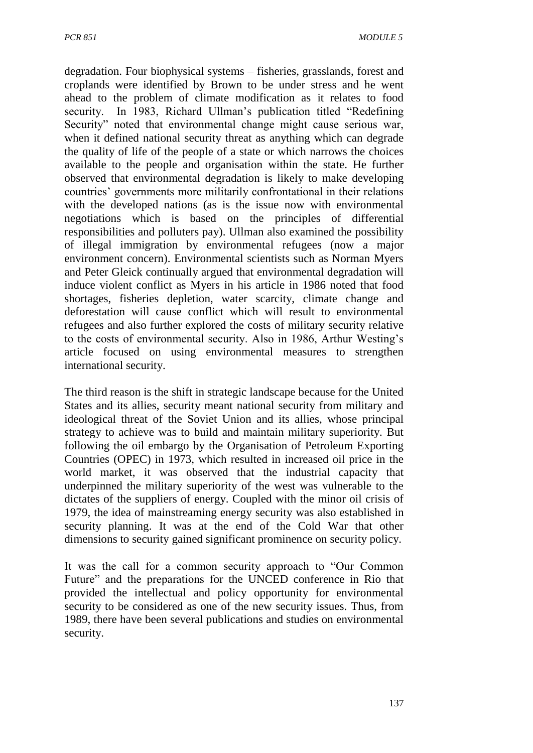degradation. Four biophysical systems – fisheries, grasslands, forest and croplands were identified by Brown to be under stress and he went ahead to the problem of climate modification as it relates to food security. In 1983, Richard Ullman's publication titled "Redefining Security" noted that environmental change might cause serious war, when it defined national security threat as anything which can degrade the quality of life of the people of a state or which narrows the choices available to the people and organisation within the state. He further observed that environmental degradation is likely to make developing countries' governments more militarily confrontational in their relations with the developed nations (as is the issue now with environmental negotiations which is based on the principles of differential responsibilities and polluters pay). Ullman also examined the possibility of illegal immigration by environmental refugees (now a major environment concern). Environmental scientists such as Norman Myers and Peter Gleick continually argued that environmental degradation will induce violent conflict as Myers in his article in 1986 noted that food shortages, fisheries depletion, water scarcity, climate change and deforestation will cause conflict which will result to environmental refugees and also further explored the costs of military security relative to the costs of environmental security. Also in 1986, Arthur Westing's article focused on using environmental measures to strengthen international security.

The third reason is the shift in strategic landscape because for the United States and its allies, security meant national security from military and ideological threat of the Soviet Union and its allies, whose principal strategy to achieve was to build and maintain military superiority. But following the oil embargo by the Organisation of Petroleum Exporting Countries (OPEC) in 1973, which resulted in increased oil price in the world market, it was observed that the industrial capacity that underpinned the military superiority of the west was vulnerable to the dictates of the suppliers of energy. Coupled with the minor oil crisis of 1979, the idea of mainstreaming energy security was also established in security planning. It was at the end of the Cold War that other dimensions to security gained significant prominence on security policy.

It was the call for a common security approach to "Our Common Future" and the preparations for the UNCED conference in Rio that provided the intellectual and policy opportunity for environmental security to be considered as one of the new security issues. Thus, from 1989, there have been several publications and studies on environmental security.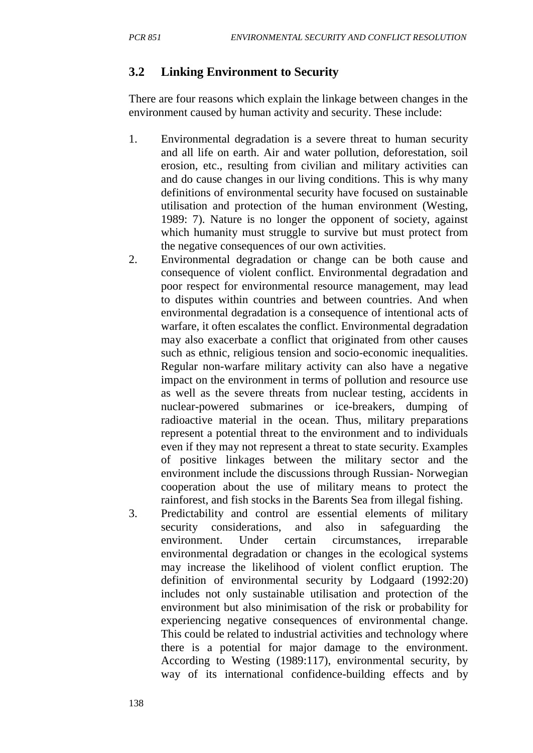# **3.2 Linking Environment to Security**

There are four reasons which explain the linkage between changes in the environment caused by human activity and security. These include:

- 1. Environmental degradation is a severe threat to human security and all life on earth. Air and water pollution, deforestation, soil erosion, etc., resulting from civilian and military activities can and do cause changes in our living conditions. This is why many definitions of environmental security have focused on sustainable utilisation and protection of the human environment (Westing, 1989: 7). Nature is no longer the opponent of society, against which humanity must struggle to survive but must protect from the negative consequences of our own activities.
- 2. Environmental degradation or change can be both cause and consequence of violent conflict. Environmental degradation and poor respect for environmental resource management, may lead to disputes within countries and between countries. And when environmental degradation is a consequence of intentional acts of warfare, it often escalates the conflict. Environmental degradation may also exacerbate a conflict that originated from other causes such as ethnic, religious tension and socio-economic inequalities. Regular non-warfare military activity can also have a negative impact on the environment in terms of pollution and resource use as well as the severe threats from nuclear testing, accidents in nuclear-powered submarines or ice-breakers, dumping of radioactive material in the ocean. Thus, military preparations represent a potential threat to the environment and to individuals even if they may not represent a threat to state security. Examples of positive linkages between the military sector and the environment include the discussions through Russian- Norwegian cooperation about the use of military means to protect the rainforest, and fish stocks in the Barents Sea from illegal fishing.
- 3. Predictability and control are essential elements of military security considerations, and also in safeguarding the environment. Under certain circumstances, irreparable environmental degradation or changes in the ecological systems may increase the likelihood of violent conflict eruption. The definition of environmental security by Lodgaard (1992:20) includes not only sustainable utilisation and protection of the environment but also minimisation of the risk or probability for experiencing negative consequences of environmental change. This could be related to industrial activities and technology where there is a potential for major damage to the environment. According to Westing (1989:117), environmental security, by way of its international confidence-building effects and by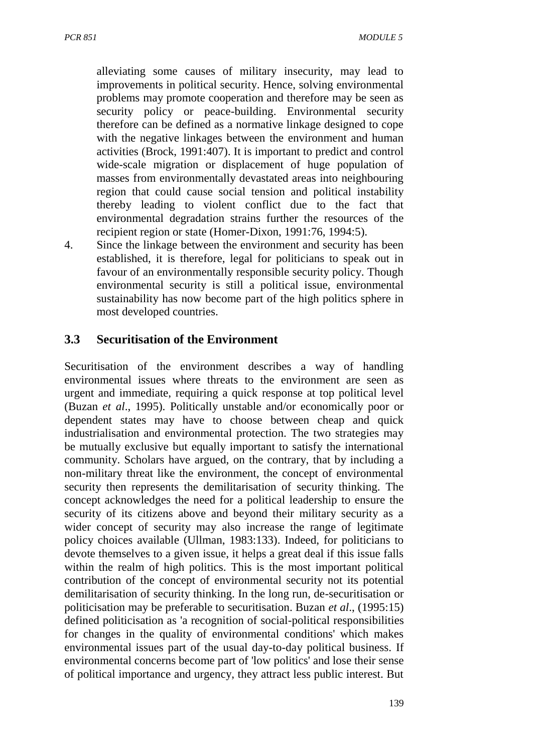alleviating some causes of military insecurity, may lead to improvements in political security. Hence, solving environmental problems may promote cooperation and therefore may be seen as security policy or peace-building. Environmental security therefore can be defined as a normative linkage designed to cope with the negative linkages between the environment and human activities (Brock, 1991:407). It is important to predict and control wide-scale migration or displacement of huge population of masses from environmentally devastated areas into neighbouring region that could cause social tension and political instability thereby leading to violent conflict due to the fact that environmental degradation strains further the resources of the recipient region or state (Homer-Dixon, 1991:76, 1994:5).

4. Since the linkage between the environment and security has been established, it is therefore, legal for politicians to speak out in favour of an environmentally responsible security policy. Though environmental security is still a political issue, environmental sustainability has now become part of the high politics sphere in most developed countries.

## **3.3 Securitisation of the Environment**

Securitisation of the environment describes a way of handling environmental issues where threats to the environment are seen as urgent and immediate, requiring a quick response at top political level (Buzan *et al*., 1995). Politically unstable and/or economically poor or dependent states may have to choose between cheap and quick industrialisation and environmental protection. The two strategies may be mutually exclusive but equally important to satisfy the international community. Scholars have argued, on the contrary, that by including a non-military threat like the environment, the concept of environmental security then represents the demilitarisation of security thinking. The concept acknowledges the need for a political leadership to ensure the security of its citizens above and beyond their military security as a wider concept of security may also increase the range of legitimate policy choices available (Ullman, 1983:133). Indeed, for politicians to devote themselves to a given issue, it helps a great deal if this issue falls within the realm of high politics. This is the most important political contribution of the concept of environmental security not its potential demilitarisation of security thinking. In the long run, de-securitisation or politicisation may be preferable to securitisation. Buzan *et al*., (1995:15) defined politicisation as 'a recognition of social-political responsibilities for changes in the quality of environmental conditions' which makes environmental issues part of the usual day-to-day political business. If environmental concerns become part of 'low politics' and lose their sense of political importance and urgency, they attract less public interest. But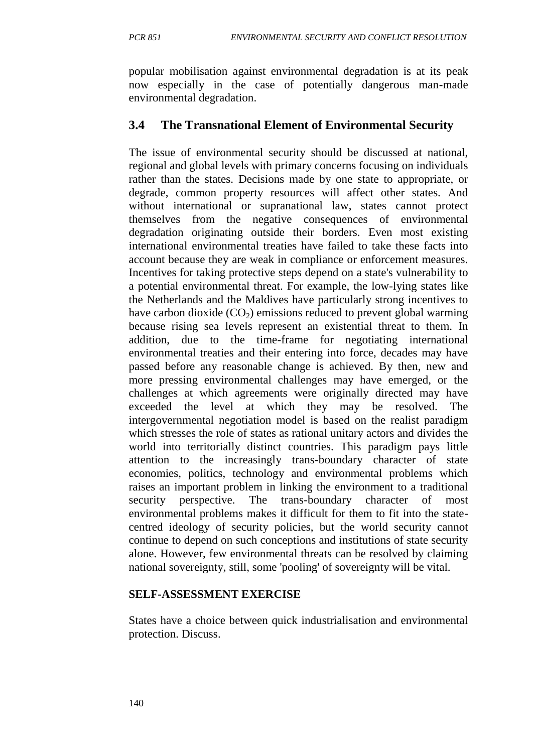popular mobilisation against environmental degradation is at its peak now especially in the case of potentially dangerous man-made environmental degradation.

## **3.4 The Transnational Element of Environmental Security**

The issue of environmental security should be discussed at national, regional and global levels with primary concerns focusing on individuals rather than the states. Decisions made by one state to appropriate, or degrade, common property resources will affect other states. And without international or supranational law, states cannot protect themselves from the negative consequences of environmental degradation originating outside their borders. Even most existing international environmental treaties have failed to take these facts into account because they are weak in compliance or enforcement measures. Incentives for taking protective steps depend on a state's vulnerability to a potential environmental threat. For example, the low-lying states like the Netherlands and the Maldives have particularly strong incentives to have carbon dioxide  $(CO<sub>2</sub>)$  emissions reduced to prevent global warming because rising sea levels represent an existential threat to them. In addition, due to the time-frame for negotiating international environmental treaties and their entering into force, decades may have passed before any reasonable change is achieved. By then, new and more pressing environmental challenges may have emerged, or the challenges at which agreements were originally directed may have exceeded the level at which they may be resolved. The intergovernmental negotiation model is based on the realist paradigm which stresses the role of states as rational unitary actors and divides the world into territorially distinct countries. This paradigm pays little attention to the increasingly trans-boundary character of state economies, politics, technology and environmental problems which raises an important problem in linking the environment to a traditional security perspective. The trans-boundary character of most environmental problems makes it difficult for them to fit into the statecentred ideology of security policies, but the world security cannot continue to depend on such conceptions and institutions of state security alone. However, few environmental threats can be resolved by claiming national sovereignty, still, some 'pooling' of sovereignty will be vital.

#### **SELF-ASSESSMENT EXERCISE**

States have a choice between quick industrialisation and environmental protection. Discuss.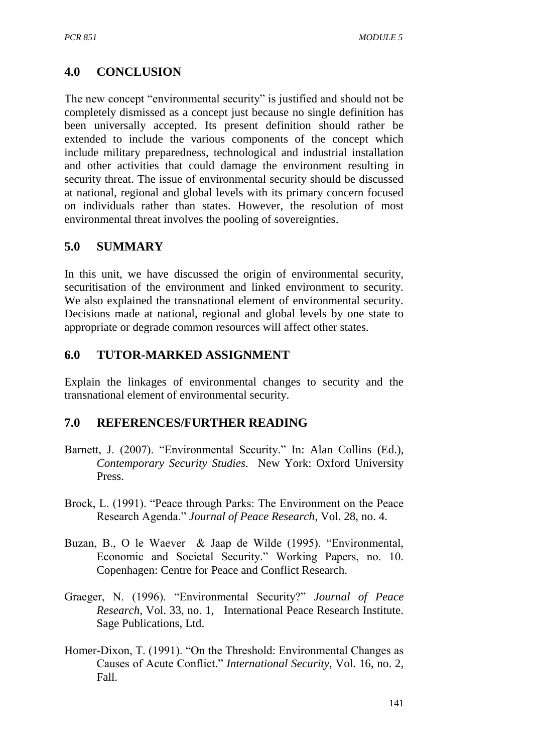# **4.0 CONCLUSION**

The new concept "environmental security" is justified and should not be completely dismissed as a concept just because no single definition has been universally accepted. Its present definition should rather be extended to include the various components of the concept which include military preparedness, technological and industrial installation and other activities that could damage the environment resulting in security threat. The issue of environmental security should be discussed at national, regional and global levels with its primary concern focused on individuals rather than states. However, the resolution of most environmental threat involves the pooling of sovereignties.

# **5.0 SUMMARY**

In this unit, we have discussed the origin of environmental security, securitisation of the environment and linked environment to security. We also explained the transnational element of environmental security. Decisions made at national, regional and global levels by one state to appropriate or degrade common resources will affect other states.

## **6.0 TUTOR-MARKED ASSIGNMENT**

Explain the linkages of environmental changes to security and the transnational element of environmental security.

## **7.0 REFERENCES/FURTHER READING**

- Barnett, J. (2007). "Environmental Security." In: Alan Collins (Ed.), *Contemporary Security Studies*. New York: Oxford University Press.
- Brock, L. (1991). "Peace through Parks: The Environment on the Peace Research Agenda." *Journal of Peace Research*, Vol. 28, no. 4.
- Buzan, B., O le Waever & Jaap de Wilde (1995). "Environmental, Economic and Societal Security." Working Papers, no. 10. Copenhagen: Centre for Peace and Conflict Research.
- Graeger, N. (1996). "Environmental Security?" *Journal of Peace Research*, Vol. 33, no. 1, International Peace Research Institute. Sage Publications, Ltd.
- Homer-Dixon, T. (1991). "On the Threshold: Environmental Changes as Causes of Acute Conflict." *International Security,* Vol. 16, no. 2, Fall.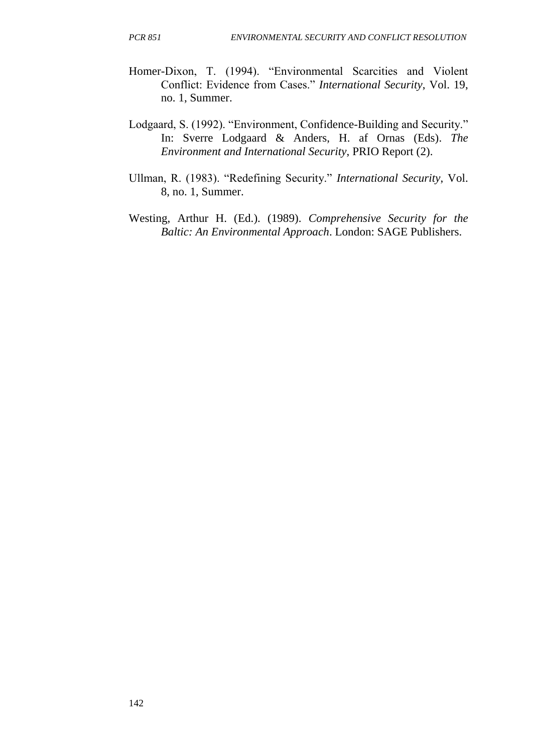- Homer-Dixon, T. (1994). "Environmental Scarcities and Violent Conflict: Evidence from Cases." *International Security*, Vol. 19, no. 1, Summer.
- Lodgaard, S. (1992). "Environment, Confidence-Building and Security." In: Sverre Lodgaard & Anders, H. af Ornas (Eds). *The Environment and International Security*, PRIO Report (2).
- Ullman, R. (1983). "Redefining Security." *International Security*, Vol. 8, no. 1, Summer.
- Westing, Arthur H. (Ed.). (1989). *Comprehensive Security for the Baltic: An Environmental Approach*. London: SAGE Publishers.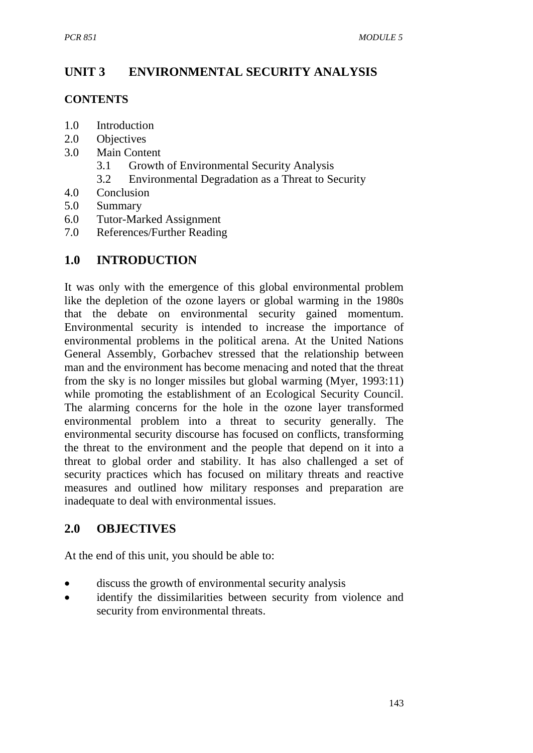# **UNIT 3 ENVIRONMENTAL SECURITY ANALYSIS**

#### **CONTENTS**

- 1.0 Introduction
- 2.0 Objectives
- 3.0 Main Content
	- 3.1 Growth of Environmental Security Analysis
	- 3.2 Environmental Degradation as a Threat to Security
- 4.0 Conclusion
- 5.0 Summary
- 6.0 Tutor-Marked Assignment
- 7.0 References/Further Reading

## **1.0 INTRODUCTION**

It was only with the emergence of this global environmental problem like the depletion of the ozone layers or global warming in the 1980s that the debate on environmental security gained momentum. Environmental security is intended to increase the importance of environmental problems in the political arena. At the United Nations General Assembly, Gorbachev stressed that the relationship between man and the environment has become menacing and noted that the threat from the sky is no longer missiles but global warming (Myer, 1993:11) while promoting the establishment of an Ecological Security Council. The alarming concerns for the hole in the ozone layer transformed environmental problem into a threat to security generally. The environmental security discourse has focused on conflicts, transforming the threat to the environment and the people that depend on it into a threat to global order and stability. It has also challenged a set of security practices which has focused on military threats and reactive measures and outlined how military responses and preparation are inadequate to deal with environmental issues.

## **2.0 OBJECTIVES**

At the end of this unit, you should be able to:

- discuss the growth of environmental security analysis
- identify the dissimilarities between security from violence and security from environmental threats.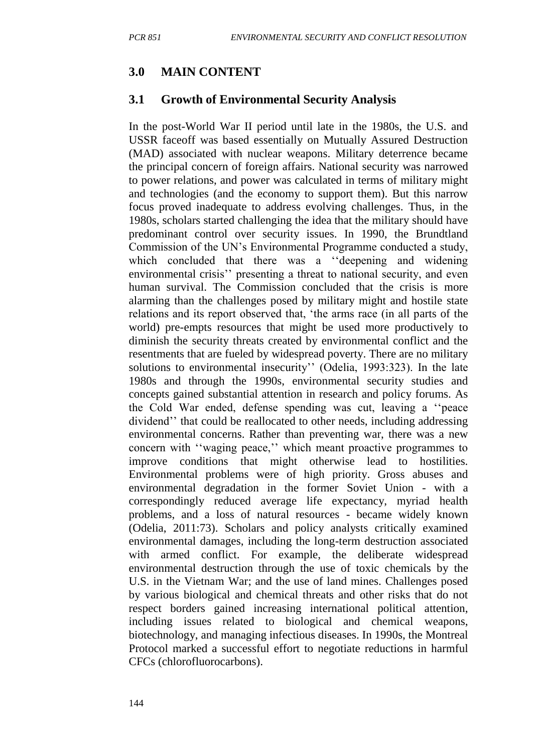## **3.0 MAIN CONTENT**

## **3.1 Growth of Environmental Security Analysis**

In the post-World War II period until late in the 1980s, the U.S. and USSR faceoff was based essentially on Mutually Assured Destruction (MAD) associated with nuclear weapons. Military deterrence became the principal concern of foreign affairs. National security was narrowed to power relations, and power was calculated in terms of military might and technologies (and the economy to support them). But this narrow focus proved inadequate to address evolving challenges. Thus, in the 1980s, scholars started challenging the idea that the military should have predominant control over security issues. In 1990, the Brundtland Commission of the UN's Environmental Programme conducted a study, which concluded that there was a "deepening and widening environmental crisis'' presenting a threat to national security, and even human survival. The Commission concluded that the crisis is more alarming than the challenges posed by military might and hostile state relations and its report observed that, 'the arms race (in all parts of the world) pre-empts resources that might be used more productively to diminish the security threats created by environmental conflict and the resentments that are fueled by widespread poverty. There are no military solutions to environmental insecurity'' (Odelia, 1993:323). In the late 1980s and through the 1990s, environmental security studies and concepts gained substantial attention in research and policy forums. As the Cold War ended, defense spending was cut, leaving a ''peace dividend'' that could be reallocated to other needs, including addressing environmental concerns. Rather than preventing war, there was a new concern with ''waging peace,'' which meant proactive programmes to improve conditions that might otherwise lead to hostilities. Environmental problems were of high priority. Gross abuses and environmental degradation in the former Soviet Union - with a correspondingly reduced average life expectancy, myriad health problems, and a loss of natural resources - became widely known (Odelia, 2011:73). Scholars and policy analysts critically examined environmental damages, including the long-term destruction associated with armed conflict. For example, the deliberate widespread environmental destruction through the use of toxic chemicals by the U.S. in the Vietnam War; and the use of land mines. Challenges posed by various biological and chemical threats and other risks that do not respect borders gained increasing international political attention, including issues related to biological and chemical weapons, biotechnology, and managing infectious diseases. In 1990s, the Montreal Protocol marked a successful effort to negotiate reductions in harmful CFCs (chlorofluorocarbons).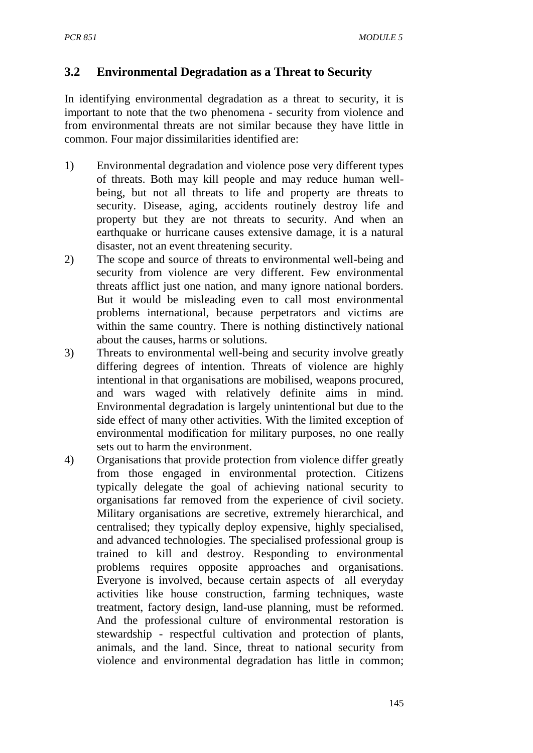## **3.2 Environmental Degradation as a Threat to Security**

In identifying environmental degradation as a threat to security, it is important to note that the two phenomena - security from violence and from environmental threats are not similar because they have little in common. Four major dissimilarities identified are:

- 1) Environmental degradation and violence pose very different types of threats. Both may kill people and may reduce human wellbeing, but not all threats to life and property are threats to security. Disease, aging, accidents routinely destroy life and property but they are not threats to security. And when an earthquake or hurricane causes extensive damage, it is a natural disaster, not an event threatening security.
- 2) The scope and source of threats to environmental well-being and security from violence are very different. Few environmental threats afflict just one nation, and many ignore national borders. But it would be misleading even to call most environmental problems international, because perpetrators and victims are within the same country. There is nothing distinctively national about the causes, harms or solutions.
- 3) Threats to environmental well-being and security involve greatly differing degrees of intention. Threats of violence are highly intentional in that organisations are mobilised, weapons procured, and wars waged with relatively definite aims in mind. Environmental degradation is largely unintentional but due to the side effect of many other activities. With the limited exception of environmental modification for military purposes, no one really sets out to harm the environment.
- 4) Organisations that provide protection from violence differ greatly from those engaged in environmental protection. Citizens typically delegate the goal of achieving national security to organisations far removed from the experience of civil society. Military organisations are secretive, extremely hierarchical, and centralised; they typically deploy expensive, highly specialised, and advanced technologies. The specialised professional group is trained to kill and destroy. Responding to environmental problems requires opposite approaches and organisations. Everyone is involved, because certain aspects of all everyday activities like house construction, farming techniques, waste treatment, factory design, land-use planning, must be reformed. And the professional culture of environmental restoration is stewardship - respectful cultivation and protection of plants, animals, and the land. Since, threat to national security from violence and environmental degradation has little in common;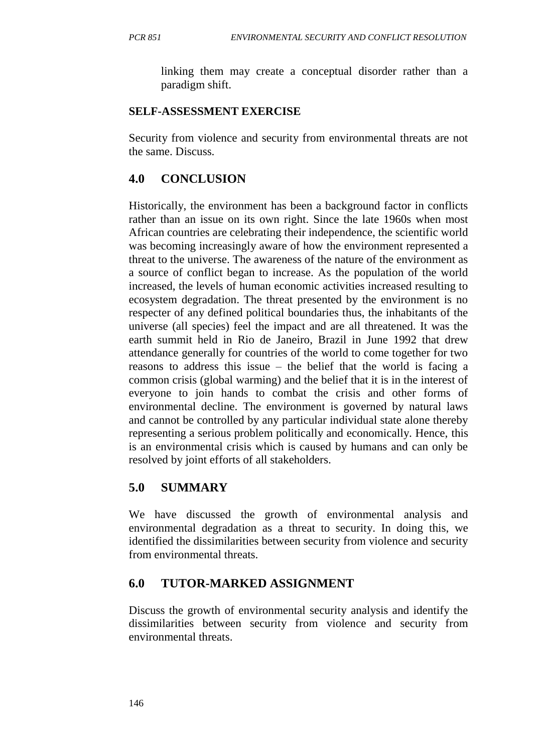linking them may create a conceptual disorder rather than a paradigm shift.

## **SELF-ASSESSMENT EXERCISE**

Security from violence and security from environmental threats are not the same. Discuss.

# **4.0 CONCLUSION**

Historically, the environment has been a background factor in conflicts rather than an issue on its own right. Since the late 1960s when most African countries are celebrating their independence, the scientific world was becoming increasingly aware of how the environment represented a threat to the universe. The awareness of the nature of the environment as a source of conflict began to increase. As the population of the world increased, the levels of human economic activities increased resulting to ecosystem degradation. The threat presented by the environment is no respecter of any defined political boundaries thus, the inhabitants of the universe (all species) feel the impact and are all threatened. It was the earth summit held in Rio de Janeiro, Brazil in June 1992 that drew attendance generally for countries of the world to come together for two reasons to address this issue – the belief that the world is facing a common crisis (global warming) and the belief that it is in the interest of everyone to join hands to combat the crisis and other forms of environmental decline. The environment is governed by natural laws and cannot be controlled by any particular individual state alone thereby representing a serious problem politically and economically. Hence, this is an environmental crisis which is caused by humans and can only be resolved by joint efforts of all stakeholders.

# **5.0 SUMMARY**

We have discussed the growth of environmental analysis and environmental degradation as a threat to security. In doing this, we identified the dissimilarities between security from violence and security from environmental threats.

## **6.0 TUTOR-MARKED ASSIGNMENT**

Discuss the growth of environmental security analysis and identify the dissimilarities between security from violence and security from environmental threats.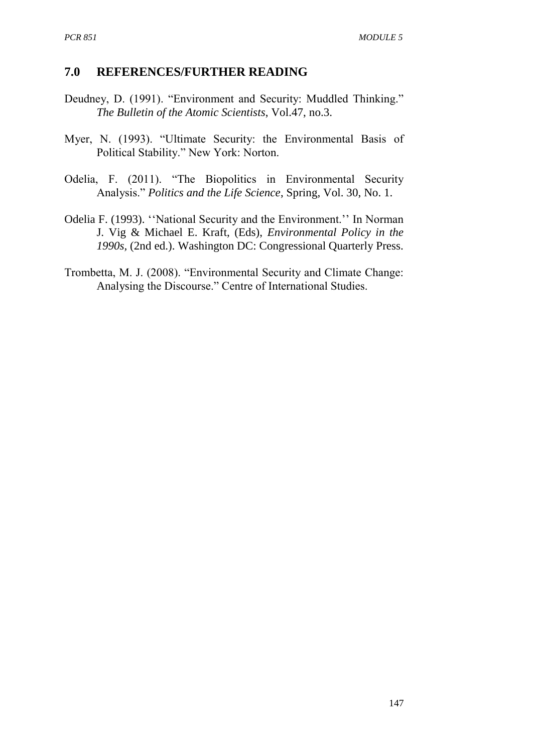#### **7.0 REFERENCES/FURTHER READING**

- Deudney, D. (1991). "Environment and Security: Muddled Thinking." *The Bulletin of the Atomic Scientists*, Vol.47, no.3.
- Myer, N. (1993). "Ultimate Security: the Environmental Basis of Political Stability." New York: Norton.
- Odelia, F. (2011). "The Biopolitics in Environmental Security Analysis." *Politics and the Life Science*, Spring, Vol. 30, No. 1.
- Odelia F. (1993). ''National Security and the Environment.'' In Norman J. Vig & Michael E. Kraft, (Eds), *Environmental Policy in the 1990s,* (2nd ed.). Washington DC: Congressional Quarterly Press.
- Trombetta, M. J. (2008). "Environmental Security and Climate Change: Analysing the Discourse." Centre of International Studies.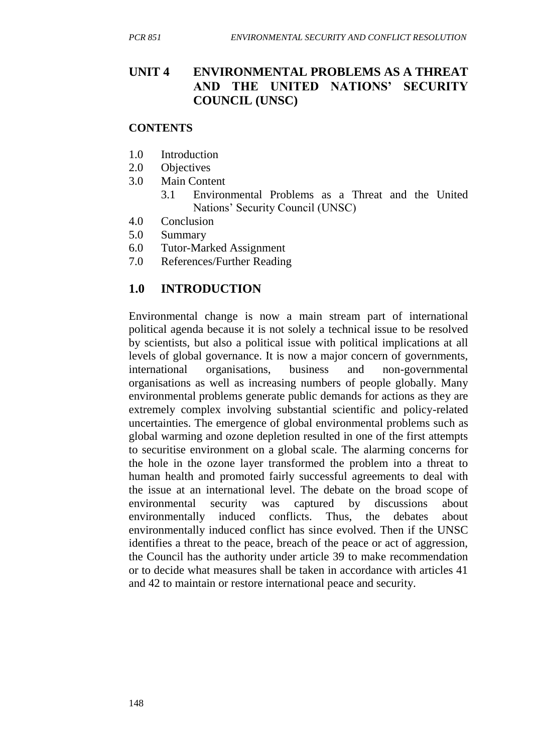## **UNIT 4 ENVIRONMENTAL PROBLEMS AS A THREAT AND THE UNITED NATIONS' SECURITY COUNCIL (UNSC)**

#### **CONTENTS**

- 1.0 Introduction
- 2.0 Objectives
- 3.0 Main Content
	- 3.1 Environmental Problems as a Threat and the United Nations' Security Council (UNSC)
- 4.0 Conclusion
- 5.0 Summary
- 6.0 Tutor-Marked Assignment
- 7.0 References/Further Reading

# **1.0 INTRODUCTION**

Environmental change is now a main stream part of international political agenda because it is not solely a technical issue to be resolved by scientists, but also a political issue with political implications at all levels of global governance. It is now a major concern of governments, international organisations, business and non-governmental organisations as well as increasing numbers of people globally. Many environmental problems generate public demands for actions as they are extremely complex involving substantial scientific and policy-related uncertainties. The emergence of global environmental problems such as global warming and ozone depletion resulted in one of the first attempts to securitise environment on a global scale. The alarming concerns for the hole in the ozone layer transformed the problem into a threat to human health and promoted fairly successful agreements to deal with the issue at an international level. The debate on the broad scope of environmental security was captured by discussions about environmentally induced conflicts. Thus, the debates about environmentally induced conflict has since evolved. Then if the UNSC identifies a threat to the peace, breach of the peace or act of aggression, the Council has the authority under article 39 to make recommendation or to decide what measures shall be taken in accordance with articles 41 and 42 to maintain or restore international peace and security.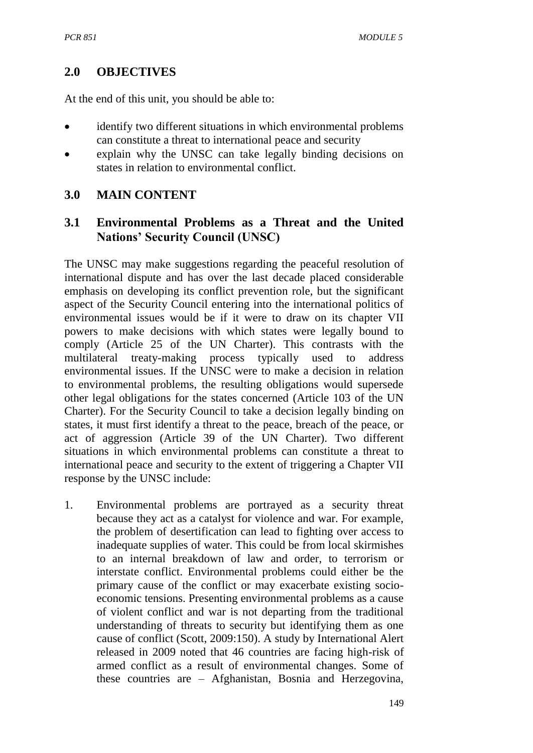## **2.0 OBJECTIVES**

At the end of this unit, you should be able to:

- identify two different situations in which environmental problems can constitute a threat to international peace and security
- explain why the UNSC can take legally binding decisions on states in relation to environmental conflict.

## **3.0 MAIN CONTENT**

## **3.1 Environmental Problems as a Threat and the United Nations' Security Council (UNSC)**

The UNSC may make suggestions regarding the peaceful resolution of international dispute and has over the last decade placed considerable emphasis on developing its conflict prevention role, but the significant aspect of the Security Council entering into the international politics of environmental issues would be if it were to draw on its chapter VII powers to make decisions with which states were legally bound to comply (Article 25 of the UN Charter). This contrasts with the multilateral treaty-making process typically used to address environmental issues. If the UNSC were to make a decision in relation to environmental problems, the resulting obligations would supersede other legal obligations for the states concerned (Article 103 of the UN Charter). For the Security Council to take a decision legally binding on states, it must first identify a threat to the peace, breach of the peace, or act of aggression (Article 39 of the UN Charter). Two different situations in which environmental problems can constitute a threat to international peace and security to the extent of triggering a Chapter VII response by the UNSC include:

1. Environmental problems are portrayed as a security threat because they act as a catalyst for violence and war. For example, the problem of desertification can lead to fighting over access to inadequate supplies of water. This could be from local skirmishes to an internal breakdown of law and order, to terrorism or interstate conflict. Environmental problems could either be the primary cause of the conflict or may exacerbate existing socioeconomic tensions. Presenting environmental problems as a cause of violent conflict and war is not departing from the traditional understanding of threats to security but identifying them as one cause of conflict (Scott, 2009:150). A study by International Alert released in 2009 noted that 46 countries are facing high-risk of armed conflict as a result of environmental changes. Some of these countries are – Afghanistan, Bosnia and Herzegovina,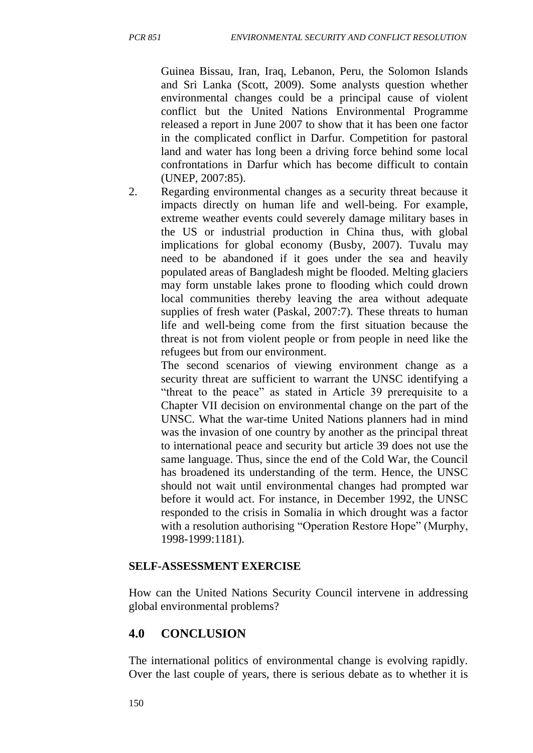Guinea Bissau, Iran, Iraq, Lebanon, Peru, the Solomon Islands and Sri Lanka (Scott, 2009). Some analysts question whether environmental changes could be a principal cause of violent conflict but the United Nations Environmental Programme released a report in June 2007 to show that it has been one factor in the complicated conflict in Darfur. Competition for pastoral land and water has long been a driving force behind some local confrontations in Darfur which has become difficult to contain (UNEP, 2007:85).

2. Regarding environmental changes as a security threat because it impacts directly on human life and well-being. For example, extreme weather events could severely damage military bases in the US or industrial production in China thus, with global implications for global economy (Busby, 2007). Tuvalu may need to be abandoned if it goes under the sea and heavily populated areas of Bangladesh might be flooded. Melting glaciers may form unstable lakes prone to flooding which could drown local communities thereby leaving the area without adequate supplies of fresh water (Paskal, 2007:7). These threats to human life and well-being come from the first situation because the threat is not from violent people or from people in need like the refugees but from our environment.

The second scenarios of viewing environment change as a security threat are sufficient to warrant the UNSC identifying a "threat to the peace" as stated in Article 39 prerequisite to a Chapter VII decision on environmental change on the part of the UNSC. What the war-time United Nations planners had in mind was the invasion of one country by another as the principal threat to international peace and security but article 39 does not use the same language. Thus, since the end of the Cold War, the Council has broadened its understanding of the term. Hence, the UNSC should not wait until environmental changes had prompted war before it would act. For instance, in December 1992, the UNSC responded to the crisis in Somalia in which drought was a factor with a resolution authorising "Operation Restore Hope" (Murphy, 1998-1999:1181).

#### **SELF-ASSESSMENT EXERCISE**

How can the United Nations Security Council intervene in addressing global environmental problems?

# **4.0 CONCLUSION**

The international politics of environmental change is evolving rapidly. Over the last couple of years, there is serious debate as to whether it is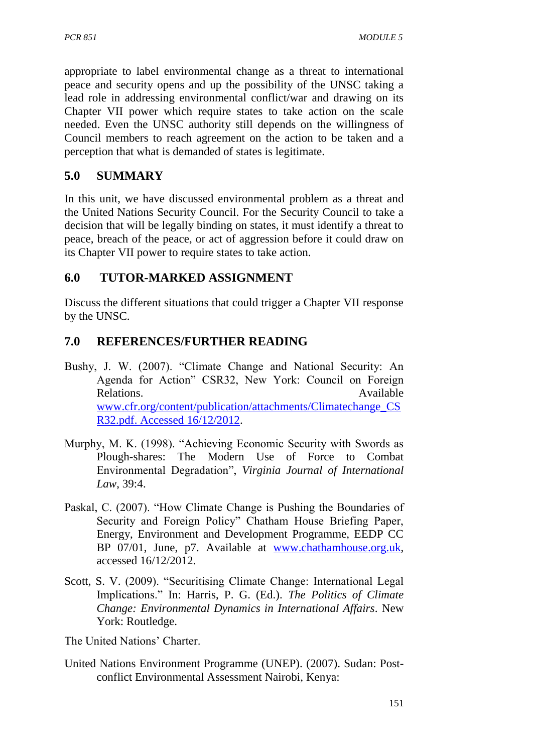appropriate to label environmental change as a threat to international peace and security opens and up the possibility of the UNSC taking a lead role in addressing environmental conflict/war and drawing on its Chapter VII power which require states to take action on the scale needed. Even the UNSC authority still depends on the willingness of Council members to reach agreement on the action to be taken and a perception that what is demanded of states is legitimate.

# **5.0 SUMMARY**

In this unit, we have discussed environmental problem as a threat and the United Nations Security Council. For the Security Council to take a decision that will be legally binding on states, it must identify a threat to peace, breach of the peace, or act of aggression before it could draw on its Chapter VII power to require states to take action.

# **6.0 TUTOR-MARKED ASSIGNMENT**

Discuss the different situations that could trigger a Chapter VII response by the UNSC.

# **7.0 REFERENCES/FURTHER READING**

- Bushy, J. W. (2007). "Climate Change and National Security: An Agenda for Action" CSR32, New York: Council on Foreign Relations. Available Available [www.cfr.org/content/publication/attachments/Climatechange\\_CS](http://www.cfr.org/content/publication/attachments/Climatechange_CSR32.pdf.%20Accessed%2016/12/2012) [R32.pdf. Accessed 16/12/2012.](http://www.cfr.org/content/publication/attachments/Climatechange_CSR32.pdf.%20Accessed%2016/12/2012)
- Murphy, M. K. (1998). "Achieving Economic Security with Swords as Plough-shares: The Modern Use of Force to Combat Environmental Degradation", *Virginia Journal of International Law*, 39:4.
- Paskal, C. (2007). "How Climate Change is Pushing the Boundaries of Security and Foreign Policy" Chatham House Briefing Paper, Energy, Environment and Development Programme, EEDP CC BP 07/01, June, p7. Available at www.chathamhouse.org.uk. accessed 16/12/2012.
- Scott, S. V. (2009). "Securitising Climate Change: International Legal Implications." In: Harris, P. G. (Ed.). *The Politics of Climate Change: Environmental Dynamics in International Affairs*. New York: Routledge.

The United Nations' Charter.

United Nations Environment Programme (UNEP). (2007). Sudan: Postconflict Environmental Assessment Nairobi, Kenya: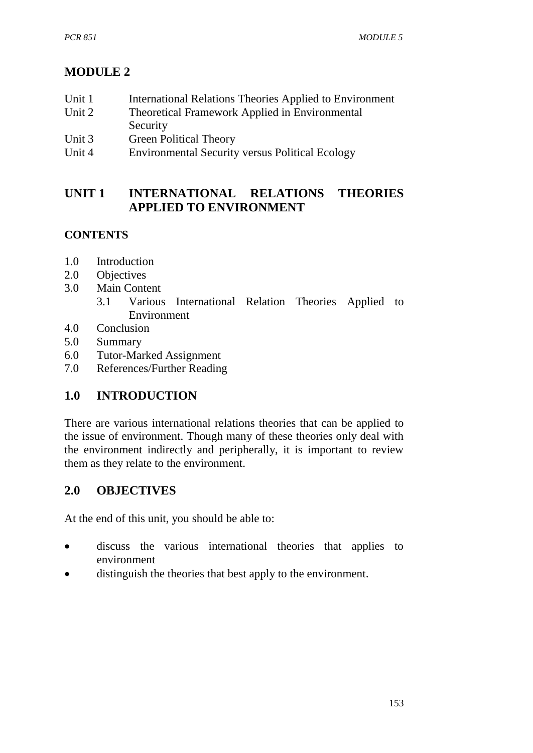# **MODULE 2**

| Unit 1           | International Relations Theories Applied to Environment                               |
|------------------|---------------------------------------------------------------------------------------|
| Unit 2           | Theoretical Framework Applied in Environmental                                        |
|                  | Security                                                                              |
| $T_{\text{max}}$ | $C_{\text{mean}}$ $\text{D}$ $\text{Li}$ $\text{D}$ $\text{Li}$ $\text{D}$ $\text{D}$ |

- Unit 3 Green Political Theory
- Unit 4 Environmental Security versus Political Ecology

# **UNIT 1 INTERNATIONAL RELATIONS THEORIES APPLIED TO ENVIRONMENT**

# **CONTENTS**

- 1.0 Introduction
- 2.0 Objectives
- 3.0 Main Content
	- 3.1 Various International Relation Theories Applied to Environment
- 4.0 Conclusion
- 5.0 Summary
- 6.0 Tutor-Marked Assignment
- 7.0 References/Further Reading

# **1.0 INTRODUCTION**

There are various international relations theories that can be applied to the issue of environment. Though many of these theories only deal with the environment indirectly and peripherally, it is important to review them as they relate to the environment.

# **2.0 OBJECTIVES**

At the end of this unit, you should be able to:

- discuss the various international theories that applies to environment
- distinguish the theories that best apply to the environment.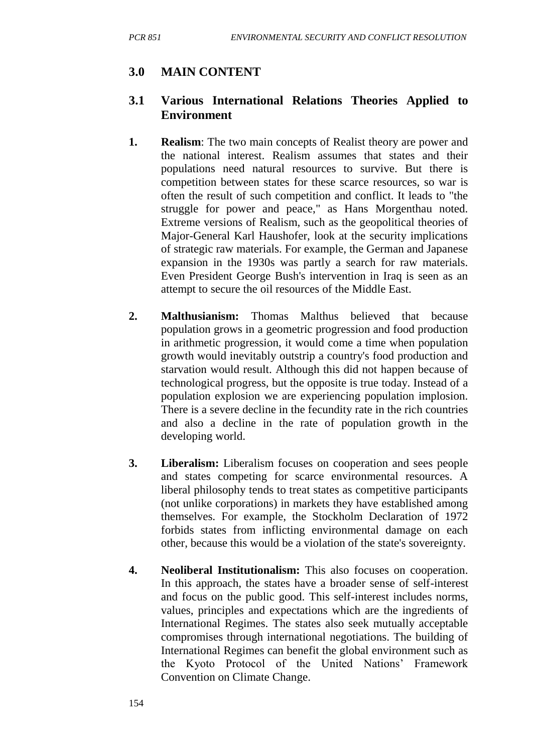# **3.0 MAIN CONTENT**

### **3.1 Various International Relations Theories Applied to Environment**

- **1. Realism**: The two main concepts of Realist theory are power and the national interest. Realism assumes that states and their populations need natural resources to survive. But there is competition between states for these scarce resources, so war is often the result of such competition and conflict. It leads to "the struggle for power and peace," as Hans Morgenthau noted. Extreme versions of Realism, such as the geopolitical theories of Major-General Karl Haushofer, look at the security implications of strategic raw materials. For example, the German and Japanese expansion in the 1930s was partly a search for raw materials. Even President George Bush's intervention in Iraq is seen as an attempt to secure the oil resources of the Middle East.
- **2. Malthusianism:** Thomas Malthus believed that because population grows in a geometric progression and food production in arithmetic progression, it would come a time when population growth would inevitably outstrip a country's food production and starvation would result. Although this did not happen because of technological progress, but the opposite is true today. Instead of a population explosion we are experiencing population implosion. There is a severe decline in the fecundity rate in the rich countries and also a decline in the rate of population growth in the developing world.
- **3. Liberalism:** Liberalism focuses on cooperation and sees people and states competing for scarce environmental resources. A liberal philosophy tends to treat states as competitive participants (not unlike corporations) in markets they have established among themselves. For example, the Stockholm Declaration of 1972 forbids states from inflicting environmental damage on each other, because this would be a violation of the state's sovereignty.
- **4. Neoliberal Institutionalism:** This also focuses on cooperation. In this approach, the states have a broader sense of self-interest and focus on the public good. This self-interest includes norms, values, principles and expectations which are the ingredients of International Regimes. The states also seek mutually acceptable compromises through international negotiations. The building of International Regimes can benefit the global environment such as the Kyoto Protocol of the United Nations' Framework Convention on Climate Change.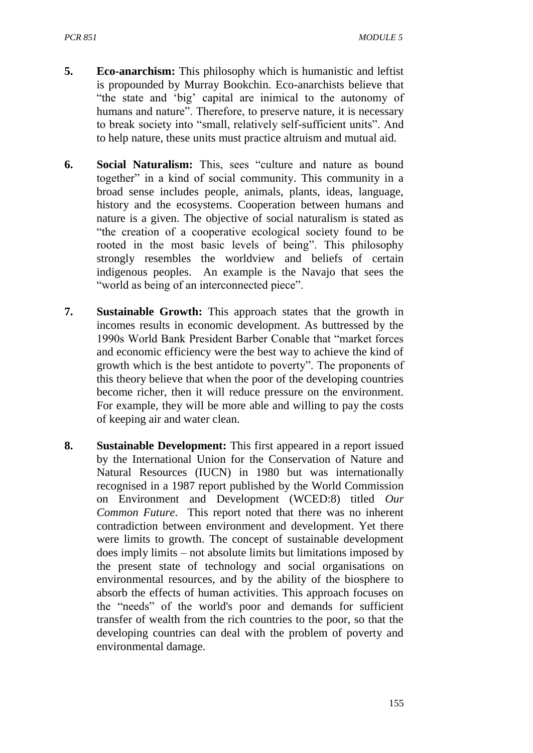- **5. Eco-anarchism:** This philosophy which is humanistic and leftist is propounded by Murray Bookchin. Eco-anarchists believe that "the state and 'big' capital are inimical to the autonomy of humans and nature". Therefore, to preserve nature, it is necessary to break society into "small, relatively self-sufficient units". And to help nature, these units must practice altruism and mutual aid.
- **6. Social Naturalism:** This, sees "culture and nature as bound together" in a kind of social community. This community in a broad sense includes people, animals, plants, ideas, language, history and the ecosystems. Cooperation between humans and nature is a given. The objective of social naturalism is stated as "the creation of a cooperative ecological society found to be rooted in the most basic levels of being". This philosophy strongly resembles the worldview and beliefs of certain indigenous peoples. An example is the Navajo that sees the "world as being of an interconnected piece".
- **7. Sustainable Growth:** This approach states that the growth in incomes results in economic development. As buttressed by the 1990s World Bank President Barber Conable that "market forces and economic efficiency were the best way to achieve the kind of growth which is the best antidote to poverty". The proponents of this theory believe that when the poor of the developing countries become richer, then it will reduce pressure on the environment. For example, they will be more able and willing to pay the costs of keeping air and water clean.
- **8. Sustainable Development:** This first appeared in a report issued by the International Union for the Conservation of Nature and Natural Resources (IUCN) in 1980 but was internationally recognised in a 1987 report published by the World Commission on Environment and Development (WCED:8) titled *Our Common Future*. This report noted that there was no inherent contradiction between environment and development. Yet there were limits to growth. The concept of sustainable development does imply limits – not absolute limits but limitations imposed by the present state of technology and social organisations on environmental resources, and by the ability of the biosphere to absorb the effects of human activities. This approach focuses on the "needs" of the world's poor and demands for sufficient transfer of wealth from the rich countries to the poor, so that the developing countries can deal with the problem of poverty and environmental damage.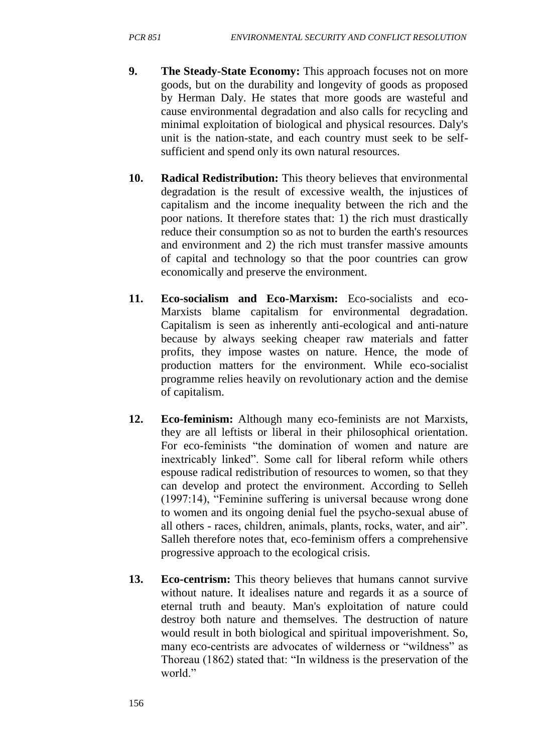- **9. The Steady-State Economy:** This approach focuses not on more goods, but on the durability and longevity of goods as proposed by Herman Daly. He states that more goods are wasteful and cause environmental degradation and also calls for recycling and minimal exploitation of biological and physical resources. Daly's unit is the nation-state, and each country must seek to be selfsufficient and spend only its own natural resources.
- **10. Radical Redistribution:** This theory believes that environmental degradation is the result of excessive wealth, the injustices of capitalism and the income inequality between the rich and the poor nations. It therefore states that: 1) the rich must drastically reduce their consumption so as not to burden the earth's resources and environment and 2) the rich must transfer massive amounts of capital and technology so that the poor countries can grow economically and preserve the environment.
- **11. Eco-socialism and Eco-Marxism:** Eco-socialists and eco-Marxists blame capitalism for environmental degradation. Capitalism is seen as inherently anti-ecological and anti-nature because by always seeking cheaper raw materials and fatter profits, they impose wastes on nature. Hence, the mode of production matters for the environment. While eco-socialist programme relies heavily on revolutionary action and the demise of capitalism.
- **12. Eco-feminism:** Although many eco-feminists are not Marxists, they are all leftists or liberal in their philosophical orientation. For eco-feminists "the domination of women and nature are inextricably linked". Some call for liberal reform while others espouse radical redistribution of resources to women, so that they can develop and protect the environment. According to Selleh (1997:14), "Feminine suffering is universal because wrong done to women and its ongoing denial fuel the psycho-sexual abuse of all others - races, children, animals, plants, rocks, water, and air". Salleh therefore notes that, eco-feminism offers a comprehensive progressive approach to the ecological crisis.
- **13. Eco-centrism:** This theory believes that humans cannot survive without nature. It idealises nature and regards it as a source of eternal truth and beauty. Man's exploitation of nature could destroy both nature and themselves. The destruction of nature would result in both biological and spiritual impoverishment. So, many eco-centrists are advocates of wilderness or "wildness" as Thoreau (1862) stated that: "In wildness is the preservation of the world"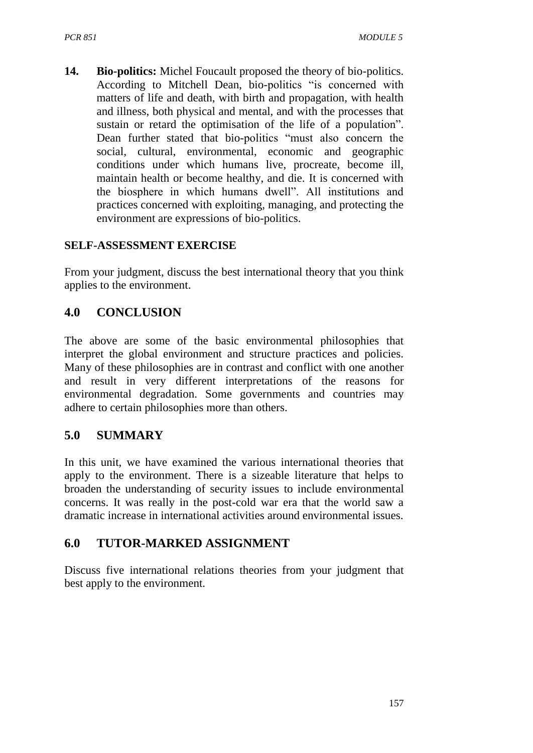**14. Bio-politics:** Michel Foucault proposed the theory of bio-politics. According to Mitchell Dean, bio-politics "is concerned with matters of life and death, with birth and propagation, with health and illness, both physical and mental, and with the processes that sustain or retard the optimisation of the life of a population". Dean further stated that bio-politics "must also concern the social, cultural, environmental, economic and geographic conditions under which humans live, procreate, become ill, maintain health or become healthy, and die. It is concerned with the biosphere in which humans dwell". All institutions and practices concerned with exploiting, managing, and protecting the environment are expressions of bio-politics.

#### **SELF-ASSESSMENT EXERCISE**

From your judgment, discuss the best international theory that you think applies to the environment.

### **4.0 CONCLUSION**

The above are some of the basic environmental philosophies that interpret the global environment and structure practices and policies. Many of these philosophies are in contrast and conflict with one another and result in very different interpretations of the reasons for environmental degradation. Some governments and countries may adhere to certain philosophies more than others.

### **5.0 SUMMARY**

In this unit, we have examined the various international theories that apply to the environment. There is a sizeable literature that helps to broaden the understanding of security issues to include environmental concerns. It was really in the post-cold war era that the world saw a dramatic increase in international activities around environmental issues.

### **6.0 TUTOR-MARKED ASSIGNMENT**

Discuss five international relations theories from your judgment that best apply to the environment.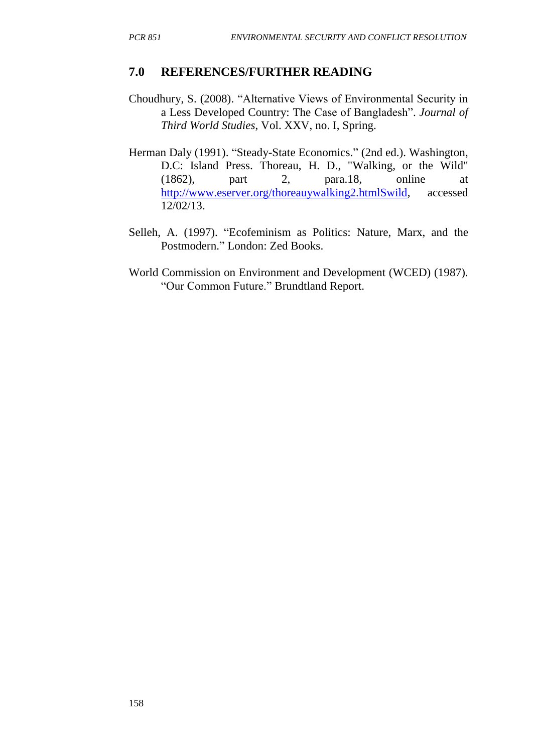#### **7.0 REFERENCES/FURTHER READING**

- Choudhury, S. (2008). "Alternative Views of Environmental Security in a Less Developed Country: The Case of Bangladesh". *Journal of Third World Studies*, Vol. XXV, no. I, Spring.
- Herman Daly (1991). "Steady-State Economics." (2nd ed.). Washington, D.C: Island Press. Thoreau, H. D., "Walking, or the Wild" (1862), part 2, para.18, online at [http://www.eserver.org/thoreauywalking2.htmlSwild,](http://www.eserver.org/thoreauywalking2.htmlSwild) accessed 12/02/13.
- Selleh, A. (1997). "Ecofeminism as Politics: Nature, Marx, and the Postmodern." London: Zed Books.
- World Commission on Environment and Development (WCED) (1987). "Our Common Future." Brundtland Report.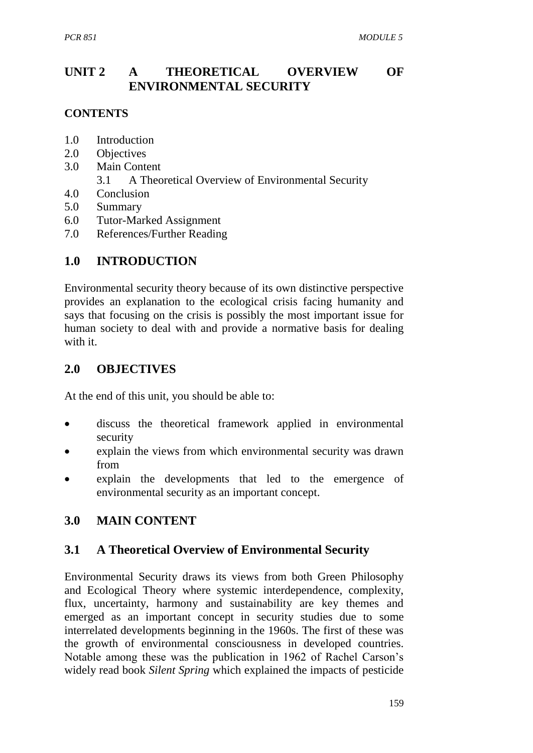## **UNIT 2 A THEORETICAL OVERVIEW OF ENVIRONMENTAL SECURITY**

#### **CONTENTS**

- 1.0 Introduction
- 2.0 Objectives
- 3.0 Main Content
	- 3.1 A Theoretical Overview of Environmental Security
- 4.0 Conclusion
- 5.0 Summary
- 6.0 Tutor-Marked Assignment
- 7.0 References/Further Reading

## **1.0 INTRODUCTION**

Environmental security theory because of its own distinctive perspective provides an explanation to the ecological crisis facing humanity and says that focusing on the crisis is possibly the most important issue for human society to deal with and provide a normative basis for dealing with it.

### **2.0 OBJECTIVES**

At the end of this unit, you should be able to:

- discuss the theoretical framework applied in environmental security
- explain the views from which environmental security was drawn from
- explain the developments that led to the emergence of environmental security as an important concept.

# **3.0 MAIN CONTENT**

### **3.1 A Theoretical Overview of Environmental Security**

Environmental Security draws its views from both Green Philosophy and Ecological Theory where systemic interdependence, complexity, flux, uncertainty, harmony and sustainability are key themes and emerged as an important concept in security studies due to some interrelated developments beginning in the 1960s. The first of these was the growth of environmental consciousness in developed countries. Notable among these was the publication in 1962 of Rachel Carson's widely read book *Silent Spring* which explained the impacts of pesticide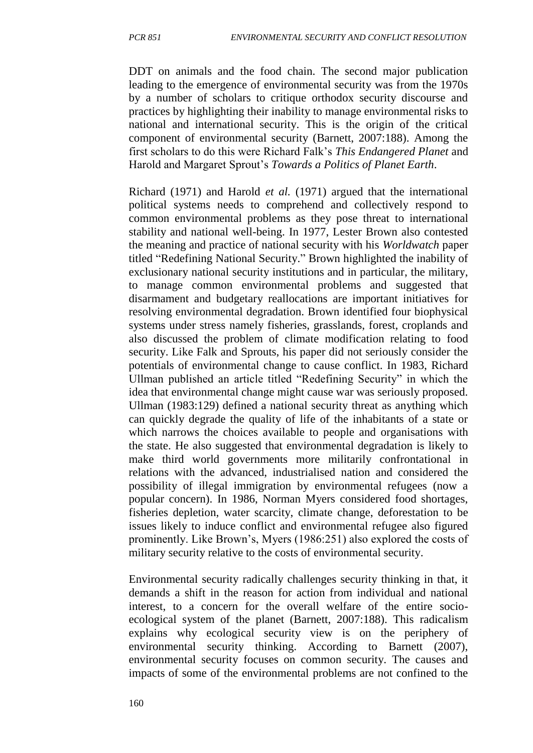DDT on animals and the food chain. The second major publication leading to the emergence of environmental security was from the 1970s by a number of scholars to critique orthodox security discourse and practices by highlighting their inability to manage environmental risks to national and international security. This is the origin of the critical component of environmental security (Barnett, 2007:188). Among the first scholars to do this were Richard Falk's *This Endangered Planet* and Harold and Margaret Sprout's *Towards a Politics of Planet Earth*.

Richard (1971) and Harold *et al.* (1971) argued that the international political systems needs to comprehend and collectively respond to common environmental problems as they pose threat to international stability and national well-being. In 1977, Lester Brown also contested the meaning and practice of national security with his *Worldwatch* paper titled "Redefining National Security." Brown highlighted the inability of exclusionary national security institutions and in particular, the military, to manage common environmental problems and suggested that disarmament and budgetary reallocations are important initiatives for resolving environmental degradation. Brown identified four biophysical systems under stress namely fisheries, grasslands, forest, croplands and also discussed the problem of climate modification relating to food security. Like Falk and Sprouts, his paper did not seriously consider the potentials of environmental change to cause conflict. In 1983, Richard Ullman published an article titled "Redefining Security" in which the idea that environmental change might cause war was seriously proposed. Ullman (1983:129) defined a national security threat as anything which can quickly degrade the quality of life of the inhabitants of a state or which narrows the choices available to people and organisations with the state. He also suggested that environmental degradation is likely to make third world governments more militarily confrontational in relations with the advanced, industrialised nation and considered the possibility of illegal immigration by environmental refugees (now a popular concern). In 1986, Norman Myers considered food shortages, fisheries depletion, water scarcity, climate change, deforestation to be issues likely to induce conflict and environmental refugee also figured prominently. Like Brown's, Myers (1986:251) also explored the costs of military security relative to the costs of environmental security.

Environmental security radically challenges security thinking in that, it demands a shift in the reason for action from individual and national interest, to a concern for the overall welfare of the entire socioecological system of the planet (Barnett, 2007:188). This radicalism explains why ecological security view is on the periphery of environmental security thinking. According to Barnett (2007), environmental security focuses on common security. The causes and impacts of some of the environmental problems are not confined to the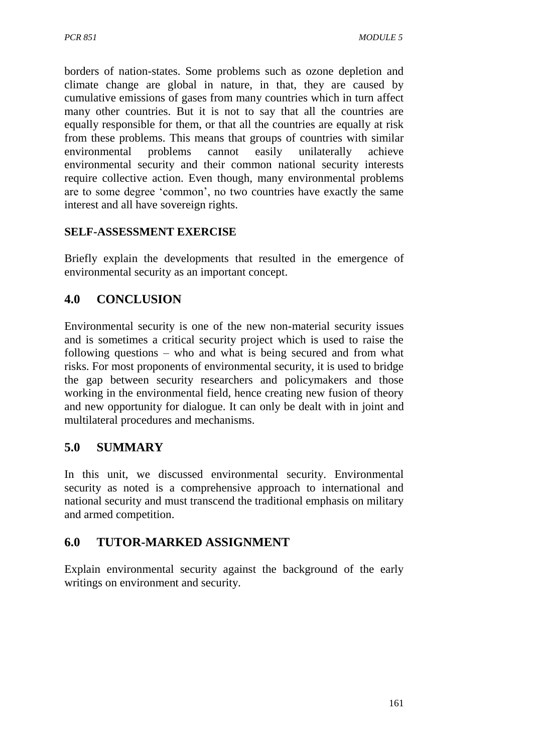borders of nation-states. Some problems such as ozone depletion and climate change are global in nature, in that, they are caused by cumulative emissions of gases from many countries which in turn affect many other countries. But it is not to say that all the countries are equally responsible for them, or that all the countries are equally at risk from these problems. This means that groups of countries with similar environmental problems cannot easily unilaterally achieve environmental security and their common national security interests require collective action. Even though, many environmental problems are to some degree 'common', no two countries have exactly the same interest and all have sovereign rights.

#### **SELF-ASSESSMENT EXERCISE**

Briefly explain the developments that resulted in the emergence of environmental security as an important concept.

# **4.0 CONCLUSION**

Environmental security is one of the new non-material security issues and is sometimes a critical security project which is used to raise the following questions – who and what is being secured and from what risks. For most proponents of environmental security, it is used to bridge the gap between security researchers and policymakers and those working in the environmental field, hence creating new fusion of theory and new opportunity for dialogue. It can only be dealt with in joint and multilateral procedures and mechanisms.

# **5.0 SUMMARY**

In this unit, we discussed environmental security. Environmental security as noted is a comprehensive approach to international and national security and must transcend the traditional emphasis on military and armed competition.

### **6.0 TUTOR-MARKED ASSIGNMENT**

Explain environmental security against the background of the early writings on environment and security.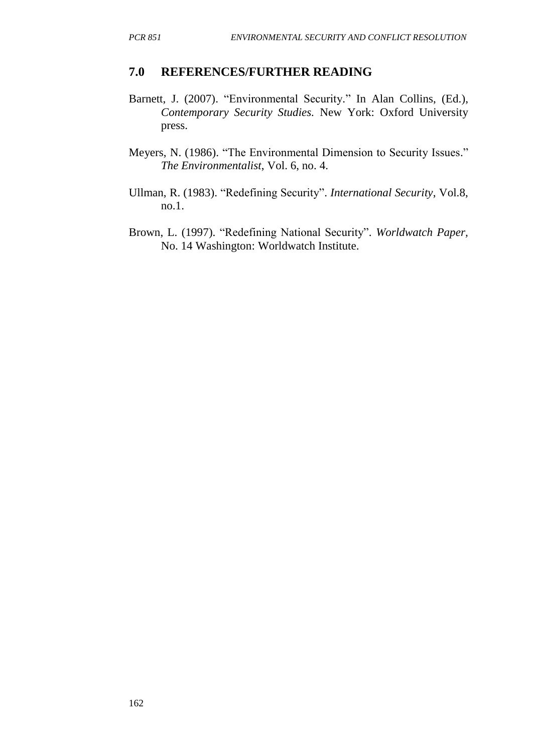#### **7.0 REFERENCES/FURTHER READING**

- Barnett, J. (2007). "Environmental Security." In Alan Collins, (Ed.), *Contemporary Security Studies.* New York: Oxford University press.
- Meyers, N. (1986). "The Environmental Dimension to Security Issues." *The Environmentalist*, Vol. 6, no. 4.
- Ullman, R. (1983). "Redefining Security". *International Security*, Vol.8, no.1.
- Brown, L. (1997). "Redefining National Security". *Worldwatch Paper,* No. 14 Washington: Worldwatch Institute.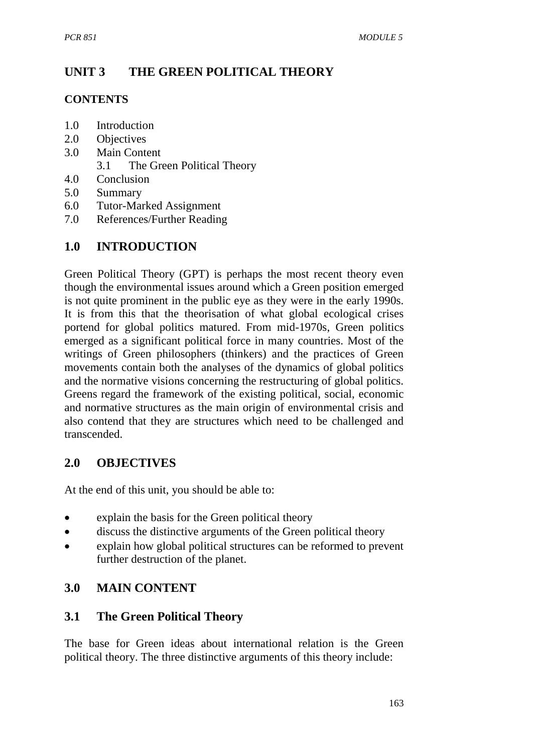# **UNIT 3 THE GREEN POLITICAL THEORY**

### **CONTENTS**

- 1.0 Introduction
- 2.0 Objectives
- 3.0 Main Content
	- 3.1 The Green Political Theory
- 4.0 Conclusion
- 5.0 Summary
- 6.0 Tutor-Marked Assignment
- 7.0 References/Further Reading

# **1.0 INTRODUCTION**

Green Political Theory (GPT) is perhaps the most recent theory even though the environmental issues around which a Green position emerged is not quite prominent in the public eye as they were in the early 1990s. It is from this that the theorisation of what global ecological crises portend for global politics matured. From mid-1970s, Green politics emerged as a significant political force in many countries. Most of the writings of Green philosophers (thinkers) and the practices of Green movements contain both the analyses of the dynamics of global politics and the normative visions concerning the restructuring of global politics. Greens regard the framework of the existing political, social, economic and normative structures as the main origin of environmental crisis and also contend that they are structures which need to be challenged and transcended.

# **2.0 OBJECTIVES**

At the end of this unit, you should be able to:

- explain the basis for the Green political theory
- discuss the distinctive arguments of the Green political theory
- explain how global political structures can be reformed to prevent further destruction of the planet.

# **3.0 MAIN CONTENT**

# **3.1 The Green Political Theory**

The base for Green ideas about international relation is the Green political theory. The three distinctive arguments of this theory include: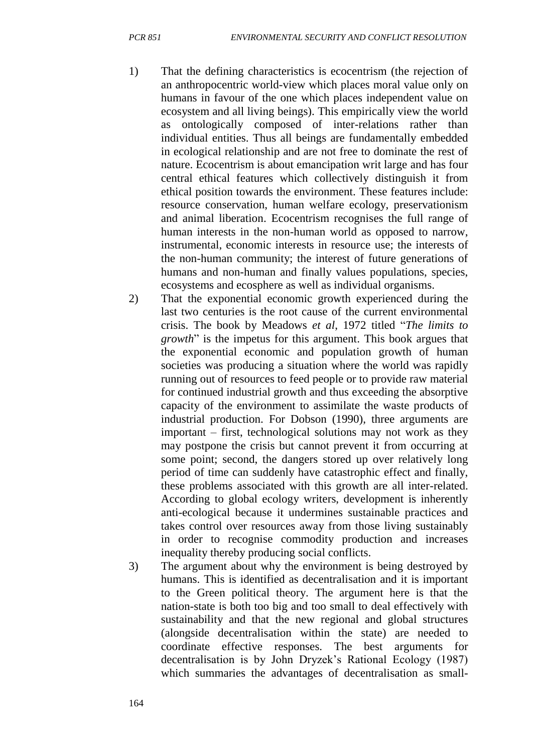- 1) That the defining characteristics is ecocentrism (the rejection of an anthropocentric world-view which places moral value only on humans in favour of the one which places independent value on ecosystem and all living beings). This empirically view the world as ontologically composed of inter-relations rather than individual entities. Thus all beings are fundamentally embedded in ecological relationship and are not free to dominate the rest of nature. Ecocentrism is about emancipation writ large and has four central ethical features which collectively distinguish it from ethical position towards the environment. These features include: resource conservation, human welfare ecology, preservationism and animal liberation. Ecocentrism recognises the full range of human interests in the non-human world as opposed to narrow, instrumental, economic interests in resource use; the interests of the non-human community; the interest of future generations of humans and non-human and finally values populations, species, ecosystems and ecosphere as well as individual organisms.
- 2) That the exponential economic growth experienced during the last two centuries is the root cause of the current environmental crisis. The book by Meadows *et al*, 1972 titled "*The limits to growth*" is the impetus for this argument. This book argues that the exponential economic and population growth of human societies was producing a situation where the world was rapidly running out of resources to feed people or to provide raw material for continued industrial growth and thus exceeding the absorptive capacity of the environment to assimilate the waste products of industrial production. For Dobson (1990), three arguments are important – first, technological solutions may not work as they may postpone the crisis but cannot prevent it from occurring at some point; second, the dangers stored up over relatively long period of time can suddenly have catastrophic effect and finally, these problems associated with this growth are all inter-related. According to global ecology writers, development is inherently anti-ecological because it undermines sustainable practices and takes control over resources away from those living sustainably in order to recognise commodity production and increases inequality thereby producing social conflicts.
- 3) The argument about why the environment is being destroyed by humans. This is identified as decentralisation and it is important to the Green political theory. The argument here is that the nation-state is both too big and too small to deal effectively with sustainability and that the new regional and global structures (alongside decentralisation within the state) are needed to coordinate effective responses. The best arguments for decentralisation is by John Dryzek's Rational Ecology (1987) which summaries the advantages of decentralisation as small-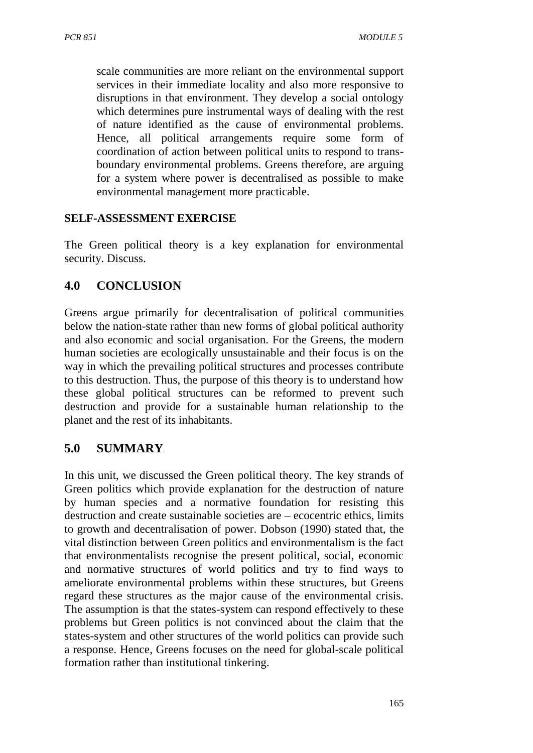scale communities are more reliant on the environmental support services in their immediate locality and also more responsive to disruptions in that environment. They develop a social ontology which determines pure instrumental ways of dealing with the rest of nature identified as the cause of environmental problems. Hence, all political arrangements require some form of coordination of action between political units to respond to transboundary environmental problems. Greens therefore, are arguing for a system where power is decentralised as possible to make environmental management more practicable.

#### **SELF-ASSESSMENT EXERCISE**

The Green political theory is a key explanation for environmental security. Discuss.

## **4.0 CONCLUSION**

Greens argue primarily for decentralisation of political communities below the nation-state rather than new forms of global political authority and also economic and social organisation. For the Greens, the modern human societies are ecologically unsustainable and their focus is on the way in which the prevailing political structures and processes contribute to this destruction. Thus, the purpose of this theory is to understand how these global political structures can be reformed to prevent such destruction and provide for a sustainable human relationship to the planet and the rest of its inhabitants.

### **5.0 SUMMARY**

In this unit, we discussed the Green political theory. The key strands of Green politics which provide explanation for the destruction of nature by human species and a normative foundation for resisting this destruction and create sustainable societies are – ecocentric ethics, limits to growth and decentralisation of power. Dobson (1990) stated that, the vital distinction between Green politics and environmentalism is the fact that environmentalists recognise the present political, social, economic and normative structures of world politics and try to find ways to ameliorate environmental problems within these structures, but Greens regard these structures as the major cause of the environmental crisis. The assumption is that the states-system can respond effectively to these problems but Green politics is not convinced about the claim that the states-system and other structures of the world politics can provide such a response. Hence, Greens focuses on the need for global-scale political formation rather than institutional tinkering.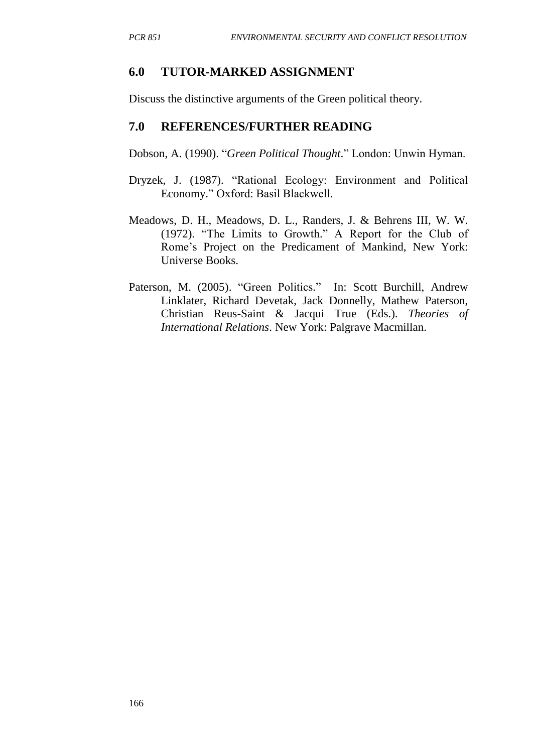#### **6.0 TUTOR-MARKED ASSIGNMENT**

Discuss the distinctive arguments of the Green political theory.

#### **7.0 REFERENCES/FURTHER READING**

Dobson, A. (1990). "*Green Political Thought*." London: Unwin Hyman.

- Dryzek, J. (1987). "Rational Ecology: Environment and Political Economy." Oxford: Basil Blackwell.
- Meadows, D. H., Meadows, D. L., Randers, J. & Behrens III, W. W. (1972). "The Limits to Growth." A Report for the Club of Rome's Project on the Predicament of Mankind, New York: Universe Books.
- Paterson, M. (2005). "Green Politics." In: Scott Burchill, Andrew Linklater, Richard Devetak, Jack Donnelly, Mathew Paterson, Christian Reus-Saint & Jacqui True (Eds.). *Theories of International Relations*. New York: Palgrave Macmillan.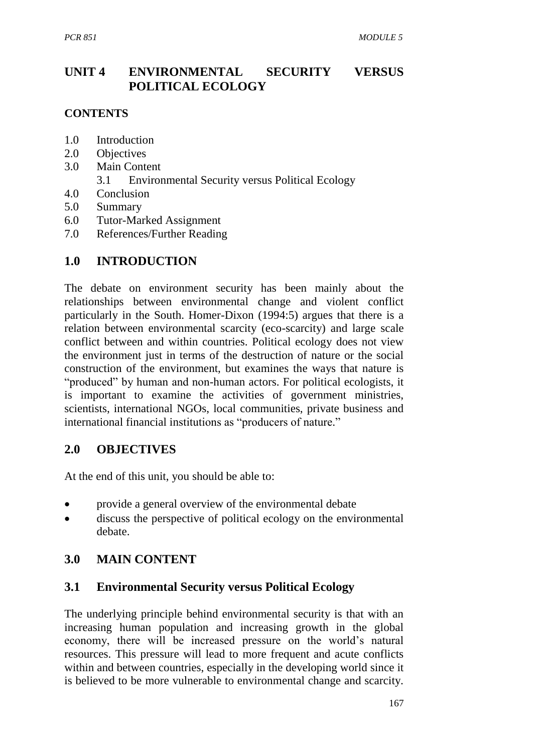## **UNIT 4 ENVIRONMENTAL SECURITY VERSUS POLITICAL ECOLOGY**

#### **CONTENTS**

- 1.0 Introduction
- 2.0 Objectives
- 3.0 Main Content
	- 3.1 Environmental Security versus Political Ecology
- 4.0 Conclusion
- 5.0 Summary
- 6.0 Tutor-Marked Assignment
- 7.0 References/Further Reading

### **1.0 INTRODUCTION**

The debate on environment security has been mainly about the relationships between environmental change and violent conflict particularly in the South. Homer-Dixon (1994:5) argues that there is a relation between environmental scarcity (eco-scarcity) and large scale conflict between and within countries. Political ecology does not view the environment just in terms of the destruction of nature or the social construction of the environment, but examines the ways that nature is "produced" by human and non-human actors. For political ecologists, it is important to examine the activities of government ministries, scientists, international NGOs, local communities, private business and international financial institutions as "producers of nature."

#### **2.0 OBJECTIVES**

At the end of this unit, you should be able to:

- provide a general overview of the environmental debate
- discuss the perspective of political ecology on the environmental debate.

### **3.0 MAIN CONTENT**

#### **3.1 Environmental Security versus Political Ecology**

The underlying principle behind environmental security is that with an increasing human population and increasing growth in the global economy, there will be increased pressure on the world's natural resources. This pressure will lead to more frequent and acute conflicts within and between countries, especially in the developing world since it is believed to be more vulnerable to environmental change and scarcity.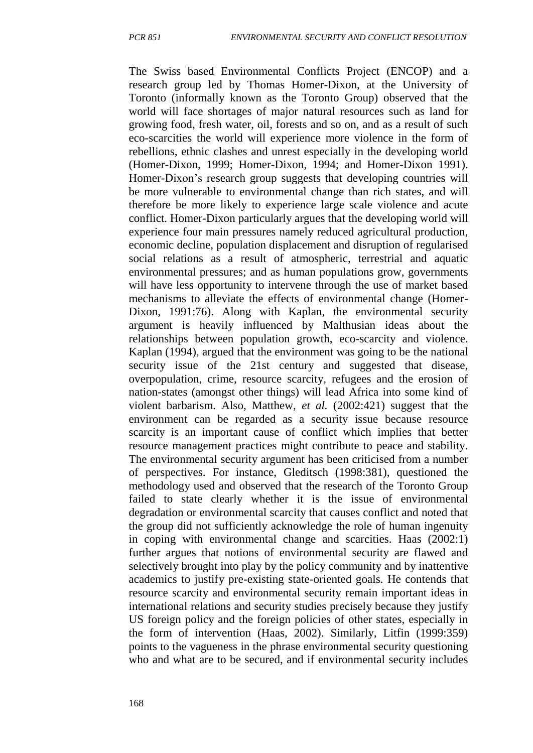The Swiss based Environmental Conflicts Project (ENCOP) and a research group led by Thomas Homer-Dixon, at the University of Toronto (informally known as the Toronto Group) observed that the world will face shortages of major natural resources such as land for growing food, fresh water, oil, forests and so on, and as a result of such eco-scarcities the world will experience more violence in the form of rebellions, ethnic clashes and unrest especially in the developing world (Homer-Dixon, 1999; Homer-Dixon, 1994; and Homer-Dixon 1991). Homer-Dixon's research group suggests that developing countries will be more vulnerable to environmental change than rich states, and will therefore be more likely to experience large scale violence and acute conflict. Homer-Dixon particularly argues that the developing world will experience four main pressures namely reduced agricultural production, economic decline, population displacement and disruption of regularised social relations as a result of atmospheric, terrestrial and aquatic environmental pressures; and as human populations grow, governments will have less opportunity to intervene through the use of market based mechanisms to alleviate the effects of environmental change (Homer-Dixon, 1991:76). Along with Kaplan, the environmental security argument is heavily influenced by Malthusian ideas about the relationships between population growth, eco-scarcity and violence. Kaplan (1994), argued that the environment was going to be the national security issue of the 21st century and suggested that disease, overpopulation, crime, resource scarcity, refugees and the erosion of nation-states (amongst other things) will lead Africa into some kind of violent barbarism. Also, Matthew, *et al.* (2002:421) suggest that the environment can be regarded as a security issue because resource scarcity is an important cause of conflict which implies that better resource management practices might contribute to peace and stability. The environmental security argument has been criticised from a number of perspectives. For instance, Gleditsch (1998:381), questioned the methodology used and observed that the research of the Toronto Group failed to state clearly whether it is the issue of environmental degradation or environmental scarcity that causes conflict and noted that the group did not sufficiently acknowledge the role of human ingenuity in coping with environmental change and scarcities. Haas (2002:1) further argues that notions of environmental security are flawed and selectively brought into play by the policy community and by inattentive academics to justify pre-existing state-oriented goals. He contends that resource scarcity and environmental security remain important ideas in international relations and security studies precisely because they justify US foreign policy and the foreign policies of other states, especially in the form of intervention (Haas, 2002). Similarly, Litfin (1999:359) points to the vagueness in the phrase environmental security questioning who and what are to be secured, and if environmental security includes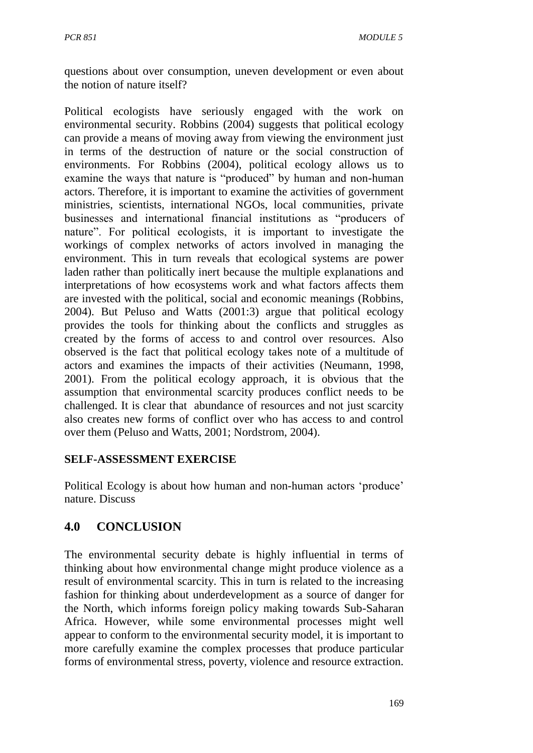questions about over consumption, uneven development or even about the notion of nature itself?

Political ecologists have seriously engaged with the work on environmental security. Robbins (2004) suggests that political ecology can provide a means of moving away from viewing the environment just in terms of the destruction of nature or the social construction of environments. For Robbins (2004), political ecology allows us to examine the ways that nature is "produced" by human and non-human actors. Therefore, it is important to examine the activities of government ministries, scientists, international NGOs, local communities, private businesses and international financial institutions as "producers of nature". For political ecologists, it is important to investigate the workings of complex networks of actors involved in managing the environment. This in turn reveals that ecological systems are power laden rather than politically inert because the multiple explanations and interpretations of how ecosystems work and what factors affects them are invested with the political, social and economic meanings (Robbins, 2004). But Peluso and Watts (2001:3) argue that political ecology provides the tools for thinking about the conflicts and struggles as created by the forms of access to and control over resources. Also observed is the fact that political ecology takes note of a multitude of actors and examines the impacts of their activities (Neumann, 1998, 2001). From the political ecology approach, it is obvious that the assumption that environmental scarcity produces conflict needs to be challenged. It is clear that abundance of resources and not just scarcity also creates new forms of conflict over who has access to and control over them (Peluso and Watts, 2001; Nordstrom, 2004).

### **SELF-ASSESSMENT EXERCISE**

Political Ecology is about how human and non-human actors 'produce' nature. Discuss

# **4.0 CONCLUSION**

The environmental security debate is highly influential in terms of thinking about how environmental change might produce violence as a result of environmental scarcity. This in turn is related to the increasing fashion for thinking about underdevelopment as a source of danger for the North, which informs foreign policy making towards Sub-Saharan Africa. However, while some environmental processes might well appear to conform to the environmental security model, it is important to more carefully examine the complex processes that produce particular forms of environmental stress, poverty, violence and resource extraction.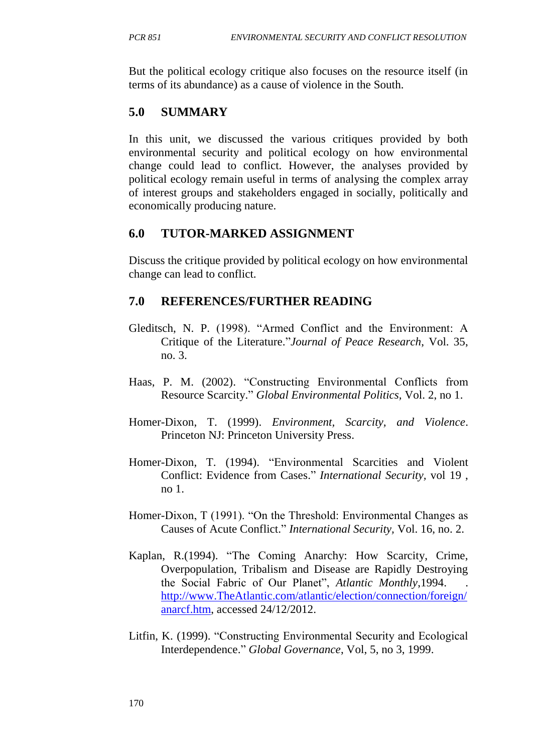But the political ecology critique also focuses on the resource itself (in terms of its abundance) as a cause of violence in the South.

# **5.0 SUMMARY**

In this unit, we discussed the various critiques provided by both environmental security and political ecology on how environmental change could lead to conflict. However, the analyses provided by political ecology remain useful in terms of analysing the complex array of interest groups and stakeholders engaged in socially, politically and economically producing nature.

# **6.0 TUTOR-MARKED ASSIGNMENT**

Discuss the critique provided by political ecology on how environmental change can lead to conflict.

## **7.0 REFERENCES/FURTHER READING**

- Gleditsch, N. P. (1998). "Armed Conflict and the Environment: A Critique of the Literature."*Journal of Peace Research*, Vol. 35, no. 3.
- Haas, P. M. (2002). "Constructing Environmental Conflicts from Resource Scarcity." *Global Environmental Politics,* Vol. 2, no 1.
- Homer-Dixon, T. (1999). *Environment, Scarcity, and Violence*. Princeton NJ: Princeton University Press.
- Homer-Dixon, T. (1994). "Environmental Scarcities and Violent Conflict: Evidence from Cases." *International Security,* vol 19 , no 1.
- Homer-Dixon, T (1991). "On the Threshold: Environmental Changes as Causes of Acute Conflict." *International Security,* Vol. 16, no. 2.
- Kaplan, R.(1994). "The Coming Anarchy: How Scarcity, Crime, Overpopulation, Tribalism and Disease are Rapidly Destroying the Social Fabric of Our Planet", *Atlantic Monthly*,1994. . [http://www.TheAtlantic.com/atlantic/election/connection/foreign/](http://www.theatlantic.com/atlantic/election/connection/foreign/anarcf.htm) [anarcf.htm,](http://www.theatlantic.com/atlantic/election/connection/foreign/anarcf.htm) accessed 24/12/2012.
- Litfin, K. (1999). "Constructing Environmental Security and Ecological Interdependence." *Global Governance*, Vol, 5, no 3, 1999.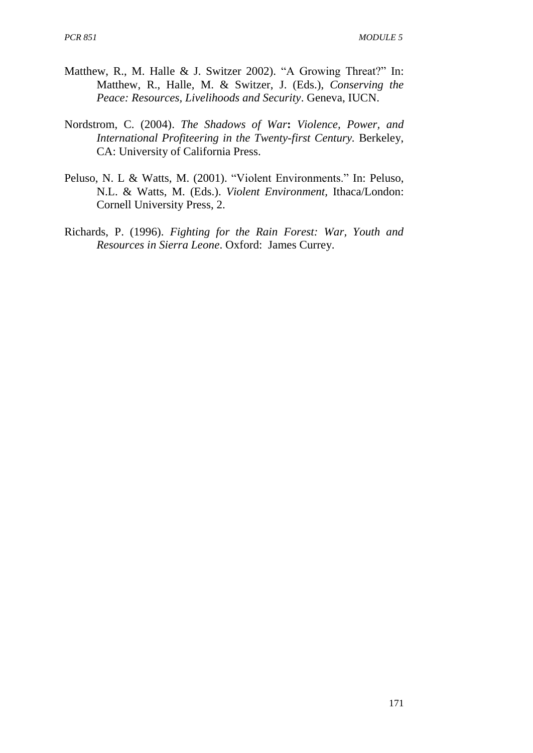- Matthew, R., M. Halle & J. Switzer 2002). "A Growing Threat?" In: Matthew, R., Halle, M. & Switzer, J. (Eds.), *Conserving the Peace: Resources, Livelihoods and Security*. Geneva, IUCN.
- Nordstrom, C. (2004). *The Shadows of War***:** *Violence, Power, and International Profiteering in the Twenty-first Century.* Berkeley, CA: University of California Press.
- Peluso, N. L & Watts, M. (2001). "Violent Environments." In: Peluso, N.L. & Watts, M. (Eds.). *Violent Environment,* Ithaca/London: Cornell University Press, 2.
- Richards, P. (1996). *Fighting for the Rain Forest: War, Youth and Resources in Sierra Leone*. Oxford: James Currey.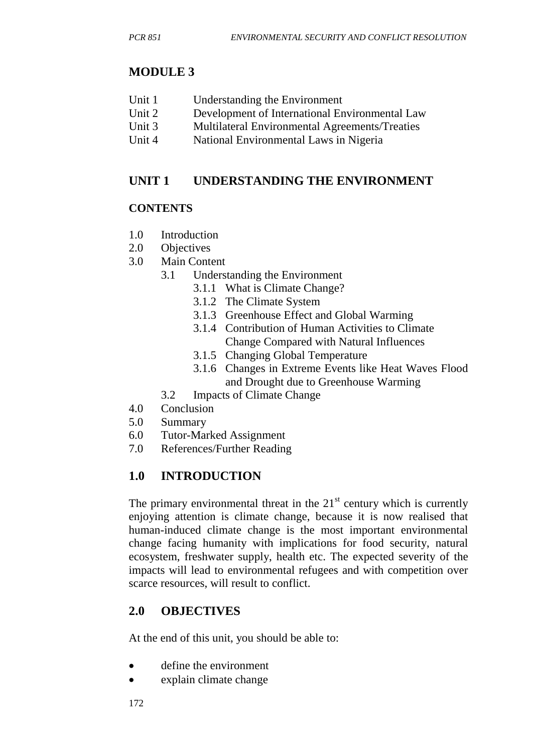# **MODULE 3**

- Unit 2 Development of International Environmental Law
- Unit 3 Multilateral Environmental Agreements/Treaties
- Unit 4 National Environmental Laws in Nigeria

## **UNIT 1 UNDERSTANDING THE ENVIRONMENT**

#### **CONTENTS**

- 1.0 Introduction
- 2.0 Objectives
- 3.0 Main Content
	- 3.1 Understanding the Environment
		- 3.1.1 What is Climate Change?
		- 3.1.2 The Climate System
		- 3.1.3 Greenhouse Effect and Global Warming
		- 3.1.4 Contribution of Human Activities to Climate Change Compared with Natural Influences
		- 3.1.5 Changing Global Temperature
		- 3.1.6 Changes in Extreme Events like Heat Waves Flood and Drought due to Greenhouse Warming
	- 3.2 Impacts of Climate Change
- 4.0 Conclusion
- 5.0 Summary
- 6.0 Tutor-Marked Assignment
- 7.0 References/Further Reading

# **1.0 INTRODUCTION**

The primary environmental threat in the  $21<sup>st</sup>$  century which is currently enjoying attention is climate change, because it is now realised that human-induced climate change is the most important environmental change facing humanity with implications for food security, natural ecosystem, freshwater supply, health etc. The expected severity of the impacts will lead to environmental refugees and with competition over scarce resources, will result to conflict.

# **2.0 OBJECTIVES**

At the end of this unit, you should be able to:

- define the environment
- explain climate change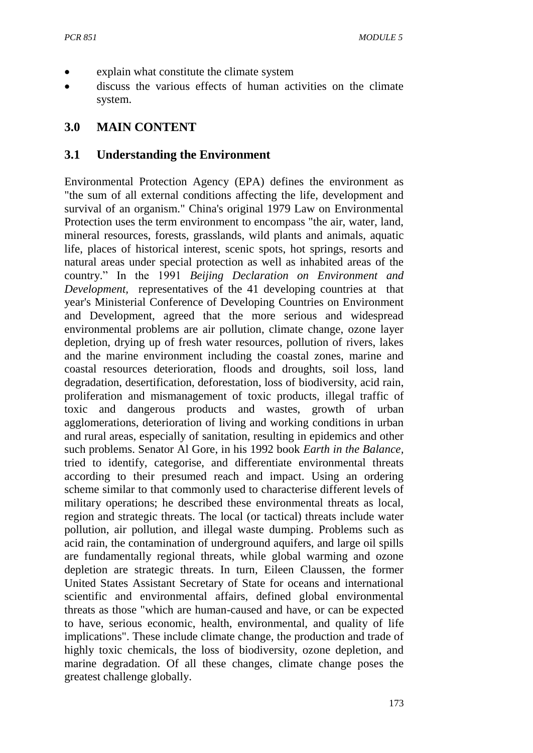- explain what constitute the climate system
- discuss the various effects of human activities on the climate system.

### **3.0 MAIN CONTENT**

#### **3.1 Understanding the Environment**

Environmental Protection Agency (EPA) defines the environment as "the sum of all external conditions affecting the life, development and survival of an organism." China's original 1979 Law on Environmental Protection uses the term environment to encompass "the air, water, land, mineral resources, forests, grasslands, wild plants and animals, aquatic life, places of historical interest, scenic spots, hot springs, resorts and natural areas under special protection as well as inhabited areas of the country." In the 1991 *Beijing Declaration on Environment and Development,* representatives of the 41 developing countries at that year's Ministerial Conference of Developing Countries on Environment and Development, agreed that the more serious and widespread environmental problems are air pollution, climate change, ozone layer depletion, drying up of fresh water resources, pollution of rivers, lakes and the marine environment including the coastal zones, marine and coastal resources deterioration, floods and droughts, soil loss, land degradation, desertification, deforestation, loss of biodiversity, acid rain, proliferation and mismanagement of toxic products, illegal traffic of toxic and dangerous products and wastes, growth of urban agglomerations, deterioration of living and working conditions in urban and rural areas, especially of sanitation, resulting in epidemics and other such problems. Senator Al Gore, in his 1992 book *Earth in the Balance,*  tried to identify, categorise, and differentiate environmental threats according to their presumed reach and impact. Using an ordering scheme similar to that commonly used to characterise different levels of military operations; he described these environmental threats as local, region and strategic threats. The local (or tactical) threats include water pollution, air pollution, and illegal waste dumping. Problems such as acid rain, the contamination of underground aquifers, and large oil spills are fundamentally regional threats, while global warming and ozone depletion are strategic threats. In turn, Eileen Claussen, the former United States Assistant Secretary of State for oceans and international scientific and environmental affairs, defined global environmental threats as those "which are human-caused and have, or can be expected to have, serious economic, health, environmental, and quality of life implications". These include climate change, the production and trade of highly toxic chemicals, the loss of biodiversity, ozone depletion, and marine degradation. Of all these changes, climate change poses the greatest challenge globally.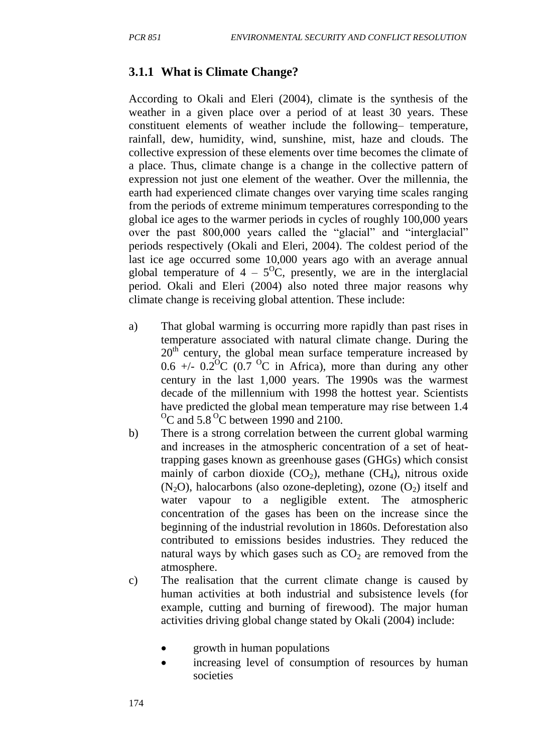#### **3.1.1 What is Climate Change?**

According to Okali and Eleri (2004), climate is the synthesis of the weather in a given place over a period of at least 30 years. These constituent elements of weather include the following– temperature, rainfall, dew, humidity, wind, sunshine, mist, haze and clouds. The collective expression of these elements over time becomes the climate of a place. Thus, climate change is a change in the collective pattern of expression not just one element of the weather. Over the millennia, the earth had experienced climate changes over varying time scales ranging from the periods of extreme minimum temperatures corresponding to the global ice ages to the warmer periods in cycles of roughly 100,000 years over the past 800,000 years called the "glacial" and "interglacial" periods respectively (Okali and Eleri, 2004). The coldest period of the last ice age occurred some 10,000 years ago with an average annual global temperature of  $4 - 5$ <sup>o</sup>C, presently, we are in the interglacial period. Okali and Eleri (2004) also noted three major reasons why climate change is receiving global attention. These include:

- a) That global warming is occurring more rapidly than past rises in temperature associated with natural climate change. During the  $20<sup>th</sup>$  century, the global mean surface temperature increased by 0.6 +/-  $0.\overline{2}^{\circ}C$  ( $0.\overline{7}^{\circ}C$  in Africa), more than during any other century in the last 1,000 years. The 1990s was the warmest decade of the millennium with 1998 the hottest year. Scientists have predicted the global mean temperature may rise between 1.4  $\mathrm{^{0}C}$  and 5.8  $\mathrm{^{0}C}$  between 1990 and 2100.
- b) There is a strong correlation between the current global warming and increases in the atmospheric concentration of a set of heattrapping gases known as greenhouse gases (GHGs) which consist mainly of carbon dioxide  $(CO_2)$ , methane  $(CH_4)$ , nitrous oxide  $(N<sub>2</sub>O)$ , halocarbons (also ozone-depleting), ozone  $(O<sub>2</sub>)$  itself and water vapour to a negligible extent. The atmospheric concentration of the gases has been on the increase since the beginning of the industrial revolution in 1860s. Deforestation also contributed to emissions besides industries. They reduced the natural ways by which gases such as  $CO<sub>2</sub>$  are removed from the atmosphere.
- c) The realisation that the current climate change is caused by human activities at both industrial and subsistence levels (for example, cutting and burning of firewood). The major human activities driving global change stated by Okali (2004) include:
	- growth in human populations
	- increasing level of consumption of resources by human societies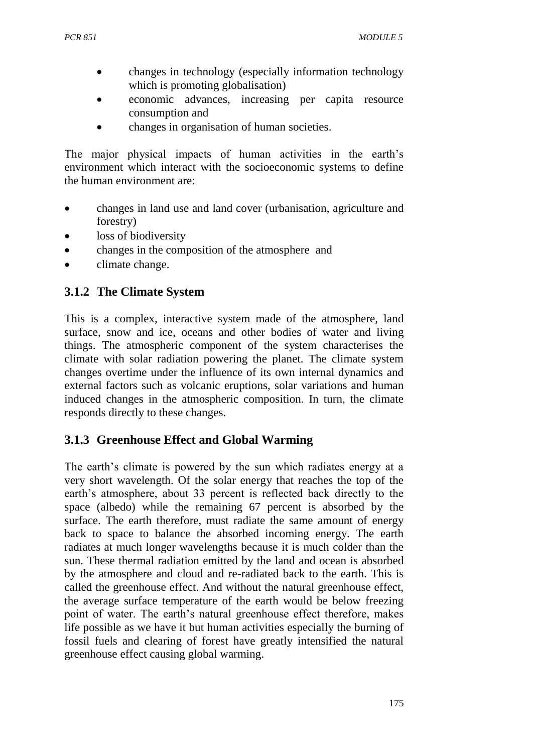- changes in technology (especially information technology which is promoting globalisation)
- economic advances, increasing per capita resource consumption and
- changes in organisation of human societies.

The major physical impacts of human activities in the earth's environment which interact with the socioeconomic systems to define the human environment are:

- changes in land use and land cover (urbanisation, agriculture and forestry)
- loss of biodiversity
- changes in the composition of the atmosphere and
- climate change.

### **3.1.2 The Climate System**

This is a complex, interactive system made of the atmosphere, land surface, snow and ice, oceans and other bodies of water and living things. The atmospheric component of the system characterises the climate with solar radiation powering the planet. The climate system changes overtime under the influence of its own internal dynamics and external factors such as volcanic eruptions, solar variations and human induced changes in the atmospheric composition. In turn, the climate responds directly to these changes.

### **3.1.3 Greenhouse Effect and Global Warming**

The earth's climate is powered by the sun which radiates energy at a very short wavelength. Of the solar energy that reaches the top of the earth's atmosphere, about 33 percent is reflected back directly to the space (albedo) while the remaining 67 percent is absorbed by the surface. The earth therefore, must radiate the same amount of energy back to space to balance the absorbed incoming energy. The earth radiates at much longer wavelengths because it is much colder than the sun. These thermal radiation emitted by the land and ocean is absorbed by the atmosphere and cloud and re-radiated back to the earth. This is called the greenhouse effect. And without the natural greenhouse effect, the average surface temperature of the earth would be below freezing point of water. The earth's natural greenhouse effect therefore, makes life possible as we have it but human activities especially the burning of fossil fuels and clearing of forest have greatly intensified the natural greenhouse effect causing global warming.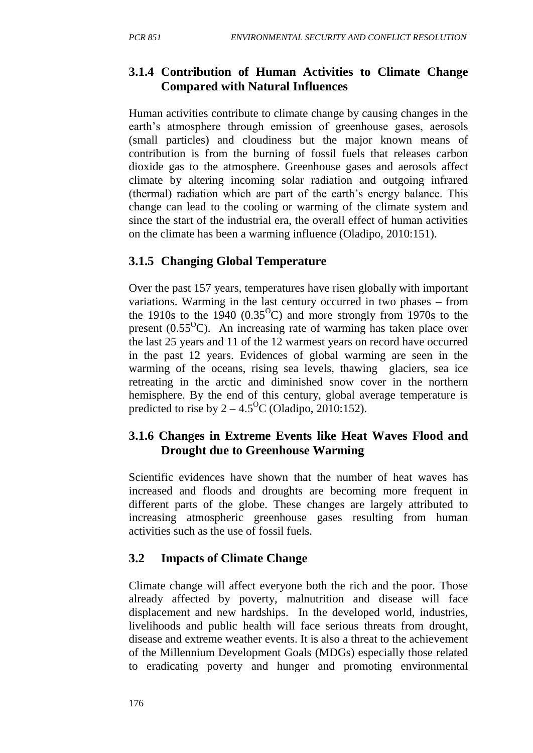# **3.1.4 Contribution of Human Activities to Climate Change Compared with Natural Influences**

Human activities contribute to climate change by causing changes in the earth's atmosphere through emission of greenhouse gases, aerosols (small particles) and cloudiness but the major known means of contribution is from the burning of fossil fuels that releases carbon dioxide gas to the atmosphere. Greenhouse gases and aerosols affect climate by altering incoming solar radiation and outgoing infrared (thermal) radiation which are part of the earth's energy balance. This change can lead to the cooling or warming of the climate system and since the start of the industrial era, the overall effect of human activities on the climate has been a warming influence (Oladipo, 2010:151).

# **3.1.5 Changing Global Temperature**

Over the past 157 years, temperatures have risen globally with important variations. Warming in the last century occurred in two phases – from the 1910s to the 1940  $(0.35^{\circ}C)$  and more strongly from 1970s to the present  $(0.55^{\circ}C)$ . An increasing rate of warming has taken place over the last 25 years and 11 of the 12 warmest years on record have occurred in the past 12 years. Evidences of global warming are seen in the warming of the oceans, rising sea levels, thawing glaciers, sea ice retreating in the arctic and diminished snow cover in the northern hemisphere. By the end of this century, global average temperature is predicted to rise by  $2 - 4.5$ <sup>o</sup>C (Oladipo, 2010:152).

## **3.1.6 Changes in Extreme Events like Heat Waves Flood and Drought due to Greenhouse Warming**

Scientific evidences have shown that the number of heat waves has increased and floods and droughts are becoming more frequent in different parts of the globe. These changes are largely attributed to increasing atmospheric greenhouse gases resulting from human activities such as the use of fossil fuels.

# **3.2 Impacts of Climate Change**

Climate change will affect everyone both the rich and the poor. Those already affected by poverty, malnutrition and disease will face displacement and new hardships. In the developed world, industries, livelihoods and public health will face serious threats from drought, disease and extreme weather events. It is also a threat to the achievement of the Millennium Development Goals (MDGs) especially those related to eradicating poverty and hunger and promoting environmental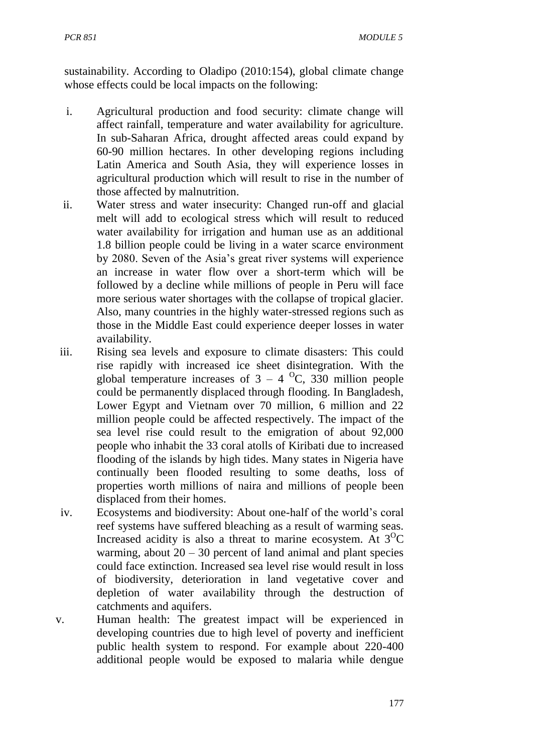sustainability. According to Oladipo (2010:154), global climate change whose effects could be local impacts on the following:

- i. Agricultural production and food security: climate change will affect rainfall, temperature and water availability for agriculture. In sub-Saharan Africa, drought affected areas could expand by 60-90 million hectares. In other developing regions including Latin America and South Asia, they will experience losses in agricultural production which will result to rise in the number of those affected by malnutrition.
- ii. Water stress and water insecurity: Changed run-off and glacial melt will add to ecological stress which will result to reduced water availability for irrigation and human use as an additional 1.8 billion people could be living in a water scarce environment by 2080. Seven of the Asia's great river systems will experience an increase in water flow over a short-term which will be followed by a decline while millions of people in Peru will face more serious water shortages with the collapse of tropical glacier. Also, many countries in the highly water-stressed regions such as those in the Middle East could experience deeper losses in water availability.
- iii. Rising sea levels and exposure to climate disasters: This could rise rapidly with increased ice sheet disintegration. With the global temperature increases of  $3 - 4$  <sup>o</sup>C, 330 million people could be permanently displaced through flooding. In Bangladesh, Lower Egypt and Vietnam over 70 million, 6 million and 22 million people could be affected respectively. The impact of the sea level rise could result to the emigration of about 92,000 people who inhabit the 33 coral atolls of Kiribati due to increased flooding of the islands by high tides. Many states in Nigeria have continually been flooded resulting to some deaths, loss of properties worth millions of naira and millions of people been displaced from their homes.
- iv. Ecosystems and biodiversity: About one-half of the world's coral reef systems have suffered bleaching as a result of warming seas. Increased acidity is also a threat to marine ecosystem. At  $3^{\circ}C$ warming, about  $20 - 30$  percent of land animal and plant species could face extinction. Increased sea level rise would result in loss of biodiversity, deterioration in land vegetative cover and depletion of water availability through the destruction of catchments and aquifers.
- v. Human health: The greatest impact will be experienced in developing countries due to high level of poverty and inefficient public health system to respond. For example about 220-400 additional people would be exposed to malaria while dengue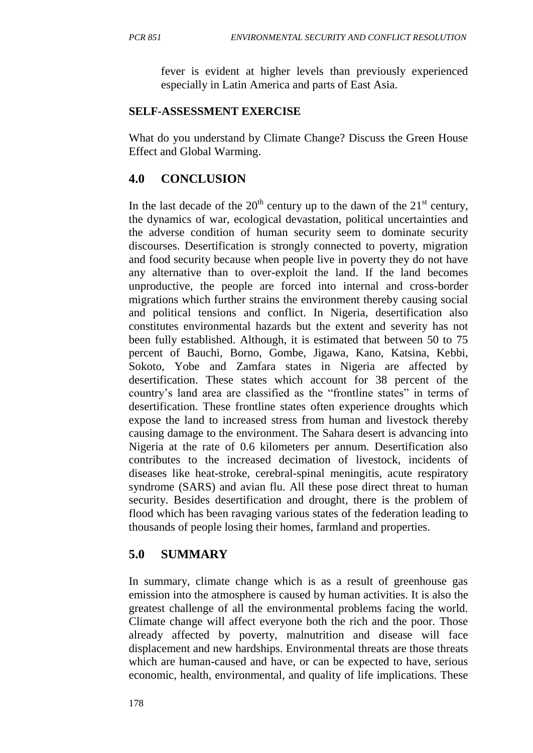fever is evident at higher levels than previously experienced especially in Latin America and parts of East Asia.

#### **SELF-ASSESSMENT EXERCISE**

What do you understand by Climate Change? Discuss the Green House Effect and Global Warming.

## **4.0 CONCLUSION**

In the last decade of the  $20<sup>th</sup>$  century up to the dawn of the  $21<sup>st</sup>$  century, the dynamics of war, ecological devastation, political uncertainties and the adverse condition of human security seem to dominate security discourses. Desertification is strongly connected to poverty, migration and food security because when people live in poverty they do not have any alternative than to over-exploit the land. If the land becomes unproductive, the people are forced into internal and cross-border migrations which further strains the environment thereby causing social and political tensions and conflict. In Nigeria, desertification also constitutes environmental hazards but the extent and severity has not been fully established. Although, it is estimated that between 50 to 75 percent of Bauchi, Borno, Gombe, Jigawa, Kano, Katsina, Kebbi, Sokoto, Yobe and Zamfara states in Nigeria are affected by desertification. These states which account for 38 percent of the country's land area are classified as the "frontline states" in terms of desertification. These frontline states often experience droughts which expose the land to increased stress from human and livestock thereby causing damage to the environment. The Sahara desert is advancing into Nigeria at the rate of 0.6 kilometers per annum. Desertification also contributes to the increased decimation of livestock, incidents of diseases like heat-stroke, cerebral-spinal meningitis, acute respiratory syndrome (SARS) and avian flu. All these pose direct threat to human security. Besides desertification and drought, there is the problem of flood which has been ravaging various states of the federation leading to thousands of people losing their homes, farmland and properties.

### **5.0 SUMMARY**

In summary, climate change which is as a result of greenhouse gas emission into the atmosphere is caused by human activities. It is also the greatest challenge of all the environmental problems facing the world. Climate change will affect everyone both the rich and the poor. Those already affected by poverty, malnutrition and disease will face displacement and new hardships. Environmental threats are those threats which are human-caused and have, or can be expected to have, serious economic, health, environmental, and quality of life implications. These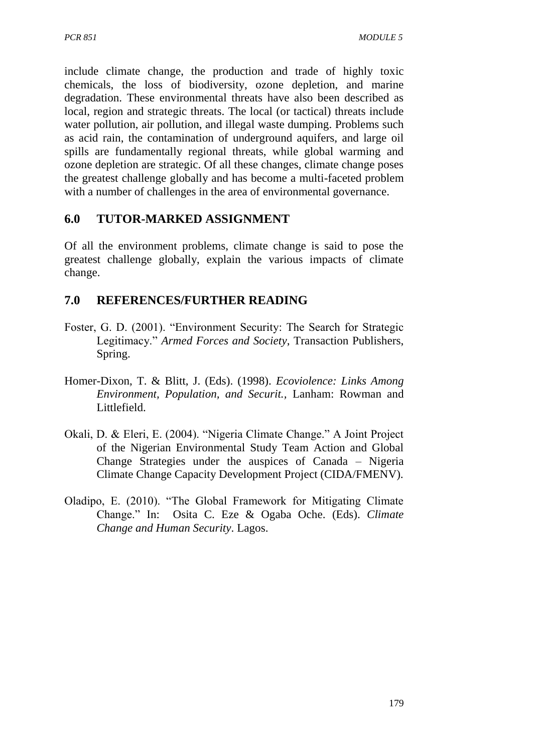include climate change, the production and trade of highly toxic chemicals, the loss of biodiversity, ozone depletion, and marine degradation. These environmental threats have also been described as local, region and strategic threats. The local (or tactical) threats include water pollution, air pollution, and illegal waste dumping. Problems such as acid rain, the contamination of underground aquifers, and large oil spills are fundamentally regional threats, while global warming and ozone depletion are strategic. Of all these changes, climate change poses the greatest challenge globally and has become a multi-faceted problem with a number of challenges in the area of environmental governance.

# **6.0 TUTOR-MARKED ASSIGNMENT**

Of all the environment problems, climate change is said to pose the greatest challenge globally, explain the various impacts of climate change.

# **7.0 REFERENCES/FURTHER READING**

- Foster, G. D. (2001). "Environment Security: The Search for Strategic Legitimacy." *Armed Forces and Society*, Transaction Publishers, Spring.
- Homer-Dixon, T. & Blitt, J. (Eds). (1998). *Ecoviolence: Links Among Environment, Population, and Securit.,* Lanham: Rowman and Littlefield.
- Okali, D. & Eleri, E. (2004). "Nigeria Climate Change." A Joint Project of the Nigerian Environmental Study Team Action and Global Change Strategies under the auspices of Canada – Nigeria Climate Change Capacity Development Project (CIDA/FMENV).
- Oladipo, E. (2010). "The Global Framework for Mitigating Climate Change." In: Osita C. Eze & Ogaba Oche. (Eds). *Climate Change and Human Security*. Lagos.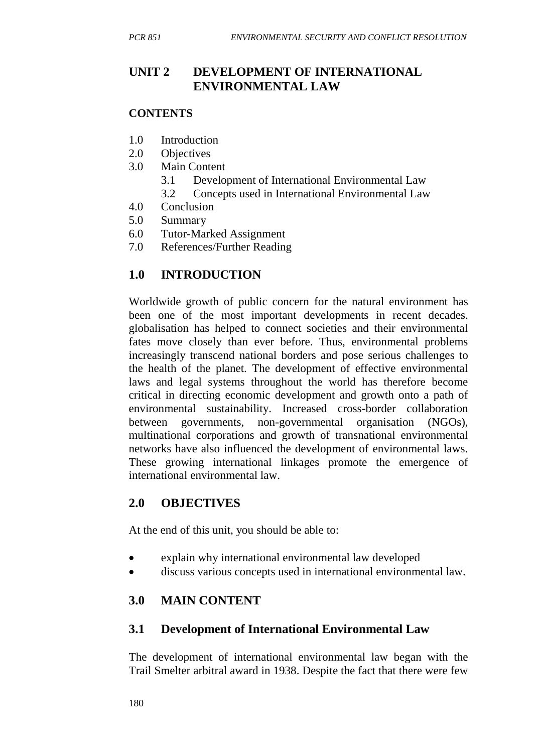## **UNIT 2 DEVELOPMENT OF INTERNATIONAL ENVIRONMENTAL LAW**

#### **CONTENTS**

- 1.0 Introduction
- 2.0 Objectives
- 3.0 Main Content
	- 3.1 Development of International Environmental Law
	- 3.2 Concepts used in International Environmental Law
- 4.0 Conclusion
- 5.0 Summary
- 6.0 Tutor-Marked Assignment
- 7.0 References/Further Reading

# **1.0 INTRODUCTION**

Worldwide growth of public concern for the natural environment has been one of the most important developments in recent decades. globalisation has helped to connect societies and their environmental fates move closely than ever before. Thus, environmental problems increasingly transcend national borders and pose serious challenges to the health of the planet. The development of effective environmental laws and legal systems throughout the world has therefore become critical in directing economic development and growth onto a path of environmental sustainability. Increased cross-border collaboration between governments, non-governmental organisation (NGOs), multinational corporations and growth of transnational environmental networks have also influenced the development of environmental laws. These growing international linkages promote the emergence of international environmental law.

### **2.0 OBJECTIVES**

At the end of this unit, you should be able to:

- explain why international environmental law developed
- discuss various concepts used in international environmental law.

# **3.0 MAIN CONTENT**

### **3.1 Development of International Environmental Law**

The development of international environmental law began with the Trail Smelter arbitral award in 1938. Despite the fact that there were few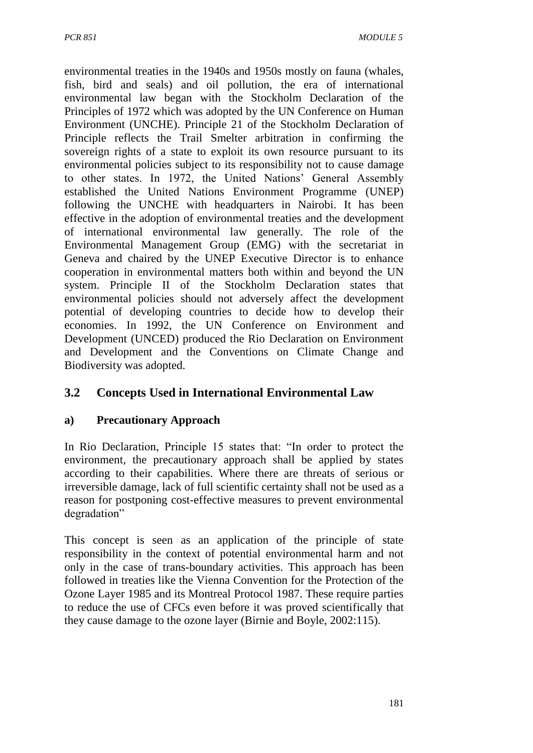environmental treaties in the 1940s and 1950s mostly on fauna (whales, fish, bird and seals) and oil pollution, the era of international environmental law began with the Stockholm Declaration of the Principles of 1972 which was adopted by the UN Conference on Human Environment (UNCHE). Principle 21 of the Stockholm Declaration of Principle reflects the Trail Smelter arbitration in confirming the sovereign rights of a state to exploit its own resource pursuant to its environmental policies subject to its responsibility not to cause damage to other states. In 1972, the United Nations' General Assembly established the United Nations Environment Programme (UNEP) following the UNCHE with headquarters in Nairobi. It has been effective in the adoption of environmental treaties and the development of international environmental law generally. The role of the Environmental Management Group (EMG) with the secretariat in Geneva and chaired by the UNEP Executive Director is to enhance cooperation in environmental matters both within and beyond the UN system. Principle II of the Stockholm Declaration states that environmental policies should not adversely affect the development potential of developing countries to decide how to develop their economies. In 1992, the UN Conference on Environment and Development (UNCED) produced the Rio Declaration on Environment and Development and the Conventions on Climate Change and Biodiversity was adopted.

# **3.2 Concepts Used in International Environmental Law**

#### **a) Precautionary Approach**

In Rio Declaration, Principle 15 states that: "In order to protect the environment, the precautionary approach shall be applied by states according to their capabilities. Where there are threats of serious or irreversible damage, lack of full scientific certainty shall not be used as a reason for postponing cost-effective measures to prevent environmental degradation"

This concept is seen as an application of the principle of state responsibility in the context of potential environmental harm and not only in the case of trans-boundary activities. This approach has been followed in treaties like the Vienna Convention for the Protection of the Ozone Layer 1985 and its Montreal Protocol 1987. These require parties to reduce the use of CFCs even before it was proved scientifically that they cause damage to the ozone layer (Birnie and Boyle, 2002:115).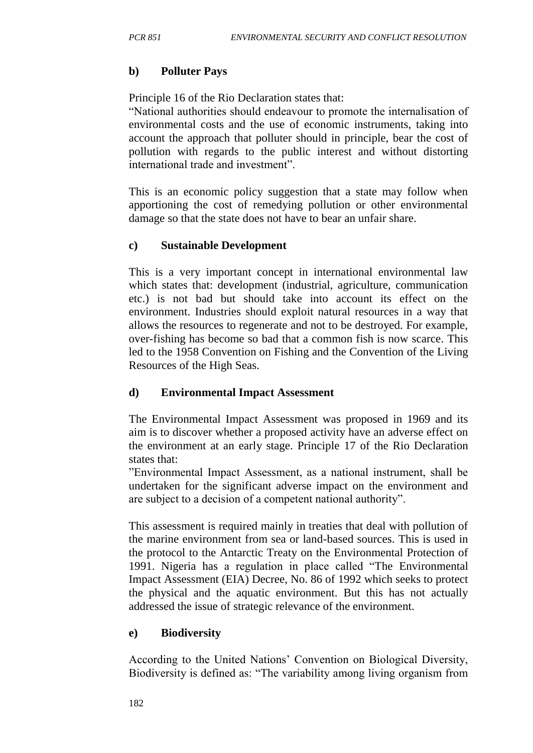#### **b) Polluter Pays**

Principle 16 of the Rio Declaration states that:

"National authorities should endeavour to promote the internalisation of environmental costs and the use of economic instruments, taking into account the approach that polluter should in principle, bear the cost of pollution with regards to the public interest and without distorting international trade and investment".

This is an economic policy suggestion that a state may follow when apportioning the cost of remedying pollution or other environmental damage so that the state does not have to bear an unfair share.

#### **c) Sustainable Development**

This is a very important concept in international environmental law which states that: development (industrial, agriculture, communication etc.) is not bad but should take into account its effect on the environment. Industries should exploit natural resources in a way that allows the resources to regenerate and not to be destroyed. For example, over-fishing has become so bad that a common fish is now scarce. This led to the 1958 Convention on Fishing and the Convention of the Living Resources of the High Seas.

#### **d) Environmental Impact Assessment**

The Environmental Impact Assessment was proposed in 1969 and its aim is to discover whether a proposed activity have an adverse effect on the environment at an early stage. Principle 17 of the Rio Declaration states that:

"Environmental Impact Assessment, as a national instrument, shall be undertaken for the significant adverse impact on the environment and are subject to a decision of a competent national authority".

This assessment is required mainly in treaties that deal with pollution of the marine environment from sea or land-based sources. This is used in the protocol to the Antarctic Treaty on the Environmental Protection of 1991. Nigeria has a regulation in place called "The Environmental Impact Assessment (EIA) Decree, No. 86 of 1992 which seeks to protect the physical and the aquatic environment. But this has not actually addressed the issue of strategic relevance of the environment.

### **e) Biodiversity**

According to the United Nations' Convention on Biological Diversity, Biodiversity is defined as: "The variability among living organism from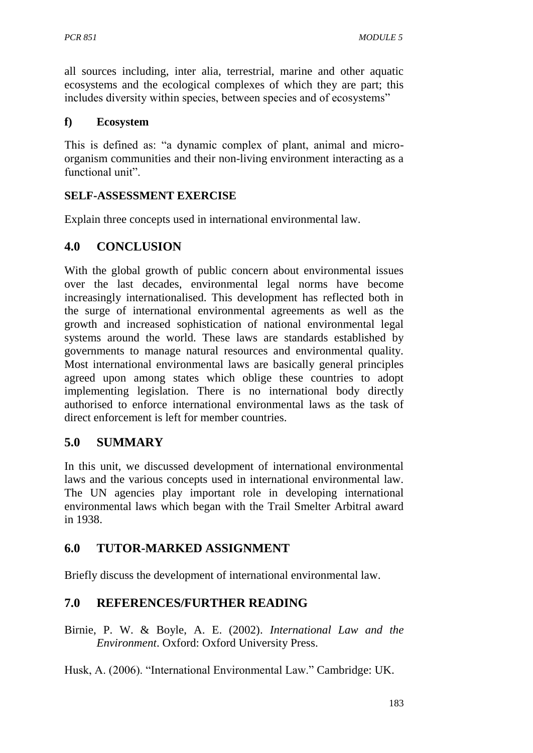all sources including, inter alia, terrestrial, marine and other aquatic ecosystems and the ecological complexes of which they are part; this includes diversity within species, between species and of ecosystems"

#### **f) Ecosystem**

This is defined as: "a dynamic complex of plant, animal and microorganism communities and their non-living environment interacting as a functional unit".

## **SELF-ASSESSMENT EXERCISE**

Explain three concepts used in international environmental law.

## **4.0 CONCLUSION**

With the global growth of public concern about environmental issues over the last decades, environmental legal norms have become increasingly internationalised. This development has reflected both in the surge of international environmental agreements as well as the growth and increased sophistication of national environmental legal systems around the world. These laws are standards established by governments to manage natural resources and environmental quality. Most international environmental laws are basically general principles agreed upon among states which oblige these countries to adopt implementing legislation. There is no international body directly authorised to enforce international environmental laws as the task of direct enforcement is left for member countries.

## **5.0 SUMMARY**

In this unit, we discussed development of international environmental laws and the various concepts used in international environmental law. The UN agencies play important role in developing international environmental laws which began with the Trail Smelter Arbitral award in 1938.

# **6.0 TUTOR-MARKED ASSIGNMENT**

Briefly discuss the development of international environmental law.

# **7.0 REFERENCES/FURTHER READING**

Birnie, P. W. & Boyle, A. E. (2002). *International Law and the Environment*. Oxford: Oxford University Press.

Husk, A. (2006). "International Environmental Law." Cambridge: UK.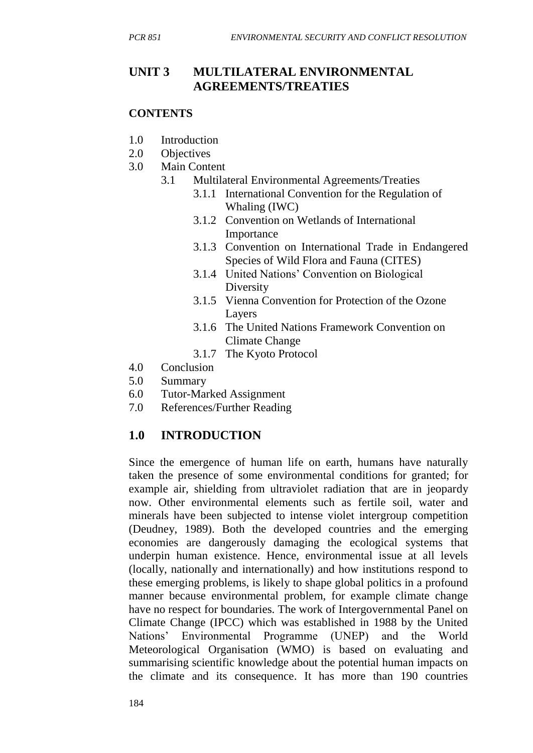## **UNIT 3 MULTILATERAL ENVIRONMENTAL AGREEMENTS/TREATIES**

#### **CONTENTS**

- 1.0 Introduction
- 2.0 Objectives
- 3.0 Main Content
	- 3.1 Multilateral Environmental Agreements/Treaties
		- 3.1.1 International Convention for the Regulation of Whaling (IWC)
		- 3.1.2 Convention on Wetlands of International Importance
		- 3.1.3 Convention on International Trade in Endangered Species of Wild Flora and Fauna (CITES)
		- 3.1.4 United Nations' Convention on Biological Diversity
		- 3.1.5 Vienna Convention for Protection of the Ozone Layers
		- 3.1.6 The United Nations Framework Convention on Climate Change
		- 3.1.7 The Kyoto Protocol
- 4.0 Conclusion
- 5.0 Summary
- 6.0 Tutor-Marked Assignment
- 7.0 References/Further Reading

## **1.0 INTRODUCTION**

Since the emergence of human life on earth, humans have naturally taken the presence of some environmental conditions for granted; for example air, shielding from ultraviolet radiation that are in jeopardy now. Other environmental elements such as fertile soil, water and minerals have been subjected to intense violet intergroup competition (Deudney, 1989). Both the developed countries and the emerging economies are dangerously damaging the ecological systems that underpin human existence. Hence, environmental issue at all levels (locally, nationally and internationally) and how institutions respond to these emerging problems, is likely to shape global politics in a profound manner because environmental problem, for example climate change have no respect for boundaries. The work of Intergovernmental Panel on Climate Change (IPCC) which was established in 1988 by the United Nations' Environmental Programme (UNEP) and the World Meteorological Organisation (WMO) is based on evaluating and summarising scientific knowledge about the potential human impacts on the climate and its consequence. It has more than 190 countries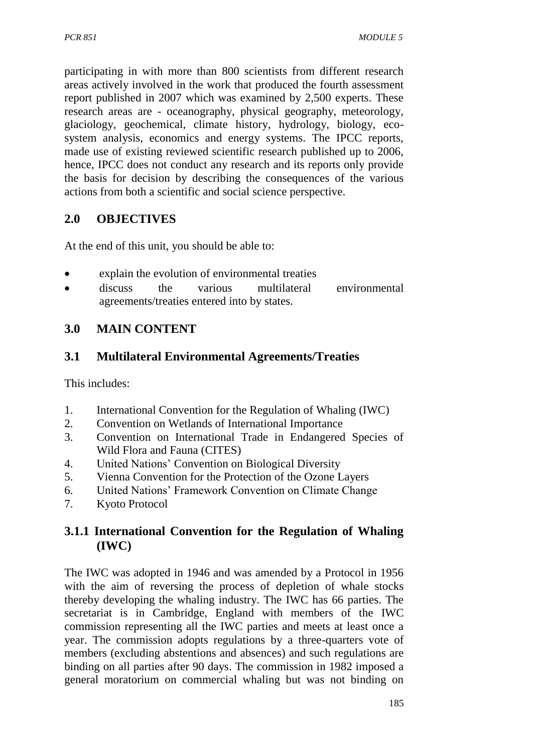participating in with more than 800 scientists from different research areas actively involved in the work that produced the fourth assessment report published in 2007 which was examined by 2,500 experts. These research areas are - oceanography, physical geography, meteorology, glaciology, geochemical, climate history, hydrology, biology, ecosystem analysis, economics and energy systems. The IPCC reports, made use of existing reviewed scientific research published up to 2006, hence, IPCC does not conduct any research and its reports only provide the basis for decision by describing the consequences of the various actions from both a scientific and social science perspective.

# **2.0 OBJECTIVES**

At the end of this unit, you should be able to:

- explain the evolution of environmental treaties
- discuss the various multilateral environmental agreements/treaties entered into by states.

# **3.0 MAIN CONTENT**

## **3.1 Multilateral Environmental Agreements/Treaties**

This includes:

- 1. International Convention for the Regulation of Whaling (IWC)
- 2. Convention on Wetlands of International Importance
- 3. Convention on International Trade in Endangered Species of Wild Flora and Fauna (CITES)
- 4. United Nations' Convention on Biological Diversity
- 5. Vienna Convention for the Protection of the Ozone Layers
- 6. United Nations' Framework Convention on Climate Change
- 7. Kyoto Protocol

## **3.1.1 International Convention for the Regulation of Whaling (IWC)**

The IWC was adopted in 1946 and was amended by a Protocol in 1956 with the aim of reversing the process of depletion of whale stocks thereby developing the whaling industry. The IWC has 66 parties. The secretariat is in Cambridge, England with members of the IWC commission representing all the IWC parties and meets at least once a year. The commission adopts regulations by a three-quarters vote of members (excluding abstentions and absences) and such regulations are binding on all parties after 90 days. The commission in 1982 imposed a general moratorium on commercial whaling but was not binding on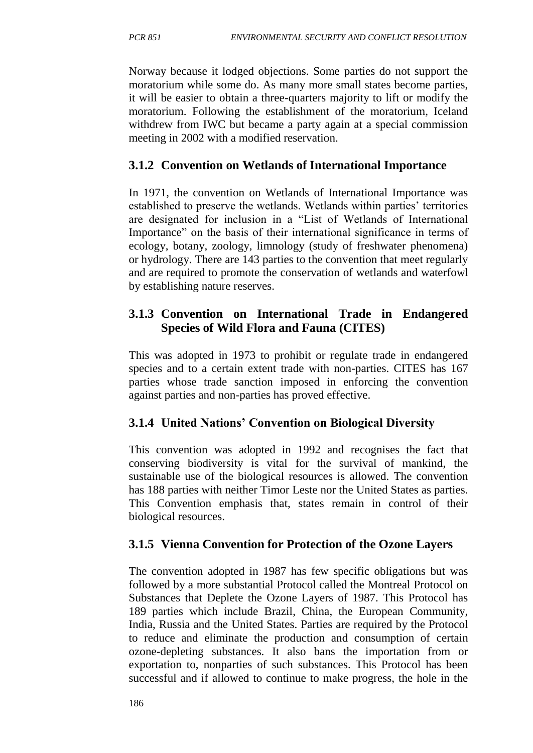Norway because it lodged objections. Some parties do not support the moratorium while some do. As many more small states become parties, it will be easier to obtain a three-quarters majority to lift or modify the moratorium. Following the establishment of the moratorium, Iceland withdrew from IWC but became a party again at a special commission meeting in 2002 with a modified reservation.

## **3.1.2 Convention on Wetlands of International Importance**

In 1971, the convention on Wetlands of International Importance was established to preserve the wetlands. Wetlands within parties' territories are designated for inclusion in a "List of Wetlands of International Importance" on the basis of their international significance in terms of ecology, botany, zoology, limnology (study of freshwater phenomena) or hydrology. There are 143 parties to the convention that meet regularly and are required to promote the conservation of wetlands and waterfowl by establishing nature reserves.

## **3.1.3 Convention on International Trade in Endangered Species of Wild Flora and Fauna (CITES)**

This was adopted in 1973 to prohibit or regulate trade in endangered species and to a certain extent trade with non-parties. CITES has 167 parties whose trade sanction imposed in enforcing the convention against parties and non-parties has proved effective.

# **3.1.4 United Nations' Convention on Biological Diversity**

This convention was adopted in 1992 and recognises the fact that conserving biodiversity is vital for the survival of mankind, the sustainable use of the biological resources is allowed. The convention has 188 parties with neither Timor Leste nor the United States as parties. This Convention emphasis that, states remain in control of their biological resources.

# **3.1.5 Vienna Convention for Protection of the Ozone Layers**

The convention adopted in 1987 has few specific obligations but was followed by a more substantial Protocol called the Montreal Protocol on Substances that Deplete the Ozone Layers of 1987. This Protocol has 189 parties which include Brazil, China, the European Community, India, Russia and the United States. Parties are required by the Protocol to reduce and eliminate the production and consumption of certain ozone-depleting substances. It also bans the importation from or exportation to, nonparties of such substances. This Protocol has been successful and if allowed to continue to make progress, the hole in the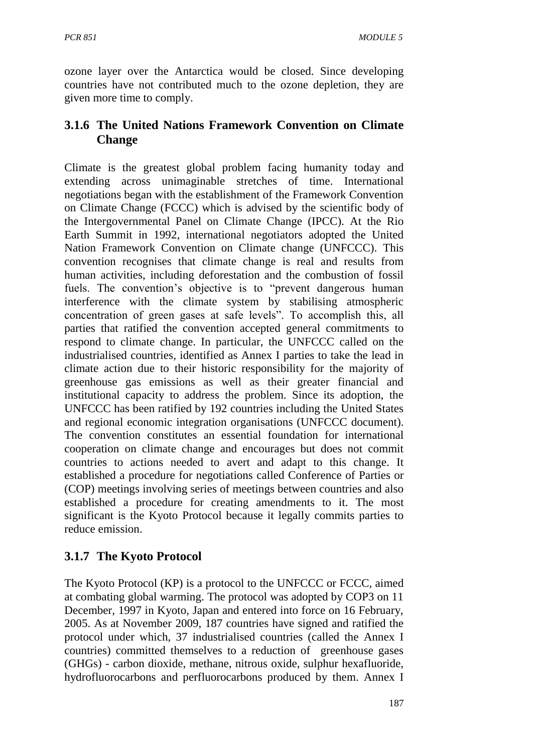ozone layer over the Antarctica would be closed. Since developing countries have not contributed much to the ozone depletion, they are given more time to comply.

# **3.1.6 The United Nations Framework Convention on Climate Change**

Climate is the greatest global problem facing humanity today and extending across unimaginable stretches of time. International negotiations began with the establishment of the Framework Convention on Climate Change (FCCC) which is advised by the scientific body of the Intergovernmental Panel on Climate Change (IPCC). At the Rio Earth Summit in 1992, international negotiators adopted the United Nation Framework Convention on Climate change (UNFCCC). This convention recognises that climate change is real and results from human activities, including deforestation and the combustion of fossil fuels. The convention's objective is to "prevent dangerous human interference with the climate system by stabilising atmospheric concentration of green gases at safe levels". To accomplish this, all parties that ratified the convention accepted general commitments to respond to climate change. In particular, the UNFCCC called on the industrialised countries, identified as Annex I parties to take the lead in climate action due to their historic responsibility for the majority of greenhouse gas emissions as well as their greater financial and institutional capacity to address the problem. Since its adoption, the UNFCCC has been ratified by 192 countries including the United States and regional economic integration organisations (UNFCCC document). The convention constitutes an essential foundation for international cooperation on climate change and encourages but does not commit countries to actions needed to avert and adapt to this change. It established a procedure for negotiations called Conference of Parties or (COP) meetings involving series of meetings between countries and also established a procedure for creating amendments to it. The most significant is the Kyoto Protocol because it legally commits parties to reduce emission.

# **3.1.7 The Kyoto Protocol**

The Kyoto Protocol (KP) is a protocol to the UNFCCC or FCCC, aimed at combating global warming. The protocol was adopted by COP3 on 11 December, 1997 in Kyoto, Japan and entered into force on 16 February, 2005. As at November 2009, 187 countries have signed and ratified the protocol under which, 37 industrialised countries (called the Annex I countries) committed themselves to a reduction of greenhouse gases (GHGs) - carbon dioxide, methane, nitrous oxide, sulphur hexafluoride, hydrofluorocarbons and perfluorocarbons produced by them. Annex I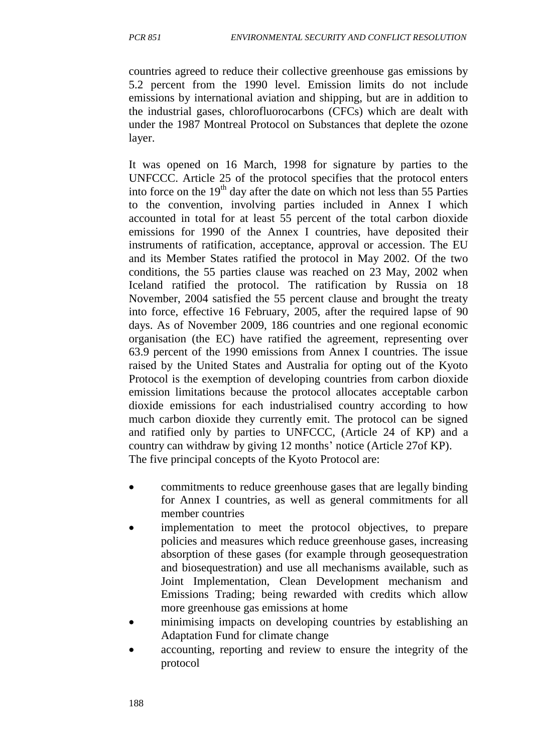countries agreed to reduce their collective greenhouse gas emissions by 5.2 percent from the 1990 level. Emission limits do not include emissions by international aviation and shipping, but are in addition to the industrial gases, chlorofluorocarbons (CFCs) which are dealt with under the 1987 Montreal Protocol on Substances that deplete the ozone layer.

It was opened on 16 March, 1998 for signature by parties to the UNFCCC. Article 25 of the protocol specifies that the protocol enters into force on the  $19<sup>th</sup>$  day after the date on which not less than 55 Parties to the convention, involving parties included in Annex I which accounted in total for at least 55 percent of the total carbon dioxide emissions for 1990 of the Annex I countries, have deposited their instruments of ratification, acceptance, approval or accession. The EU and its Member States ratified the protocol in May 2002. Of the two conditions, the 55 parties clause was reached on 23 May, 2002 when Iceland ratified the protocol. The ratification by Russia on 18 November, 2004 satisfied the 55 percent clause and brought the treaty into force, effective 16 February, 2005, after the required lapse of 90 days. As of November 2009, 186 countries and one regional economic organisation (the EC) have ratified the agreement, representing over 63.9 percent of the 1990 emissions from Annex I countries. The issue raised by the United States and Australia for opting out of the Kyoto Protocol is the exemption of developing countries from carbon dioxide emission limitations because the protocol allocates acceptable carbon dioxide emissions for each industrialised country according to how much carbon dioxide they currently emit. The protocol can be signed and ratified only by parties to UNFCCC, (Article 24 of KP) and a country can withdraw by giving 12 months' notice (Article 27of KP). The five principal concepts of the Kyoto Protocol are:

- commitments to reduce greenhouse gases that are legally binding for Annex I countries, as well as general commitments for all member countries
- implementation to meet the protocol objectives, to prepare policies and measures which reduce greenhouse gases, increasing absorption of these gases (for example through geosequestration and biosequestration) and use all mechanisms available, such as Joint Implementation, Clean Development mechanism and Emissions Trading; being rewarded with credits which allow more greenhouse gas emissions at home
- minimising impacts on developing countries by establishing an Adaptation Fund for climate change
- accounting, reporting and review to ensure the integrity of the protocol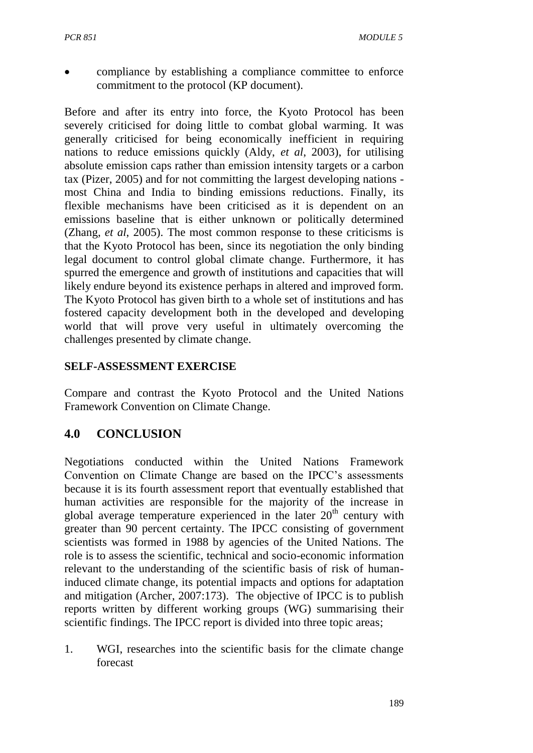compliance by establishing a compliance committee to enforce commitment to the protocol (KP document).

Before and after its entry into force, the Kyoto Protocol has been severely criticised for doing little to combat global warming. It was generally criticised for being economically inefficient in requiring nations to reduce emissions quickly (Aldy, *et al*, 2003), for utilising absolute emission caps rather than emission intensity targets or a carbon tax (Pizer, 2005) and for not committing the largest developing nations most China and India to binding emissions reductions. Finally, its flexible mechanisms have been criticised as it is dependent on an emissions baseline that is either unknown or politically determined (Zhang, *et al*, 2005). The most common response to these criticisms is that the Kyoto Protocol has been, since its negotiation the only binding legal document to control global climate change. Furthermore, it has spurred the emergence and growth of institutions and capacities that will likely endure beyond its existence perhaps in altered and improved form. The Kyoto Protocol has given birth to a whole set of institutions and has fostered capacity development both in the developed and developing world that will prove very useful in ultimately overcoming the challenges presented by climate change.

## **SELF-ASSESSMENT EXERCISE**

Compare and contrast the Kyoto Protocol and the United Nations Framework Convention on Climate Change.

# **4.0 CONCLUSION**

Negotiations conducted within the United Nations Framework Convention on Climate Change are based on the IPCC's assessments because it is its fourth assessment report that eventually established that human activities are responsible for the majority of the increase in global average temperature experienced in the later  $20<sup>th</sup>$  century with greater than 90 percent certainty. The IPCC consisting of government scientists was formed in 1988 by agencies of the United Nations. The role is to assess the scientific, technical and socio-economic information relevant to the understanding of the scientific basis of risk of humaninduced climate change, its potential impacts and options for adaptation and mitigation (Archer, 2007:173). The objective of IPCC is to publish reports written by different working groups (WG) summarising their scientific findings. The IPCC report is divided into three topic areas;

1. WGI, researches into the scientific basis for the climate change forecast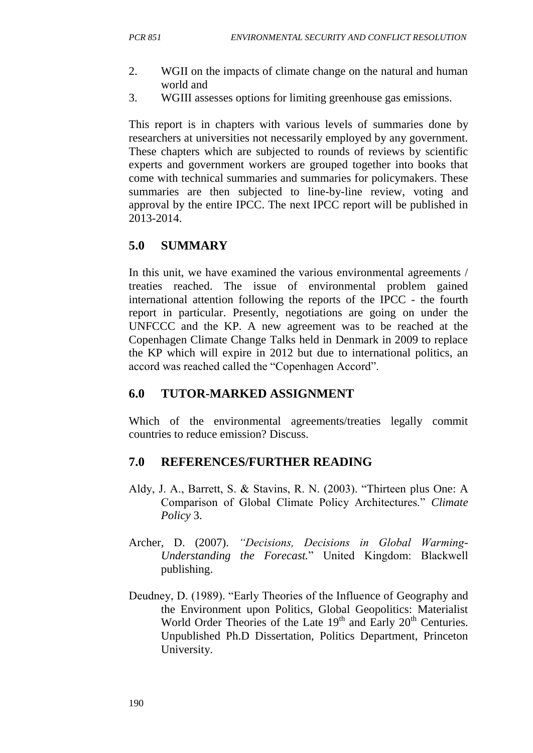- 2. WGII on the impacts of climate change on the natural and human world and
- 3. WGIII assesses options for limiting greenhouse gas emissions.

This report is in chapters with various levels of summaries done by researchers at universities not necessarily employed by any government. These chapters which are subjected to rounds of reviews by scientific experts and government workers are grouped together into books that come with technical summaries and summaries for policymakers. These summaries are then subjected to line-by-line review, voting and approval by the entire IPCC. The next IPCC report will be published in 2013-2014.

# **5.0 SUMMARY**

In this unit, we have examined the various environmental agreements / treaties reached. The issue of environmental problem gained international attention following the reports of the IPCC - the fourth report in particular. Presently, negotiations are going on under the UNFCCC and the KP. A new agreement was to be reached at the Copenhagen Climate Change Talks held in Denmark in 2009 to replace the KP which will expire in 2012 but due to international politics, an accord was reached called the "Copenhagen Accord".

## **6.0 TUTOR-MARKED ASSIGNMENT**

Which of the environmental agreements/treaties legally commit countries to reduce emission? Discuss.

## **7.0 REFERENCES/FURTHER READING**

- Aldy, J. A., Barrett, S. & Stavins, R. N. (2003). "Thirteen plus One: A Comparison of Global Climate Policy Architectures." *Climate Policy* 3.
- Archer, D. (2007). *"Decisions, Decisions in Global Warming-Understanding the Forecast.*" United Kingdom: Blackwell publishing.
- Deudney, D. (1989). "Early Theories of the Influence of Geography and the Environment upon Politics, Global Geopolitics: Materialist World Order Theories of the Late  $19<sup>th</sup>$  and Early  $20<sup>th</sup>$  Centuries. Unpublished Ph.D Dissertation, Politics Department, Princeton University.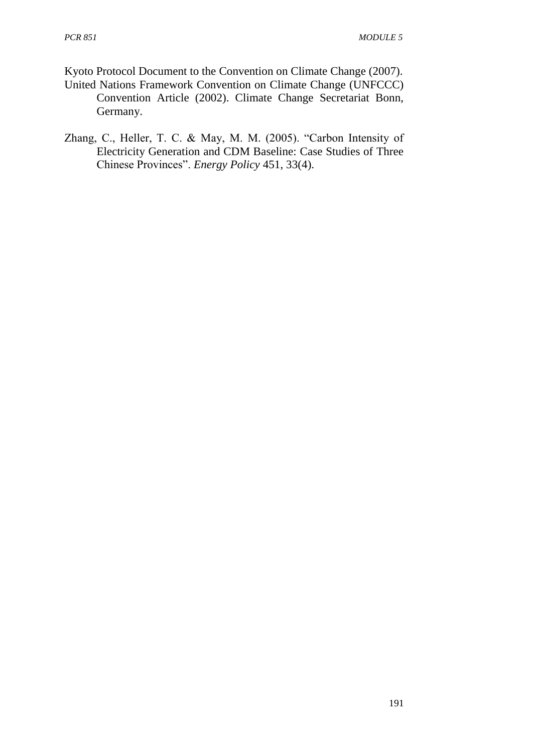Kyoto Protocol Document to the Convention on Climate Change (2007). United Nations Framework Convention on Climate Change (UNFCCC)

- Convention Article (2002). Climate Change Secretariat Bonn, Germany.
- Zhang, C., Heller, T. C. & May, M. M. (2005). "Carbon Intensity of Electricity Generation and CDM Baseline: Case Studies of Three Chinese Provinces". *Energy Policy* 451, 33(4).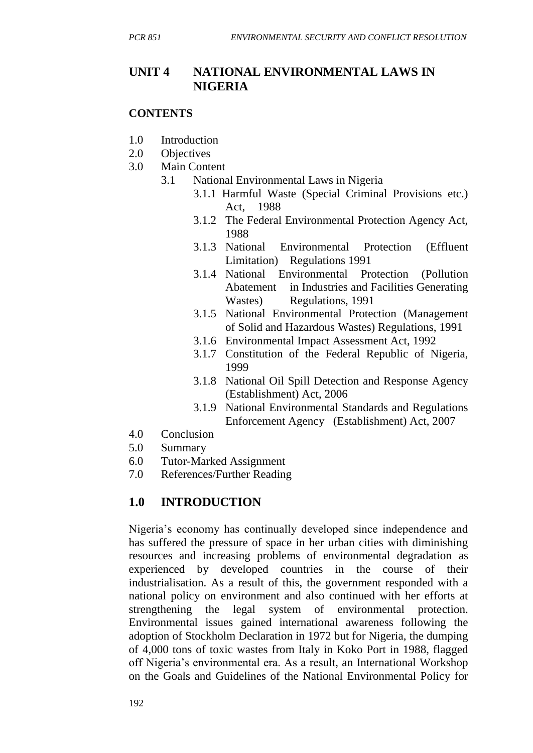## **UNIT 4 NATIONAL ENVIRONMENTAL LAWS IN NIGERIA**

#### **CONTENTS**

- 1.0 Introduction
- 2.0 Objectives
- 3.0 Main Content
	- 3.1 National Environmental Laws in Nigeria
		- 3.1.1 Harmful Waste (Special Criminal Provisions etc.) Act, 1988
		- 3.1.2 The Federal Environmental Protection Agency Act, 1988
		- 3.1.3 National Environmental Protection (Effluent Limitation) Regulations 1991
		- 3.1.4 National Environmental Protection (Pollution Abatement in Industries and Facilities Generating Wastes) Regulations, 1991
		- 3.1.5 National Environmental Protection (Management of Solid and Hazardous Wastes) Regulations, 1991
		- 3.1.6 Environmental Impact Assessment Act, 1992
		- 3.1.7 Constitution of the Federal Republic of Nigeria, 1999
		- 3.1.8 National Oil Spill Detection and Response Agency (Establishment) Act, 2006
		- 3.1.9 National Environmental Standards and Regulations Enforcement Agency (Establishment) Act, 2007
- 4.0 Conclusion
- 5.0 Summary
- 6.0 Tutor-Marked Assignment
- 7.0 References/Further Reading

# **1.0 INTRODUCTION**

Nigeria's economy has continually developed since independence and has suffered the pressure of space in her urban cities with diminishing resources and increasing problems of environmental degradation as experienced by developed countries in the course of their industrialisation. As a result of this, the government responded with a national policy on environment and also continued with her efforts at strengthening the legal system of environmental protection. Environmental issues gained international awareness following the adoption of Stockholm Declaration in 1972 but for Nigeria, the dumping of 4,000 tons of toxic wastes from Italy in Koko Port in 1988, flagged off Nigeria's environmental era. As a result, an International Workshop on the Goals and Guidelines of the National Environmental Policy for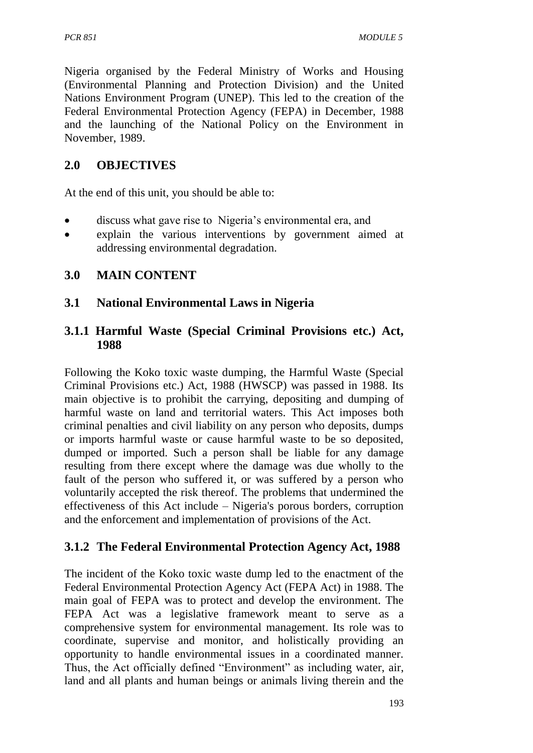Nigeria organised by the Federal Ministry of Works and Housing (Environmental Planning and Protection Division) and the United Nations Environment Program (UNEP). This led to the creation of the Federal Environmental Protection Agency (FEPA) in December, 1988 and the launching of the National Policy on the Environment in November, 1989.

## **2.0 OBJECTIVES**

At the end of this unit, you should be able to:

- discuss what gave rise to Nigeria's environmental era, and
- explain the various interventions by government aimed at addressing environmental degradation.

## **3.0 MAIN CONTENT**

#### **3.1 National Environmental Laws in Nigeria**

## **3.1.1 Harmful Waste (Special Criminal Provisions etc.) Act, 1988**

Following the Koko toxic waste dumping, the Harmful Waste (Special Criminal Provisions etc.) Act, 1988 (HWSCP) was passed in 1988. Its main objective is to prohibit the carrying, depositing and dumping of harmful waste on land and territorial waters. This Act imposes both criminal penalties and civil liability on any person who deposits, dumps or imports harmful waste or cause harmful waste to be so deposited, dumped or imported. Such a person shall be liable for any damage resulting from there except where the damage was due wholly to the fault of the person who suffered it, or was suffered by a person who voluntarily accepted the risk thereof. The problems that undermined the effectiveness of this Act include – Nigeria's porous borders, corruption and the enforcement and implementation of provisions of the Act.

## **3.1.2 The Federal Environmental Protection Agency Act, 1988**

The incident of the Koko toxic waste dump led to the enactment of the Federal Environmental Protection Agency Act (FEPA Act) in 1988. The main goal of FEPA was to protect and develop the environment. The FEPA Act was a legislative framework meant to serve as a comprehensive system for environmental management. Its role was to coordinate, supervise and monitor, and holistically providing an opportunity to handle environmental issues in a coordinated manner. Thus, the Act officially defined "Environment" as including water, air, land and all plants and human beings or animals living therein and the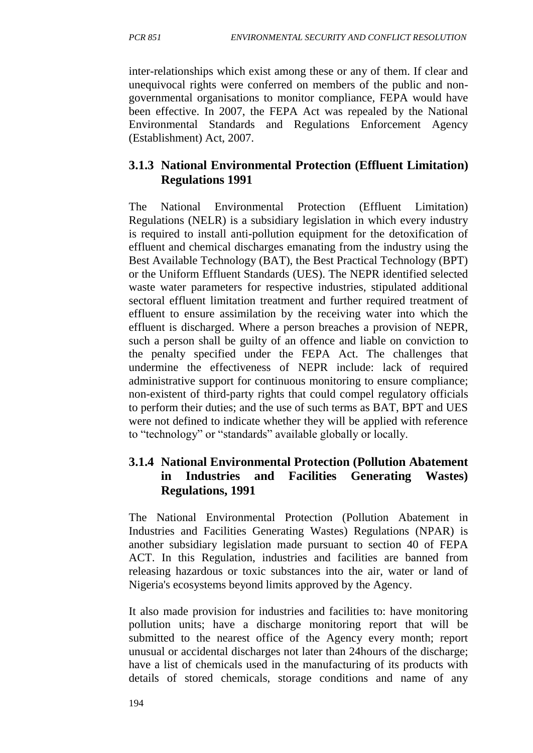inter-relationships which exist among these or any of them. If clear and unequivocal rights were conferred on members of the public and nongovernmental organisations to monitor compliance, FEPA would have been effective. In 2007, the FEPA Act was repealed by the National Environmental Standards and Regulations Enforcement Agency (Establishment) Act, 2007.

## **3.1.3 National Environmental Protection (Effluent Limitation) Regulations 1991**

The National Environmental Protection (Effluent Limitation) Regulations (NELR) is a subsidiary legislation in which every industry is required to install anti-pollution equipment for the detoxification of effluent and chemical discharges emanating from the industry using the Best Available Technology (BAT), the Best Practical Technology (BPT) or the Uniform Effluent Standards (UES). The NEPR identified selected waste water parameters for respective industries, stipulated additional sectoral effluent limitation treatment and further required treatment of effluent to ensure assimilation by the receiving water into which the effluent is discharged. Where a person breaches a provision of NEPR, such a person shall be guilty of an offence and liable on conviction to the penalty specified under the FEPA Act. The challenges that undermine the effectiveness of NEPR include: lack of required administrative support for continuous monitoring to ensure compliance; non-existent of third-party rights that could compel regulatory officials to perform their duties; and the use of such terms as BAT, BPT and UES were not defined to indicate whether they will be applied with reference to "technology" or "standards" available globally or locally.

## **3.1.4 National Environmental Protection (Pollution Abatement in Industries and Facilities Generating Wastes) Regulations, 1991**

The National Environmental Protection (Pollution Abatement in Industries and Facilities Generating Wastes) Regulations (NPAR) is another subsidiary legislation made pursuant to section 40 of FEPA ACT. In this Regulation, industries and facilities are banned from releasing hazardous or toxic substances into the air, water or land of Nigeria's ecosystems beyond limits approved by the Agency.

It also made provision for industries and facilities to: have monitoring pollution units; have a discharge monitoring report that will be submitted to the nearest office of the Agency every month; report unusual or accidental discharges not later than 24hours of the discharge; have a list of chemicals used in the manufacturing of its products with details of stored chemicals, storage conditions and name of any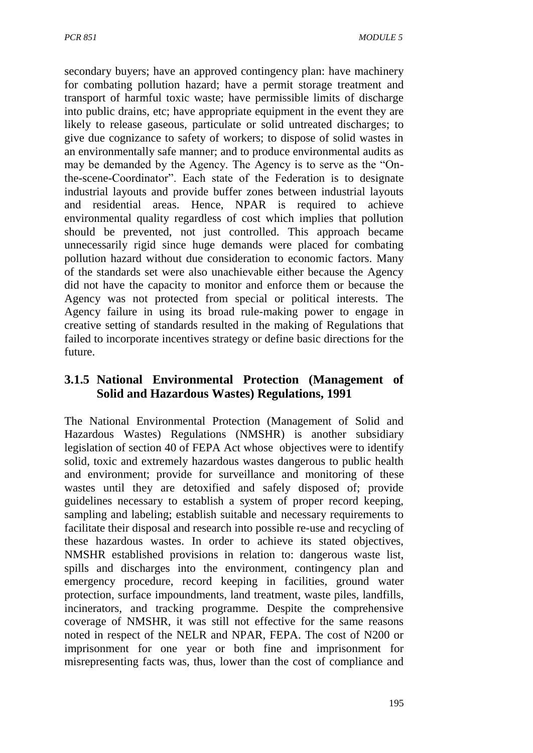secondary buyers; have an approved contingency plan: have machinery for combating pollution hazard; have a permit storage treatment and transport of harmful toxic waste; have permissible limits of discharge into public drains, etc; have appropriate equipment in the event they are likely to release gaseous, particulate or solid untreated discharges; to give due cognizance to safety of workers; to dispose of solid wastes in an environmentally safe manner; and to produce environmental audits as may be demanded by the Agency. The Agency is to serve as the "Onthe-scene-Coordinator". Each state of the Federation is to designate industrial layouts and provide buffer zones between industrial layouts and residential areas. Hence, NPAR is required to achieve environmental quality regardless of cost which implies that pollution should be prevented, not just controlled. This approach became unnecessarily rigid since huge demands were placed for combating pollution hazard without due consideration to economic factors. Many of the standards set were also unachievable either because the Agency did not have the capacity to monitor and enforce them or because the Agency was not protected from special or political interests. The Agency failure in using its broad rule-making power to engage in creative setting of standards resulted in the making of Regulations that failed to incorporate incentives strategy or define basic directions for the future.

## **3.1.5 National Environmental Protection (Management of Solid and Hazardous Wastes) Regulations, 1991**

The National Environmental Protection (Management of Solid and Hazardous Wastes) Regulations (NMSHR) is another subsidiary legislation of section 40 of FEPA Act whose objectives were to identify solid, toxic and extremely hazardous wastes dangerous to public health and environment; provide for surveillance and monitoring of these wastes until they are detoxified and safely disposed of; provide guidelines necessary to establish a system of proper record keeping, sampling and labeling; establish suitable and necessary requirements to facilitate their disposal and research into possible re-use and recycling of these hazardous wastes. In order to achieve its stated objectives, NMSHR established provisions in relation to: dangerous waste list, spills and discharges into the environment, contingency plan and emergency procedure, record keeping in facilities, ground water protection, surface impoundments, land treatment, waste piles, landfills, incinerators, and tracking programme. Despite the comprehensive coverage of NMSHR, it was still not effective for the same reasons noted in respect of the NELR and NPAR, FEPA. The cost of N200 or imprisonment for one year or both fine and imprisonment for misrepresenting facts was, thus, lower than the cost of compliance and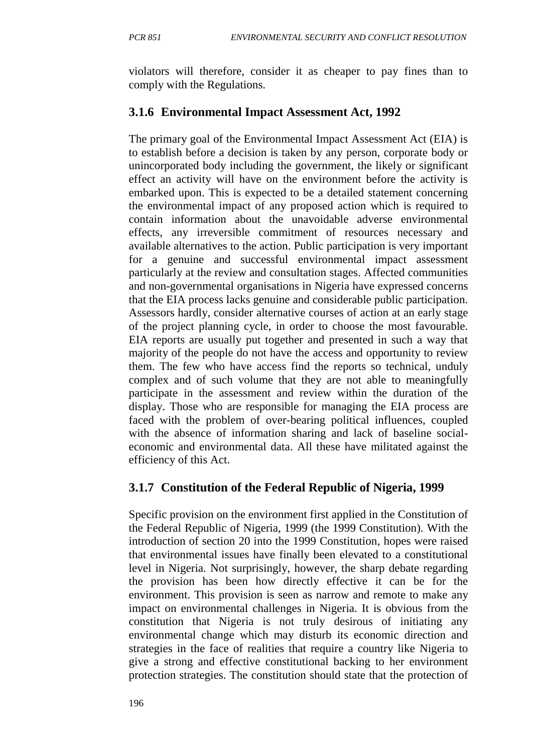violators will therefore, consider it as cheaper to pay fines than to comply with the Regulations.

## **3.1.6 Environmental Impact Assessment Act, 1992**

The primary goal of the Environmental Impact Assessment Act (EIA) is to establish before a decision is taken by any person, corporate body or unincorporated body including the government, the likely or significant effect an activity will have on the environment before the activity is embarked upon. This is expected to be a detailed statement concerning the environmental impact of any proposed action which is required to contain information about the unavoidable adverse environmental effects, any irreversible commitment of resources necessary and available alternatives to the action. Public participation is very important for a genuine and successful environmental impact assessment particularly at the review and consultation stages. Affected communities and non-governmental organisations in Nigeria have expressed concerns that the EIA process lacks genuine and considerable public participation. Assessors hardly, consider alternative courses of action at an early stage of the project planning cycle, in order to choose the most favourable. EIA reports are usually put together and presented in such a way that majority of the people do not have the access and opportunity to review them. The few who have access find the reports so technical, unduly complex and of such volume that they are not able to meaningfully participate in the assessment and review within the duration of the display. Those who are responsible for managing the EIA process are faced with the problem of over-bearing political influences, coupled with the absence of information sharing and lack of baseline socialeconomic and environmental data. All these have militated against the efficiency of this Act.

# **3.1.7 Constitution of the Federal Republic of Nigeria, 1999**

Specific provision on the environment first applied in the Constitution of the Federal Republic of Nigeria, 1999 (the 1999 Constitution). With the introduction of section 20 into the 1999 Constitution, hopes were raised that environmental issues have finally been elevated to a constitutional level in Nigeria. Not surprisingly, however, the sharp debate regarding the provision has been how directly effective it can be for the environment. This provision is seen as narrow and remote to make any impact on environmental challenges in Nigeria. It is obvious from the constitution that Nigeria is not truly desirous of initiating any environmental change which may disturb its economic direction and strategies in the face of realities that require a country like Nigeria to give a strong and effective constitutional backing to her environment protection strategies. The constitution should state that the protection of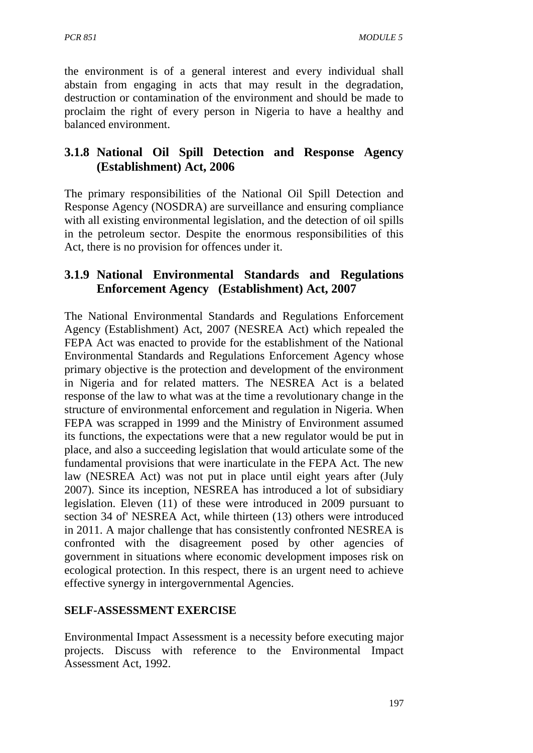the environment is of a general interest and every individual shall abstain from engaging in acts that may result in the degradation, destruction or contamination of the environment and should be made to proclaim the right of every person in Nigeria to have a healthy and balanced environment.

## **3.1.8 National Oil Spill Detection and Response Agency (Establishment) Act, 2006**

The primary responsibilities of the National Oil Spill Detection and Response Agency (NOSDRA) are surveillance and ensuring compliance with all existing environmental legislation, and the detection of oil spills in the petroleum sector. Despite the enormous responsibilities of this Act, there is no provision for offences under it.

## **3.1.9 National Environmental Standards and Regulations Enforcement Agency (Establishment) Act, 2007**

The National Environmental Standards and Regulations Enforcement Agency (Establishment) Act, 2007 (NESREA Act) which repealed the FEPA Act was enacted to provide for the establishment of the National Environmental Standards and Regulations Enforcement Agency whose primary objective is the protection and development of the environment in Nigeria and for related matters. The NESREA Act is a belated response of the law to what was at the time a revolutionary change in the structure of environmental enforcement and regulation in Nigeria. When FEPA was scrapped in 1999 and the Ministry of Environment assumed its functions, the expectations were that a new regulator would be put in place, and also a succeeding legislation that would articulate some of the fundamental provisions that were inarticulate in the FEPA Act. The new law (NESREA Act) was not put in place until eight years after (July 2007). Since its inception, NESREA has introduced a lot of subsidiary legislation. Eleven (11) of these were introduced in 2009 pursuant to section 34 of' NESREA Act, while thirteen (13) others were introduced in 2011. A major challenge that has consistently confronted NESREA is confronted with the disagreement posed by other agencies of government in situations where economic development imposes risk on ecological protection. In this respect, there is an urgent need to achieve effective synergy in intergovernmental Agencies.

## **SELF-ASSESSMENT EXERCISE**

Environmental Impact Assessment is a necessity before executing major projects. Discuss with reference to the Environmental Impact Assessment Act, 1992.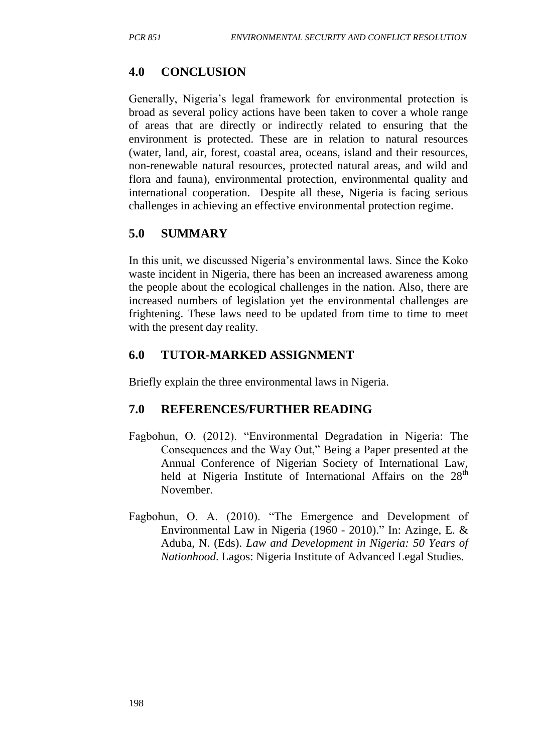# **4.0 CONCLUSION**

Generally, Nigeria's legal framework for environmental protection is broad as several policy actions have been taken to cover a whole range of areas that are directly or indirectly related to ensuring that the environment is protected. These are in relation to natural resources (water, land, air, forest, coastal area, oceans, island and their resources, non-renewable natural resources, protected natural areas, and wild and flora and fauna), environmental protection, environmental quality and international cooperation. Despite all these, Nigeria is facing serious challenges in achieving an effective environmental protection regime.

# **5.0 SUMMARY**

In this unit, we discussed Nigeria's environmental laws. Since the Koko waste incident in Nigeria, there has been an increased awareness among the people about the ecological challenges in the nation. Also, there are increased numbers of legislation yet the environmental challenges are frightening. These laws need to be updated from time to time to meet with the present day reality.

# **6.0 TUTOR-MARKED ASSIGNMENT**

Briefly explain the three environmental laws in Nigeria.

# **7.0 REFERENCES/FURTHER READING**

- Fagbohun, O. (2012). "Environmental Degradation in Nigeria: The Consequences and the Way Out," Being a Paper presented at the Annual Conference of Nigerian Society of International Law, held at Nigeria Institute of International Affairs on the  $28<sup>th</sup>$ November.
- Fagbohun, O. A. (2010). "The Emergence and Development of Environmental Law in Nigeria (1960 - 2010)." In: Azinge, E. & Aduba, N. (Eds). *Law and Development in Nigeria: 50 Years of Nationhood*. Lagos: Nigeria Institute of Advanced Legal Studies.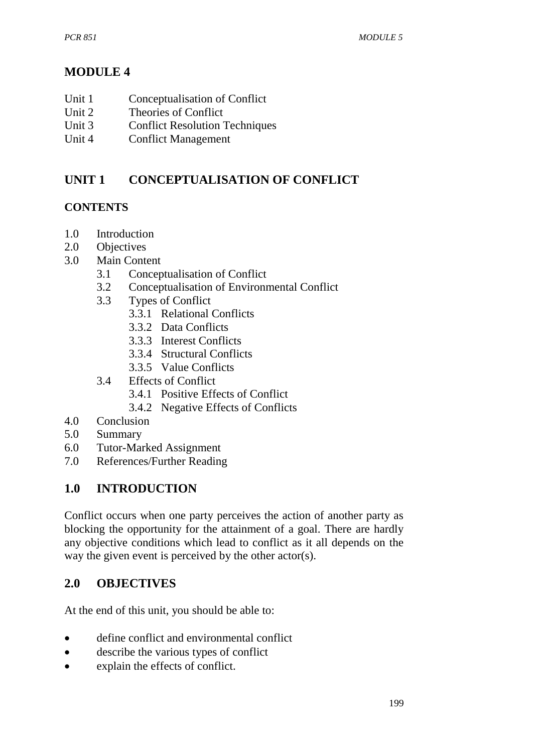# **MODULE 4**

- Unit 1 Conceptualisation of Conflict
- Unit 2 Theories of Conflict
- Unit 3 Conflict Resolution Techniques
- Unit 4 Conflict Management

# **UNIT 1 CONCEPTUALISATION OF CONFLICT**

## **CONTENTS**

- 1.0 Introduction
- 2.0 Objectives
- 3.0 Main Content
	- 3.1 Conceptualisation of Conflict
	- 3.2 Conceptualisation of Environmental Conflict
	- 3.3 Types of Conflict
		- 3.3.1 Relational Conflicts
		- 3.3.2 Data Conflicts
		- 3.3.3 Interest Conflicts
		- 3.3.4 Structural Conflicts
		- 3.3.5 Value Conflicts
	- 3.4 Effects of Conflict
		- 3.4.1 Positive Effects of Conflict
		- 3.4.2 Negative Effects of Conflicts
- 4.0 Conclusion
- 5.0 Summary
- 6.0 Tutor-Marked Assignment
- 7.0 References/Further Reading

# **1.0 INTRODUCTION**

Conflict occurs when one party perceives the action of another party as blocking the opportunity for the attainment of a goal. There are hardly any objective conditions which lead to conflict as it all depends on the way the given event is perceived by the other actor(s).

## **2.0 OBJECTIVES**

At the end of this unit, you should be able to:

- define conflict and environmental conflict
- describe the various types of conflict
- explain the effects of conflict.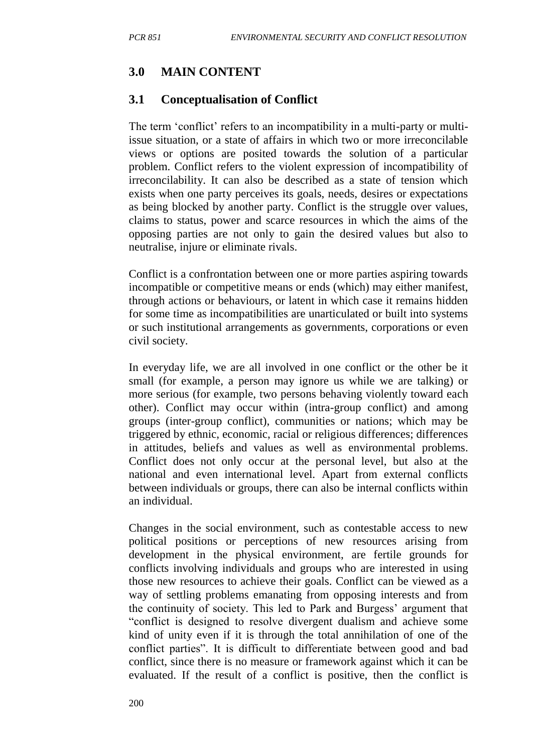## **3.0 MAIN CONTENT**

#### **3.1 Conceptualisation of Conflict**

The term 'conflict' refers to an incompatibility in a multi-party or multiissue situation, or a state of affairs in which two or more irreconcilable views or options are posited towards the solution of a particular problem. Conflict refers to the violent expression of incompatibility of irreconcilability. It can also be described as a state of tension which exists when one party perceives its goals, needs, desires or expectations as being blocked by another party. Conflict is the struggle over values, claims to status, power and scarce resources in which the aims of the opposing parties are not only to gain the desired values but also to neutralise, injure or eliminate rivals.

Conflict is a confrontation between one or more parties aspiring towards incompatible or competitive means or ends (which) may either manifest, through actions or behaviours, or latent in which case it remains hidden for some time as incompatibilities are unarticulated or built into systems or such institutional arrangements as governments, corporations or even civil society.

In everyday life, we are all involved in one conflict or the other be it small (for example, a person may ignore us while we are talking) or more serious (for example, two persons behaving violently toward each other). Conflict may occur within (intra-group conflict) and among groups (inter-group conflict), communities or nations; which may be triggered by ethnic, economic, racial or religious differences; differences in attitudes, beliefs and values as well as environmental problems. Conflict does not only occur at the personal level, but also at the national and even international level. Apart from external conflicts between individuals or groups, there can also be internal conflicts within an individual.

Changes in the social environment, such as contestable access to new political positions or perceptions of new resources arising from development in the physical environment, are fertile grounds for conflicts involving individuals and groups who are interested in using those new resources to achieve their goals. Conflict can be viewed as a way of settling problems emanating from opposing interests and from the continuity of society. This led to Park and Burgess' argument that "conflict is designed to resolve divergent dualism and achieve some kind of unity even if it is through the total annihilation of one of the conflict parties". It is difficult to differentiate between good and bad conflict, since there is no measure or framework against which it can be evaluated. If the result of a conflict is positive, then the conflict is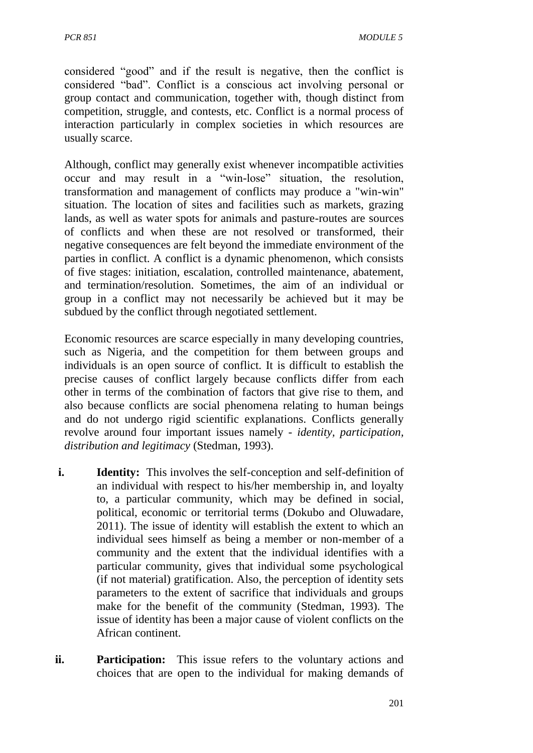considered "good" and if the result is negative, then the conflict is considered "bad". Conflict is a conscious act involving personal or group contact and communication, together with, though distinct from competition, struggle, and contests, etc. Conflict is a normal process of interaction particularly in complex societies in which resources are usually scarce.

Although, conflict may generally exist whenever incompatible activities occur and may result in a "win-lose" situation, the resolution, transformation and management of conflicts may produce a "win-win" situation. The location of sites and facilities such as markets, grazing lands, as well as water spots for animals and pasture-routes are sources of conflicts and when these are not resolved or transformed, their negative consequences are felt beyond the immediate environment of the parties in conflict. A conflict is a dynamic phenomenon, which consists of five stages: initiation, escalation, controlled maintenance, abatement, and termination/resolution. Sometimes, the aim of an individual or group in a conflict may not necessarily be achieved but it may be subdued by the conflict through negotiated settlement.

Economic resources are scarce especially in many developing countries, such as Nigeria, and the competition for them between groups and individuals is an open source of conflict. It is difficult to establish the precise causes of conflict largely because conflicts differ from each other in terms of the combination of factors that give rise to them, and also because conflicts are social phenomena relating to human beings and do not undergo rigid scientific explanations. Conflicts generally revolve around four important issues namely - *identity, participation, distribution and legitimacy* (Stedman, 1993).

- **i. Identity:** This involves the self-conception and self-definition of an individual with respect to his/her membership in, and loyalty to, a particular community, which may be defined in social, political, economic or territorial terms (Dokubo and Oluwadare, 2011). The issue of identity will establish the extent to which an individual sees himself as being a member or non-member of a community and the extent that the individual identifies with a particular community, gives that individual some psychological (if not material) gratification. Also, the perception of identity sets parameters to the extent of sacrifice that individuals and groups make for the benefit of the community (Stedman, 1993). The issue of identity has been a major cause of violent conflicts on the African continent.
- **ii. Participation:** This issue refers to the voluntary actions and choices that are open to the individual for making demands of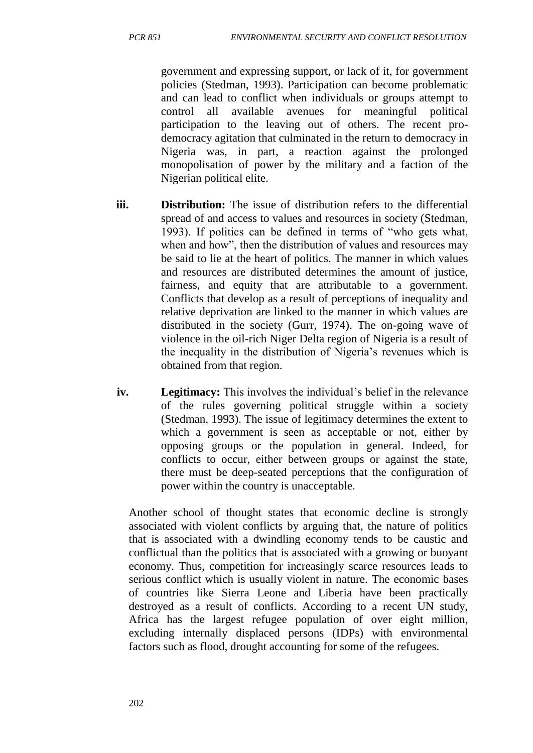government and expressing support, or lack of it, for government policies (Stedman, 1993). Participation can become problematic and can lead to conflict when individuals or groups attempt to control all available avenues for meaningful political participation to the leaving out of others. The recent prodemocracy agitation that culminated in the return to democracy in Nigeria was, in part, a reaction against the prolonged monopolisation of power by the military and a faction of the Nigerian political elite.

- **iii. Distribution:** The issue of distribution refers to the differential spread of and access to values and resources in society (Stedman, 1993). If politics can be defined in terms of "who gets what, when and how", then the distribution of values and resources may be said to lie at the heart of politics. The manner in which values and resources are distributed determines the amount of justice, fairness, and equity that are attributable to a government. Conflicts that develop as a result of perceptions of inequality and relative deprivation are linked to the manner in which values are distributed in the society (Gurr, 1974). The on-going wave of violence in the oil-rich Niger Delta region of Nigeria is a result of the inequality in the distribution of Nigeria's revenues which is obtained from that region.
- **iv. Legitimacy:** This involves the individual's belief in the relevance of the rules governing political struggle within a society (Stedman, 1993). The issue of legitimacy determines the extent to which a government is seen as acceptable or not, either by opposing groups or the population in general. Indeed, for conflicts to occur, either between groups or against the state, there must be deep-seated perceptions that the configuration of power within the country is unacceptable.

Another school of thought states that economic decline is strongly associated with violent conflicts by arguing that, the nature of politics that is associated with a dwindling economy tends to be caustic and conflictual than the politics that is associated with a growing or buoyant economy. Thus, competition for increasingly scarce resources leads to serious conflict which is usually violent in nature. The economic bases of countries like Sierra Leone and Liberia have been practically destroyed as a result of conflicts. According to a recent UN study, Africa has the largest refugee population of over eight million, excluding internally displaced persons (IDPs) with environmental factors such as flood, drought accounting for some of the refugees.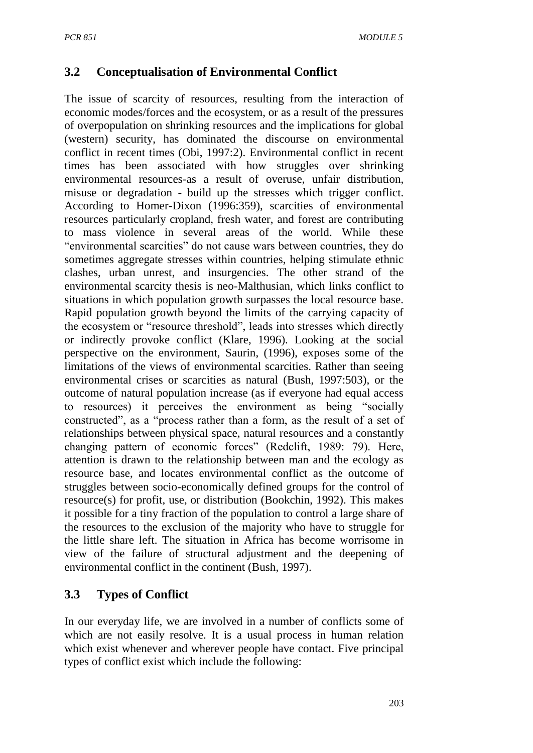## **3.2 Conceptualisation of Environmental Conflict**

The issue of scarcity of resources, resulting from the interaction of economic modes/forces and the ecosystem, or as a result of the pressures of overpopulation on shrinking resources and the implications for global (western) security, has dominated the discourse on environmental conflict in recent times (Obi, 1997:2). Environmental conflict in recent times has been associated with how struggles over shrinking environmental resources-as a result of overuse, unfair distribution, misuse or degradation - build up the stresses which trigger conflict. According to Homer-Dixon (1996:359), scarcities of environmental resources particularly cropland, fresh water, and forest are contributing to mass violence in several areas of the world. While these "environmental scarcities" do not cause wars between countries, they do sometimes aggregate stresses within countries, helping stimulate ethnic clashes, urban unrest, and insurgencies. The other strand of the environmental scarcity thesis is neo-Malthusian, which links conflict to situations in which population growth surpasses the local resource base. Rapid population growth beyond the limits of the carrying capacity of the ecosystem or "resource threshold", leads into stresses which directly or indirectly provoke conflict (Klare, 1996). Looking at the social perspective on the environment, Saurin, (1996), exposes some of the limitations of the views of environmental scarcities. Rather than seeing environmental crises or scarcities as natural (Bush, 1997:503), or the outcome of natural population increase (as if everyone had equal access to resources) it perceives the environment as being "socially constructed", as a "process rather than a form, as the result of a set of relationships between physical space, natural resources and a constantly changing pattern of economic forces" (Redclift, 1989: 79). Here, attention is drawn to the relationship between man and the ecology as resource base, and locates environmental conflict as the outcome of struggles between socio-economically defined groups for the control of resource(s) for profit, use, or distribution (Bookchin, 1992). This makes it possible for a tiny fraction of the population to control a large share of the resources to the exclusion of the majority who have to struggle for the little share left. The situation in Africa has become worrisome in view of the failure of structural adjustment and the deepening of environmental conflict in the continent (Bush, 1997).

## **3.3 Types of Conflict**

In our everyday life, we are involved in a number of conflicts some of which are not easily resolve. It is a usual process in human relation which exist whenever and wherever people have contact. Five principal types of conflict exist which include the following: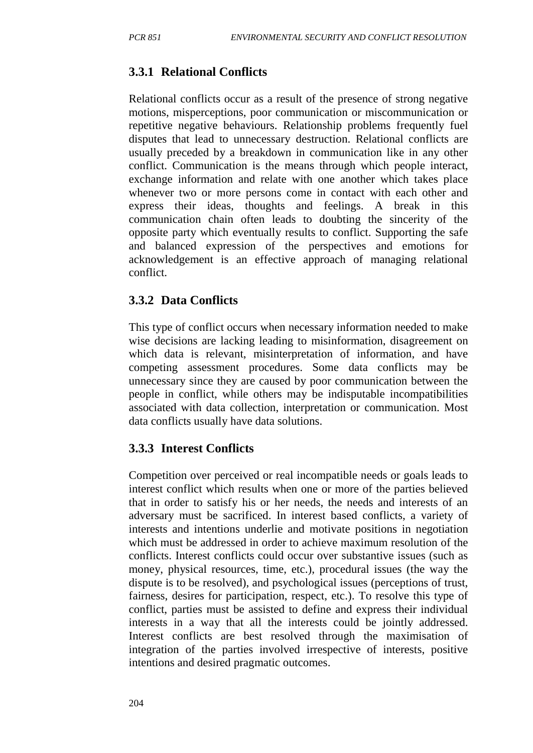# **3.3.1 Relational Conflicts**

Relational conflicts occur as a result of the presence of strong negative motions, misperceptions, poor communication or miscommunication or repetitive negative behaviours. Relationship problems frequently fuel disputes that lead to unnecessary destruction. Relational conflicts are usually preceded by a breakdown in communication like in any other conflict. Communication is the means through which people interact, exchange information and relate with one another which takes place whenever two or more persons come in contact with each other and express their ideas, thoughts and feelings. A break in this communication chain often leads to doubting the sincerity of the opposite party which eventually results to conflict. Supporting the safe and balanced expression of the perspectives and emotions for acknowledgement is an effective approach of managing relational conflict.

## **3.3.2 Data Conflicts**

This type of conflict occurs when necessary information needed to make wise decisions are lacking leading to misinformation, disagreement on which data is relevant, misinterpretation of information, and have competing assessment procedures. Some data conflicts may be unnecessary since they are caused by poor communication between the people in conflict, while others may be indisputable incompatibilities associated with data collection, interpretation or communication. Most data conflicts usually have data solutions.

## **3.3.3 Interest Conflicts**

Competition over perceived or real incompatible needs or goals leads to interest conflict which results when one or more of the parties believed that in order to satisfy his or her needs, the needs and interests of an adversary must be sacrificed. In interest based conflicts, a variety of interests and intentions underlie and motivate positions in negotiation which must be addressed in order to achieve maximum resolution of the conflicts. Interest conflicts could occur over substantive issues (such as money, physical resources, time, etc.), procedural issues (the way the dispute is to be resolved), and psychological issues (perceptions of trust, fairness, desires for participation, respect, etc.). To resolve this type of conflict, parties must be assisted to define and express their individual interests in a way that all the interests could be jointly addressed. Interest conflicts are best resolved through the maximisation of integration of the parties involved irrespective of interests, positive intentions and desired pragmatic outcomes.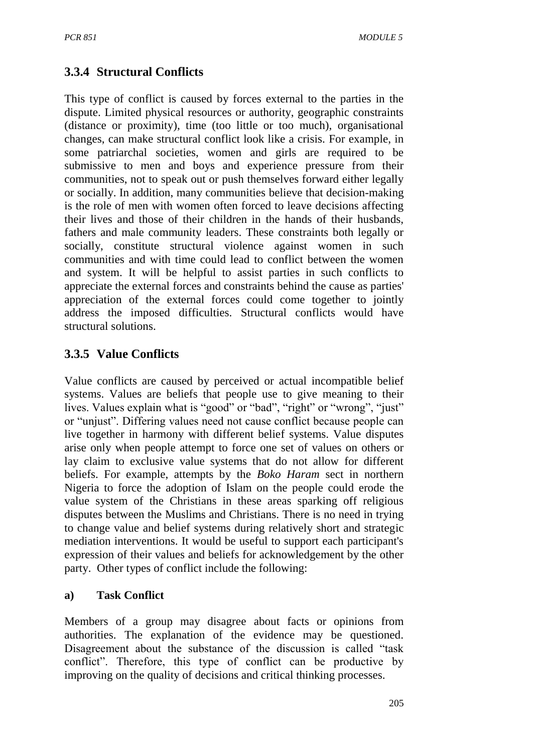## **3.3.4 Structural Conflicts**

This type of conflict is caused by forces external to the parties in the dispute. Limited physical resources or authority, geographic constraints (distance or proximity), time (too little or too much), organisational changes, can make structural conflict look like a crisis. For example, in some patriarchal societies, women and girls are required to be submissive to men and boys and experience pressure from their communities, not to speak out or push themselves forward either legally or socially. In addition, many communities believe that decision-making is the role of men with women often forced to leave decisions affecting their lives and those of their children in the hands of their husbands, fathers and male community leaders. These constraints both legally or socially, constitute structural violence against women in such communities and with time could lead to conflict between the women and system. It will be helpful to assist parties in such conflicts to appreciate the external forces and constraints behind the cause as parties' appreciation of the external forces could come together to jointly address the imposed difficulties. Structural conflicts would have structural solutions.

## **3.3.5 Value Conflicts**

Value conflicts are caused by perceived or actual incompatible belief systems. Values are beliefs that people use to give meaning to their lives. Values explain what is "good" or "bad", "right" or "wrong", "just" or "unjust". Differing values need not cause conflict because people can live together in harmony with different belief systems. Value disputes arise only when people attempt to force one set of values on others or lay claim to exclusive value systems that do not allow for different beliefs. For example, attempts by the *Boko Haram* sect in northern Nigeria to force the adoption of Islam on the people could erode the value system of the Christians in these areas sparking off religious disputes between the Muslims and Christians. There is no need in trying to change value and belief systems during relatively short and strategic mediation interventions. It would be useful to support each participant's expression of their values and beliefs for acknowledgement by the other party. Other types of conflict include the following:

#### **a) Task Conflict**

Members of a group may disagree about facts or opinions from authorities. The explanation of the evidence may be questioned. Disagreement about the substance of the discussion is called "task conflict". Therefore, this type of conflict can be productive by improving on the quality of decisions and critical thinking processes.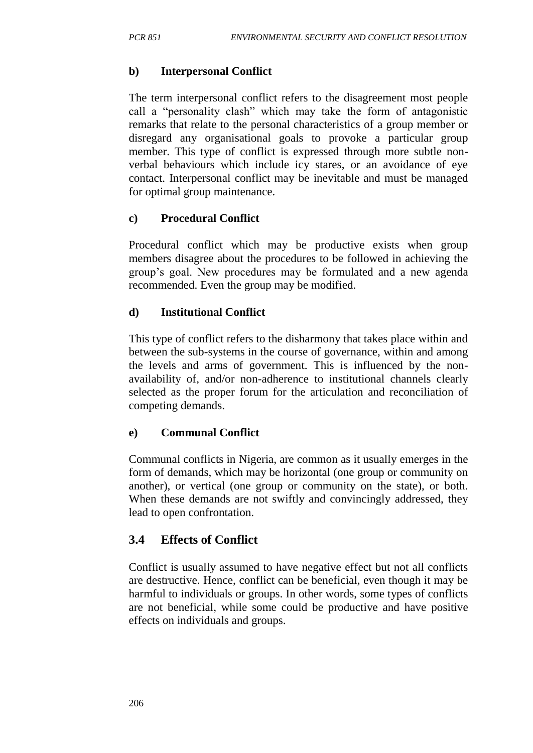#### **b) Interpersonal Conflict**

The term interpersonal conflict refers to the disagreement most people call a "personality clash" which may take the form of antagonistic remarks that relate to the personal characteristics of a group member or disregard any organisational goals to provoke a particular group member. This type of conflict is expressed through more subtle nonverbal behaviours which include icy stares, or an avoidance of eye contact. Interpersonal conflict may be inevitable and must be managed for optimal group maintenance.

#### **c) Procedural Conflict**

Procedural conflict which may be productive exists when group members disagree about the procedures to be followed in achieving the group's goal. New procedures may be formulated and a new agenda recommended. Even the group may be modified.

#### **d) Institutional Conflict**

This type of conflict refers to the disharmony that takes place within and between the sub-systems in the course of governance, within and among the levels and arms of government. This is influenced by the nonavailability of, and/or non-adherence to institutional channels clearly selected as the proper forum for the articulation and reconciliation of competing demands.

#### **e) Communal Conflict**

Communal conflicts in Nigeria, are common as it usually emerges in the form of demands, which may be horizontal (one group or community on another), or vertical (one group or community on the state), or both. When these demands are not swiftly and convincingly addressed, they lead to open confrontation.

## **3.4 Effects of Conflict**

Conflict is usually assumed to have negative effect but not all conflicts are destructive. Hence, conflict can be beneficial, even though it may be harmful to individuals or groups. In other words, some types of conflicts are not beneficial, while some could be productive and have positive effects on individuals and groups.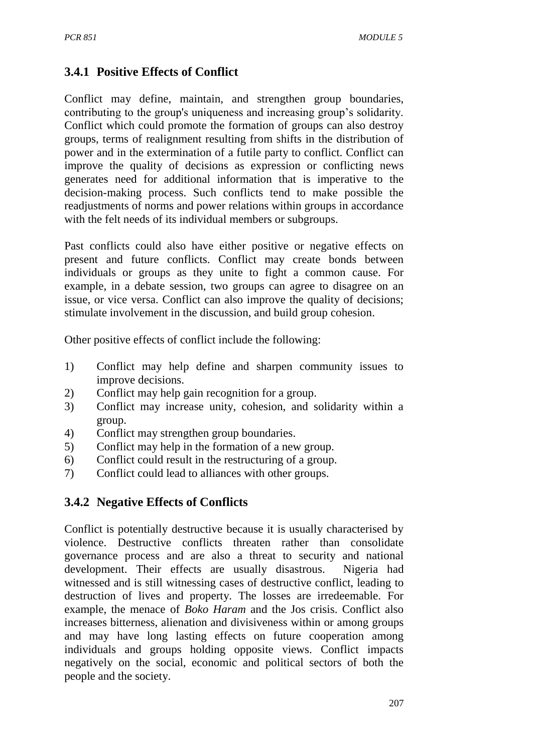# **3.4.1 Positive Effects of Conflict**

Conflict may define, maintain, and strengthen group boundaries, contributing to the group's uniqueness and increasing group's solidarity. Conflict which could promote the formation of groups can also destroy groups, terms of realignment resulting from shifts in the distribution of power and in the extermination of a futile party to conflict. Conflict can improve the quality of decisions as expression or conflicting news generates need for additional information that is imperative to the decision-making process. Such conflicts tend to make possible the readjustments of norms and power relations within groups in accordance with the felt needs of its individual members or subgroups.

Past conflicts could also have either positive or negative effects on present and future conflicts. Conflict may create bonds between individuals or groups as they unite to fight a common cause. For example, in a debate session, two groups can agree to disagree on an issue, or vice versa. Conflict can also improve the quality of decisions; stimulate involvement in the discussion, and build group cohesion.

Other positive effects of conflict include the following:

- 1) Conflict may help define and sharpen community issues to improve decisions.
- 2) Conflict may help gain recognition for a group.
- 3) Conflict may increase unity, cohesion, and solidarity within a group.
- 4) Conflict may strengthen group boundaries.
- 5) Conflict may help in the formation of a new group.
- 6) Conflict could result in the restructuring of a group.
- 7) Conflict could lead to alliances with other groups.

## **3.4.2 Negative Effects of Conflicts**

Conflict is potentially destructive because it is usually characterised by violence. Destructive conflicts threaten rather than consolidate governance process and are also a threat to security and national development. Their effects are usually disastrous. Nigeria had witnessed and is still witnessing cases of destructive conflict, leading to destruction of lives and property. The losses are irredeemable. For example, the menace of *Boko Haram* and the Jos crisis. Conflict also increases bitterness, alienation and divisiveness within or among groups and may have long lasting effects on future cooperation among individuals and groups holding opposite views. Conflict impacts negatively on the social, economic and political sectors of both the people and the society.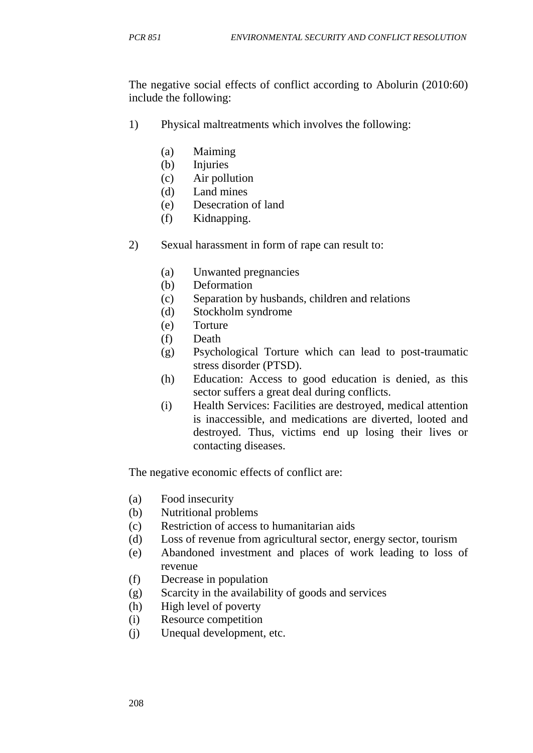The negative social effects of conflict according to Abolurin (2010:60) include the following:

- 1) Physical maltreatments which involves the following:
	- (a) Maiming
	- (b) Injuries
	- (c) Air pollution
	- (d) Land mines
	- (e) Desecration of land
	- (f) Kidnapping.
- 2) Sexual harassment in form of rape can result to:
	- (a) Unwanted pregnancies
	- (b) Deformation
	- (c) Separation by husbands, children and relations
	- (d) Stockholm syndrome
	- (e) Torture
	- (f) Death
	- (g) Psychological Torture which can lead to post-traumatic stress disorder (PTSD).
	- (h) Education: Access to good education is denied, as this sector suffers a great deal during conflicts.
	- (i) Health Services: Facilities are destroyed, medical attention is inaccessible, and medications are diverted, looted and destroyed. Thus, victims end up losing their lives or contacting diseases.

The negative economic effects of conflict are:

- (a) Food insecurity
- (b) Nutritional problems
- (c) Restriction of access to humanitarian aids
- (d) Loss of revenue from agricultural sector, energy sector, tourism
- (e) Abandoned investment and places of work leading to loss of revenue
- (f) Decrease in population
- (g) Scarcity in the availability of goods and services
- (h) High level of poverty
- (i) Resource competition
- (j) Unequal development, etc.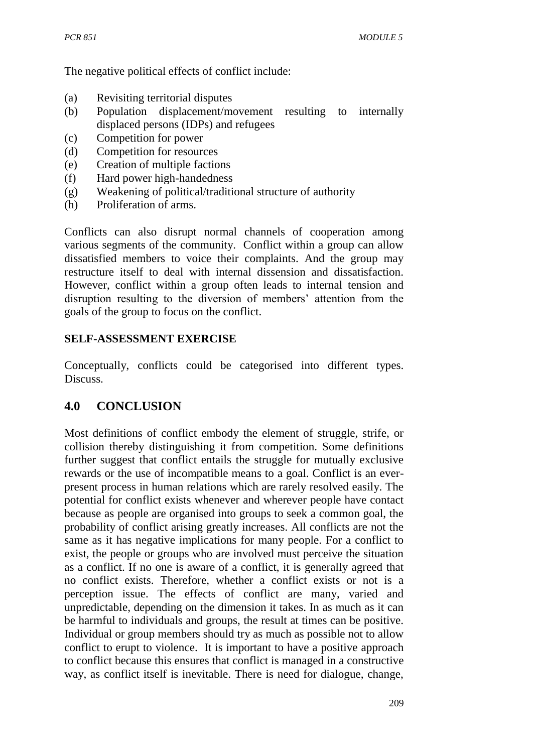The negative political effects of conflict include:

- (a) Revisiting territorial disputes
- (b) Population displacement/movement resulting to internally displaced persons (IDPs) and refugees
- (c) Competition for power
- (d) Competition for resources
- (e) Creation of multiple factions
- (f) Hard power high-handedness
- (g) Weakening of political/traditional structure of authority
- (h) Proliferation of arms.

Conflicts can also disrupt normal channels of cooperation among various segments of the community. Conflict within a group can allow dissatisfied members to voice their complaints. And the group may restructure itself to deal with internal dissension and dissatisfaction. However, conflict within a group often leads to internal tension and disruption resulting to the diversion of members' attention from the goals of the group to focus on the conflict.

## **SELF-ASSESSMENT EXERCISE**

Conceptually, conflicts could be categorised into different types. Discuss.

# **4.0 CONCLUSION**

Most definitions of conflict embody the element of struggle, strife, or collision thereby distinguishing it from competition. Some definitions further suggest that conflict entails the struggle for mutually exclusive rewards or the use of incompatible means to a goal. Conflict is an everpresent process in human relations which are rarely resolved easily. The potential for conflict exists whenever and wherever people have contact because as people are organised into groups to seek a common goal, the probability of conflict arising greatly increases. All conflicts are not the same as it has negative implications for many people. For a conflict to exist, the people or groups who are involved must perceive the situation as a conflict. If no one is aware of a conflict, it is generally agreed that no conflict exists. Therefore, whether a conflict exists or not is a perception issue. The effects of conflict are many, varied and unpredictable, depending on the dimension it takes. In as much as it can be harmful to individuals and groups, the result at times can be positive. Individual or group members should try as much as possible not to allow conflict to erupt to violence. It is important to have a positive approach to conflict because this ensures that conflict is managed in a constructive way, as conflict itself is inevitable. There is need for dialogue, change,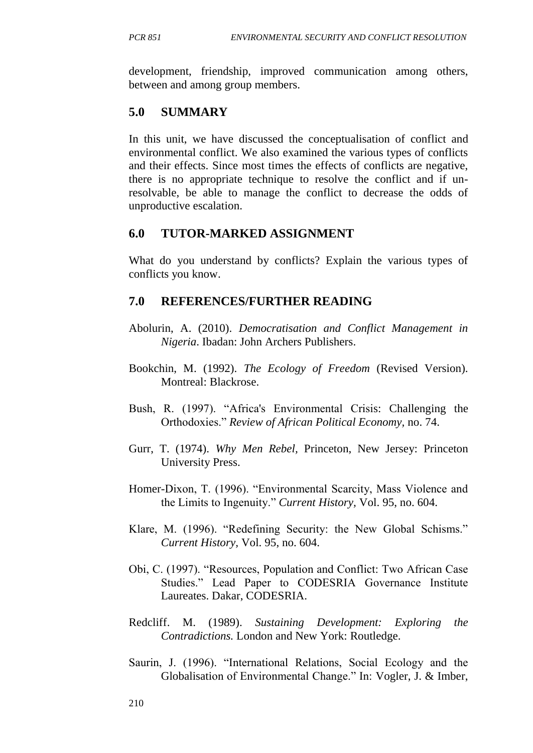development, friendship, improved communication among others, between and among group members.

## **5.0 SUMMARY**

In this unit, we have discussed the conceptualisation of conflict and environmental conflict. We also examined the various types of conflicts and their effects. Since most times the effects of conflicts are negative, there is no appropriate technique to resolve the conflict and if unresolvable, be able to manage the conflict to decrease the odds of unproductive escalation.

## **6.0 TUTOR-MARKED ASSIGNMENT**

What do you understand by conflicts? Explain the various types of conflicts you know.

## **7.0 REFERENCES/FURTHER READING**

- Abolurin, A. (2010). *Democratisation and Conflict Management in Nigeria*. Ibadan: John Archers Publishers.
- Bookchin, M. (1992). *The Ecology of Freedom* (Revised Version). Montreal: Blackrose.
- Bush, R. (1997). "Africa's Environmental Crisis: Challenging the Orthodoxies." *Review of African Political Economy,* no. 74.
- Gurr, T. (1974). *Why Men Rebel,* Princeton, New Jersey: Princeton University Press.
- Homer-Dixon, T. (1996). "Environmental Scarcity, Mass Violence and the Limits to Ingenuity." *Current History,* Vol. 95, no. 604.
- Klare, M. (1996). "Redefining Security: the New Global Schisms." *Current History,* Vol. 95, no. 604.
- Obi, C. (1997). "Resources, Population and Conflict: Two African Case Studies." Lead Paper to CODESRIA Governance Institute Laureates. Dakar, CODESRIA.
- Redcliff. M. (1989). *Sustaining Development: Exploring the Contradictions.* London and New York: Routledge.
- Saurin, J. (1996). "International Relations, Social Ecology and the Globalisation of Environmental Change." In: Vogler, J. & Imber,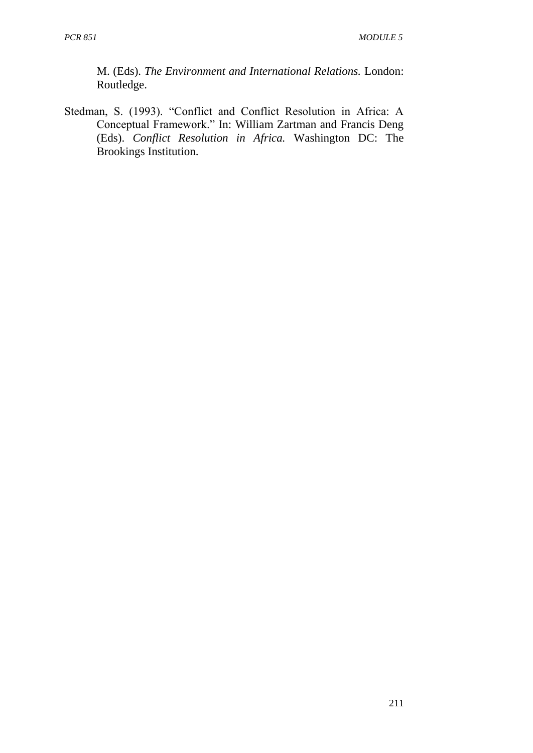M. (Eds). *The Environment and International Relations.* London: Routledge.

Stedman, S. (1993). "Conflict and Conflict Resolution in Africa: A Conceptual Framework." In: William Zartman and Francis Deng (Eds). *Conflict Resolution in Africa.* Washington DC: The Brookings Institution.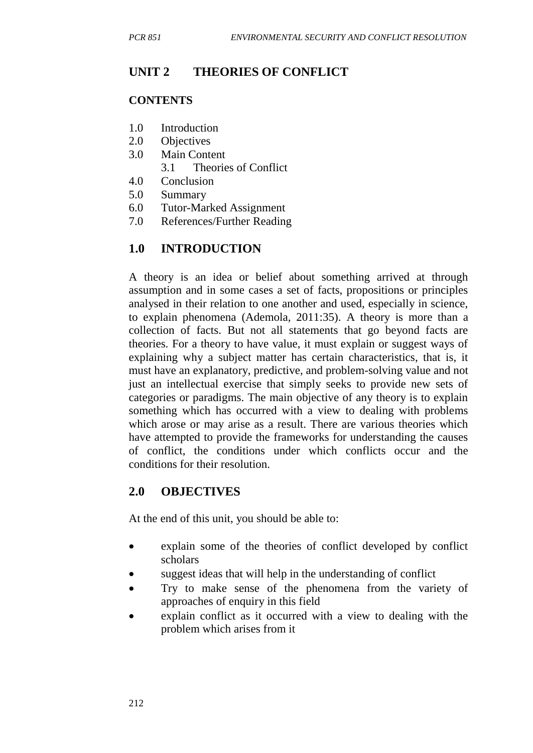# **UNIT 2 THEORIES OF CONFLICT**

#### **CONTENTS**

- 1.0 Introduction
- 2.0 Objectives
- 3.0 Main Content
	- 3.1 Theories of Conflict
- 4.0 Conclusion
- 5.0 Summary
- 6.0 Tutor-Marked Assignment
- 7.0 References/Further Reading

# **1.0 INTRODUCTION**

A theory is an idea or belief about something arrived at through assumption and in some cases a set of facts, propositions or principles analysed in their relation to one another and used, especially in science, to explain phenomena (Ademola, 2011:35). A theory is more than a collection of facts. But not all statements that go beyond facts are theories. For a theory to have value, it must explain or suggest ways of explaining why a subject matter has certain characteristics, that is, it must have an explanatory, predictive, and problem-solving value and not just an intellectual exercise that simply seeks to provide new sets of categories or paradigms. The main objective of any theory is to explain something which has occurred with a view to dealing with problems which arose or may arise as a result. There are various theories which have attempted to provide the frameworks for understanding the causes of conflict, the conditions under which conflicts occur and the conditions for their resolution.

# **2.0 OBJECTIVES**

At the end of this unit, you should be able to:

- explain some of the theories of conflict developed by conflict scholars
- suggest ideas that will help in the understanding of conflict
- Try to make sense of the phenomena from the variety of approaches of enquiry in this field
- explain conflict as it occurred with a view to dealing with the problem which arises from it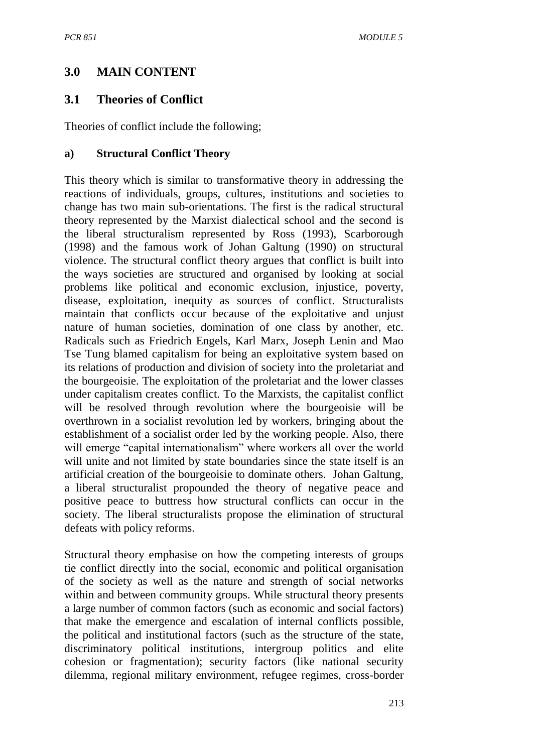# **3.0 MAIN CONTENT**

# **3.1 Theories of Conflict**

Theories of conflict include the following;

#### **a) Structural Conflict Theory**

This theory which is similar to transformative theory in addressing the reactions of individuals, groups, cultures, institutions and societies to change has two main sub-orientations. The first is the radical structural theory represented by the Marxist dialectical school and the second is the liberal structuralism represented by Ross (1993), Scarborough (1998) and the famous work of Johan Galtung (1990) on structural violence. The structural conflict theory argues that conflict is built into the ways societies are structured and organised by looking at social problems like political and economic exclusion, injustice, poverty, disease, exploitation, inequity as sources of conflict. Structuralists maintain that conflicts occur because of the exploitative and unjust nature of human societies, domination of one class by another, etc. Radicals such as Friedrich Engels, Karl Marx, Joseph Lenin and Mao Tse Tung blamed capitalism for being an exploitative system based on its relations of production and division of society into the proletariat and the bourgeoisie. The exploitation of the proletariat and the lower classes under capitalism creates conflict. To the Marxists, the capitalist conflict will be resolved through revolution where the bourgeoisie will be overthrown in a socialist revolution led by workers, bringing about the establishment of a socialist order led by the working people. Also, there will emerge "capital internationalism" where workers all over the world will unite and not limited by state boundaries since the state itself is an artificial creation of the bourgeoisie to dominate others. Johan Galtung, a liberal structuralist propounded the theory of negative peace and positive peace to buttress how structural conflicts can occur in the society. The liberal structuralists propose the elimination of structural defeats with policy reforms.

Structural theory emphasise on how the competing interests of groups tie conflict directly into the social, economic and political organisation of the society as well as the nature and strength of social networks within and between community groups. While structural theory presents a large number of common factors (such as economic and social factors) that make the emergence and escalation of internal conflicts possible, the political and institutional factors (such as the structure of the state, discriminatory political institutions, intergroup politics and elite cohesion or fragmentation); security factors (like national security dilemma, regional military environment, refugee regimes, cross-border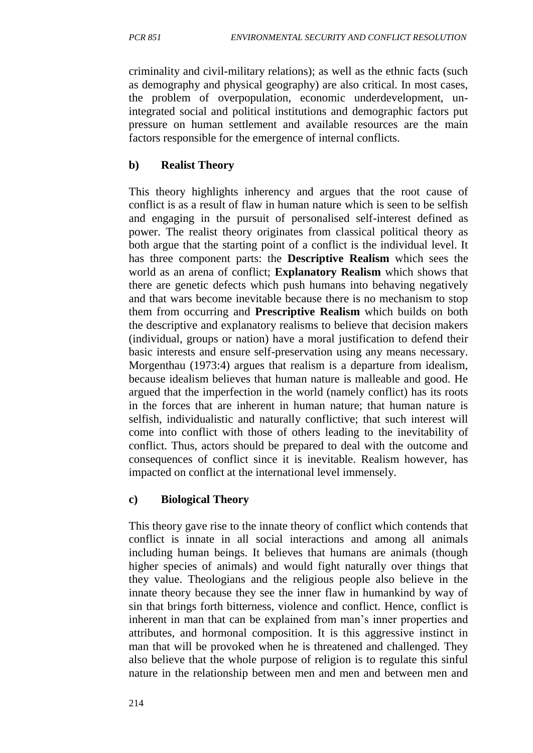criminality and civil-military relations); as well as the ethnic facts (such as demography and physical geography) are also critical. In most cases, the problem of overpopulation, economic underdevelopment, unintegrated social and political institutions and demographic factors put pressure on human settlement and available resources are the main factors responsible for the emergence of internal conflicts.

#### **b) Realist Theory**

This theory highlights inherency and argues that the root cause of conflict is as a result of flaw in human nature which is seen to be selfish and engaging in the pursuit of personalised self-interest defined as power. The realist theory originates from classical political theory as both argue that the starting point of a conflict is the individual level. It has three component parts: the **Descriptive Realism** which sees the world as an arena of conflict; **Explanatory Realism** which shows that there are genetic defects which push humans into behaving negatively and that wars become inevitable because there is no mechanism to stop them from occurring and **Prescriptive Realism** which builds on both the descriptive and explanatory realisms to believe that decision makers (individual, groups or nation) have a moral justification to defend their basic interests and ensure self-preservation using any means necessary. Morgenthau (1973:4) argues that realism is a departure from idealism, because idealism believes that human nature is malleable and good. He argued that the imperfection in the world (namely conflict) has its roots in the forces that are inherent in human nature; that human nature is selfish, individualistic and naturally conflictive; that such interest will come into conflict with those of others leading to the inevitability of conflict. Thus, actors should be prepared to deal with the outcome and consequences of conflict since it is inevitable. Realism however, has impacted on conflict at the international level immensely.

## **c) Biological Theory**

This theory gave rise to the innate theory of conflict which contends that conflict is innate in all social interactions and among all animals including human beings. It believes that humans are animals (though higher species of animals) and would fight naturally over things that they value. Theologians and the religious people also believe in the innate theory because they see the inner flaw in humankind by way of sin that brings forth bitterness, violence and conflict. Hence, conflict is inherent in man that can be explained from man's inner properties and attributes, and hormonal composition. It is this aggressive instinct in man that will be provoked when he is threatened and challenged. They also believe that the whole purpose of religion is to regulate this sinful nature in the relationship between men and men and between men and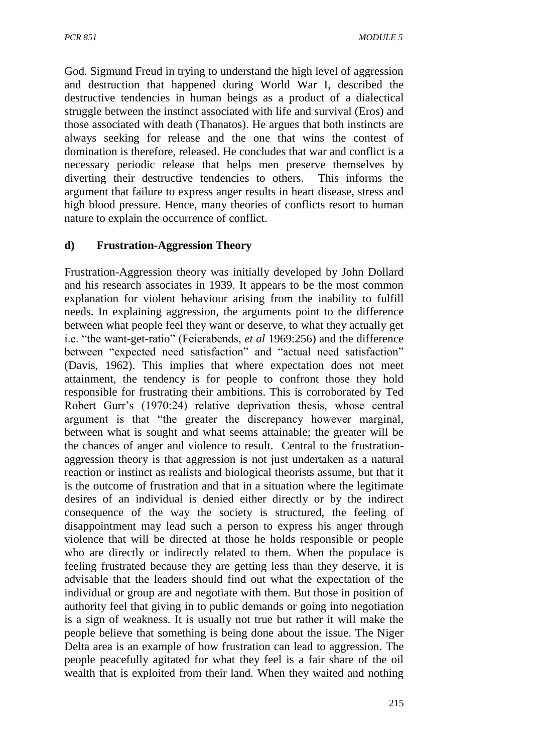God. Sigmund Freud in trying to understand the high level of aggression and destruction that happened during World War I, described the destructive tendencies in human beings as a product of a dialectical struggle between the instinct associated with life and survival (Eros) and those associated with death (Thanatos). He argues that both instincts are always seeking for release and the one that wins the contest of domination is therefore, released. He concludes that war and conflict is a necessary periodic release that helps men preserve themselves by diverting their destructive tendencies to others. This informs the argument that failure to express anger results in heart disease, stress and high blood pressure. Hence, many theories of conflicts resort to human nature to explain the occurrence of conflict.

#### **d) Frustration-Aggression Theory**

Frustration-Aggression theory was initially developed by John Dollard and his research associates in 1939. It appears to be the most common explanation for violent behaviour arising from the inability to fulfill needs. In explaining aggression, the arguments point to the difference between what people feel they want or deserve, to what they actually get i.e. "the want-get-ratio" (Feierabends, *et al* 1969:256) and the difference between "expected need satisfaction" and "actual need satisfaction" (Davis, 1962). This implies that where expectation does not meet attainment, the tendency is for people to confront those they hold responsible for frustrating their ambitions. This is corroborated by Ted Robert Gurr's (1970:24) relative deprivation thesis, whose central argument is that "the greater the discrepancy however marginal, between what is sought and what seems attainable; the greater will be the chances of anger and violence to result. Central to the frustrationaggression theory is that aggression is not just undertaken as a natural reaction or instinct as realists and biological theorists assume, but that it is the outcome of frustration and that in a situation where the legitimate desires of an individual is denied either directly or by the indirect consequence of the way the society is structured, the feeling of disappointment may lead such a person to express his anger through violence that will be directed at those he holds responsible or people who are directly or indirectly related to them. When the populace is feeling frustrated because they are getting less than they deserve, it is advisable that the leaders should find out what the expectation of the individual or group are and negotiate with them. But those in position of authority feel that giving in to public demands or going into negotiation is a sign of weakness. It is usually not true but rather it will make the people believe that something is being done about the issue. The Niger Delta area is an example of how frustration can lead to aggression. The people peacefully agitated for what they feel is a fair share of the oil wealth that is exploited from their land. When they waited and nothing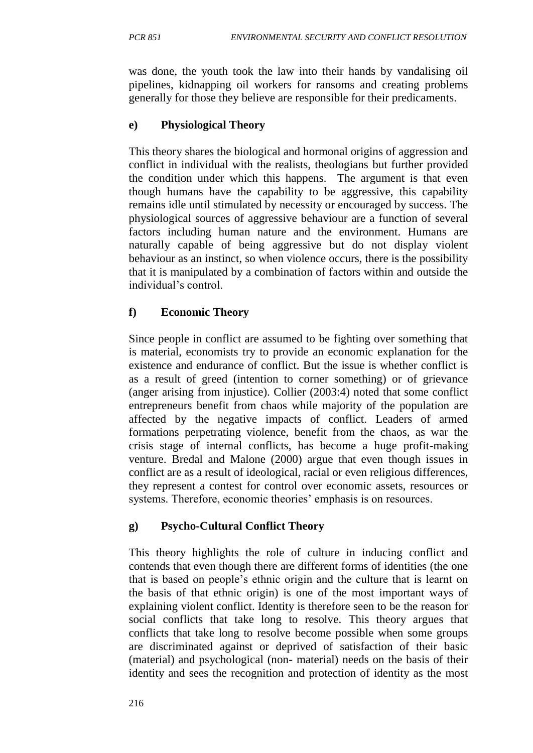was done, the youth took the law into their hands by vandalising oil pipelines, kidnapping oil workers for ransoms and creating problems generally for those they believe are responsible for their predicaments.

#### **e) Physiological Theory**

This theory shares the biological and hormonal origins of aggression and conflict in individual with the realists, theologians but further provided the condition under which this happens. The argument is that even though humans have the capability to be aggressive, this capability remains idle until stimulated by necessity or encouraged by success. The physiological sources of aggressive behaviour are a function of several factors including human nature and the environment. Humans are naturally capable of being aggressive but do not display violent behaviour as an instinct, so when violence occurs, there is the possibility that it is manipulated by a combination of factors within and outside the individual's control.

#### **f) Economic Theory**

Since people in conflict are assumed to be fighting over something that is material, economists try to provide an economic explanation for the existence and endurance of conflict. But the issue is whether conflict is as a result of greed (intention to corner something) or of grievance (anger arising from injustice). Collier (2003:4) noted that some conflict entrepreneurs benefit from chaos while majority of the population are affected by the negative impacts of conflict. Leaders of armed formations perpetrating violence, benefit from the chaos, as war the crisis stage of internal conflicts, has become a huge profit-making venture. Bredal and Malone (2000) argue that even though issues in conflict are as a result of ideological, racial or even religious differences, they represent a contest for control over economic assets, resources or systems. Therefore, economic theories' emphasis is on resources.

## **g) Psycho-Cultural Conflict Theory**

This theory highlights the role of culture in inducing conflict and contends that even though there are different forms of identities (the one that is based on people's ethnic origin and the culture that is learnt on the basis of that ethnic origin) is one of the most important ways of explaining violent conflict. Identity is therefore seen to be the reason for social conflicts that take long to resolve. This theory argues that conflicts that take long to resolve become possible when some groups are discriminated against or deprived of satisfaction of their basic (material) and psychological (non- material) needs on the basis of their identity and sees the recognition and protection of identity as the most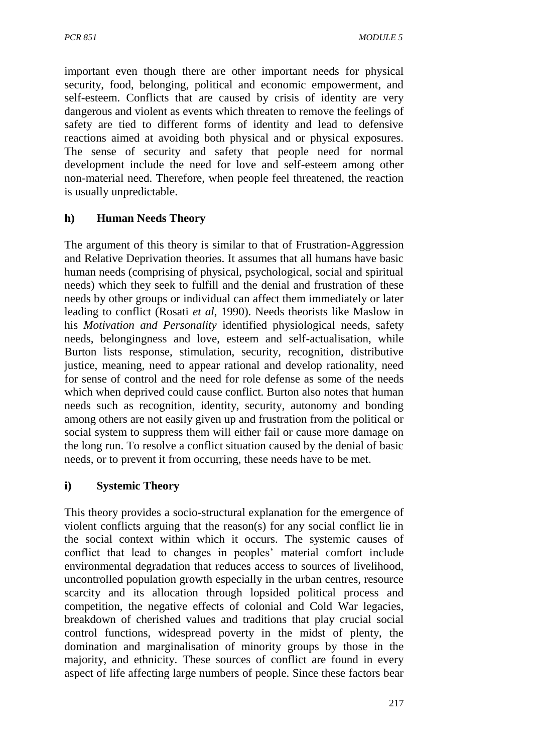important even though there are other important needs for physical security, food, belonging, political and economic empowerment, and self-esteem. Conflicts that are caused by crisis of identity are very dangerous and violent as events which threaten to remove the feelings of safety are tied to different forms of identity and lead to defensive reactions aimed at avoiding both physical and or physical exposures. The sense of security and safety that people need for normal development include the need for love and self-esteem among other non-material need. Therefore, when people feel threatened, the reaction is usually unpredictable.

## **h) Human Needs Theory**

The argument of this theory is similar to that of Frustration-Aggression and Relative Deprivation theories. It assumes that all humans have basic human needs (comprising of physical, psychological, social and spiritual needs) which they seek to fulfill and the denial and frustration of these needs by other groups or individual can affect them immediately or later leading to conflict (Rosati *et al*, 1990). Needs theorists like Maslow in his *Motivation and Personality* identified physiological needs, safety needs, belongingness and love, esteem and self-actualisation, while Burton lists response, stimulation, security, recognition, distributive justice, meaning, need to appear rational and develop rationality, need for sense of control and the need for role defense as some of the needs which when deprived could cause conflict. Burton also notes that human needs such as recognition, identity, security, autonomy and bonding among others are not easily given up and frustration from the political or social system to suppress them will either fail or cause more damage on the long run. To resolve a conflict situation caused by the denial of basic needs, or to prevent it from occurring, these needs have to be met.

#### **i) Systemic Theory**

This theory provides a socio-structural explanation for the emergence of violent conflicts arguing that the reason(s) for any social conflict lie in the social context within which it occurs. The systemic causes of conflict that lead to changes in peoples' material comfort include environmental degradation that reduces access to sources of livelihood, uncontrolled population growth especially in the urban centres, resource scarcity and its allocation through lopsided political process and competition, the negative effects of colonial and Cold War legacies, breakdown of cherished values and traditions that play crucial social control functions, widespread poverty in the midst of plenty, the domination and marginalisation of minority groups by those in the majority, and ethnicity. These sources of conflict are found in every aspect of life affecting large numbers of people. Since these factors bear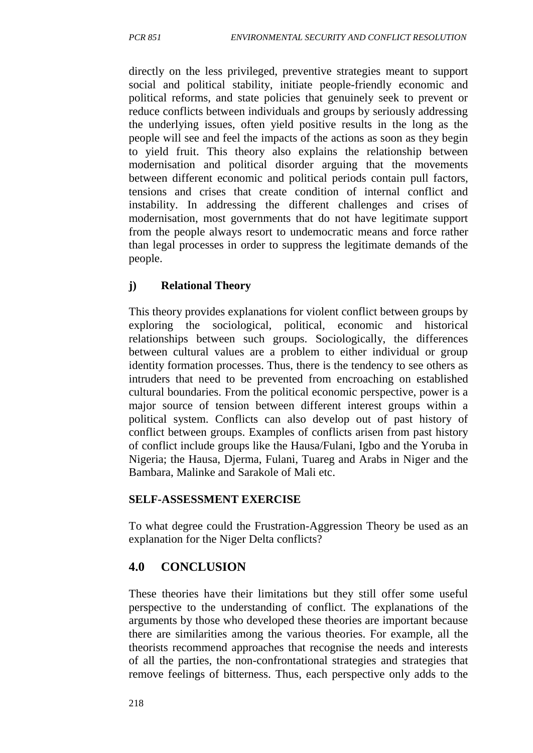directly on the less privileged, preventive strategies meant to support social and political stability, initiate people-friendly economic and political reforms, and state policies that genuinely seek to prevent or reduce conflicts between individuals and groups by seriously addressing the underlying issues, often yield positive results in the long as the people will see and feel the impacts of the actions as soon as they begin to yield fruit. This theory also explains the relationship between modernisation and political disorder arguing that the movements between different economic and political periods contain pull factors, tensions and crises that create condition of internal conflict and instability. In addressing the different challenges and crises of modernisation, most governments that do not have legitimate support from the people always resort to undemocratic means and force rather than legal processes in order to suppress the legitimate demands of the people.

#### **j) Relational Theory**

This theory provides explanations for violent conflict between groups by exploring the sociological, political, economic and historical relationships between such groups. Sociologically, the differences between cultural values are a problem to either individual or group identity formation processes. Thus, there is the tendency to see others as intruders that need to be prevented from encroaching on established cultural boundaries. From the political economic perspective, power is a major source of tension between different interest groups within a political system. Conflicts can also develop out of past history of conflict between groups. Examples of conflicts arisen from past history of conflict include groups like the Hausa/Fulani, Igbo and the Yoruba in Nigeria; the Hausa, Djerma, Fulani, Tuareg and Arabs in Niger and the Bambara, Malinke and Sarakole of Mali etc.

#### **SELF-ASSESSMENT EXERCISE**

To what degree could the Frustration-Aggression Theory be used as an explanation for the Niger Delta conflicts?

## **4.0 CONCLUSION**

These theories have their limitations but they still offer some useful perspective to the understanding of conflict. The explanations of the arguments by those who developed these theories are important because there are similarities among the various theories. For example, all the theorists recommend approaches that recognise the needs and interests of all the parties, the non-confrontational strategies and strategies that remove feelings of bitterness. Thus, each perspective only adds to the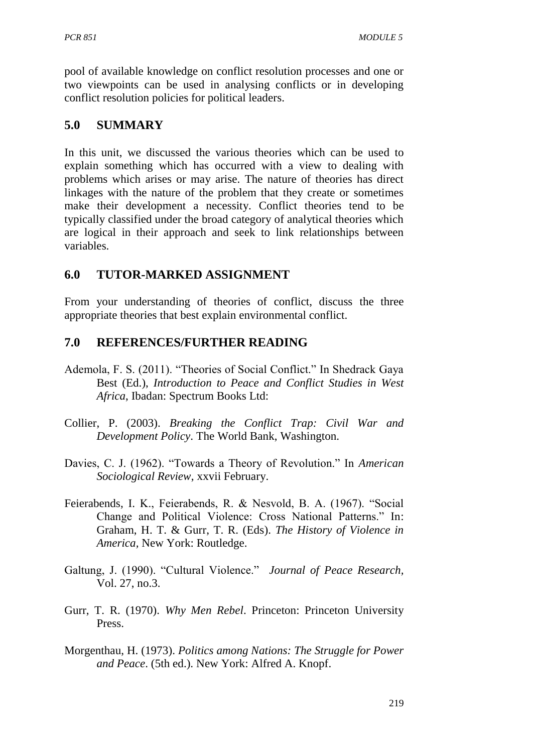pool of available knowledge on conflict resolution processes and one or two viewpoints can be used in analysing conflicts or in developing conflict resolution policies for political leaders.

### **5.0 SUMMARY**

In this unit, we discussed the various theories which can be used to explain something which has occurred with a view to dealing with problems which arises or may arise. The nature of theories has direct linkages with the nature of the problem that they create or sometimes make their development a necessity. Conflict theories tend to be typically classified under the broad category of analytical theories which are logical in their approach and seek to link relationships between variables.

## **6.0 TUTOR-MARKED ASSIGNMENT**

From your understanding of theories of conflict, discuss the three appropriate theories that best explain environmental conflict.

### **7.0 REFERENCES/FURTHER READING**

- Ademola, F. S. (2011). "Theories of Social Conflict." In Shedrack Gaya Best (Ed.), *Introduction to Peace and Conflict Studies in West Africa*, Ibadan: Spectrum Books Ltd:
- Collier, P. (2003). *Breaking the Conflict Trap: Civil War and Development Policy*. The World Bank, Washington.
- Davies, C. J. (1962). "Towards a Theory of Revolution." In *American Sociological Review*, xxvii February.
- Feierabends, I. K., Feierabends, R. & Nesvold, B. A. (1967). "Social Change and Political Violence: Cross National Patterns." In: Graham, H. T. & Gurr, T. R. (Eds). *The History of Violence in America,* New York: Routledge.
- Galtung, J. (1990). "Cultural Violence." *Journal of Peace Research,* Vol. 27, no.3.
- Gurr, T. R. (1970). *Why Men Rebel*. Princeton: Princeton University Press.
- Morgenthau, H. (1973). *Politics among Nations: The Struggle for Power and Peace*. (5th ed.). New York: Alfred A. Knopf.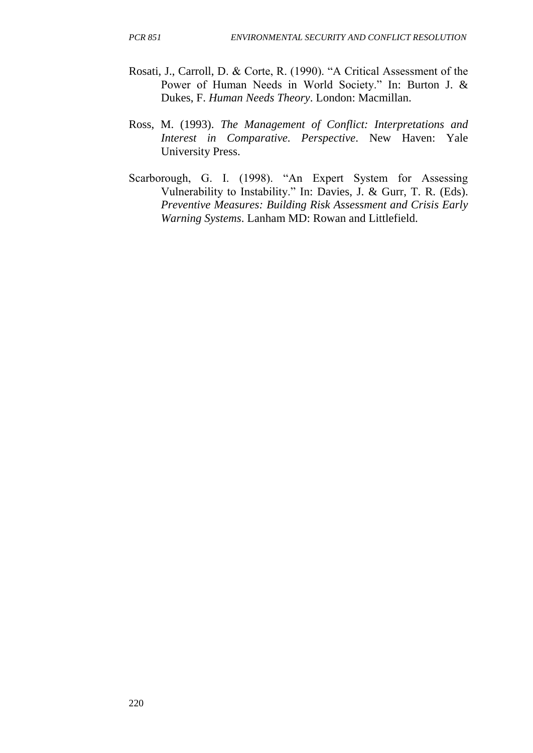- Rosati, J., Carroll, D. & Corte, R. (1990). "A Critical Assessment of the Power of Human Needs in World Society." In: Burton J. & Dukes, F. *Human Needs Theory*. London: Macmillan.
- Ross, M. (1993). *The Management of Conflict: Interpretations and Interest in Comparative. Perspective*. New Haven: Yale University Press.
- Scarborough, G. I. (1998). "An Expert System for Assessing Vulnerability to Instability." In: Davies, J. & Gurr, T. R. (Eds). *Preventive Measures: Building Risk Assessment and Crisis Early Warning Systems*. Lanham MD: Rowan and Littlefield.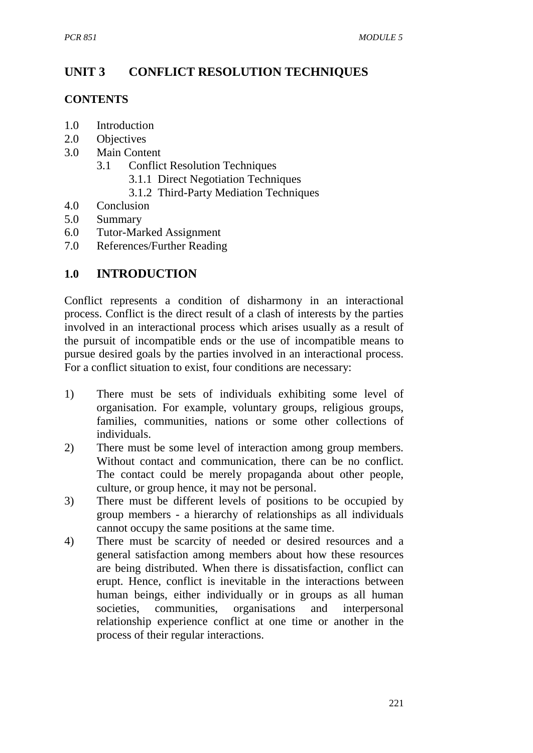# **UNIT 3 CONFLICT RESOLUTION TECHNIQUES**

#### **CONTENTS**

- 1.0 Introduction
- 2.0 Objectives
- 3.0 Main Content
	- 3.1 Conflict Resolution Techniques
		- 3.1.1 Direct Negotiation Techniques
		- 3.1.2 Third-Party Mediation Techniques
- 4.0 Conclusion
- 5.0 Summary
- 6.0 Tutor-Marked Assignment
- 7.0 References/Further Reading

## **1.0 INTRODUCTION**

Conflict represents a condition of disharmony in an interactional process. Conflict is the direct result of a clash of interests by the parties involved in an interactional process which arises usually as a result of the pursuit of incompatible ends or the use of incompatible means to pursue desired goals by the parties involved in an interactional process. For a conflict situation to exist, four conditions are necessary:

- 1) There must be sets of individuals exhibiting some level of organisation. For example, voluntary groups, religious groups, families, communities, nations or some other collections of individuals.
- 2) There must be some level of interaction among group members. Without contact and communication, there can be no conflict. The contact could be merely propaganda about other people, culture, or group hence, it may not be personal.
- 3) There must be different levels of positions to be occupied by group members - a hierarchy of relationships as all individuals cannot occupy the same positions at the same time.
- 4) There must be scarcity of needed or desired resources and a general satisfaction among members about how these resources are being distributed. When there is dissatisfaction, conflict can erupt. Hence, conflict is inevitable in the interactions between human beings, either individually or in groups as all human societies, communities, organisations and interpersonal relationship experience conflict at one time or another in the process of their regular interactions.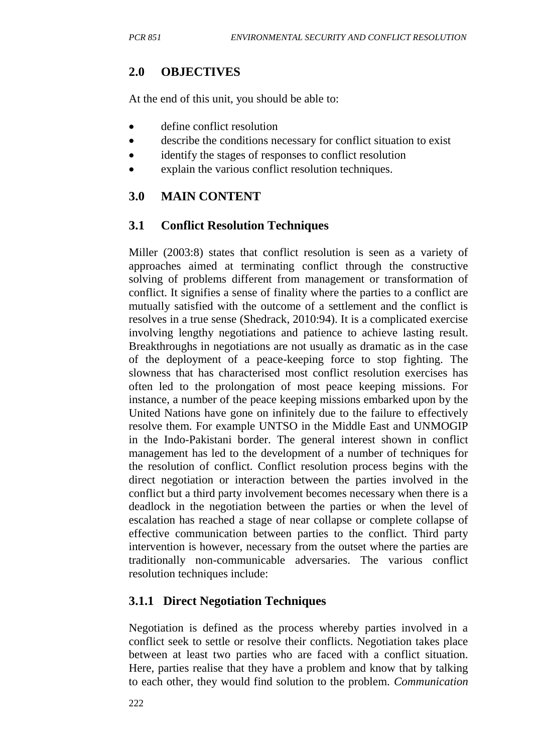# **2.0 OBJECTIVES**

At the end of this unit, you should be able to:

- define conflict resolution
- describe the conditions necessary for conflict situation to exist
- identify the stages of responses to conflict resolution
- explain the various conflict resolution techniques.

# **3.0 MAIN CONTENT**

# **3.1 Conflict Resolution Techniques**

Miller (2003:8) states that conflict resolution is seen as a variety of approaches aimed at terminating conflict through the constructive solving of problems different from management or transformation of conflict. It signifies a sense of finality where the parties to a conflict are mutually satisfied with the outcome of a settlement and the conflict is resolves in a true sense (Shedrack, 2010:94). It is a complicated exercise involving lengthy negotiations and patience to achieve lasting result. Breakthroughs in negotiations are not usually as dramatic as in the case of the deployment of a peace-keeping force to stop fighting. The slowness that has characterised most conflict resolution exercises has often led to the prolongation of most peace keeping missions. For instance, a number of the peace keeping missions embarked upon by the United Nations have gone on infinitely due to the failure to effectively resolve them. For example UNTSO in the Middle East and UNMOGIP in the Indo-Pakistani border. The general interest shown in conflict management has led to the development of a number of techniques for the resolution of conflict. Conflict resolution process begins with the direct negotiation or interaction between the parties involved in the conflict but a third party involvement becomes necessary when there is a deadlock in the negotiation between the parties or when the level of escalation has reached a stage of near collapse or complete collapse of effective communication between parties to the conflict. Third party intervention is however, necessary from the outset where the parties are traditionally non-communicable adversaries. The various conflict resolution techniques include:

# **3.1.1 Direct Negotiation Techniques**

Negotiation is defined as the process whereby parties involved in a conflict seek to settle or resolve their conflicts. Negotiation takes place between at least two parties who are faced with a conflict situation. Here, parties realise that they have a problem and know that by talking to each other, they would find solution to the problem. *Communication*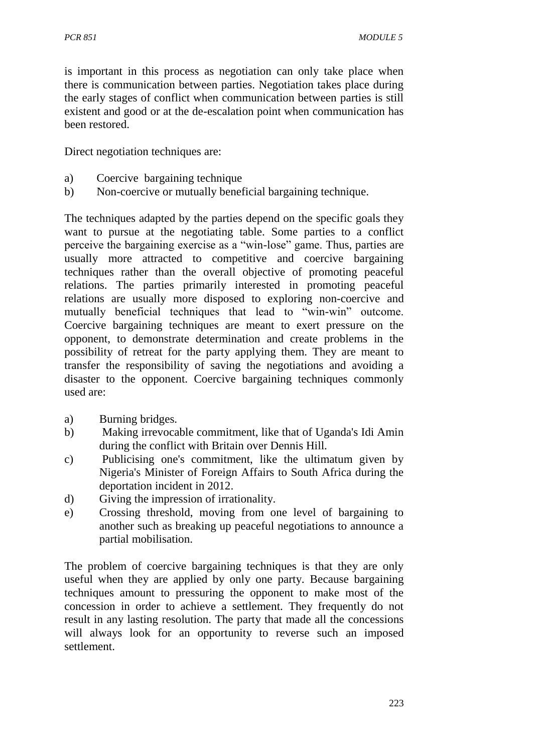is important in this process as negotiation can only take place when there is communication between parties. Negotiation takes place during the early stages of conflict when communication between parties is still existent and good or at the de-escalation point when communication has been restored.

Direct negotiation techniques are:

- a) Coercive bargaining technique
- b) Non-coercive or mutually beneficial bargaining technique.

The techniques adapted by the parties depend on the specific goals they want to pursue at the negotiating table. Some parties to a conflict perceive the bargaining exercise as a "win-lose" game. Thus, parties are usually more attracted to competitive and coercive bargaining techniques rather than the overall objective of promoting peaceful relations. The parties primarily interested in promoting peaceful relations are usually more disposed to exploring non-coercive and mutually beneficial techniques that lead to "win-win" outcome. Coercive bargaining techniques are meant to exert pressure on the opponent, to demonstrate determination and create problems in the possibility of retreat for the party applying them. They are meant to transfer the responsibility of saving the negotiations and avoiding a disaster to the opponent. Coercive bargaining techniques commonly used are:

- a) Burning bridges.
- b) Making irrevocable commitment, like that of Uganda's Idi Amin during the conflict with Britain over Dennis Hill.
- c) Publicising one's commitment, like the ultimatum given by Nigeria's Minister of Foreign Affairs to South Africa during the deportation incident in 2012.
- d) Giving the impression of irrationality.
- e) Crossing threshold, moving from one level of bargaining to another such as breaking up peaceful negotiations to announce a partial mobilisation.

The problem of coercive bargaining techniques is that they are only useful when they are applied by only one party. Because bargaining techniques amount to pressuring the opponent to make most of the concession in order to achieve a settlement. They frequently do not result in any lasting resolution. The party that made all the concessions will always look for an opportunity to reverse such an imposed settlement.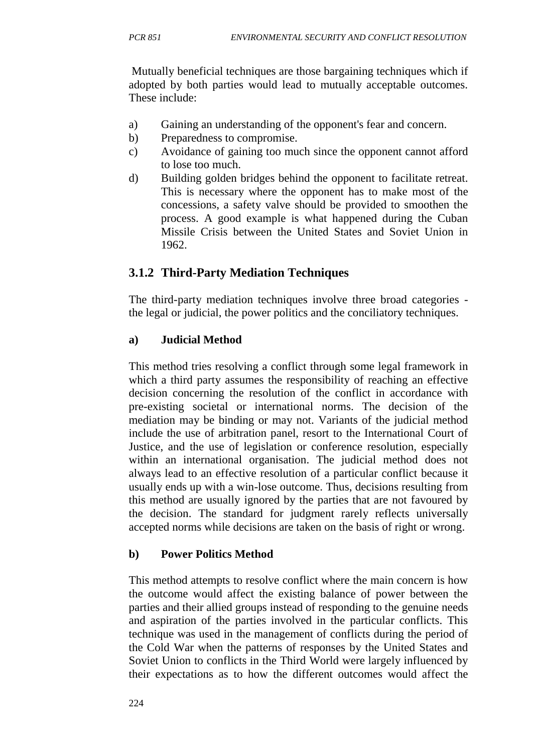Mutually beneficial techniques are those bargaining techniques which if adopted by both parties would lead to mutually acceptable outcomes. These include:

- a) Gaining an understanding of the opponent's fear and concern.
- b) Preparedness to compromise.
- c) Avoidance of gaining too much since the opponent cannot afford to lose too much.
- d) Building golden bridges behind the opponent to facilitate retreat. This is necessary where the opponent has to make most of the concessions, a safety valve should be provided to smoothen the process. A good example is what happened during the Cuban Missile Crisis between the United States and Soviet Union in 1962.

# **3.1.2 Third-Party Mediation Techniques**

The third-party mediation techniques involve three broad categories the legal or judicial, the power politics and the conciliatory techniques.

### **a) Judicial Method**

This method tries resolving a conflict through some legal framework in which a third party assumes the responsibility of reaching an effective decision concerning the resolution of the conflict in accordance with pre-existing societal or international norms. The decision of the mediation may be binding or may not. Variants of the judicial method include the use of arbitration panel, resort to the International Court of Justice, and the use of legislation or conference resolution, especially within an international organisation. The judicial method does not always lead to an effective resolution of a particular conflict because it usually ends up with a win-lose outcome. Thus, decisions resulting from this method are usually ignored by the parties that are not favoured by the decision. The standard for judgment rarely reflects universally accepted norms while decisions are taken on the basis of right or wrong.

#### **b) Power Politics Method**

This method attempts to resolve conflict where the main concern is how the outcome would affect the existing balance of power between the parties and their allied groups instead of responding to the genuine needs and aspiration of the parties involved in the particular conflicts. This technique was used in the management of conflicts during the period of the Cold War when the patterns of responses by the United States and Soviet Union to conflicts in the Third World were largely influenced by their expectations as to how the different outcomes would affect the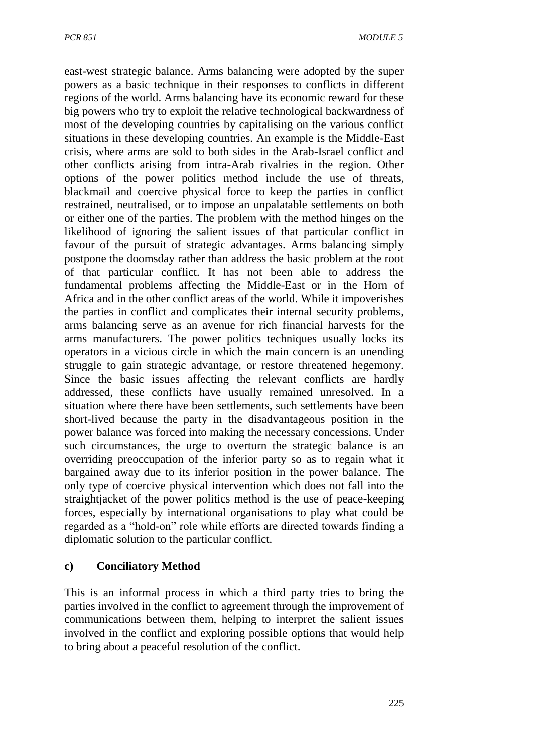east-west strategic balance. Arms balancing were adopted by the super powers as a basic technique in their responses to conflicts in different regions of the world. Arms balancing have its economic reward for these big powers who try to exploit the relative technological backwardness of most of the developing countries by capitalising on the various conflict situations in these developing countries. An example is the Middle-East crisis, where arms are sold to both sides in the Arab-Israel conflict and other conflicts arising from intra-Arab rivalries in the region. Other options of the power politics method include the use of threats, blackmail and coercive physical force to keep the parties in conflict restrained, neutralised, or to impose an unpalatable settlements on both or either one of the parties. The problem with the method hinges on the likelihood of ignoring the salient issues of that particular conflict in favour of the pursuit of strategic advantages. Arms balancing simply postpone the doomsday rather than address the basic problem at the root of that particular conflict. It has not been able to address the fundamental problems affecting the Middle-East or in the Horn of Africa and in the other conflict areas of the world. While it impoverishes the parties in conflict and complicates their internal security problems, arms balancing serve as an avenue for rich financial harvests for the arms manufacturers. The power politics techniques usually locks its operators in a vicious circle in which the main concern is an unending struggle to gain strategic advantage, or restore threatened hegemony. Since the basic issues affecting the relevant conflicts are hardly addressed, these conflicts have usually remained unresolved. In a situation where there have been settlements, such settlements have been short-lived because the party in the disadvantageous position in the power balance was forced into making the necessary concessions. Under such circumstances, the urge to overturn the strategic balance is an overriding preoccupation of the inferior party so as to regain what it bargained away due to its inferior position in the power balance. The only type of coercive physical intervention which does not fall into the straightjacket of the power politics method is the use of peace-keeping forces, especially by international organisations to play what could be regarded as a "hold-on" role while efforts are directed towards finding a diplomatic solution to the particular conflict.

#### **c) Conciliatory Method**

This is an informal process in which a third party tries to bring the parties involved in the conflict to agreement through the improvement of communications between them, helping to interpret the salient issues involved in the conflict and exploring possible options that would help to bring about a peaceful resolution of the conflict.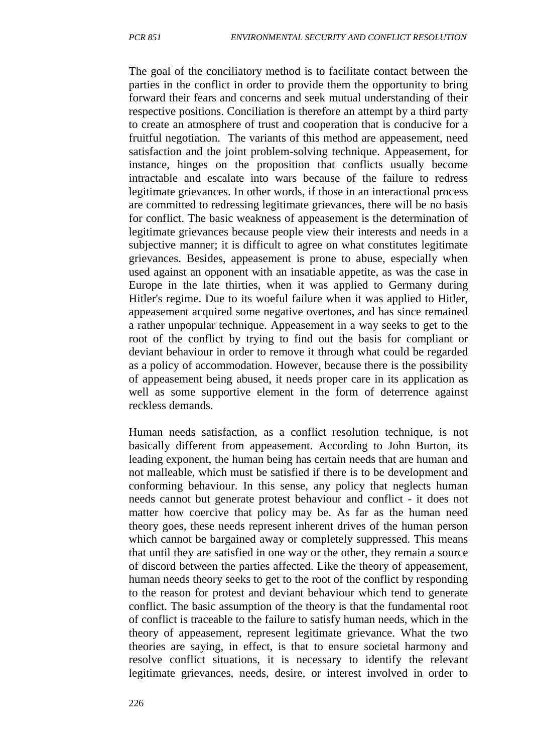The goal of the conciliatory method is to facilitate contact between the parties in the conflict in order to provide them the opportunity to bring forward their fears and concerns and seek mutual understanding of their respective positions. Conciliation is therefore an attempt by a third party to create an atmosphere of trust and cooperation that is conducive for a fruitful negotiation. The variants of this method are appeasement, need satisfaction and the joint problem-solving technique. Appeasement, for instance, hinges on the proposition that conflicts usually become intractable and escalate into wars because of the failure to redress legitimate grievances. In other words, if those in an interactional process are committed to redressing legitimate grievances, there will be no basis for conflict. The basic weakness of appeasement is the determination of legitimate grievances because people view their interests and needs in a subjective manner; it is difficult to agree on what constitutes legitimate grievances. Besides, appeasement is prone to abuse, especially when used against an opponent with an insatiable appetite, as was the case in Europe in the late thirties, when it was applied to Germany during Hitler's regime. Due to its woeful failure when it was applied to Hitler, appeasement acquired some negative overtones, and has since remained a rather unpopular technique. Appeasement in a way seeks to get to the root of the conflict by trying to find out the basis for compliant or deviant behaviour in order to remove it through what could be regarded as a policy of accommodation. However, because there is the possibility of appeasement being abused, it needs proper care in its application as well as some supportive element in the form of deterrence against reckless demands.

Human needs satisfaction, as a conflict resolution technique, is not basically different from appeasement. According to John Burton, its leading exponent, the human being has certain needs that are human and not malleable, which must be satisfied if there is to be development and conforming behaviour. In this sense, any policy that neglects human needs cannot but generate protest behaviour and conflict - it does not matter how coercive that policy may be. As far as the human need theory goes, these needs represent inherent drives of the human person which cannot be bargained away or completely suppressed. This means that until they are satisfied in one way or the other, they remain a source of discord between the parties affected. Like the theory of appeasement, human needs theory seeks to get to the root of the conflict by responding to the reason for protest and deviant behaviour which tend to generate conflict. The basic assumption of the theory is that the fundamental root of conflict is traceable to the failure to satisfy human needs, which in the theory of appeasement, represent legitimate grievance. What the two theories are saying, in effect, is that to ensure societal harmony and resolve conflict situations, it is necessary to identify the relevant legitimate grievances, needs, desire, or interest involved in order to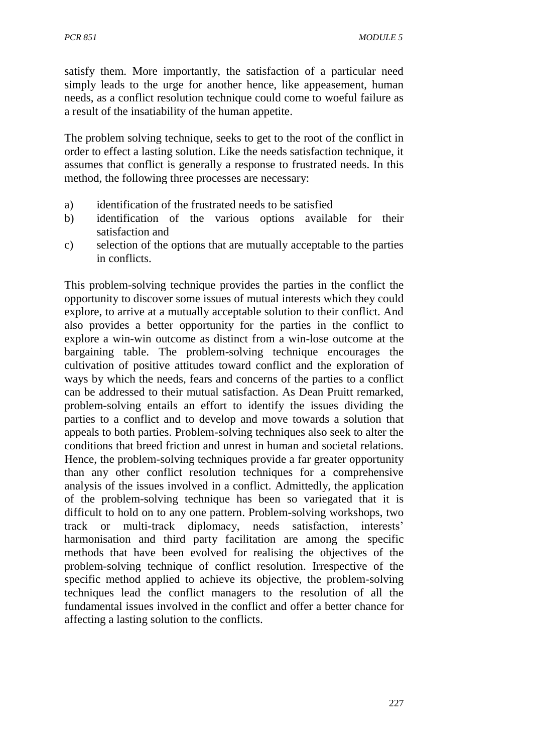satisfy them. More importantly, the satisfaction of a particular need simply leads to the urge for another hence, like appeasement, human needs, as a conflict resolution technique could come to woeful failure as a result of the insatiability of the human appetite.

The problem solving technique, seeks to get to the root of the conflict in order to effect a lasting solution. Like the needs satisfaction technique, it assumes that conflict is generally a response to frustrated needs. In this method, the following three processes are necessary:

- a) identification of the frustrated needs to be satisfied
- b) identification of the various options available for their satisfaction and
- c) selection of the options that are mutually acceptable to the parties in conflicts.

This problem-solving technique provides the parties in the conflict the opportunity to discover some issues of mutual interests which they could explore, to arrive at a mutually acceptable solution to their conflict. And also provides a better opportunity for the parties in the conflict to explore a win-win outcome as distinct from a win-lose outcome at the bargaining table. The problem-solving technique encourages the cultivation of positive attitudes toward conflict and the exploration of ways by which the needs, fears and concerns of the parties to a conflict can be addressed to their mutual satisfaction. As Dean Pruitt remarked, problem-solving entails an effort to identify the issues dividing the parties to a conflict and to develop and move towards a solution that appeals to both parties. Problem-solving techniques also seek to alter the conditions that breed friction and unrest in human and societal relations. Hence, the problem-solving techniques provide a far greater opportunity than any other conflict resolution techniques for a comprehensive analysis of the issues involved in a conflict. Admittedly, the application of the problem-solving technique has been so variegated that it is difficult to hold on to any one pattern. Problem-solving workshops, two track or multi-track diplomacy, needs satisfaction, interests' harmonisation and third party facilitation are among the specific methods that have been evolved for realising the objectives of the problem-solving technique of conflict resolution. Irrespective of the specific method applied to achieve its objective, the problem-solving techniques lead the conflict managers to the resolution of all the fundamental issues involved in the conflict and offer a better chance for affecting a lasting solution to the conflicts.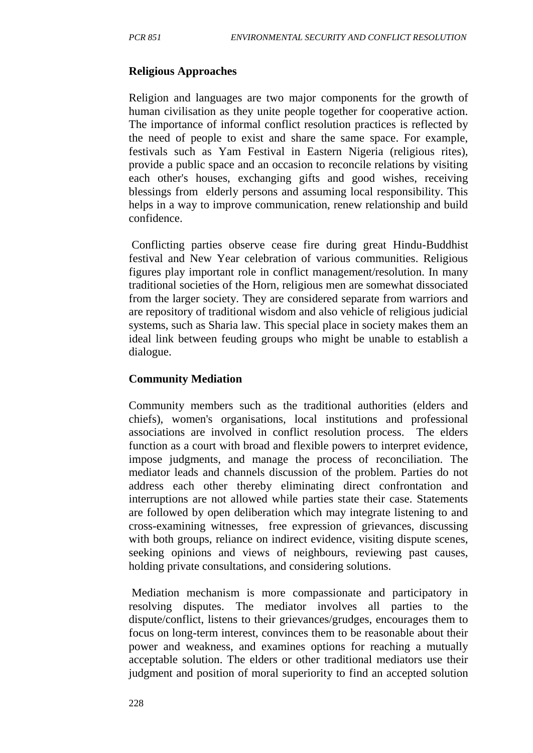#### **Religious Approaches**

Religion and languages are two major components for the growth of human civilisation as they unite people together for cooperative action. The importance of informal conflict resolution practices is reflected by the need of people to exist and share the same space. For example, festivals such as Yam Festival in Eastern Nigeria (religious rites), provide a public space and an occasion to reconcile relations by visiting each other's houses, exchanging gifts and good wishes, receiving blessings from elderly persons and assuming local responsibility. This helps in a way to improve communication, renew relationship and build confidence.

Conflicting parties observe cease fire during great Hindu-Buddhist festival and New Year celebration of various communities. Religious figures play important role in conflict management/resolution. In many traditional societies of the Horn, religious men are somewhat dissociated from the larger society. They are considered separate from warriors and are repository of traditional wisdom and also vehicle of religious judicial systems, such as Sharia law. This special place in society makes them an ideal link between feuding groups who might be unable to establish a dialogue.

#### **Community Mediation**

Community members such as the traditional authorities (elders and chiefs), women's organisations, local institutions and professional associations are involved in conflict resolution process. The elders function as a court with broad and flexible powers to interpret evidence, impose judgments, and manage the process of reconciliation. The mediator leads and channels discussion of the problem. Parties do not address each other thereby eliminating direct confrontation and interruptions are not allowed while parties state their case. Statements are followed by open deliberation which may integrate listening to and cross-examining witnesses, free expression of grievances, discussing with both groups, reliance on indirect evidence, visiting dispute scenes, seeking opinions and views of neighbours, reviewing past causes, holding private consultations, and considering solutions.

Mediation mechanism is more compassionate and participatory in resolving disputes. The mediator involves all parties to the dispute/conflict, listens to their grievances/grudges, encourages them to focus on long-term interest, convinces them to be reasonable about their power and weakness, and examines options for reaching a mutually acceptable solution. The elders or other traditional mediators use their judgment and position of moral superiority to find an accepted solution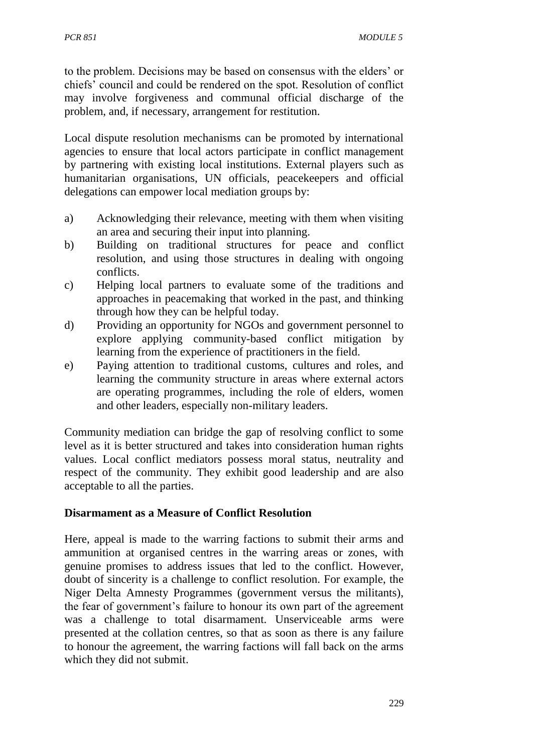to the problem. Decisions may be based on consensus with the elders' or chiefs' council and could be rendered on the spot. Resolution of conflict may involve forgiveness and communal official discharge of the problem, and, if necessary, arrangement for restitution.

Local dispute resolution mechanisms can be promoted by international agencies to ensure that local actors participate in conflict management by partnering with existing local institutions. External players such as humanitarian organisations, UN officials, peacekeepers and official delegations can empower local mediation groups by:

- a) Acknowledging their relevance, meeting with them when visiting an area and securing their input into planning.
- b) Building on traditional structures for peace and conflict resolution, and using those structures in dealing with ongoing conflicts.
- c) Helping local partners to evaluate some of the traditions and approaches in peacemaking that worked in the past, and thinking through how they can be helpful today.
- d) Providing an opportunity for NGOs and government personnel to explore applying community-based conflict mitigation by learning from the experience of practitioners in the field.
- e) Paying attention to traditional customs, cultures and roles, and learning the community structure in areas where external actors are operating programmes, including the role of elders, women and other leaders, especially non-military leaders.

Community mediation can bridge the gap of resolving conflict to some level as it is better structured and takes into consideration human rights values. Local conflict mediators possess moral status, neutrality and respect of the community. They exhibit good leadership and are also acceptable to all the parties.

#### **Disarmament as a Measure of Conflict Resolution**

Here, appeal is made to the warring factions to submit their arms and ammunition at organised centres in the warring areas or zones, with genuine promises to address issues that led to the conflict. However, doubt of sincerity is a challenge to conflict resolution. For example, the Niger Delta Amnesty Programmes (government versus the militants), the fear of government's failure to honour its own part of the agreement was a challenge to total disarmament. Unserviceable arms were presented at the collation centres, so that as soon as there is any failure to honour the agreement, the warring factions will fall back on the arms which they did not submit.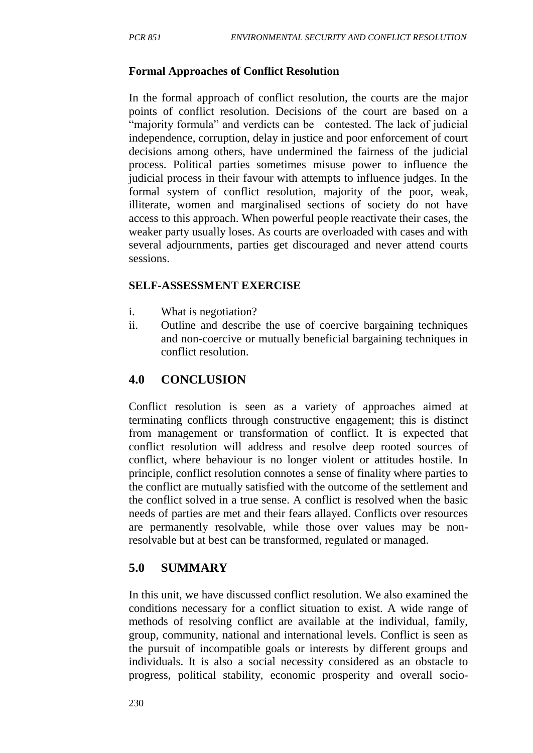#### **Formal Approaches of Conflict Resolution**

In the formal approach of conflict resolution, the courts are the major points of conflict resolution. Decisions of the court are based on a "majority formula" and verdicts can be contested. The lack of judicial independence, corruption, delay in justice and poor enforcement of court decisions among others, have undermined the fairness of the judicial process. Political parties sometimes misuse power to influence the judicial process in their favour with attempts to influence judges. In the formal system of conflict resolution, majority of the poor, weak, illiterate, women and marginalised sections of society do not have access to this approach. When powerful people reactivate their cases, the weaker party usually loses. As courts are overloaded with cases and with several adjournments, parties get discouraged and never attend courts sessions.

#### **SELF-ASSESSMENT EXERCISE**

- i. What is negotiation?
- ii. Outline and describe the use of coercive bargaining techniques and non-coercive or mutually beneficial bargaining techniques in conflict resolution.

## **4.0 CONCLUSION**

Conflict resolution is seen as a variety of approaches aimed at terminating conflicts through constructive engagement; this is distinct from management or transformation of conflict. It is expected that conflict resolution will address and resolve deep rooted sources of conflict, where behaviour is no longer violent or attitudes hostile. In principle, conflict resolution connotes a sense of finality where parties to the conflict are mutually satisfied with the outcome of the settlement and the conflict solved in a true sense. A conflict is resolved when the basic needs of parties are met and their fears allayed. Conflicts over resources are permanently resolvable, while those over values may be nonresolvable but at best can be transformed, regulated or managed.

## **5.0 SUMMARY**

In this unit, we have discussed conflict resolution. We also examined the conditions necessary for a conflict situation to exist. A wide range of methods of resolving conflict are available at the individual, family, group, community, national and international levels. Conflict is seen as the pursuit of incompatible goals or interests by different groups and individuals. It is also a social necessity considered as an obstacle to progress, political stability, economic prosperity and overall socio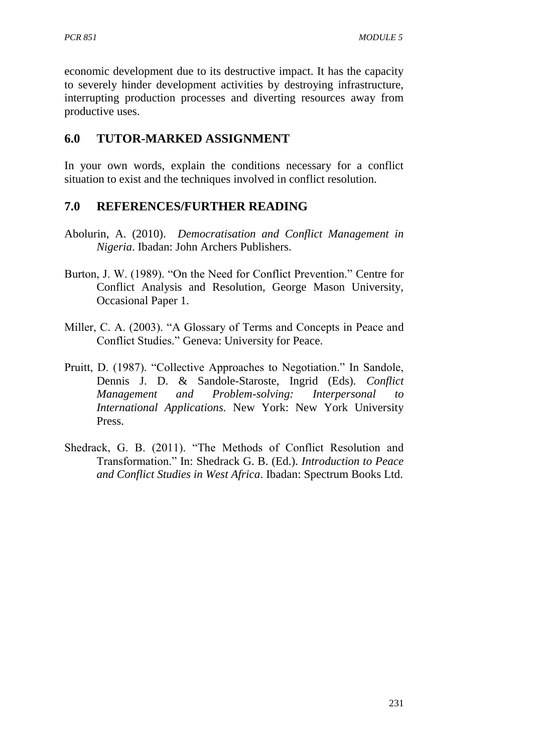economic development due to its destructive impact. It has the capacity to severely hinder development activities by destroying infrastructure, interrupting production processes and diverting resources away from productive uses.

# **6.0 TUTOR-MARKED ASSIGNMENT**

In your own words, explain the conditions necessary for a conflict situation to exist and the techniques involved in conflict resolution.

## **7.0 REFERENCES/FURTHER READING**

- Abolurin, A. (2010). *Democratisation and Conflict Management in Nigeria*. Ibadan: John Archers Publishers.
- Burton, J. W. (1989). "On the Need for Conflict Prevention." Centre for Conflict Analysis and Resolution, George Mason University, Occasional Paper 1.
- Miller, C. A. (2003). "A Glossary of Terms and Concepts in Peace and Conflict Studies." Geneva: University for Peace.
- Pruitt, D. (1987). "Collective Approaches to Negotiation." In Sandole, Dennis J. D. & Sandole-Staroste, Ingrid (Eds). *Conflict Management and Problem-solving: Interpersonal to International Applications.* New York: New York University Press.
- Shedrack, G. B. (2011). "The Methods of Conflict Resolution and Transformation." In: Shedrack G. B. (Ed.). *Introduction to Peace and Conflict Studies in West Africa*. Ibadan: Spectrum Books Ltd.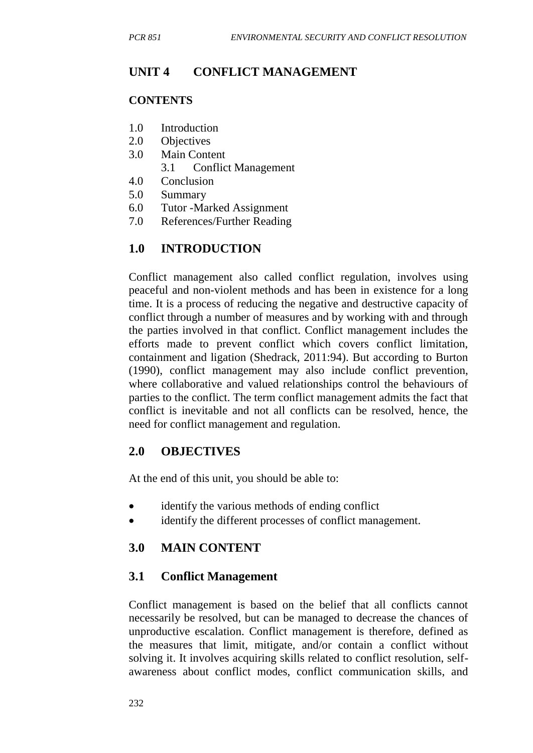# **UNIT 4 CONFLICT MANAGEMENT**

#### **CONTENTS**

- 1.0 Introduction
- 2.0 Objectives
- 3.0 Main Content
	- 3.1 Conflict Management
- 4.0 Conclusion
- 5.0 Summary
- 6.0 Tutor -Marked Assignment
- 7.0 References/Further Reading

## **1.0 INTRODUCTION**

Conflict management also called conflict regulation, involves using peaceful and non-violent methods and has been in existence for a long time. It is a process of reducing the negative and destructive capacity of conflict through a number of measures and by working with and through the parties involved in that conflict. Conflict management includes the efforts made to prevent conflict which covers conflict limitation, containment and ligation (Shedrack, 2011:94). But according to Burton (1990), conflict management may also include conflict prevention, where collaborative and valued relationships control the behaviours of parties to the conflict. The term conflict management admits the fact that conflict is inevitable and not all conflicts can be resolved, hence, the need for conflict management and regulation.

## **2.0 OBJECTIVES**

At the end of this unit, you should be able to:

- identify the various methods of ending conflict
- identify the different processes of conflict management.

## **3.0 MAIN CONTENT**

## **3.1 Conflict Management**

Conflict management is based on the belief that all conflicts cannot necessarily be resolved, but can be managed to decrease the chances of unproductive escalation. Conflict management is therefore, defined as the measures that limit, mitigate, and/or contain a conflict without solving it. It involves acquiring skills related to conflict resolution, selfawareness about conflict modes, conflict communication skills, and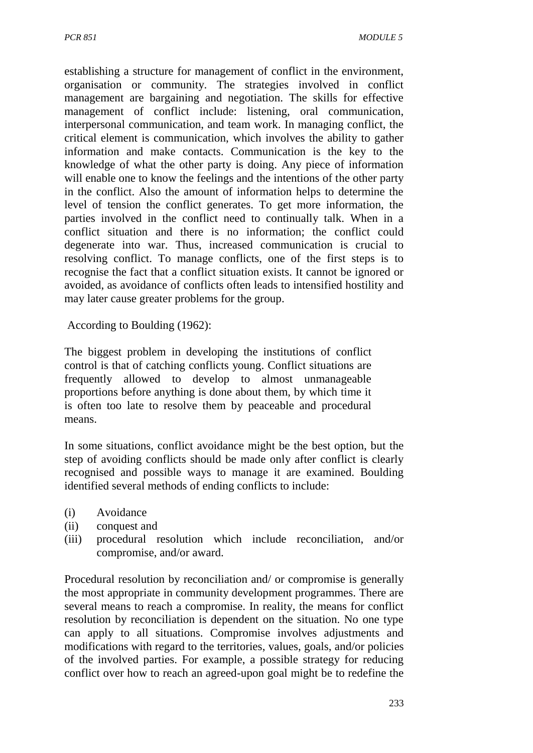establishing a structure for management of conflict in the environment, organisation or community. The strategies involved in conflict management are bargaining and negotiation. The skills for effective management of conflict include: listening, oral communication, interpersonal communication, and team work. In managing conflict, the critical element is communication, which involves the ability to gather information and make contacts. Communication is the key to the knowledge of what the other party is doing. Any piece of information will enable one to know the feelings and the intentions of the other party in the conflict. Also the amount of information helps to determine the level of tension the conflict generates. To get more information, the parties involved in the conflict need to continually talk. When in a conflict situation and there is no information; the conflict could degenerate into war. Thus, increased communication is crucial to resolving conflict. To manage conflicts, one of the first steps is to recognise the fact that a conflict situation exists. It cannot be ignored or avoided, as avoidance of conflicts often leads to intensified hostility and may later cause greater problems for the group.

According to Boulding (1962):

The biggest problem in developing the institutions of conflict control is that of catching conflicts young. Conflict situations are frequently allowed to develop to almost unmanageable proportions before anything is done about them, by which time it is often too late to resolve them by peaceable and procedural means.

In some situations, conflict avoidance might be the best option, but the step of avoiding conflicts should be made only after conflict is clearly recognised and possible ways to manage it are examined. Boulding identified several methods of ending conflicts to include:

- (i) Avoidance
- (ii) conquest and
- (iii) procedural resolution which include reconciliation, and/or compromise, and/or award.

Procedural resolution by reconciliation and/ or compromise is generally the most appropriate in community development programmes. There are several means to reach a compromise. In reality, the means for conflict resolution by reconciliation is dependent on the situation. No one type can apply to all situations. Compromise involves adjustments and modifications with regard to the territories, values, goals, and/or policies of the involved parties. For example, a possible strategy for reducing conflict over how to reach an agreed-upon goal might be to redefine the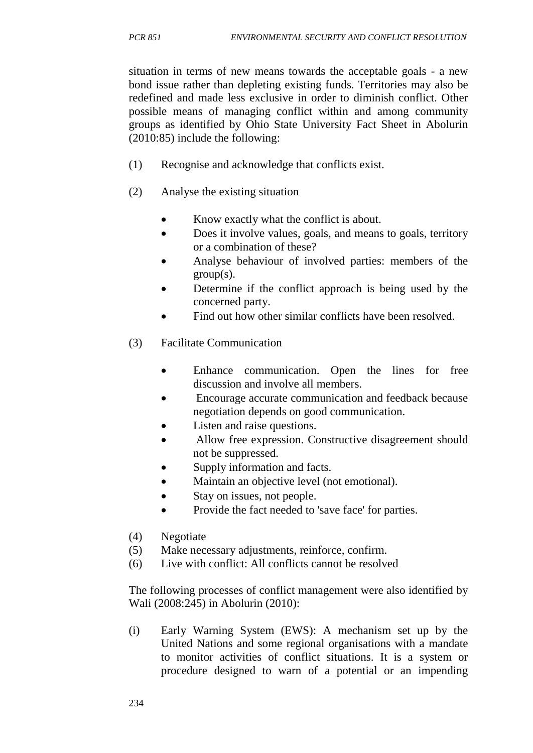situation in terms of new means towards the acceptable goals - a new bond issue rather than depleting existing funds. Territories may also be redefined and made less exclusive in order to diminish conflict. Other possible means of managing conflict within and among community groups as identified by Ohio State University Fact Sheet in Abolurin (2010:85) include the following:

- (1) Recognise and acknowledge that conflicts exist.
- (2) Analyse the existing situation
	- Know exactly what the conflict is about.
	- Does it involve values, goals, and means to goals, territory or a combination of these?
	- Analyse behaviour of involved parties: members of the  $group(s)$ .
	- Determine if the conflict approach is being used by the concerned party.
	- Find out how other similar conflicts have been resolved.
- (3) Facilitate Communication
	- Enhance communication. Open the lines for free discussion and involve all members.
	- Encourage accurate communication and feedback because negotiation depends on good communication.
	- Listen and raise questions.
	- Allow free expression. Constructive disagreement should not be suppressed.
	- Supply information and facts.
	- Maintain an objective level (not emotional).
	- Stay on issues, not people.
	- Provide the fact needed to 'save face' for parties.
- (4) Negotiate
- (5) Make necessary adjustments, reinforce, confirm.
- (6) Live with conflict: All conflicts cannot be resolved

The following processes of conflict management were also identified by Wali (2008:245) in Abolurin (2010):

(i) Early Warning System (EWS): A mechanism set up by the United Nations and some regional organisations with a mandate to monitor activities of conflict situations. It is a system or procedure designed to warn of a potential or an impending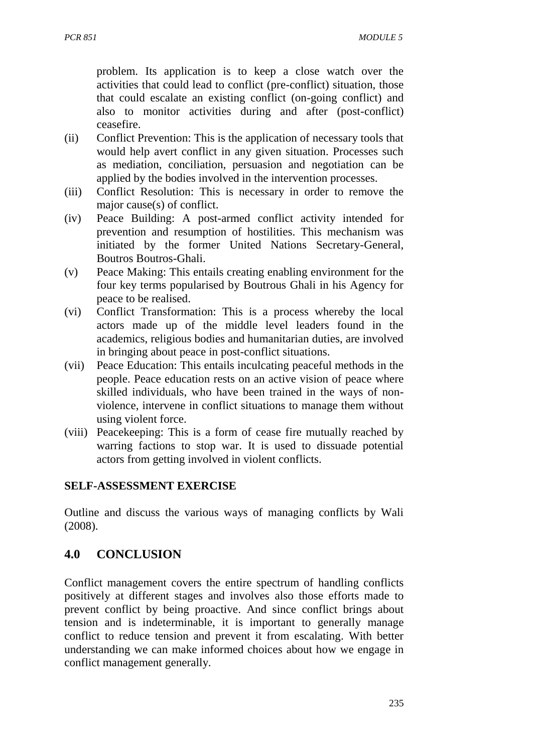problem. Its application is to keep a close watch over the activities that could lead to conflict (pre-conflict) situation, those that could escalate an existing conflict (on-going conflict) and also to monitor activities during and after (post-conflict) ceasefire.

- (ii) Conflict Prevention: This is the application of necessary tools that would help avert conflict in any given situation. Processes such as mediation, conciliation, persuasion and negotiation can be applied by the bodies involved in the intervention processes.
- (iii) Conflict Resolution: This is necessary in order to remove the major cause(s) of conflict.
- (iv) Peace Building: A post-armed conflict activity intended for prevention and resumption of hostilities. This mechanism was initiated by the former United Nations Secretary-General, Boutros Boutros-Ghali.
- (v) Peace Making: This entails creating enabling environment for the four key terms popularised by Boutrous Ghali in his Agency for peace to be realised.
- (vi) Conflict Transformation: This is a process whereby the local actors made up of the middle level leaders found in the academics, religious bodies and humanitarian duties, are involved in bringing about peace in post-conflict situations.
- (vii) Peace Education: This entails inculcating peaceful methods in the people. Peace education rests on an active vision of peace where skilled individuals, who have been trained in the ways of nonviolence, intervene in conflict situations to manage them without using violent force.
- (viii) Peacekeeping: This is a form of cease fire mutually reached by warring factions to stop war. It is used to dissuade potential actors from getting involved in violent conflicts.

#### **SELF-ASSESSMENT EXERCISE**

Outline and discuss the various ways of managing conflicts by Wali (2008).

# **4.0 CONCLUSION**

Conflict management covers the entire spectrum of handling conflicts positively at different stages and involves also those efforts made to prevent conflict by being proactive. And since conflict brings about tension and is indeterminable, it is important to generally manage conflict to reduce tension and prevent it from escalating. With better understanding we can make informed choices about how we engage in conflict management generally.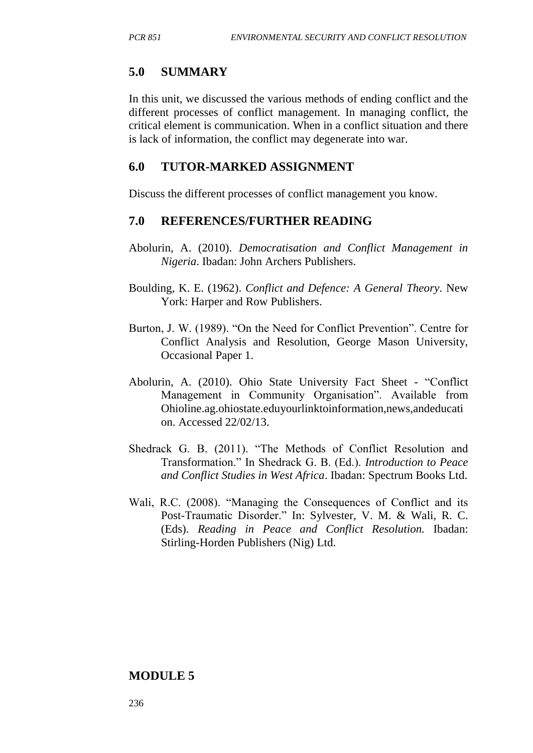#### **5.0 SUMMARY**

In this unit, we discussed the various methods of ending conflict and the different processes of conflict management. In managing conflict, the critical element is communication. When in a conflict situation and there is lack of information, the conflict may degenerate into war.

#### **6.0 TUTOR-MARKED ASSIGNMENT**

Discuss the different processes of conflict management you know.

#### **7.0 REFERENCES/FURTHER READING**

- Abolurin, A. (2010). *Democratisation and Conflict Management in Nigeria*. Ibadan: John Archers Publishers.
- Boulding, K. E. (1962). *Conflict and Defence: A General Theory*. New York: Harper and Row Publishers.
- Burton, J. W. (1989). "On the Need for Conflict Prevention". Centre for Conflict Analysis and Resolution, George Mason University, Occasional Paper 1.
- Abolurin, A. (2010). Ohio State University Fact Sheet "Conflict Management in Community Organisation". Available from Ohioline.ag.ohiostate.eduyourlinktoinformation,news,andeducati on. Accessed 22/02/13.
- Shedrack G. B. (2011). "The Methods of Conflict Resolution and Transformation." In Shedrack G. B. (Ed.). *Introduction to Peace and Conflict Studies in West Africa*. Ibadan: Spectrum Books Ltd.
- Wali, R.C. (2008). "Managing the Consequences of Conflict and its Post-Traumatic Disorder." In: Sylvester, V. M. & Wali, R. C. (Eds). *Reading in Peace and Conflict Resolution.* Ibadan: Stirling-Horden Publishers (Nig) Ltd.

#### **MODULE 5**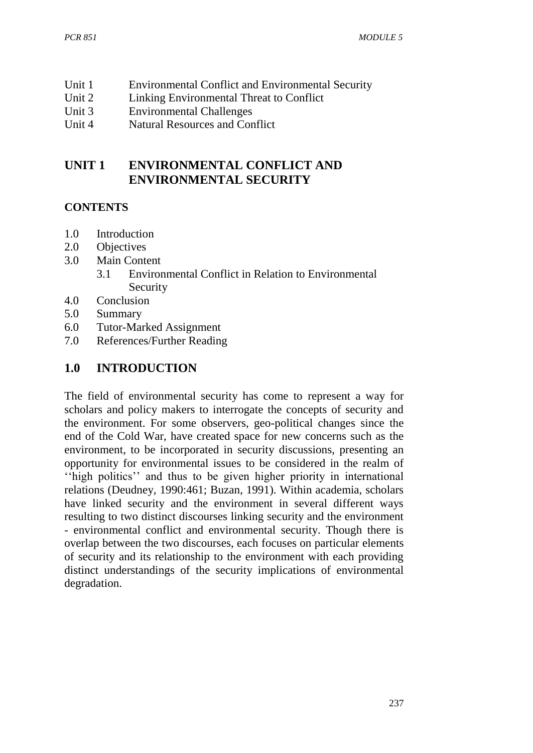- Unit 1 Environmental Conflict and Environmental Security
- Unit 2 Linking Environmental Threat to Conflict
- Unit 3 Environmental Challenges
- Unit 4 Natural Resources and Conflict

# **UNIT 1 ENVIRONMENTAL CONFLICT AND ENVIRONMENTAL SECURITY**

## **CONTENTS**

- 1.0 Introduction
- 2.0 Objectives
- 3.0 Main Content
	- 3.1 Environmental Conflict in Relation to Environmental Security
- 4.0 Conclusion
- 5.0 Summary
- 6.0 Tutor-Marked Assignment
- 7.0 References/Further Reading

# **1.0 INTRODUCTION**

The field of environmental security has come to represent a way for scholars and policy makers to interrogate the concepts of security and the environment. For some observers, geo-political changes since the end of the Cold War, have created space for new concerns such as the environment, to be incorporated in security discussions, presenting an opportunity for environmental issues to be considered in the realm of ''high politics'' and thus to be given higher priority in international relations (Deudney, 1990:461; Buzan, 1991). Within academia, scholars have linked security and the environment in several different ways resulting to two distinct discourses linking security and the environment - environmental conflict and environmental security. Though there is overlap between the two discourses, each focuses on particular elements of security and its relationship to the environment with each providing distinct understandings of the security implications of environmental degradation.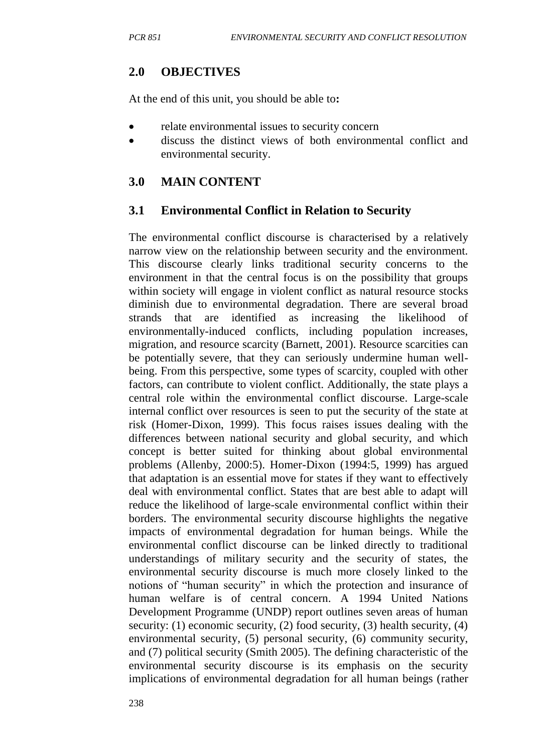# **2.0 OBJECTIVES**

At the end of this unit, you should be able to**:**

- relate environmental issues to security concern
- discuss the distinct views of both environmental conflict and environmental security.

## **3.0 MAIN CONTENT**

## **3.1 Environmental Conflict in Relation to Security**

The environmental conflict discourse is characterised by a relatively narrow view on the relationship between security and the environment. This discourse clearly links traditional security concerns to the environment in that the central focus is on the possibility that groups within society will engage in violent conflict as natural resource stocks diminish due to environmental degradation. There are several broad strands that are identified as increasing the likelihood of environmentally-induced conflicts, including population increases, migration, and resource scarcity (Barnett, 2001). Resource scarcities can be potentially severe, that they can seriously undermine human wellbeing. From this perspective, some types of scarcity, coupled with other factors, can contribute to violent conflict. Additionally, the state plays a central role within the environmental conflict discourse. Large-scale internal conflict over resources is seen to put the security of the state at risk (Homer-Dixon, 1999). This focus raises issues dealing with the differences between national security and global security, and which concept is better suited for thinking about global environmental problems (Allenby, 2000:5). Homer-Dixon (1994:5, 1999) has argued that adaptation is an essential move for states if they want to effectively deal with environmental conflict. States that are best able to adapt will reduce the likelihood of large-scale environmental conflict within their borders. The environmental security discourse highlights the negative impacts of environmental degradation for human beings. While the environmental conflict discourse can be linked directly to traditional understandings of military security and the security of states, the environmental security discourse is much more closely linked to the notions of "human security" in which the protection and insurance of human welfare is of central concern. A 1994 United Nations Development Programme (UNDP) report outlines seven areas of human security: (1) economic security, (2) food security, (3) health security, (4) environmental security, (5) personal security, (6) community security, and (7) political security (Smith 2005). The defining characteristic of the environmental security discourse is its emphasis on the security implications of environmental degradation for all human beings (rather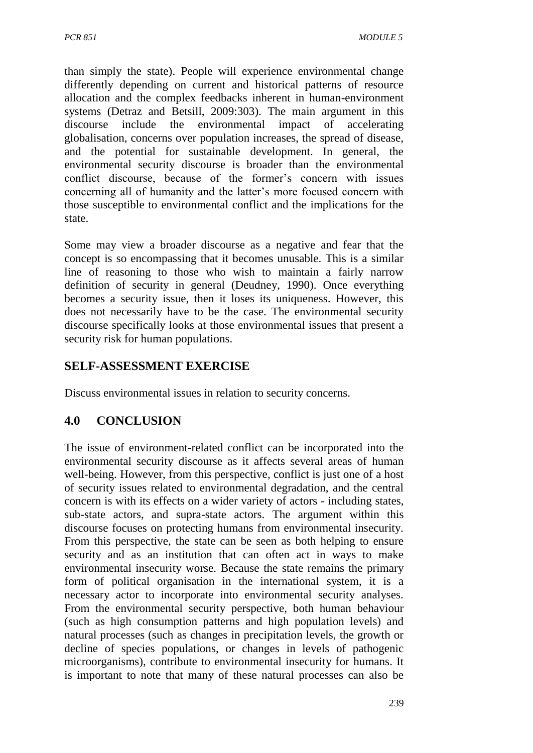than simply the state). People will experience environmental change differently depending on current and historical patterns of resource allocation and the complex feedbacks inherent in human-environment systems (Detraz and Betsill, 2009:303). The main argument in this discourse include the environmental impact of accelerating globalisation, concerns over population increases, the spread of disease, and the potential for sustainable development. In general, the environmental security discourse is broader than the environmental conflict discourse, because of the former's concern with issues concerning all of humanity and the latter's more focused concern with those susceptible to environmental conflict and the implications for the state.

Some may view a broader discourse as a negative and fear that the concept is so encompassing that it becomes unusable. This is a similar line of reasoning to those who wish to maintain a fairly narrow definition of security in general (Deudney, 1990). Once everything becomes a security issue, then it loses its uniqueness. However, this does not necessarily have to be the case. The environmental security discourse specifically looks at those environmental issues that present a security risk for human populations.

# **SELF-ASSESSMENT EXERCISE**

Discuss environmental issues in relation to security concerns.

# **4.0 CONCLUSION**

The issue of environment-related conflict can be incorporated into the environmental security discourse as it affects several areas of human well-being. However, from this perspective, conflict is just one of a host of security issues related to environmental degradation, and the central concern is with its effects on a wider variety of actors - including states, sub-state actors, and supra-state actors. The argument within this discourse focuses on protecting humans from environmental insecurity. From this perspective, the state can be seen as both helping to ensure security and as an institution that can often act in ways to make environmental insecurity worse. Because the state remains the primary form of political organisation in the international system, it is a necessary actor to incorporate into environmental security analyses. From the environmental security perspective, both human behaviour (such as high consumption patterns and high population levels) and natural processes (such as changes in precipitation levels, the growth or decline of species populations, or changes in levels of pathogenic microorganisms), contribute to environmental insecurity for humans. It is important to note that many of these natural processes can also be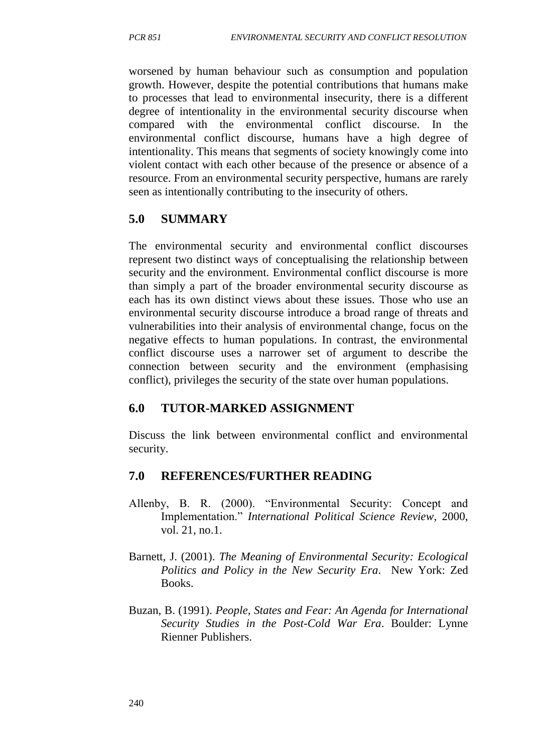worsened by human behaviour such as consumption and population growth. However, despite the potential contributions that humans make to processes that lead to environmental insecurity, there is a different degree of intentionality in the environmental security discourse when compared with the environmental conflict discourse. In the environmental conflict discourse, humans have a high degree of intentionality. This means that segments of society knowingly come into violent contact with each other because of the presence or absence of a resource. From an environmental security perspective, humans are rarely seen as intentionally contributing to the insecurity of others.

# **5.0 SUMMARY**

The environmental security and environmental conflict discourses represent two distinct ways of conceptualising the relationship between security and the environment. Environmental conflict discourse is more than simply a part of the broader environmental security discourse as each has its own distinct views about these issues. Those who use an environmental security discourse introduce a broad range of threats and vulnerabilities into their analysis of environmental change, focus on the negative effects to human populations. In contrast, the environmental conflict discourse uses a narrower set of argument to describe the connection between security and the environment (emphasising conflict), privileges the security of the state over human populations.

# **6.0 TUTOR-MARKED ASSIGNMENT**

Discuss the link between environmental conflict and environmental security.

## **7.0 REFERENCES/FURTHER READING**

- Allenby, B. R. (2000). "Environmental Security: Concept and Implementation." *International Political Science Review*, 2000, vol. 21, no.1.
- Barnett, J. (2001). *The Meaning of Environmental Security: Ecological Politics and Policy in the New Security Era*. New York: Zed Books.
- Buzan, B. (1991). *People, States and Fear: An Agenda for International Security Studies in the Post-Cold War Era*. Boulder: Lynne Rienner Publishers.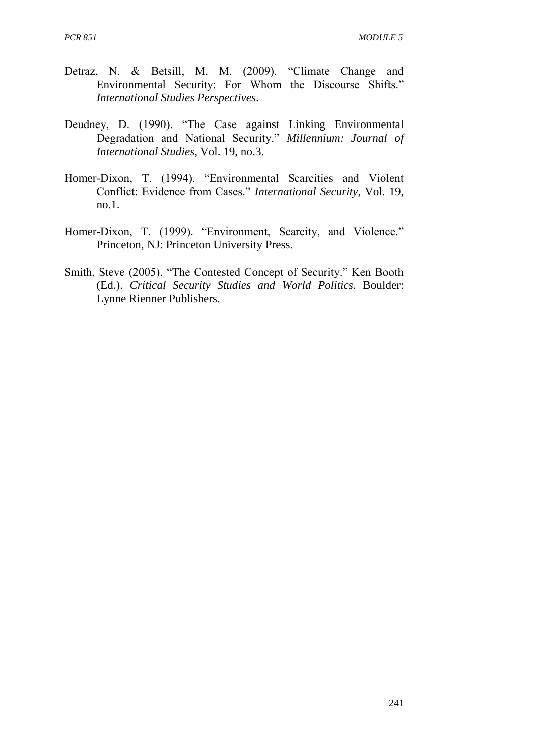- Detraz, N. & Betsill, M. M. (2009). "Climate Change and Environmental Security: For Whom the Discourse Shifts." *International Studies Perspectives*.
- Deudney, D. (1990). "The Case against Linking Environmental Degradation and National Security." *Millennium: Journal of International Studies*, Vol. 19, no.3.
- Homer-Dixon, T. (1994). "Environmental Scarcities and Violent Conflict: Evidence from Cases." *International Security*, Vol. 19, no.1.
- Homer-Dixon, T. (1999). "Environment, Scarcity, and Violence." Princeton, NJ: Princeton University Press.
- Smith, Steve (2005). "The Contested Concept of Security." Ken Booth (Ed.). *Critical Security Studies and World Politics*. Boulder: Lynne Rienner Publishers.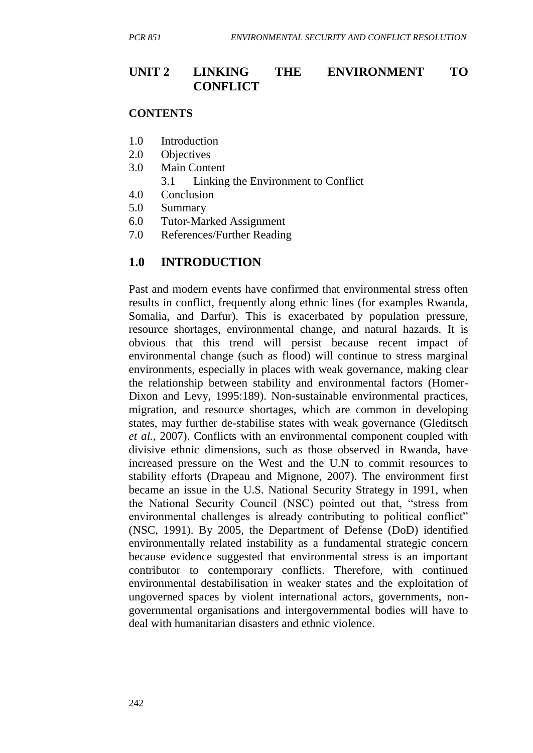### **UNIT 2 LINKING THE ENVIRONMENT TO CONFLICT**

#### **CONTENTS**

- 1.0 Introduction
- 2.0 Objectives
- 3.0 Main Content
	- 3.1 Linking the Environment to Conflict
- 4.0 Conclusion
- 5.0 Summary
- 6.0 Tutor-Marked Assignment
- 7.0 References/Further Reading

#### **1.0 INTRODUCTION**

Past and modern events have confirmed that environmental stress often results in conflict, frequently along ethnic lines (for examples Rwanda, Somalia, and Darfur). This is exacerbated by population pressure, resource shortages, environmental change, and natural hazards. It is obvious that this trend will persist because recent impact of environmental change (such as flood) will continue to stress marginal environments, especially in places with weak governance, making clear the relationship between stability and environmental factors (Homer-Dixon and Levy, 1995:189). Non-sustainable environmental practices, migration, and resource shortages, which are common in developing states, may further de-stabilise states with weak governance (Gleditsch *et al.*, 2007). Conflicts with an environmental component coupled with divisive ethnic dimensions, such as those observed in Rwanda, have increased pressure on the West and the U.N to commit resources to stability efforts (Drapeau and Mignone, 2007). The environment first became an issue in the U.S. National Security Strategy in 1991, when the National Security Council (NSC) pointed out that, "stress from environmental challenges is already contributing to political conflict" (NSC, 1991). By 2005, the Department of Defense (DoD) identified environmentally related instability as a fundamental strategic concern because evidence suggested that environmental stress is an important contributor to contemporary conflicts. Therefore, with continued environmental destabilisation in weaker states and the exploitation of ungoverned spaces by violent international actors, governments, nongovernmental organisations and intergovernmental bodies will have to deal with humanitarian disasters and ethnic violence.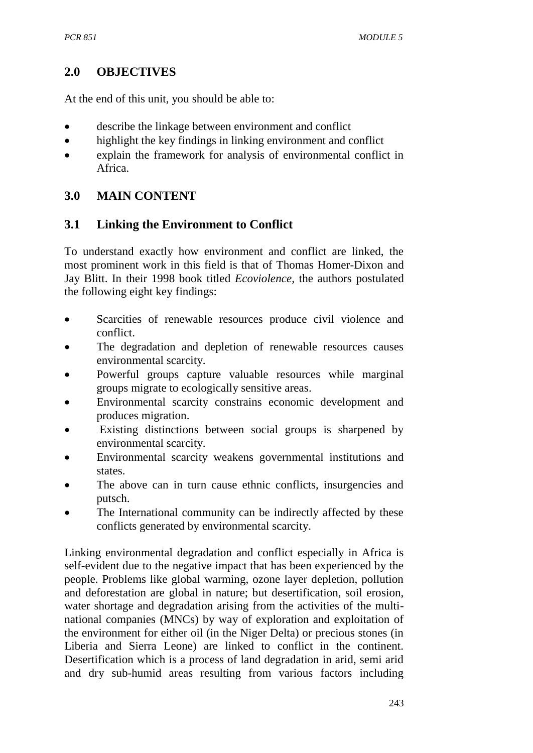# **2.0 OBJECTIVES**

At the end of this unit, you should be able to:

- describe the linkage between environment and conflict
- highlight the key findings in linking environment and conflict
- explain the framework for analysis of environmental conflict in Africa.

# **3.0 MAIN CONTENT**

## **3.1 Linking the Environment to Conflict**

To understand exactly how environment and conflict are linked, the most prominent work in this field is that of Thomas Homer-Dixon and Jay Blitt. In their 1998 book titled *Ecoviolence,* the authors postulated the following eight key findings:

- Scarcities of renewable resources produce civil violence and conflict.
- The degradation and depletion of renewable resources causes environmental scarcity.
- Powerful groups capture valuable resources while marginal groups migrate to ecologically sensitive areas.
- Environmental scarcity constrains economic development and produces migration.
- Existing distinctions between social groups is sharpened by environmental scarcity.
- Environmental scarcity weakens governmental institutions and states.
- The above can in turn cause ethnic conflicts, insurgencies and putsch.
- The International community can be indirectly affected by these conflicts generated by environmental scarcity.

Linking environmental degradation and conflict especially in Africa is self-evident due to the negative impact that has been experienced by the people. Problems like global warming, ozone layer depletion, pollution and deforestation are global in nature; but desertification, soil erosion, water shortage and degradation arising from the activities of the multinational companies (MNCs) by way of exploration and exploitation of the environment for either oil (in the Niger Delta) or precious stones (in Liberia and Sierra Leone) are linked to conflict in the continent. Desertification which is a process of land degradation in arid, semi arid and dry sub-humid areas resulting from various factors including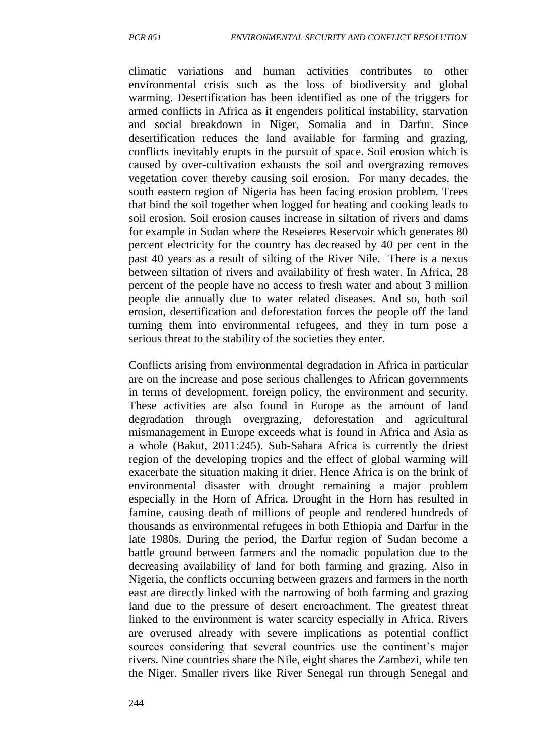climatic variations and human activities contributes to other environmental crisis such as the loss of biodiversity and global warming. Desertification has been identified as one of the triggers for armed conflicts in Africa as it engenders political instability, starvation and social breakdown in Niger, Somalia and in Darfur. Since desertification reduces the land available for farming and grazing, conflicts inevitably erupts in the pursuit of space. Soil erosion which is caused by over-cultivation exhausts the soil and overgrazing removes vegetation cover thereby causing soil erosion. For many decades, the south eastern region of Nigeria has been facing erosion problem. Trees that bind the soil together when logged for heating and cooking leads to soil erosion. Soil erosion causes increase in siltation of rivers and dams for example in Sudan where the Reseieres Reservoir which generates 80 percent electricity for the country has decreased by 40 per cent in the past 40 years as a result of silting of the River Nile. There is a nexus between siltation of rivers and availability of fresh water. In Africa, 28 percent of the people have no access to fresh water and about 3 million people die annually due to water related diseases. And so, both soil erosion, desertification and deforestation forces the people off the land turning them into environmental refugees, and they in turn pose a serious threat to the stability of the societies they enter.

Conflicts arising from environmental degradation in Africa in particular are on the increase and pose serious challenges to African governments in terms of development, foreign policy, the environment and security. These activities are also found in Europe as the amount of land degradation through overgrazing, deforestation and agricultural mismanagement in Europe exceeds what is found in Africa and Asia as a whole (Bakut, 2011:245). Sub-Sahara Africa is currently the driest region of the developing tropics and the effect of global warming will exacerbate the situation making it drier. Hence Africa is on the brink of environmental disaster with drought remaining a major problem especially in the Horn of Africa. Drought in the Horn has resulted in famine, causing death of millions of people and rendered hundreds of thousands as environmental refugees in both Ethiopia and Darfur in the late 1980s. During the period, the Darfur region of Sudan become a battle ground between farmers and the nomadic population due to the decreasing availability of land for both farming and grazing. Also in Nigeria, the conflicts occurring between grazers and farmers in the north east are directly linked with the narrowing of both farming and grazing land due to the pressure of desert encroachment. The greatest threat linked to the environment is water scarcity especially in Africa. Rivers are overused already with severe implications as potential conflict sources considering that several countries use the continent's major rivers. Nine countries share the Nile, eight shares the Zambezi, while ten the Niger. Smaller rivers like River Senegal run through Senegal and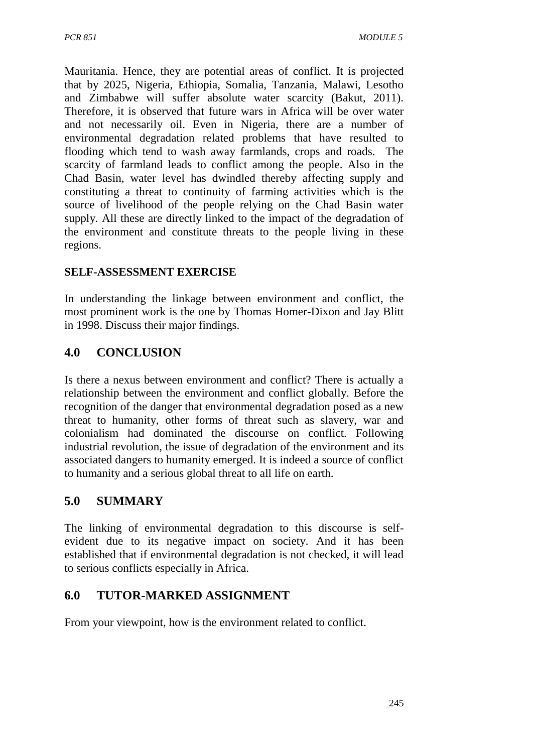Mauritania. Hence, they are potential areas of conflict. It is projected that by 2025, Nigeria, Ethiopia, Somalia, Tanzania, Malawi, Lesotho and Zimbabwe will suffer absolute water scarcity (Bakut, 2011). Therefore, it is observed that future wars in Africa will be over water and not necessarily oil. Even in Nigeria, there are a number of environmental degradation related problems that have resulted to flooding which tend to wash away farmlands, crops and roads. The scarcity of farmland leads to conflict among the people. Also in the Chad Basin, water level has dwindled thereby affecting supply and constituting a threat to continuity of farming activities which is the source of livelihood of the people relying on the Chad Basin water supply. All these are directly linked to the impact of the degradation of the environment and constitute threats to the people living in these regions.

## **SELF-ASSESSMENT EXERCISE**

In understanding the linkage between environment and conflict, the most prominent work is the one by Thomas Homer-Dixon and Jay Blitt in 1998. Discuss their major findings.

# **4.0 CONCLUSION**

Is there a nexus between environment and conflict? There is actually a relationship between the environment and conflict globally. Before the recognition of the danger that environmental degradation posed as a new threat to humanity, other forms of threat such as slavery, war and colonialism had dominated the discourse on conflict. Following industrial revolution, the issue of degradation of the environment and its associated dangers to humanity emerged. It is indeed a source of conflict to humanity and a serious global threat to all life on earth.

# **5.0 SUMMARY**

The linking of environmental degradation to this discourse is selfevident due to its negative impact on society. And it has been established that if environmental degradation is not checked, it will lead to serious conflicts especially in Africa.

# **6.0 TUTOR-MARKED ASSIGNMENT**

From your viewpoint, how is the environment related to conflict.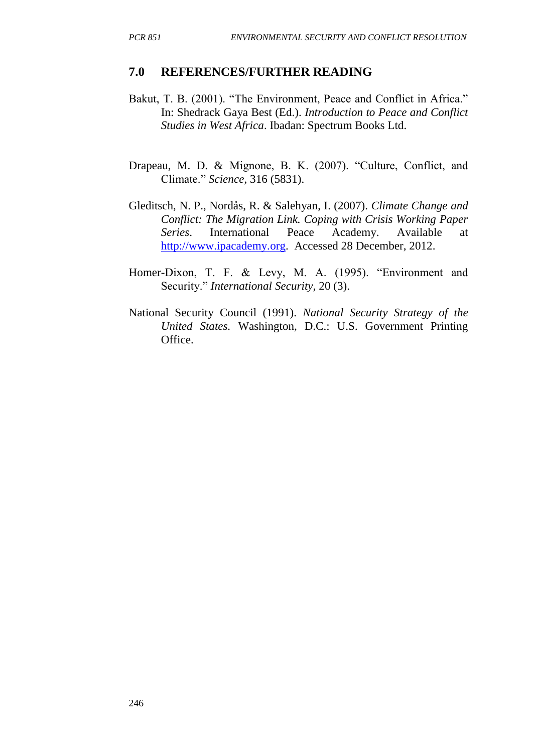#### **7.0 REFERENCES/FURTHER READING**

- Bakut, T. B. (2001). "The Environment, Peace and Conflict in Africa." In: Shedrack Gaya Best (Ed.). *Introduction to Peace and Conflict Studies in West Africa*. Ibadan: Spectrum Books Ltd.
- Drapeau, M. D. & Mignone, B. K. (2007). "Culture, Conflict, and Climate." *Science,* 316 (5831).
- Gleditsch, N. P., Nordås, R. & Salehyan, I. (2007). *Climate Change and Conflict: The Migration Link. Coping with Crisis Working Paper Series*. International Peace Academy. Available at [http://www.ipacademy.org.](http://www.ipacademy.org/) Accessed 28 December, 2012.
- Homer-Dixon, T. F. & Levy, M. A. (1995). "Environment and Security." *International Security,* 20 (3).
- National Security Council (1991). *National Security Strategy of the United States.* Washington, D.C.: U.S. Government Printing Office.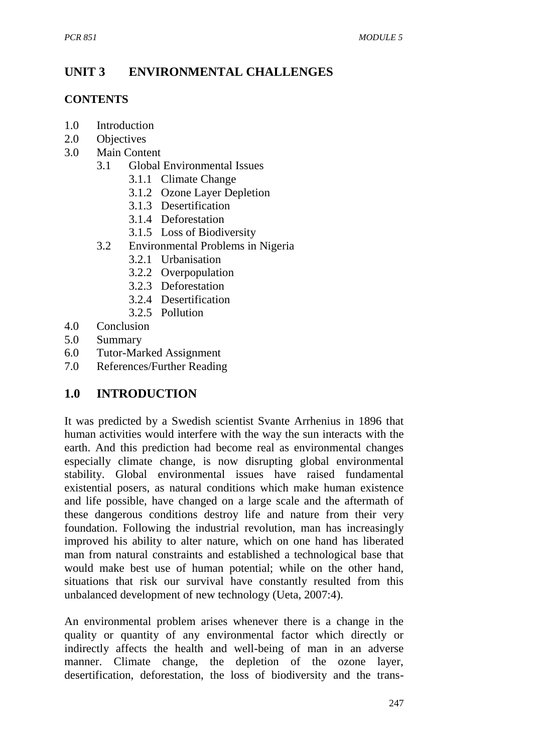# **UNIT 3 ENVIRONMENTAL CHALLENGES**

#### **CONTENTS**

- 1.0 Introduction
- 2.0 Objectives
- 3.0 Main Content
	- 3.1 Global Environmental Issues
		- 3.1.1 Climate Change
		- 3.1.2 Ozone Layer Depletion
		- 3.1.3 Desertification
		- 3.1.4 Deforestation
		- 3.1.5 Loss of Biodiversity
	- 3.2 Environmental Problems in Nigeria
		- 3.2.1 Urbanisation
		- 3.2.2 Overpopulation
		- 3.2.3 Deforestation
		- 3.2.4 Desertification
		- 3.2.5 Pollution
- 4.0 Conclusion
- 5.0 Summary
- 6.0 Tutor-Marked Assignment
- 7.0 References/Further Reading

# **1.0 INTRODUCTION**

It was predicted by a Swedish scientist Svante Arrhenius in 1896 that human activities would interfere with the way the sun interacts with the earth. And this prediction had become real as environmental changes especially climate change, is now disrupting global environmental stability. Global environmental issues have raised fundamental existential posers, as natural conditions which make human existence and life possible, have changed on a large scale and the aftermath of these dangerous conditions destroy life and nature from their very foundation. Following the industrial revolution, man has increasingly improved his ability to alter nature, which on one hand has liberated man from natural constraints and established a technological base that would make best use of human potential; while on the other hand, situations that risk our survival have constantly resulted from this unbalanced development of new technology (Ueta, 2007:4).

An environmental problem arises whenever there is a change in the quality or quantity of any environmental factor which directly or indirectly affects the health and well-being of man in an adverse manner. Climate change, the depletion of the ozone layer, desertification, deforestation, the loss of biodiversity and the trans-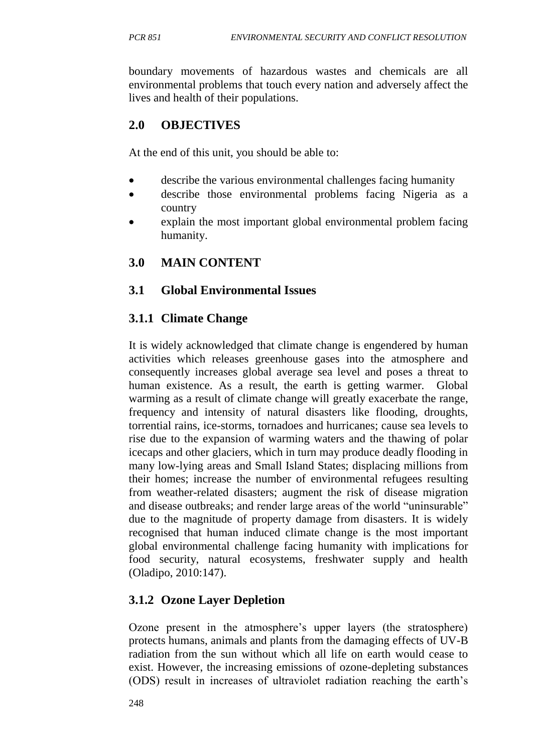boundary movements of hazardous wastes and chemicals are all environmental problems that touch every nation and adversely affect the lives and health of their populations.

# **2.0 OBJECTIVES**

At the end of this unit, you should be able to:

- describe the various environmental challenges facing humanity
- describe those environmental problems facing Nigeria as a country
- explain the most important global environmental problem facing humanity.

## **3.0 MAIN CONTENT**

## **3.1 Global Environmental Issues**

## **3.1.1 Climate Change**

It is widely acknowledged that climate change is engendered by human activities which releases greenhouse gases into the atmosphere and consequently increases global average sea level and poses a threat to human existence. As a result, the earth is getting warmer. Global warming as a result of climate change will greatly exacerbate the range, frequency and intensity of natural disasters like flooding, droughts, torrential rains, ice-storms, tornadoes and hurricanes; cause sea levels to rise due to the expansion of warming waters and the thawing of polar icecaps and other glaciers, which in turn may produce deadly flooding in many low-lying areas and Small Island States; displacing millions from their homes; increase the number of environmental refugees resulting from weather-related disasters; augment the risk of disease migration and disease outbreaks; and render large areas of the world "uninsurable" due to the magnitude of property damage from disasters. It is widely recognised that human induced climate change is the most important global environmental challenge facing humanity with implications for food security, natural ecosystems, freshwater supply and health (Oladipo, 2010:147).

## **3.1.2 Ozone Layer Depletion**

Ozone present in the atmosphere's upper layers (the stratosphere) protects humans, animals and plants from the damaging effects of UV-B radiation from the sun without which all life on earth would cease to exist. However, the increasing emissions of ozone-depleting substances (ODS) result in increases of ultraviolet radiation reaching the earth's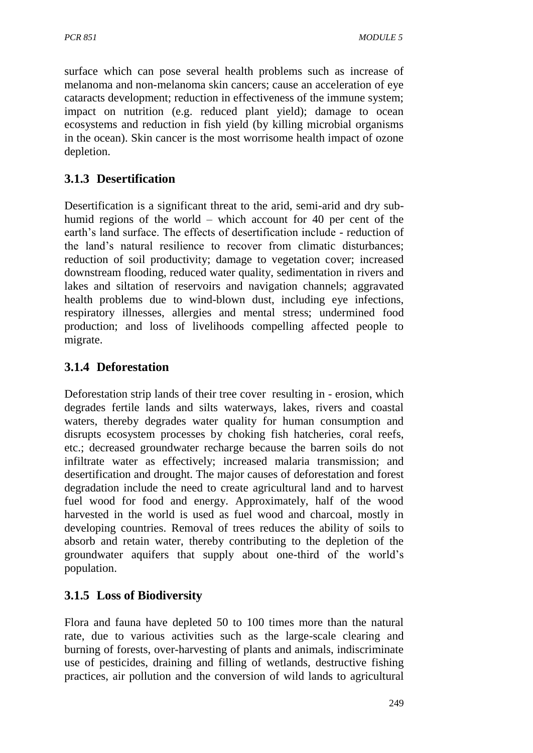surface which can pose several health problems such as increase of melanoma and non-melanoma skin cancers; cause an acceleration of eye cataracts development; reduction in effectiveness of the immune system; impact on nutrition (e.g. reduced plant yield); damage to ocean ecosystems and reduction in fish yield (by killing microbial organisms in the ocean). Skin cancer is the most worrisome health impact of ozone depletion.

# **3.1.3 Desertification**

Desertification is a significant threat to the arid, semi-arid and dry subhumid regions of the world – which account for 40 per cent of the earth's land surface. The effects of desertification include - reduction of the land's natural resilience to recover from climatic disturbances; reduction of soil productivity; damage to vegetation cover; increased downstream flooding, reduced water quality, sedimentation in rivers and lakes and siltation of reservoirs and navigation channels; aggravated health problems due to wind-blown dust, including eye infections, respiratory illnesses, allergies and mental stress; undermined food production; and loss of livelihoods compelling affected people to migrate.

# **3.1.4 Deforestation**

Deforestation strip lands of their tree cover resulting in - erosion, which degrades fertile lands and silts waterways, lakes, rivers and coastal waters, thereby degrades water quality for human consumption and disrupts ecosystem processes by choking fish hatcheries, coral reefs, etc.; decreased groundwater recharge because the barren soils do not infiltrate water as effectively; increased malaria transmission; and desertification and drought. The major causes of deforestation and forest degradation include the need to create agricultural land and to harvest fuel wood for food and energy. Approximately, half of the wood harvested in the world is used as fuel wood and charcoal, mostly in developing countries. Removal of trees reduces the ability of soils to absorb and retain water, thereby contributing to the depletion of the groundwater aquifers that supply about one-third of the world's population.

# **3.1.5 Loss of Biodiversity**

Flora and fauna have depleted 50 to 100 times more than the natural rate, due to various activities such as the large-scale clearing and burning of forests, over-harvesting of plants and animals, indiscriminate use of pesticides, draining and filling of wetlands, destructive fishing practices, air pollution and the conversion of wild lands to agricultural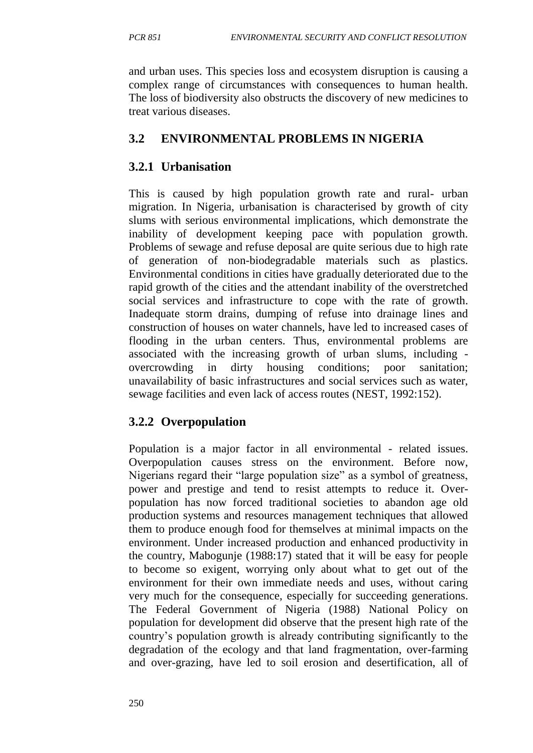and urban uses. This species loss and ecosystem disruption is causing a complex range of circumstances with consequences to human health. The loss of biodiversity also obstructs the discovery of new medicines to treat various diseases.

# **3.2 ENVIRONMENTAL PROBLEMS IN NIGERIA**

# **3.2.1 Urbanisation**

This is caused by high population growth rate and rural- urban migration. In Nigeria, urbanisation is characterised by growth of city slums with serious environmental implications, which demonstrate the inability of development keeping pace with population growth. Problems of sewage and refuse deposal are quite serious due to high rate of generation of non-biodegradable materials such as plastics. Environmental conditions in cities have gradually deteriorated due to the rapid growth of the cities and the attendant inability of the overstretched social services and infrastructure to cope with the rate of growth. Inadequate storm drains, dumping of refuse into drainage lines and construction of houses on water channels, have led to increased cases of flooding in the urban centers. Thus, environmental problems are associated with the increasing growth of urban slums, including overcrowding in dirty housing conditions; poor sanitation; unavailability of basic infrastructures and social services such as water, sewage facilities and even lack of access routes (NEST, 1992:152).

# **3.2.2 Overpopulation**

Population is a major factor in all environmental - related issues. Overpopulation causes stress on the environment. Before now, Nigerians regard their "large population size" as a symbol of greatness, power and prestige and tend to resist attempts to reduce it. Overpopulation has now forced traditional societies to abandon age old production systems and resources management techniques that allowed them to produce enough food for themselves at minimal impacts on the environment. Under increased production and enhanced productivity in the country, Mabogunje (1988:17) stated that it will be easy for people to become so exigent, worrying only about what to get out of the environment for their own immediate needs and uses, without caring very much for the consequence, especially for succeeding generations. The Federal Government of Nigeria (1988) National Policy on population for development did observe that the present high rate of the country's population growth is already contributing significantly to the degradation of the ecology and that land fragmentation, over-farming and over-grazing, have led to soil erosion and desertification, all of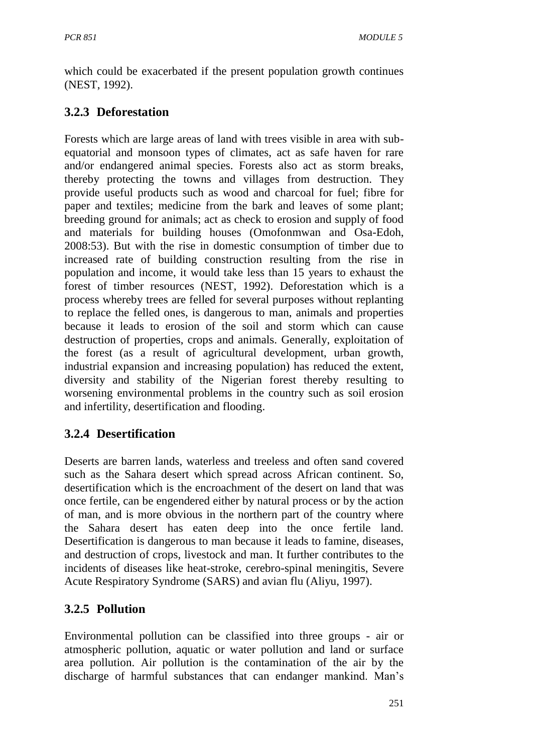which could be exacerbated if the present population growth continues (NEST, 1992).

# **3.2.3 Deforestation**

Forests which are large areas of land with trees visible in area with subequatorial and monsoon types of climates, act as safe haven for rare and/or endangered animal species. Forests also act as storm breaks, thereby protecting the towns and villages from destruction. They provide useful products such as wood and charcoal for fuel; fibre for paper and textiles; medicine from the bark and leaves of some plant; breeding ground for animals; act as check to erosion and supply of food and materials for building houses (Omofonmwan and Osa-Edoh, 2008:53). But with the rise in domestic consumption of timber due to increased rate of building construction resulting from the rise in population and income, it would take less than 15 years to exhaust the forest of timber resources (NEST, 1992). Deforestation which is a process whereby trees are felled for several purposes without replanting to replace the felled ones, is dangerous to man, animals and properties because it leads to erosion of the soil and storm which can cause destruction of properties, crops and animals. Generally, exploitation of the forest (as a result of agricultural development, urban growth, industrial expansion and increasing population) has reduced the extent, diversity and stability of the Nigerian forest thereby resulting to worsening environmental problems in the country such as soil erosion and infertility, desertification and flooding.

# **3.2.4 Desertification**

Deserts are barren lands, waterless and treeless and often sand covered such as the Sahara desert which spread across African continent. So, desertification which is the encroachment of the desert on land that was once fertile, can be engendered either by natural process or by the action of man, and is more obvious in the northern part of the country where the Sahara desert has eaten deep into the once fertile land. Desertification is dangerous to man because it leads to famine, diseases, and destruction of crops, livestock and man. It further contributes to the incidents of diseases like heat-stroke, cerebro-spinal meningitis, Severe Acute Respiratory Syndrome (SARS) and avian flu (Aliyu, 1997).

# **3.2.5 Pollution**

Environmental pollution can be classified into three groups - air or atmospheric pollution, aquatic or water pollution and land or surface area pollution. Air pollution is the contamination of the air by the discharge of harmful substances that can endanger mankind. Man's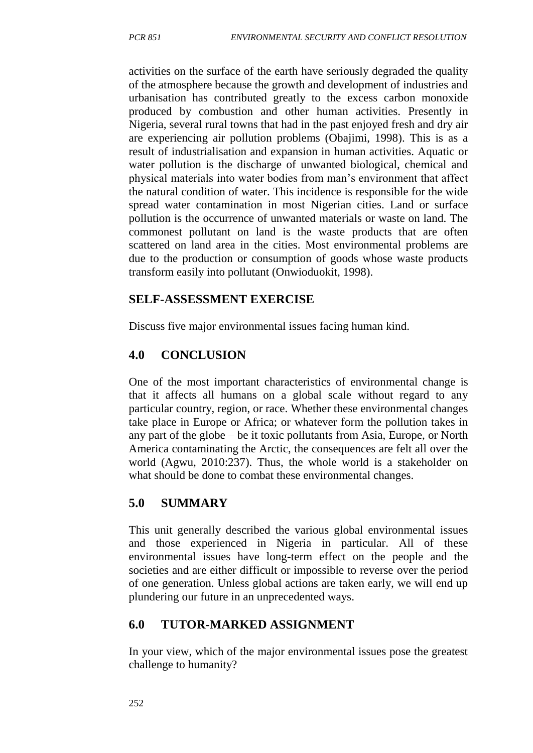activities on the surface of the earth have seriously degraded the quality of the atmosphere because the growth and development of industries and urbanisation has contributed greatly to the excess carbon monoxide produced by combustion and other human activities. Presently in Nigeria, several rural towns that had in the past enjoyed fresh and dry air are experiencing air pollution problems (Obajimi, 1998). This is as a result of industrialisation and expansion in human activities. Aquatic or water pollution is the discharge of unwanted biological, chemical and physical materials into water bodies from man's environment that affect the natural condition of water. This incidence is responsible for the wide spread water contamination in most Nigerian cities. Land or surface pollution is the occurrence of unwanted materials or waste on land. The commonest pollutant on land is the waste products that are often scattered on land area in the cities. Most environmental problems are due to the production or consumption of goods whose waste products transform easily into pollutant (Onwioduokit, 1998).

## **SELF-ASSESSMENT EXERCISE**

Discuss five major environmental issues facing human kind.

# **4.0 CONCLUSION**

One of the most important characteristics of environmental change is that it affects all humans on a global scale without regard to any particular country, region, or race. Whether these environmental changes take place in Europe or Africa; or whatever form the pollution takes in any part of the globe – be it toxic pollutants from Asia, Europe, or North America contaminating the Arctic, the consequences are felt all over the world (Agwu, 2010:237). Thus, the whole world is a stakeholder on what should be done to combat these environmental changes.

# **5.0 SUMMARY**

This unit generally described the various global environmental issues and those experienced in Nigeria in particular. All of these environmental issues have long-term effect on the people and the societies and are either difficult or impossible to reverse over the period of one generation. Unless global actions are taken early, we will end up plundering our future in an unprecedented ways.

# **6.0 TUTOR-MARKED ASSIGNMENT**

In your view, which of the major environmental issues pose the greatest challenge to humanity?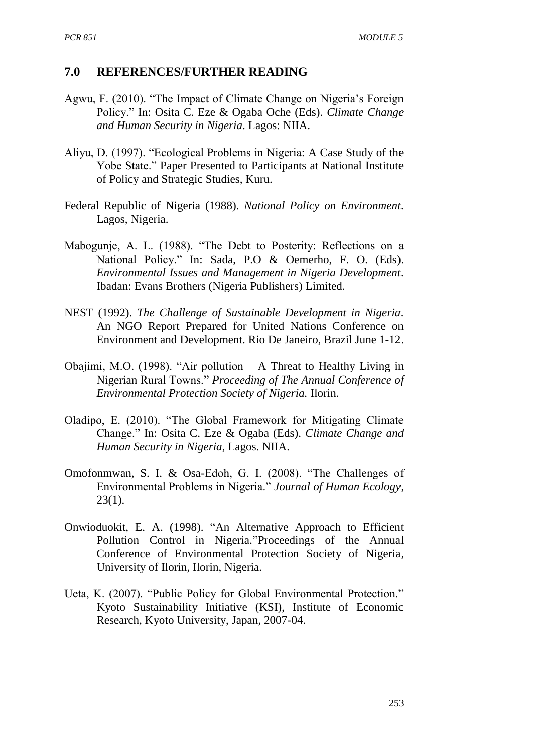#### **7.0 REFERENCES/FURTHER READING**

- Agwu, F. (2010). "The Impact of Climate Change on Nigeria's Foreign Policy." In: Osita C. Eze & Ogaba Oche (Eds). *Climate Change and Human Security in Nigeria*. Lagos: NIIA.
- Aliyu, D. (1997). "Ecological Problems in Nigeria: A Case Study of the Yobe State." Paper Presented to Participants at National Institute of Policy and Strategic Studies, Kuru.
- Federal Republic of Nigeria (1988). *National Policy on Environment.*  Lagos, Nigeria.
- Mabogunje, A. L. (1988). "The Debt to Posterity: Reflections on a National Policy." In: Sada, P.O & Oemerho, F. O. (Eds). *Environmental Issues and Management in Nigeria Development.* Ibadan: Evans Brothers (Nigeria Publishers) Limited.
- NEST (1992). *The Challenge of Sustainable Development in Nigeria.* An NGO Report Prepared for United Nations Conference on Environment and Development. Rio De Janeiro, Brazil June 1-12.
- Obajimi, M.O. (1998). "Air pollution A Threat to Healthy Living in Nigerian Rural Towns." *Proceeding of The Annual Conference of Environmental Protection Society of Nigeria.* Ilorin.
- Oladipo, E. (2010). "The Global Framework for Mitigating Climate Change." In: Osita C. Eze & Ogaba (Eds). *Climate Change and Human Security in Nigeria*, Lagos. NIIA.
- Omofonmwan, S. I. & Osa-Edoh, G. I. (2008). "The Challenges of Environmental Problems in Nigeria." *Journal of Human Ecology*,  $23(1)$ .
- Onwioduokit, E. A. (1998). "An Alternative Approach to Efficient Pollution Control in Nigeria."Proceedings of the Annual Conference of Environmental Protection Society of Nigeria*,*  University of Ilorin, Ilorin, Nigeria.
- Ueta, K. (2007). "Public Policy for Global Environmental Protection." Kyoto Sustainability Initiative (KSI), Institute of Economic Research, Kyoto University, Japan, 2007-04.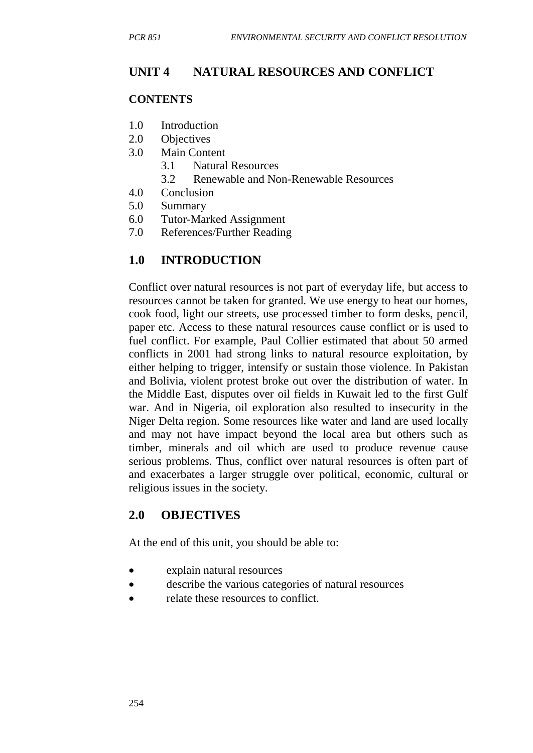# **UNIT 4 NATURAL RESOURCES AND CONFLICT**

#### **CONTENTS**

- 1.0 Introduction
- 2.0 Objectives
- 3.0 Main Content
	- 3.1 Natural Resources
	- 3.2 Renewable and Non-Renewable Resources
- 4.0 Conclusion
- 5.0 Summary
- 6.0 Tutor-Marked Assignment
- 7.0 References/Further Reading

## **1.0 INTRODUCTION**

Conflict over natural resources is not part of everyday life, but access to resources cannot be taken for granted. We use energy to heat our homes, cook food, light our streets, use processed timber to form desks, pencil, paper etc. Access to these natural resources cause conflict or is used to fuel conflict. For example, Paul Collier estimated that about 50 armed conflicts in 2001 had strong links to natural resource exploitation, by either helping to trigger, intensify or sustain those violence. In Pakistan and Bolivia, violent protest broke out over the distribution of water. In the Middle East, disputes over oil fields in Kuwait led to the first Gulf war. And in Nigeria, oil exploration also resulted to insecurity in the Niger Delta region. Some resources like water and land are used locally and may not have impact beyond the local area but others such as timber, minerals and oil which are used to produce revenue cause serious problems. Thus, conflict over natural resources is often part of and exacerbates a larger struggle over political, economic, cultural or religious issues in the society.

## **2.0 OBJECTIVES**

At the end of this unit, you should be able to:

- explain natural resources
- describe the various categories of natural resources
- relate these resources to conflict.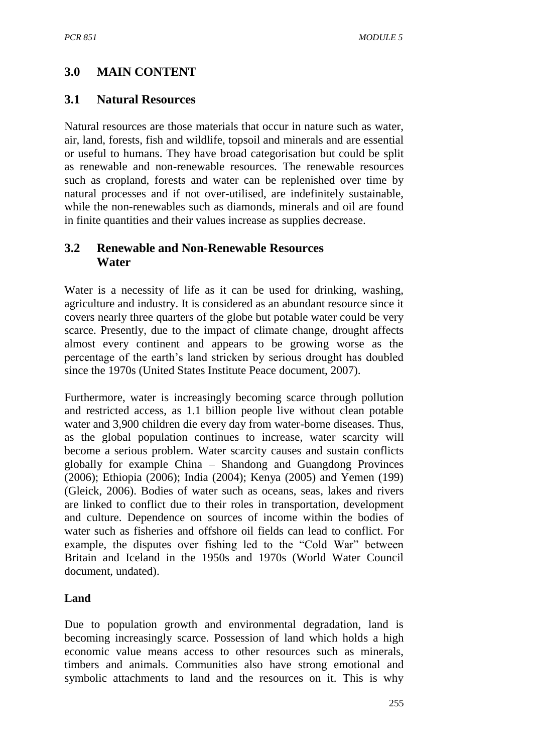# **3.0 MAIN CONTENT**

## **3.1 Natural Resources**

Natural resources are those materials that occur in nature such as water, air, land, forests, fish and wildlife, topsoil and minerals and are essential or useful to humans. They have broad categorisation but could be split as renewable and non-renewable resources. The renewable resources such as cropland, forests and water can be replenished over time by natural processes and if not over-utilised, are indefinitely sustainable, while the non-renewables such as diamonds, minerals and oil are found in finite quantities and their values increase as supplies decrease.

## **3.2 Renewable and Non-Renewable Resources Water**

Water is a necessity of life as it can be used for drinking, washing, agriculture and industry. It is considered as an abundant resource since it covers nearly three quarters of the globe but potable water could be very scarce. Presently, due to the impact of climate change, drought affects almost every continent and appears to be growing worse as the percentage of the earth's land stricken by serious drought has doubled since the 1970s (United States Institute Peace document, 2007).

Furthermore, water is increasingly becoming scarce through pollution and restricted access, as 1.1 billion people live without clean potable water and 3,900 children die every day from water-borne diseases. Thus, as the global population continues to increase, water scarcity will become a serious problem. Water scarcity causes and sustain conflicts globally for example China – Shandong and Guangdong Provinces (2006); Ethiopia (2006); India (2004); Kenya (2005) and Yemen (199) (Gleick, 2006). Bodies of water such as oceans, seas, lakes and rivers are linked to conflict due to their roles in transportation, development and culture. Dependence on sources of income within the bodies of water such as fisheries and offshore oil fields can lead to conflict. For example, the disputes over fishing led to the "Cold War" between Britain and Iceland in the 1950s and 1970s (World Water Council document, undated).

## **Land**

Due to population growth and environmental degradation, land is becoming increasingly scarce. Possession of land which holds a high economic value means access to other resources such as minerals, timbers and animals. Communities also have strong emotional and symbolic attachments to land and the resources on it. This is why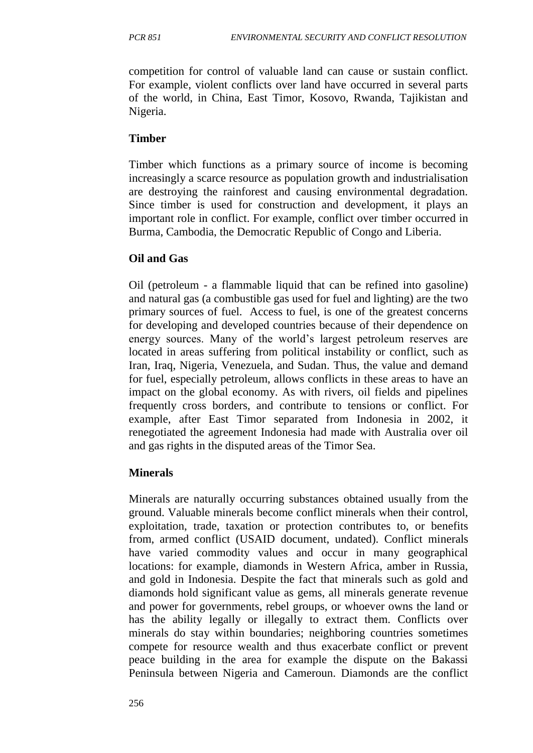competition for control of valuable land can cause or sustain conflict. For example, violent conflicts over land have occurred in several parts of the world, in China, East Timor, Kosovo, Rwanda, Tajikistan and Nigeria.

#### **Timber**

Timber which functions as a primary source of income is becoming increasingly a scarce resource as population growth and industrialisation are destroying the rainforest and causing environmental degradation. Since timber is used for construction and development, it plays an important role in conflict. For example, conflict over timber occurred in Burma, Cambodia, the Democratic Republic of Congo and Liberia.

### **Oil and Gas**

Oil (petroleum - a flammable liquid that can be refined into gasoline) and natural gas (a combustible gas used for fuel and lighting) are the two primary sources of fuel. Access to fuel, is one of the greatest concerns for developing and developed countries because of their dependence on energy sources. Many of the world's largest petroleum reserves are located in areas suffering from political instability or conflict, such as Iran, Iraq, Nigeria, Venezuela, and Sudan. Thus, the value and demand for fuel, especially petroleum, allows conflicts in these areas to have an impact on the global economy. As with rivers, oil fields and pipelines frequently cross borders, and contribute to tensions or conflict. For example, after East Timor separated from Indonesia in 2002, it renegotiated the agreement Indonesia had made with Australia over oil and gas rights in the disputed areas of the Timor Sea.

#### **Minerals**

Minerals are naturally occurring substances obtained usually from the ground. Valuable minerals become conflict minerals when their control, exploitation, trade, taxation or protection contributes to, or benefits from, armed conflict (USAID document, undated). Conflict minerals have varied commodity values and occur in many geographical locations: for example, diamonds in Western Africa, amber in Russia, and gold in Indonesia. Despite the fact that minerals such as gold and diamonds hold significant value as gems, all minerals generate revenue and power for governments, rebel groups, or whoever owns the land or has the ability legally or illegally to extract them. Conflicts over minerals do stay within boundaries; neighboring countries sometimes compete for resource wealth and thus exacerbate conflict or prevent peace building in the area for example the dispute on the Bakassi Peninsula between Nigeria and Cameroun. Diamonds are the conflict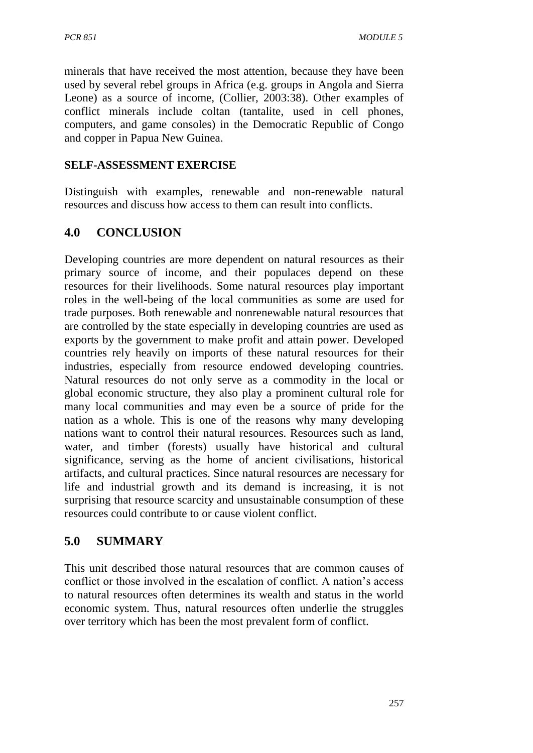minerals that have received the most attention, because they have been used by several rebel groups in Africa (e.g. groups in Angola and Sierra Leone) as a source of income, (Collier, 2003:38). Other examples of conflict minerals include coltan (tantalite, used in cell phones, computers, and game consoles) in the Democratic Republic of Congo and copper in Papua New Guinea.

## **SELF-ASSESSMENT EXERCISE**

Distinguish with examples, renewable and non-renewable natural resources and discuss how access to them can result into conflicts.

# **4.0 CONCLUSION**

Developing countries are more dependent on natural resources as their primary source of income, and their populaces depend on these resources for their livelihoods. Some natural resources play important roles in the well-being of the local communities as some are used for trade purposes. Both renewable and nonrenewable natural resources that are controlled by the state especially in developing countries are used as exports by the government to make profit and attain power. Developed countries rely heavily on imports of these natural resources for their industries, especially from resource endowed developing countries. Natural resources do not only serve as a commodity in the local or global economic structure, they also play a prominent cultural role for many local communities and may even be a source of pride for the nation as a whole. This is one of the reasons why many developing nations want to control their natural resources. Resources such as land, water, and timber (forests) usually have historical and cultural significance, serving as the home of ancient civilisations, historical artifacts, and cultural practices. Since natural resources are necessary for life and industrial growth and its demand is increasing, it is not surprising that resource scarcity and unsustainable consumption of these resources could contribute to or cause violent conflict.

# **5.0 SUMMARY**

This unit described those natural resources that are common causes of conflict or those involved in the escalation of conflict. A nation's access to natural resources often determines its wealth and status in the world economic system. Thus, natural resources often underlie the struggles over territory which has been the most prevalent form of conflict.